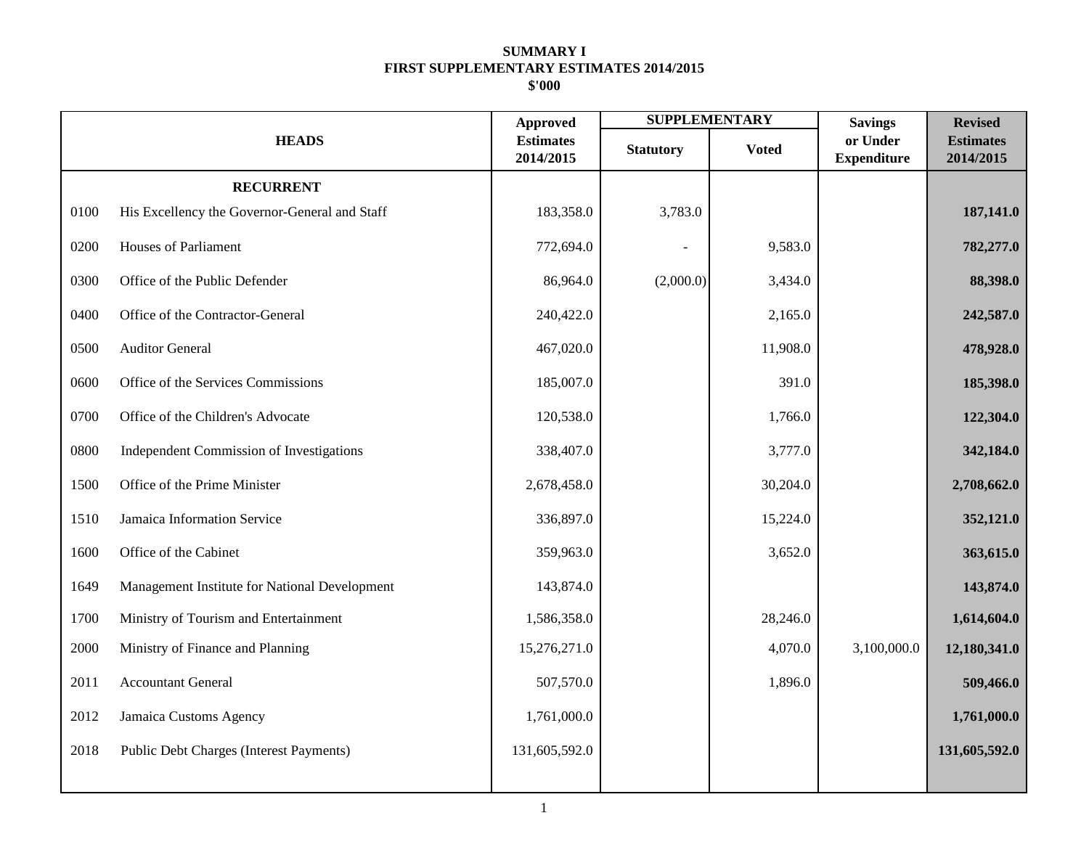|      |                                               | <b>Approved</b>               | <b>SUPPLEMENTARY</b> |              | <b>Savings</b>                 | <b>Revised</b>                |
|------|-----------------------------------------------|-------------------------------|----------------------|--------------|--------------------------------|-------------------------------|
|      | <b>HEADS</b>                                  | <b>Estimates</b><br>2014/2015 | <b>Statutory</b>     | <b>Voted</b> | or Under<br><b>Expenditure</b> | <b>Estimates</b><br>2014/2015 |
|      | <b>RECURRENT</b>                              |                               |                      |              |                                |                               |
| 0100 | His Excellency the Governor-General and Staff | 183,358.0                     | 3,783.0              |              |                                | 187,141.0                     |
| 0200 | <b>Houses of Parliament</b>                   | 772,694.0                     |                      | 9,583.0      |                                | 782,277.0                     |
| 0300 | Office of the Public Defender                 | 86,964.0                      | (2,000.0)            | 3,434.0      |                                | 88,398.0                      |
| 0400 | Office of the Contractor-General              | 240,422.0                     |                      | 2,165.0      |                                | 242,587.0                     |
| 0500 | <b>Auditor General</b>                        | 467,020.0                     |                      | 11,908.0     |                                | 478,928.0                     |
| 0600 | Office of the Services Commissions            | 185,007.0                     |                      | 391.0        |                                | 185,398.0                     |
| 0700 | Office of the Children's Advocate             | 120,538.0                     |                      | 1,766.0      |                                | 122,304.0                     |
| 0800 | Independent Commission of Investigations      | 338,407.0                     |                      | 3,777.0      |                                | 342,184.0                     |
| 1500 | Office of the Prime Minister                  | 2,678,458.0                   |                      | 30,204.0     |                                | 2,708,662.0                   |
| 1510 | Jamaica Information Service                   | 336,897.0                     |                      | 15,224.0     |                                | 352,121.0                     |
| 1600 | Office of the Cabinet                         | 359,963.0                     |                      | 3,652.0      |                                | 363,615.0                     |
| 1649 | Management Institute for National Development | 143,874.0                     |                      |              |                                | 143,874.0                     |
| 1700 | Ministry of Tourism and Entertainment         | 1,586,358.0                   |                      | 28,246.0     |                                | 1,614,604.0                   |
| 2000 | Ministry of Finance and Planning              | 15,276,271.0                  |                      | 4,070.0      | 3,100,000.0                    | 12,180,341.0                  |
| 2011 | <b>Accountant General</b>                     | 507,570.0                     |                      | 1,896.0      |                                | 509,466.0                     |
| 2012 | Jamaica Customs Agency                        | 1,761,000.0                   |                      |              |                                | 1,761,000.0                   |
| 2018 | Public Debt Charges (Interest Payments)       | 131,605,592.0                 |                      |              |                                | 131,605,592.0                 |
|      |                                               |                               |                      |              |                                |                               |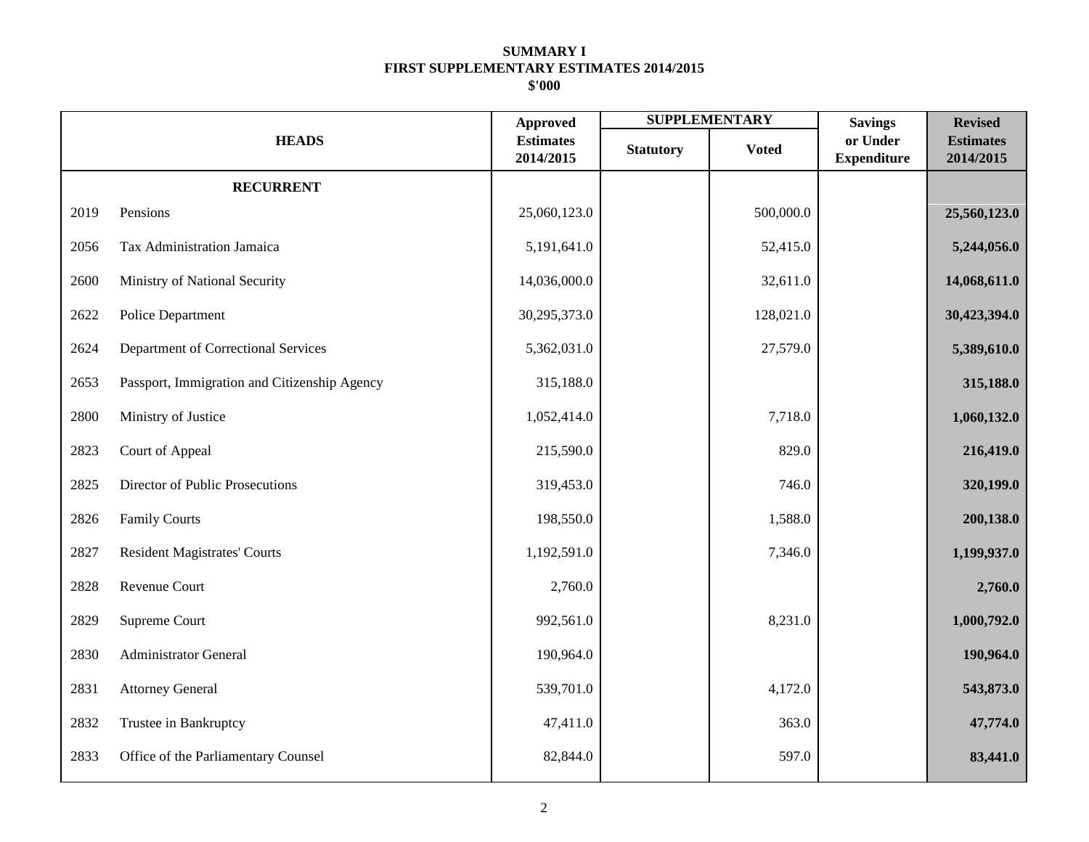|      |                                              | <b>Approved</b>               |                  | <b>SUPPLEMENTARY</b> | <b>Savings</b>                 | <b>Revised</b>                |
|------|----------------------------------------------|-------------------------------|------------------|----------------------|--------------------------------|-------------------------------|
|      | <b>HEADS</b>                                 | <b>Estimates</b><br>2014/2015 | <b>Statutory</b> | <b>Voted</b>         | or Under<br><b>Expenditure</b> | <b>Estimates</b><br>2014/2015 |
|      | <b>RECURRENT</b>                             |                               |                  |                      |                                |                               |
| 2019 | Pensions                                     | 25,060,123.0                  |                  | 500,000.0            |                                | 25,560,123.0                  |
| 2056 | Tax Administration Jamaica                   | 5,191,641.0                   |                  | 52,415.0             |                                | 5,244,056.0                   |
| 2600 | Ministry of National Security                | 14,036,000.0                  |                  | 32,611.0             |                                | 14,068,611.0                  |
| 2622 | Police Department                            | 30,295,373.0                  |                  | 128,021.0            |                                | 30,423,394.0                  |
| 2624 | Department of Correctional Services          | 5,362,031.0                   |                  | 27,579.0             |                                | 5,389,610.0                   |
| 2653 | Passport, Immigration and Citizenship Agency | 315,188.0                     |                  |                      |                                | 315,188.0                     |
| 2800 | Ministry of Justice                          | 1,052,414.0                   |                  | 7,718.0              |                                | 1,060,132.0                   |
| 2823 | Court of Appeal                              | 215,590.0                     |                  | 829.0                |                                | 216,419.0                     |
| 2825 | Director of Public Prosecutions              | 319,453.0                     |                  | 746.0                |                                | 320,199.0                     |
| 2826 | <b>Family Courts</b>                         | 198,550.0                     |                  | 1,588.0              |                                | 200,138.0                     |
| 2827 | <b>Resident Magistrates' Courts</b>          | 1,192,591.0                   |                  | 7,346.0              |                                | 1,199,937.0                   |
| 2828 | Revenue Court                                | 2,760.0                       |                  |                      |                                | 2,760.0                       |
| 2829 | Supreme Court                                | 992,561.0                     |                  | 8,231.0              |                                | 1,000,792.0                   |
| 2830 | <b>Administrator General</b>                 | 190,964.0                     |                  |                      |                                | 190,964.0                     |
| 2831 | <b>Attorney General</b>                      | 539,701.0                     |                  | 4,172.0              |                                | 543,873.0                     |
| 2832 | Trustee in Bankruptcy                        | 47,411.0                      |                  | 363.0                |                                | 47,774.0                      |
| 2833 | Office of the Parliamentary Counsel          | 82,844.0                      |                  | 597.0                |                                | 83,441.0                      |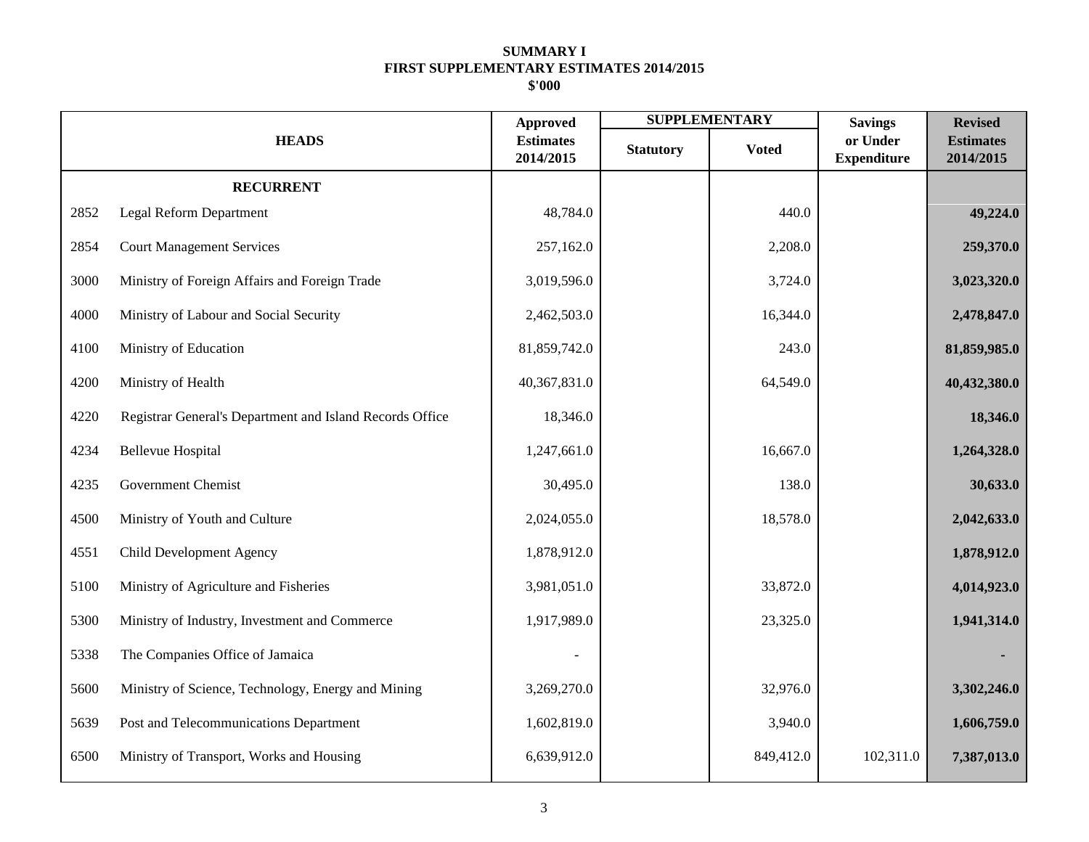|      |                                                          | <b>Approved</b>               |                  | <b>SUPPLEMENTARY</b> | <b>Savings</b>                 | <b>Revised</b>                |
|------|----------------------------------------------------------|-------------------------------|------------------|----------------------|--------------------------------|-------------------------------|
|      | <b>HEADS</b>                                             | <b>Estimates</b><br>2014/2015 | <b>Statutory</b> | <b>Voted</b>         | or Under<br><b>Expenditure</b> | <b>Estimates</b><br>2014/2015 |
|      | <b>RECURRENT</b>                                         |                               |                  |                      |                                |                               |
| 2852 | Legal Reform Department                                  | 48,784.0                      |                  | 440.0                |                                | 49,224.0                      |
| 2854 | <b>Court Management Services</b>                         | 257,162.0                     |                  | 2,208.0              |                                | 259,370.0                     |
| 3000 | Ministry of Foreign Affairs and Foreign Trade            | 3,019,596.0                   |                  | 3,724.0              |                                | 3,023,320.0                   |
| 4000 | Ministry of Labour and Social Security                   | 2,462,503.0                   |                  | 16,344.0             |                                | 2,478,847.0                   |
| 4100 | Ministry of Education                                    | 81,859,742.0                  |                  | 243.0                |                                | 81,859,985.0                  |
| 4200 | Ministry of Health                                       | 40,367,831.0                  |                  | 64,549.0             |                                | 40,432,380.0                  |
| 4220 | Registrar General's Department and Island Records Office | 18,346.0                      |                  |                      |                                | 18,346.0                      |
| 4234 | <b>Bellevue Hospital</b>                                 | 1,247,661.0                   |                  | 16,667.0             |                                | 1,264,328.0                   |
| 4235 | <b>Government Chemist</b>                                | 30,495.0                      |                  | 138.0                |                                | 30,633.0                      |
| 4500 | Ministry of Youth and Culture                            | 2,024,055.0                   |                  | 18,578.0             |                                | 2,042,633.0                   |
| 4551 | Child Development Agency                                 | 1,878,912.0                   |                  |                      |                                | 1,878,912.0                   |
| 5100 | Ministry of Agriculture and Fisheries                    | 3,981,051.0                   |                  | 33,872.0             |                                | 4,014,923.0                   |
| 5300 | Ministry of Industry, Investment and Commerce            | 1,917,989.0                   |                  | 23,325.0             |                                | 1,941,314.0                   |
| 5338 | The Companies Office of Jamaica                          |                               |                  |                      |                                |                               |
| 5600 | Ministry of Science, Technology, Energy and Mining       | 3,269,270.0                   |                  | 32,976.0             |                                | 3,302,246.0                   |
| 5639 | Post and Telecommunications Department                   | 1,602,819.0                   |                  | 3,940.0              |                                | 1,606,759.0                   |
| 6500 | Ministry of Transport, Works and Housing                 | 6,639,912.0                   |                  | 849,412.0            | 102,311.0                      | 7,387,013.0                   |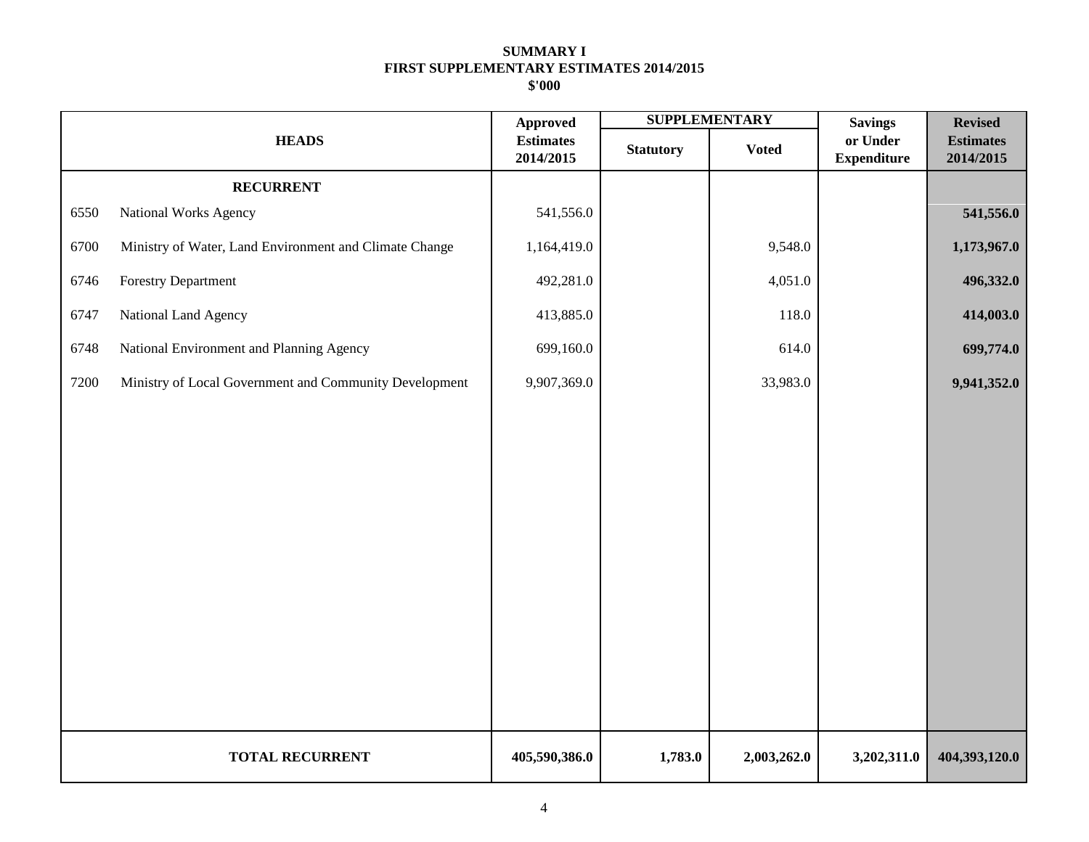|      |                                                        | <b>Approved</b>               |                  | <b>SUPPLEMENTARY</b> | <b>Savings</b>                 | <b>Revised</b>                |
|------|--------------------------------------------------------|-------------------------------|------------------|----------------------|--------------------------------|-------------------------------|
|      | <b>HEADS</b>                                           | <b>Estimates</b><br>2014/2015 | <b>Statutory</b> | <b>Voted</b>         | or Under<br><b>Expenditure</b> | <b>Estimates</b><br>2014/2015 |
|      | <b>RECURRENT</b>                                       |                               |                  |                      |                                |                               |
| 6550 | National Works Agency                                  | 541,556.0                     |                  |                      |                                | 541,556.0                     |
| 6700 | Ministry of Water, Land Environment and Climate Change | 1,164,419.0                   |                  | 9,548.0              |                                | 1,173,967.0                   |
| 6746 | Forestry Department                                    | 492,281.0                     |                  | 4,051.0              |                                | 496,332.0                     |
| 6747 | National Land Agency                                   | 413,885.0                     |                  | 118.0                |                                | 414,003.0                     |
| 6748 | National Environment and Planning Agency               | 699,160.0                     |                  | 614.0                |                                | 699,774.0                     |
| 7200 | Ministry of Local Government and Community Development | 9,907,369.0                   |                  | 33,983.0             |                                | 9,941,352.0                   |
|      |                                                        |                               |                  |                      |                                |                               |
|      |                                                        |                               |                  |                      |                                |                               |
|      |                                                        |                               |                  |                      |                                |                               |
|      |                                                        |                               |                  |                      |                                |                               |
|      |                                                        |                               |                  |                      |                                |                               |
|      |                                                        |                               |                  |                      |                                |                               |
|      |                                                        |                               |                  |                      |                                |                               |
|      |                                                        |                               |                  |                      |                                |                               |
|      |                                                        |                               |                  |                      |                                |                               |
|      |                                                        |                               |                  |                      |                                |                               |
|      | <b>TOTAL RECURRENT</b>                                 | 405,590,386.0                 | 1,783.0          | 2,003,262.0          | 3,202,311.0                    | 404,393,120.0                 |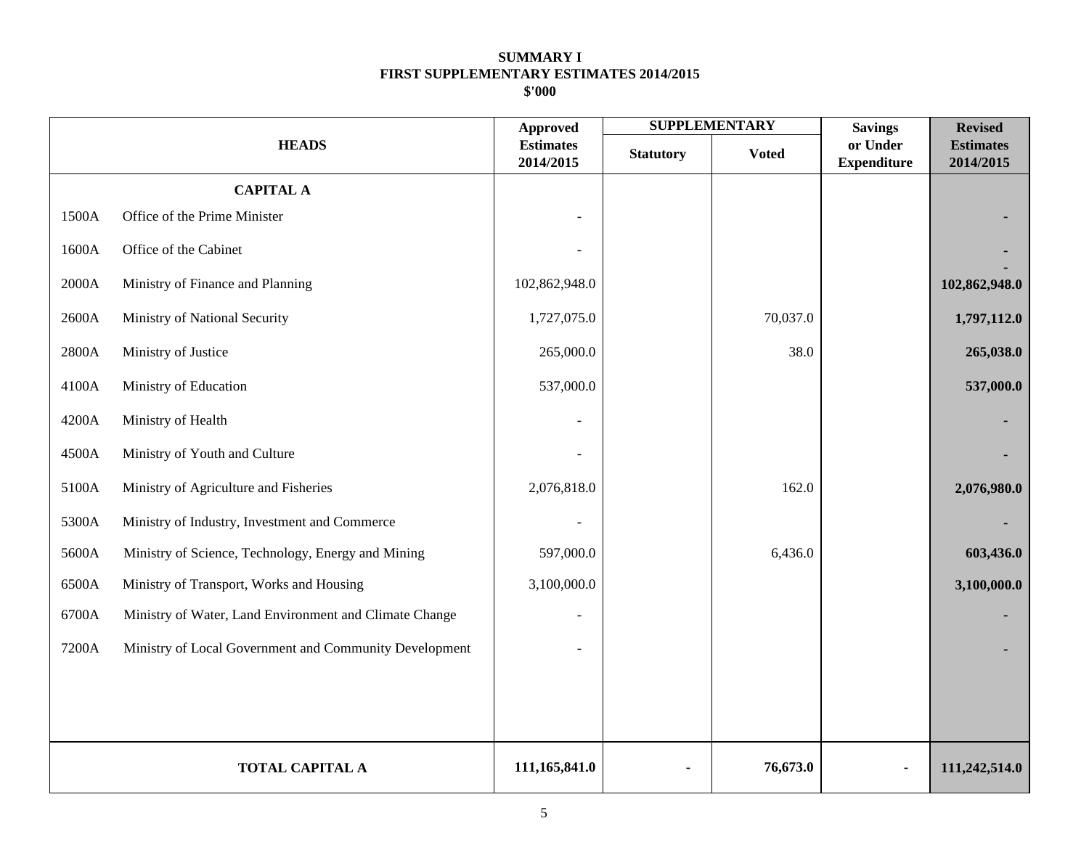|       |                                                        | <b>Approved</b>               |                  | <b>SUPPLEMENTARY</b> | <b>Savings</b>                 | <b>Revised</b>                |
|-------|--------------------------------------------------------|-------------------------------|------------------|----------------------|--------------------------------|-------------------------------|
|       | <b>HEADS</b>                                           | <b>Estimates</b><br>2014/2015 | <b>Statutory</b> | <b>Voted</b>         | or Under<br><b>Expenditure</b> | <b>Estimates</b><br>2014/2015 |
|       | <b>CAPITAL A</b>                                       |                               |                  |                      |                                |                               |
| 1500A | Office of the Prime Minister                           |                               |                  |                      |                                |                               |
| 1600A | Office of the Cabinet                                  |                               |                  |                      |                                |                               |
| 2000A | Ministry of Finance and Planning                       | 102,862,948.0                 |                  |                      |                                | 102,862,948.0                 |
| 2600A | Ministry of National Security                          | 1,727,075.0                   |                  | 70,037.0             |                                | 1,797,112.0                   |
| 2800A | Ministry of Justice                                    | 265,000.0                     |                  | 38.0                 |                                | 265,038.0                     |
| 4100A | Ministry of Education                                  | 537,000.0                     |                  |                      |                                | 537,000.0                     |
| 4200A | Ministry of Health                                     |                               |                  |                      |                                |                               |
| 4500A | Ministry of Youth and Culture                          |                               |                  |                      |                                |                               |
| 5100A | Ministry of Agriculture and Fisheries                  | 2,076,818.0                   |                  | 162.0                |                                | 2,076,980.0                   |
| 5300A | Ministry of Industry, Investment and Commerce          |                               |                  |                      |                                |                               |
| 5600A | Ministry of Science, Technology, Energy and Mining     | 597,000.0                     |                  | 6,436.0              |                                | 603,436.0                     |
| 6500A | Ministry of Transport, Works and Housing               | 3,100,000.0                   |                  |                      |                                | 3,100,000.0                   |
| 6700A | Ministry of Water, Land Environment and Climate Change |                               |                  |                      |                                |                               |
| 7200A | Ministry of Local Government and Community Development |                               |                  |                      |                                |                               |
|       |                                                        |                               |                  |                      |                                |                               |
|       |                                                        |                               |                  |                      |                                |                               |
|       | <b>TOTAL CAPITAL A</b>                                 | 111,165,841.0                 |                  | 76,673.0             |                                | 111,242,514.0                 |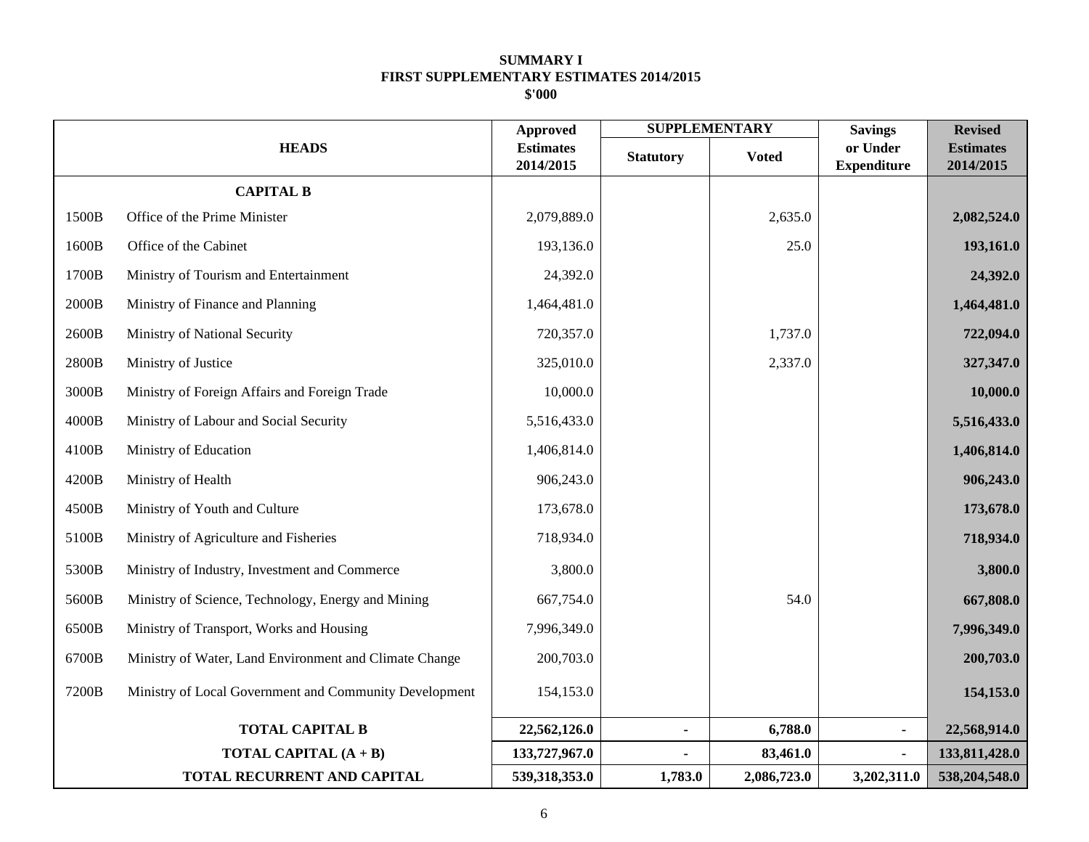|       |                                                        | <b>Approved</b>               |                  | <b>SUPPLEMENTARY</b> | <b>Savings</b>                 | <b>Revised</b>                |
|-------|--------------------------------------------------------|-------------------------------|------------------|----------------------|--------------------------------|-------------------------------|
|       | <b>HEADS</b>                                           | <b>Estimates</b><br>2014/2015 | <b>Statutory</b> | <b>Voted</b>         | or Under<br><b>Expenditure</b> | <b>Estimates</b><br>2014/2015 |
|       | <b>CAPITAL B</b>                                       |                               |                  |                      |                                |                               |
| 1500B | Office of the Prime Minister                           | 2,079,889.0                   |                  | 2,635.0              |                                | 2,082,524.0                   |
| 1600B | Office of the Cabinet                                  | 193,136.0                     |                  | 25.0                 |                                | 193,161.0                     |
| 1700B | Ministry of Tourism and Entertainment                  | 24,392.0                      |                  |                      |                                | 24,392.0                      |
| 2000B | Ministry of Finance and Planning                       | 1,464,481.0                   |                  |                      |                                | 1,464,481.0                   |
| 2600B | Ministry of National Security                          | 720,357.0                     |                  | 1,737.0              |                                | 722,094.0                     |
| 2800B | Ministry of Justice                                    | 325,010.0                     |                  | 2,337.0              |                                | 327,347.0                     |
| 3000B | Ministry of Foreign Affairs and Foreign Trade          | 10,000.0                      |                  |                      |                                | 10,000.0                      |
| 4000B | Ministry of Labour and Social Security                 | 5,516,433.0                   |                  |                      |                                | 5,516,433.0                   |
| 4100B | Ministry of Education                                  | 1,406,814.0                   |                  |                      |                                | 1,406,814.0                   |
| 4200B | Ministry of Health                                     | 906,243.0                     |                  |                      |                                | 906,243.0                     |
| 4500B | Ministry of Youth and Culture                          | 173,678.0                     |                  |                      |                                | 173,678.0                     |
| 5100B | Ministry of Agriculture and Fisheries                  | 718,934.0                     |                  |                      |                                | 718,934.0                     |
| 5300B | Ministry of Industry, Investment and Commerce          | 3,800.0                       |                  |                      |                                | 3,800.0                       |
| 5600B | Ministry of Science, Technology, Energy and Mining     | 667,754.0                     |                  | 54.0                 |                                | 667,808.0                     |
| 6500B | Ministry of Transport, Works and Housing               | 7,996,349.0                   |                  |                      |                                | 7,996,349.0                   |
| 6700B | Ministry of Water, Land Environment and Climate Change | 200,703.0                     |                  |                      |                                | 200,703.0                     |
| 7200B | Ministry of Local Government and Community Development | 154,153.0                     |                  |                      |                                | 154,153.0                     |
|       | <b>TOTAL CAPITAL B</b>                                 | 22,562,126.0                  | $\blacksquare$   | 6,788.0              | $\blacksquare$                 | 22,568,914.0                  |
|       | <b>TOTAL CAPITAL <math>(A + B)</math></b>              | 133,727,967.0                 |                  | 83,461.0             |                                | 133,811,428.0                 |
|       | TOTAL RECURRENT AND CAPITAL                            | 539,318,353.0                 | 1,783.0          | 2,086,723.0          | 3,202,311.0                    | 538,204,548.0                 |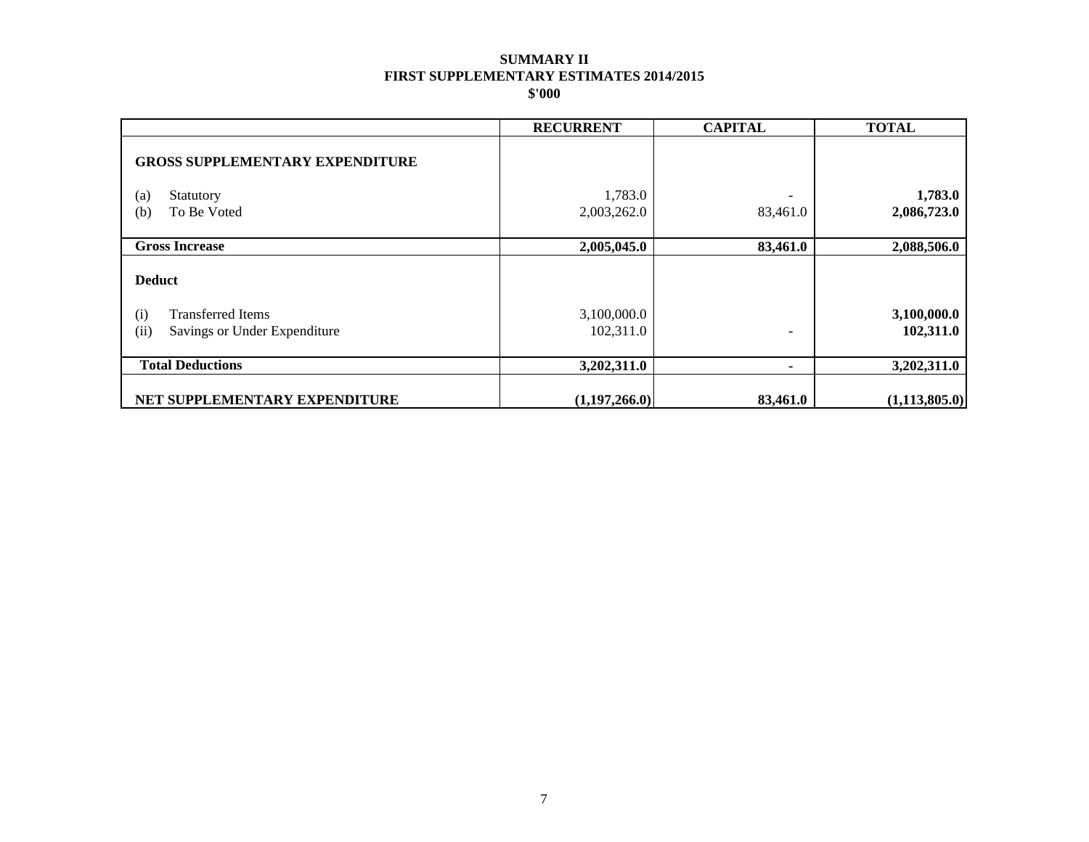|                                        | <b>RECURRENT</b> | <b>CAPITAL</b> | <b>TOTAL</b>    |
|----------------------------------------|------------------|----------------|-----------------|
| <b>GROSS SUPPLEMENTARY EXPENDITURE</b> |                  |                |                 |
| (a)<br>Statutory                       | 1,783.0          |                | 1,783.0         |
| (b)<br>To Be Voted                     | 2,003,262.0      | 83,461.0       | 2,086,723.0     |
| <b>Gross Increase</b>                  | 2,005,045.0      | 83,461.0       | 2,088,506.0     |
| <b>Deduct</b>                          |                  |                |                 |
| <b>Transferred Items</b><br>(i)        | 3,100,000.0      |                | 3,100,000.0     |
| (ii)<br>Savings or Under Expenditure   | 102,311.0        | -              | 102,311.0       |
| <b>Total Deductions</b>                | 3,202,311.0      | ۰              | 3,202,311.0     |
| NET SUPPLEMENTARY EXPENDITURE          | (1,197,266.0)    | 83,461.0       | (1, 113, 805.0) |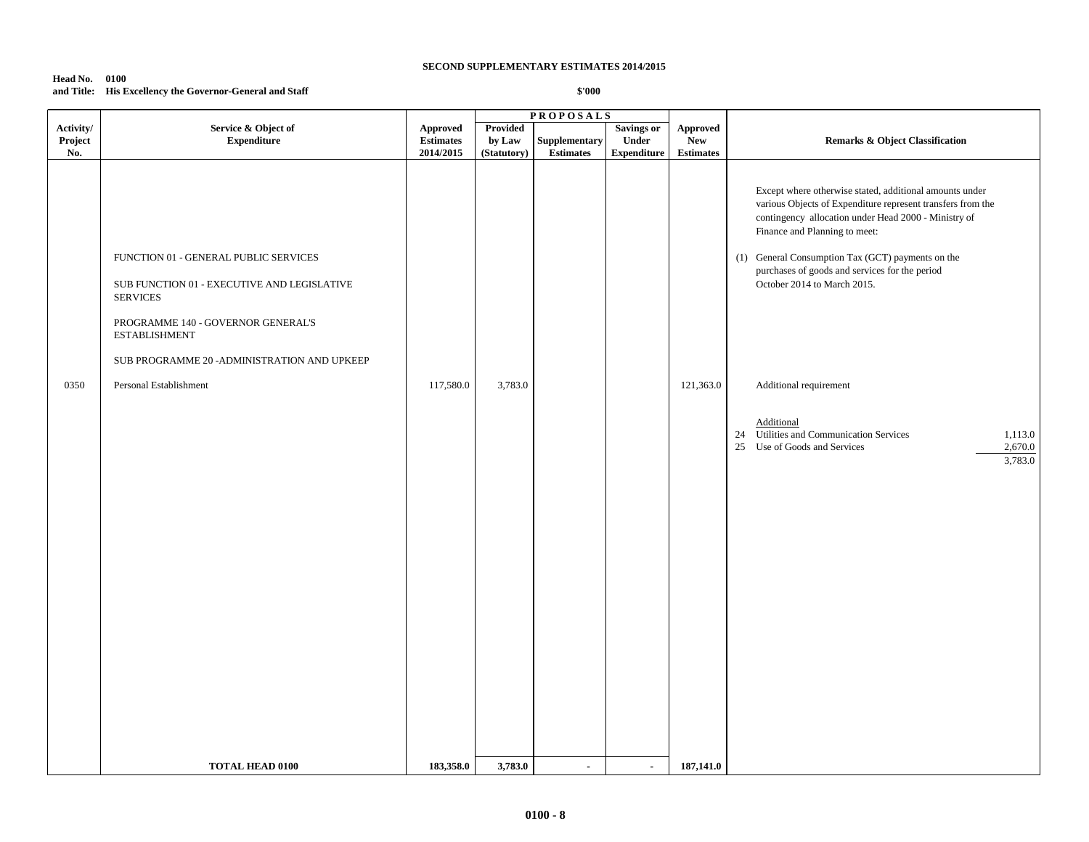## **Head No. 0100 and Title: His Excellency the Governor-General and Staff**

|                             |                                                                                                                                                                       |                                                  |                                   | <b>PROPOSALS</b>                  |                                                  |                                            |                                                                                                                                                                                                                                                                                                                                                       |
|-----------------------------|-----------------------------------------------------------------------------------------------------------------------------------------------------------------------|--------------------------------------------------|-----------------------------------|-----------------------------------|--------------------------------------------------|--------------------------------------------|-------------------------------------------------------------------------------------------------------------------------------------------------------------------------------------------------------------------------------------------------------------------------------------------------------------------------------------------------------|
| Activity/<br>Project<br>No. | Service & Object of<br>${\bf Expenditure}$                                                                                                                            | <b>Approved</b><br><b>Estimates</b><br>2014/2015 | Provided<br>by Law<br>(Statutory) | Supplementary<br><b>Estimates</b> | <b>Savings or</b><br>Under<br><b>Expenditure</b> | Approved<br><b>New</b><br><b>Estimates</b> | <b>Remarks &amp; Object Classification</b>                                                                                                                                                                                                                                                                                                            |
|                             | FUNCTION 01 - GENERAL PUBLIC SERVICES<br>SUB FUNCTION 01 - EXECUTIVE AND LEGISLATIVE<br><b>SERVICES</b><br>PROGRAMME 140 - GOVERNOR GENERAL'S<br><b>ESTABLISHMENT</b> |                                                  |                                   |                                   |                                                  |                                            | Except where otherwise stated, additional amounts under<br>various Objects of Expenditure represent transfers from the<br>contingency allocation under Head 2000 - Ministry of<br>Finance and Planning to meet:<br>(1) General Consumption Tax (GCT) payments on the<br>purchases of goods and services for the period<br>October 2014 to March 2015. |
| 0350                        | SUB PROGRAMME 20 - ADMINISTRATION AND UPKEEP<br>Personal Establishment                                                                                                | 117,580.0                                        | 3,783.0                           |                                   |                                                  | 121,363.0                                  | Additional requirement                                                                                                                                                                                                                                                                                                                                |
|                             |                                                                                                                                                                       |                                                  |                                   |                                   |                                                  |                                            | Additional<br>24 Utilities and Communication Services<br>1,113.0<br>2,670.0<br>25 Use of Goods and Services<br>3,783.0                                                                                                                                                                                                                                |
|                             | <b>TOTAL HEAD 0100</b>                                                                                                                                                | 183,358.0                                        | 3,783.0                           | $\blacksquare$                    | $\blacksquare$                                   | 187,141.0                                  |                                                                                                                                                                                                                                                                                                                                                       |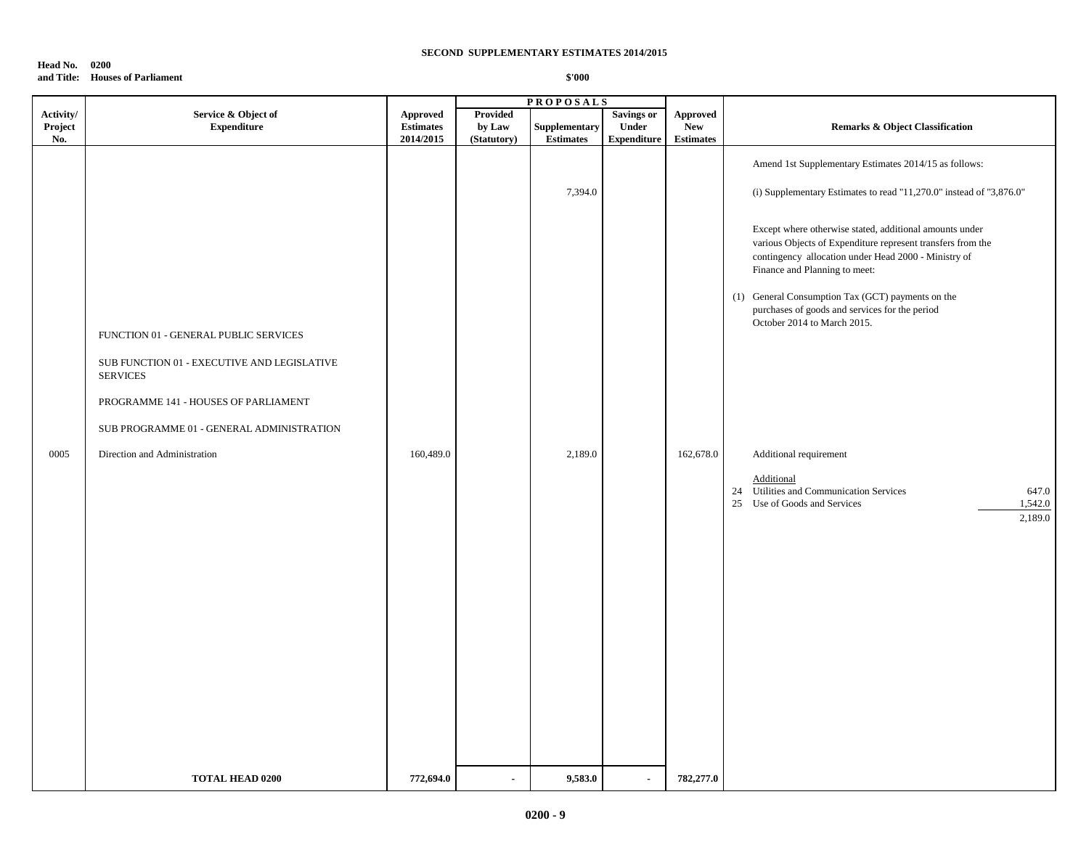### **Head No. 0200 and Title: Houses of Parliament**

|                             |                                                                                                         | <b>PROPOSALS</b>                                 |                                          |                                   |                                                         |                                                   |                                                                                                                                                                                                                                                                                                                                                                                                                                                                                          |
|-----------------------------|---------------------------------------------------------------------------------------------------------|--------------------------------------------------|------------------------------------------|-----------------------------------|---------------------------------------------------------|---------------------------------------------------|------------------------------------------------------------------------------------------------------------------------------------------------------------------------------------------------------------------------------------------------------------------------------------------------------------------------------------------------------------------------------------------------------------------------------------------------------------------------------------------|
| Activity/<br>Project<br>No. | Service & Object of<br><b>Expenditure</b>                                                               | <b>Approved</b><br><b>Estimates</b><br>2014/2015 | <b>Provided</b><br>by Law<br>(Statutory) | Supplementary<br><b>Estimates</b> | <b>Savings or</b><br><b>Under</b><br><b>Expenditure</b> | <b>Approved</b><br><b>New</b><br><b>Estimates</b> | <b>Remarks &amp; Object Classification</b>                                                                                                                                                                                                                                                                                                                                                                                                                                               |
|                             | FUNCTION 01 - GENERAL PUBLIC SERVICES<br>SUB FUNCTION 01 - EXECUTIVE AND LEGISLATIVE<br><b>SERVICES</b> |                                                  |                                          | 7,394.0                           |                                                         |                                                   | Amend 1st Supplementary Estimates 2014/15 as follows:<br>(i) Supplementary Estimates to read "11,270.0" instead of "3,876.0"<br>Except where otherwise stated, additional amounts under<br>various Objects of Expenditure represent transfers from the<br>contingency allocation under Head 2000 - Ministry of<br>Finance and Planning to meet:<br>General Consumption Tax (GCT) payments on the<br>(1)<br>purchases of goods and services for the period<br>October 2014 to March 2015. |
|                             | PROGRAMME 141 - HOUSES OF PARLIAMENT<br>SUB PROGRAMME 01 - GENERAL ADMINISTRATION                       |                                                  |                                          |                                   |                                                         |                                                   |                                                                                                                                                                                                                                                                                                                                                                                                                                                                                          |
| 0005                        | Direction and Administration                                                                            | 160,489.0                                        |                                          | 2,189.0                           |                                                         | 162,678.0                                         | Additional requirement<br>Additional<br>Utilities and Communication Services<br>24<br>647.0<br>Use of Goods and Services<br>1,542.0<br>25<br>2,189.0                                                                                                                                                                                                                                                                                                                                     |
|                             | <b>TOTAL HEAD 0200</b>                                                                                  | 772,694.0                                        |                                          | 9,583.0                           |                                                         | 782,277.0                                         |                                                                                                                                                                                                                                                                                                                                                                                                                                                                                          |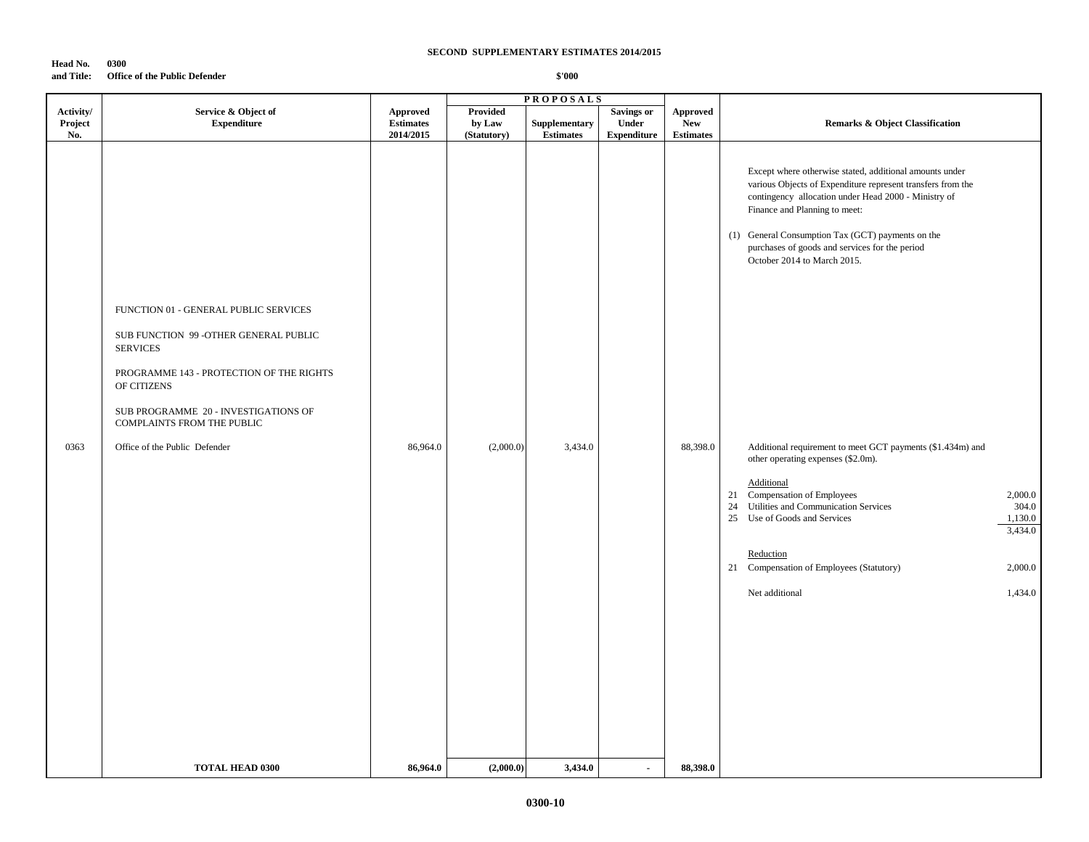# **Head No. 0300**

### **and Title: Office of the Public Defender**

|                        |                                                                                                                                                                                                                                                                                            | <b>PROPOSALS</b>                          |                                    |                                              |                             |                                            |                                                                                                                                                                                                                                                                                                                                                                                                                                                                                                                                                                                                                                                                                                                |                                                              |
|------------------------|--------------------------------------------------------------------------------------------------------------------------------------------------------------------------------------------------------------------------------------------------------------------------------------------|-------------------------------------------|------------------------------------|----------------------------------------------|-----------------------------|--------------------------------------------|----------------------------------------------------------------------------------------------------------------------------------------------------------------------------------------------------------------------------------------------------------------------------------------------------------------------------------------------------------------------------------------------------------------------------------------------------------------------------------------------------------------------------------------------------------------------------------------------------------------------------------------------------------------------------------------------------------------|--------------------------------------------------------------|
| Activity/              | Service & Object of                                                                                                                                                                                                                                                                        | <b>Approved</b>                           | <b>Provided</b>                    |                                              | <b>Savings or</b>           | <b>Approved</b>                            |                                                                                                                                                                                                                                                                                                                                                                                                                                                                                                                                                                                                                                                                                                                |                                                              |
|                        |                                                                                                                                                                                                                                                                                            |                                           |                                    |                                              |                             |                                            |                                                                                                                                                                                                                                                                                                                                                                                                                                                                                                                                                                                                                                                                                                                |                                                              |
|                        |                                                                                                                                                                                                                                                                                            |                                           |                                    |                                              |                             |                                            |                                                                                                                                                                                                                                                                                                                                                                                                                                                                                                                                                                                                                                                                                                                |                                                              |
| Project<br>No.<br>0363 | <b>Expenditure</b><br>FUNCTION 01 - GENERAL PUBLIC SERVICES<br>SUB FUNCTION 99 - OTHER GENERAL PUBLIC<br><b>SERVICES</b><br>PROGRAMME 143 - PROTECTION OF THE RIGHTS<br>OF CITIZENS<br>SUB PROGRAMME 20 - INVESTIGATIONS OF<br>COMPLAINTS FROM THE PUBLIC<br>Office of the Public Defender | <b>Estimates</b><br>2014/2015<br>86,964.0 | by Law<br>(Statutory)<br>(2,000.0) | Supplementary<br><b>Estimates</b><br>3,434.0 | Under<br><b>Expenditure</b> | <b>New</b><br><b>Estimates</b><br>88,398.0 | <b>Remarks &amp; Object Classification</b><br>Except where otherwise stated, additional amounts under<br>various Objects of Expenditure represent transfers from the<br>contingency allocation under Head 2000 - Ministry of<br>Finance and Planning to meet:<br>(1) General Consumption Tax (GCT) payments on the<br>purchases of goods and services for the period<br>October 2014 to March 2015.<br>Additional requirement to meet GCT payments (\$1.434m) and<br>other operating expenses (\$2.0m).<br>Additional<br>Compensation of Employees<br>21<br>24 Utilities and Communication Services<br>25 Use of Goods and Services<br>Reduction<br>21 Compensation of Employees (Statutory)<br>Net additional | 2,000.0<br>304.0<br>1,130.0<br>3,434.0<br>2,000.0<br>1,434.0 |
|                        |                                                                                                                                                                                                                                                                                            |                                           |                                    |                                              |                             |                                            |                                                                                                                                                                                                                                                                                                                                                                                                                                                                                                                                                                                                                                                                                                                |                                                              |
|                        |                                                                                                                                                                                                                                                                                            |                                           |                                    |                                              |                             |                                            |                                                                                                                                                                                                                                                                                                                                                                                                                                                                                                                                                                                                                                                                                                                |                                                              |
|                        |                                                                                                                                                                                                                                                                                            |                                           |                                    |                                              |                             |                                            |                                                                                                                                                                                                                                                                                                                                                                                                                                                                                                                                                                                                                                                                                                                |                                                              |
|                        |                                                                                                                                                                                                                                                                                            |                                           |                                    |                                              |                             |                                            |                                                                                                                                                                                                                                                                                                                                                                                                                                                                                                                                                                                                                                                                                                                |                                                              |
|                        | <b>TOTAL HEAD 0300</b>                                                                                                                                                                                                                                                                     | 86,964.0                                  | (2,000.0)                          | 3,434.0                                      | $\blacksquare$              | 88,398.0                                   |                                                                                                                                                                                                                                                                                                                                                                                                                                                                                                                                                                                                                                                                                                                |                                                              |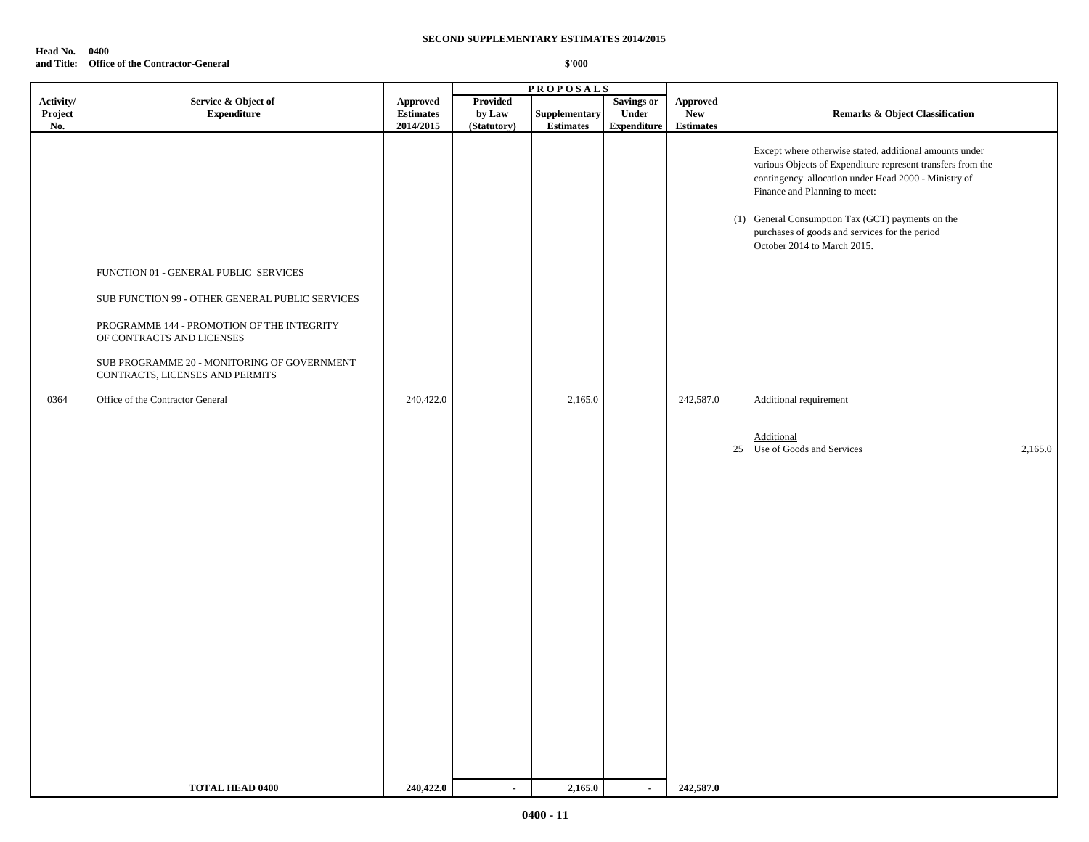#### **Head No. 0400 and Title: Office of the Contractor-General**

|                             | <b>PROPOSALS</b>                                                                                                                                                                                                                                                                          |                                                  |                                          |                                   |                                                  |                                                   |                                                                                                                                                                                                                                                                                                                                                                                                                                             |
|-----------------------------|-------------------------------------------------------------------------------------------------------------------------------------------------------------------------------------------------------------------------------------------------------------------------------------------|--------------------------------------------------|------------------------------------------|-----------------------------------|--------------------------------------------------|---------------------------------------------------|---------------------------------------------------------------------------------------------------------------------------------------------------------------------------------------------------------------------------------------------------------------------------------------------------------------------------------------------------------------------------------------------------------------------------------------------|
| Activity/<br>Project<br>No. | Service & Object of<br><b>Expenditure</b>                                                                                                                                                                                                                                                 | <b>Approved</b><br><b>Estimates</b><br>2014/2015 | <b>Provided</b><br>by Law<br>(Statutory) | Supplementary<br><b>Estimates</b> | <b>Savings or</b><br>Under<br><b>Expenditure</b> | <b>Approved</b><br><b>New</b><br><b>Estimates</b> | <b>Remarks &amp; Object Classification</b>                                                                                                                                                                                                                                                                                                                                                                                                  |
| 0364                        | FUNCTION 01 - GENERAL PUBLIC SERVICES<br>SUB FUNCTION 99 - OTHER GENERAL PUBLIC SERVICES<br>PROGRAMME 144 - PROMOTION OF THE INTEGRITY<br>OF CONTRACTS AND LICENSES<br>SUB PROGRAMME 20 - MONITORING OF GOVERNMENT<br>CONTRACTS, LICENSES AND PERMITS<br>Office of the Contractor General | 240,422.0                                        |                                          | 2,165.0                           |                                                  | 242,587.0                                         | Except where otherwise stated, additional amounts under<br>various Objects of Expenditure represent transfers from the<br>contingency allocation under Head 2000 - Ministry of<br>Finance and Planning to meet:<br>(1) General Consumption Tax (GCT) payments on the<br>purchases of goods and services for the period<br>October 2014 to March 2015.<br>Additional requirement<br>Additional<br>25<br>Use of Goods and Services<br>2,165.0 |
|                             | <b>TOTAL HEAD 0400</b>                                                                                                                                                                                                                                                                    | 240,422.0                                        | $\sim$                                   | 2,165.0                           | $\sim$                                           | 242,587.0                                         |                                                                                                                                                                                                                                                                                                                                                                                                                                             |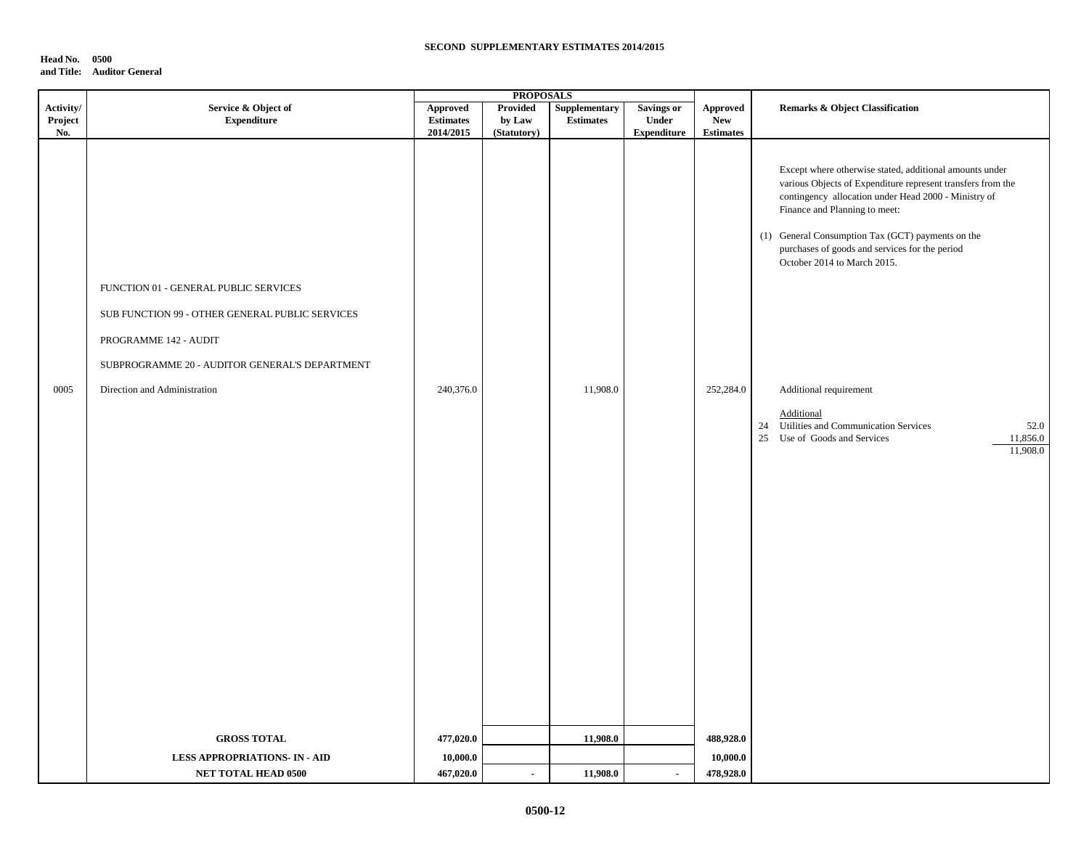## **Head No. 0500 and Title: Auditor General**

|             | <b>PROPOSALS</b>                                                                                                                                                                                    |                        |                |                  |                    |                               |                                                                                                                                                                                                                                                                                                                                                                                                                                                                                                             |
|-------------|-----------------------------------------------------------------------------------------------------------------------------------------------------------------------------------------------------|------------------------|----------------|------------------|--------------------|-------------------------------|-------------------------------------------------------------------------------------------------------------------------------------------------------------------------------------------------------------------------------------------------------------------------------------------------------------------------------------------------------------------------------------------------------------------------------------------------------------------------------------------------------------|
| Activity/   | Service & Object of                                                                                                                                                                                 | <b>Approved</b>        | Provided       | Supplementary    | <b>Savings or</b>  | Approved                      | Remarks & Object Classification                                                                                                                                                                                                                                                                                                                                                                                                                                                                             |
| Project     | <b>Expenditure</b>                                                                                                                                                                                  | <b>Estimates</b>       | by Law         | <b>Estimates</b> | Under              | <b>New</b>                    |                                                                                                                                                                                                                                                                                                                                                                                                                                                                                                             |
| No.<br>0005 | FUNCTION 01 - GENERAL PUBLIC SERVICES<br>SUB FUNCTION 99 - OTHER GENERAL PUBLIC SERVICES<br>PROGRAMME 142 - AUDIT<br>SUBPROGRAMME 20 - AUDITOR GENERAL'S DEPARTMENT<br>Direction and Administration | 2014/2015<br>240,376.0 | (Statutory)    | 11,908.0         | <b>Expenditure</b> | <b>Estimates</b><br>252,284.0 | Except where otherwise stated, additional amounts under<br>various Objects of Expenditure represent transfers from the<br>contingency allocation under Head 2000 - Ministry of<br>Finance and Planning to meet:<br>(1) General Consumption Tax (GCT) payments on the<br>purchases of goods and services for the period<br>October 2014 to March 2015.<br>Additional requirement<br>Additional<br>24 Utilities and Communication Services<br>52.0<br>Use of Goods and Services<br>11,856.0<br>25<br>11,908.0 |
|             | <b>GROSS TOTAL</b>                                                                                                                                                                                  | 477,020.0              |                | 11,908.0         |                    | 488,928.0                     |                                                                                                                                                                                                                                                                                                                                                                                                                                                                                                             |
|             | <b>LESS APPROPRIATIONS- IN - AID</b>                                                                                                                                                                | 10,000.0               |                |                  |                    | 10,000.0                      |                                                                                                                                                                                                                                                                                                                                                                                                                                                                                                             |
|             | NET TOTAL HEAD 0500                                                                                                                                                                                 | 467,020.0              | $\blacksquare$ | 11,908.0         | $\sim$             | 478,928.0                     |                                                                                                                                                                                                                                                                                                                                                                                                                                                                                                             |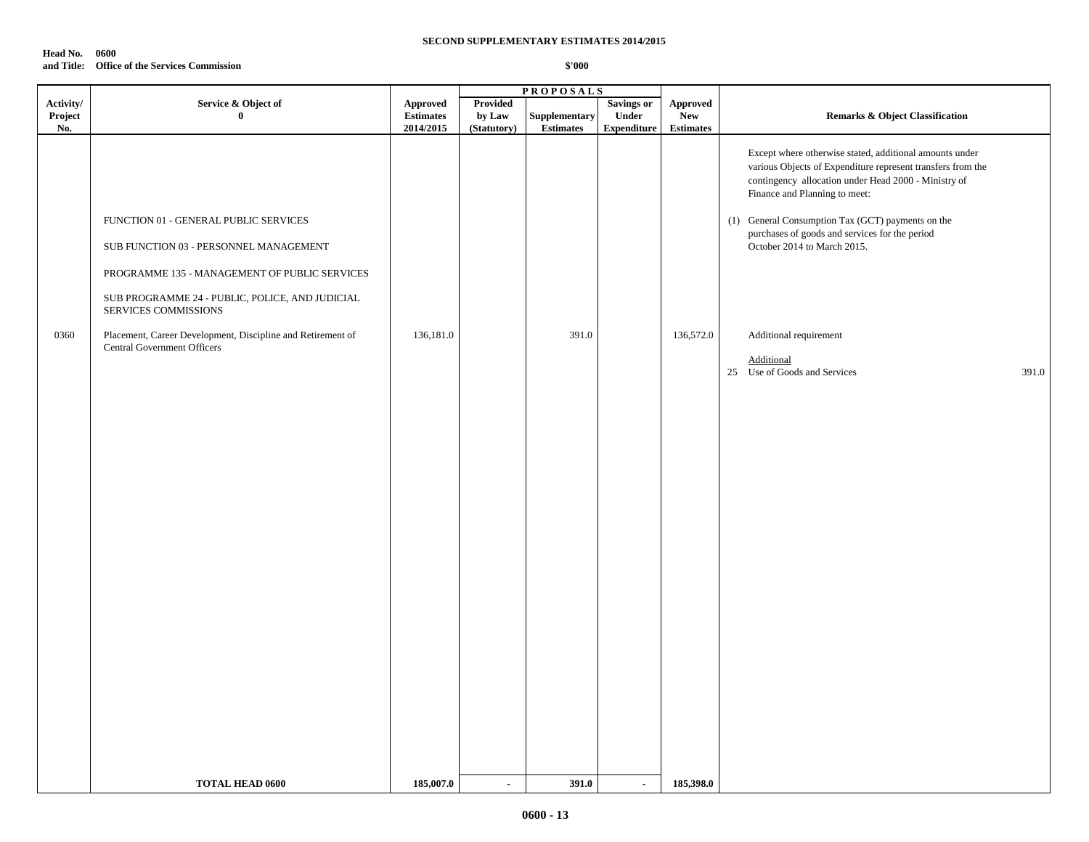#### **Head No. 0600 and Title: Office of the Services Commission**

|           |                                                                                                                                  |                  |                 | <b>PROPOSALS</b> |                    |                  |                                                                                                                                                                                                                                                                                                                                                       |
|-----------|----------------------------------------------------------------------------------------------------------------------------------|------------------|-----------------|------------------|--------------------|------------------|-------------------------------------------------------------------------------------------------------------------------------------------------------------------------------------------------------------------------------------------------------------------------------------------------------------------------------------------------------|
| Activity/ | Service & Object of                                                                                                              | <b>Approved</b>  | <b>Provided</b> |                  | <b>Savings or</b>  | <b>Approved</b>  |                                                                                                                                                                                                                                                                                                                                                       |
| Project   | $\mathbf{0}$                                                                                                                     | <b>Estimates</b> | by Law          | Supplementary    | Under              | <b>New</b>       | <b>Remarks &amp; Object Classification</b>                                                                                                                                                                                                                                                                                                            |
| No.       |                                                                                                                                  | 2014/2015        | (Statutory)     | <b>Estimates</b> | <b>Expenditure</b> | <b>Estimates</b> |                                                                                                                                                                                                                                                                                                                                                       |
|           | FUNCTION 01 - GENERAL PUBLIC SERVICES<br>SUB FUNCTION 03 - PERSONNEL MANAGEMENT<br>PROGRAMME 135 - MANAGEMENT OF PUBLIC SERVICES |                  |                 |                  |                    |                  | Except where otherwise stated, additional amounts under<br>various Objects of Expenditure represent transfers from the<br>contingency allocation under Head 2000 - Ministry of<br>Finance and Planning to meet:<br>(1) General Consumption Tax (GCT) payments on the<br>purchases of goods and services for the period<br>October 2014 to March 2015. |
|           | SUB PROGRAMME 24 - PUBLIC, POLICE, AND JUDICIAL<br>SERVICES COMMISSIONS                                                          |                  |                 |                  |                    |                  |                                                                                                                                                                                                                                                                                                                                                       |
| 0360      | Placement, Career Development, Discipline and Retirement of                                                                      | 136,181.0        |                 | 391.0            |                    | 136,572.0        | Additional requirement                                                                                                                                                                                                                                                                                                                                |
|           | <b>Central Government Officers</b>                                                                                               |                  |                 |                  |                    |                  | Additional                                                                                                                                                                                                                                                                                                                                            |
|           |                                                                                                                                  |                  |                 |                  |                    |                  | 25 Use of Goods and Services<br>391.0                                                                                                                                                                                                                                                                                                                 |
|           |                                                                                                                                  |                  |                 |                  |                    |                  |                                                                                                                                                                                                                                                                                                                                                       |
|           |                                                                                                                                  |                  |                 |                  |                    |                  |                                                                                                                                                                                                                                                                                                                                                       |
|           |                                                                                                                                  |                  |                 |                  |                    |                  |                                                                                                                                                                                                                                                                                                                                                       |
|           |                                                                                                                                  |                  |                 |                  |                    |                  |                                                                                                                                                                                                                                                                                                                                                       |
|           |                                                                                                                                  |                  |                 |                  |                    |                  |                                                                                                                                                                                                                                                                                                                                                       |
|           |                                                                                                                                  |                  |                 |                  |                    |                  |                                                                                                                                                                                                                                                                                                                                                       |
|           |                                                                                                                                  |                  |                 |                  |                    |                  |                                                                                                                                                                                                                                                                                                                                                       |
|           |                                                                                                                                  |                  |                 |                  |                    |                  |                                                                                                                                                                                                                                                                                                                                                       |
|           |                                                                                                                                  |                  |                 |                  |                    |                  |                                                                                                                                                                                                                                                                                                                                                       |
|           |                                                                                                                                  |                  |                 |                  |                    |                  |                                                                                                                                                                                                                                                                                                                                                       |
|           |                                                                                                                                  |                  |                 |                  |                    |                  |                                                                                                                                                                                                                                                                                                                                                       |
|           |                                                                                                                                  |                  |                 |                  |                    |                  |                                                                                                                                                                                                                                                                                                                                                       |
|           |                                                                                                                                  |                  |                 |                  |                    |                  |                                                                                                                                                                                                                                                                                                                                                       |
|           |                                                                                                                                  |                  |                 |                  |                    |                  |                                                                                                                                                                                                                                                                                                                                                       |
|           |                                                                                                                                  |                  |                 |                  |                    |                  |                                                                                                                                                                                                                                                                                                                                                       |
|           |                                                                                                                                  |                  |                 |                  |                    |                  |                                                                                                                                                                                                                                                                                                                                                       |
|           |                                                                                                                                  |                  |                 |                  |                    |                  |                                                                                                                                                                                                                                                                                                                                                       |
|           |                                                                                                                                  |                  |                 |                  |                    |                  |                                                                                                                                                                                                                                                                                                                                                       |
|           |                                                                                                                                  |                  |                 |                  |                    |                  |                                                                                                                                                                                                                                                                                                                                                       |
|           |                                                                                                                                  |                  |                 |                  |                    |                  |                                                                                                                                                                                                                                                                                                                                                       |
|           | <b>TOTAL HEAD 0600</b>                                                                                                           | 185,007.0        | $\blacksquare$  | 391.0            | $\sim$             | 185,398.0        |                                                                                                                                                                                                                                                                                                                                                       |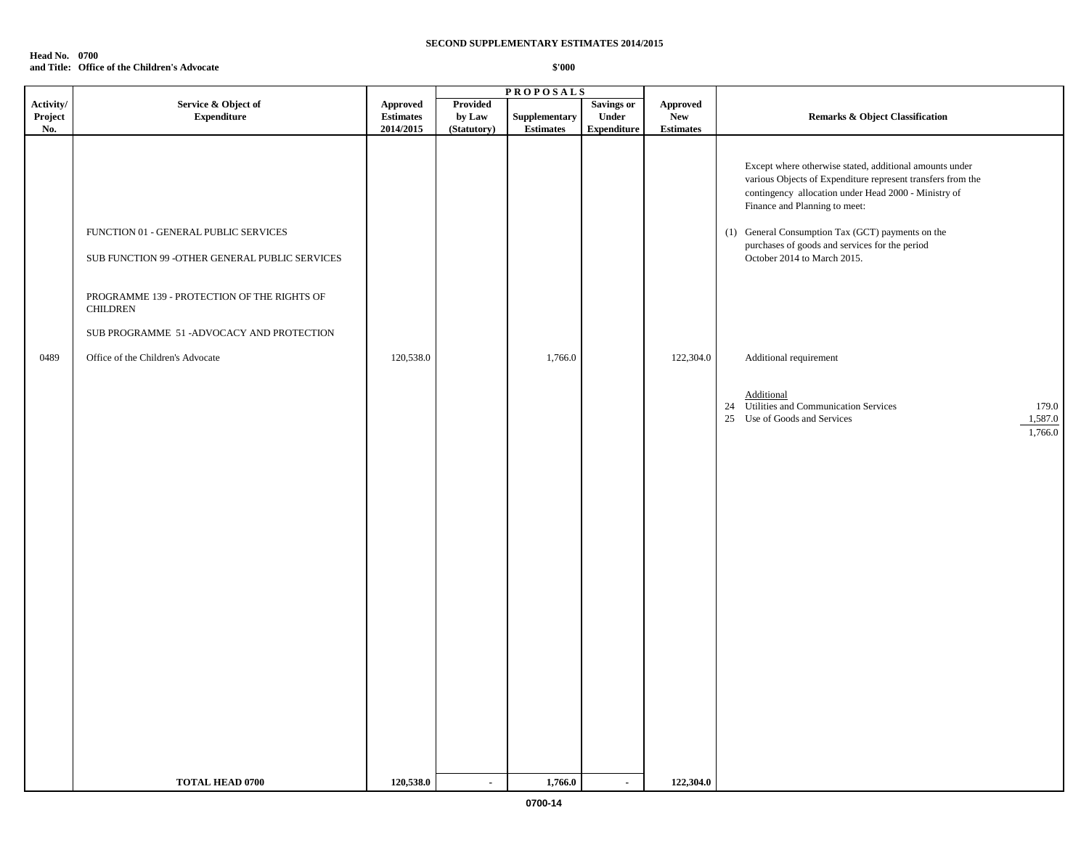#### **Head No. 0700 and Title: Office of the Children's Advocate**

|                             |                                                                                                                                                                                                          |                                                  |                                          | <b>PROPOSALS</b>                  |                                                  |                                                   |                                                                                                                                                                                                                                                                                                                                                       |
|-----------------------------|----------------------------------------------------------------------------------------------------------------------------------------------------------------------------------------------------------|--------------------------------------------------|------------------------------------------|-----------------------------------|--------------------------------------------------|---------------------------------------------------|-------------------------------------------------------------------------------------------------------------------------------------------------------------------------------------------------------------------------------------------------------------------------------------------------------------------------------------------------------|
| Activity/<br>Project<br>No. | Service & Object of<br><b>Expenditure</b>                                                                                                                                                                | <b>Approved</b><br><b>Estimates</b><br>2014/2015 | <b>Provided</b><br>by Law<br>(Statutory) | Supplementary<br><b>Estimates</b> | <b>Savings or</b><br>Under<br><b>Expenditure</b> | <b>Approved</b><br><b>New</b><br><b>Estimates</b> | Remarks & Object Classification                                                                                                                                                                                                                                                                                                                       |
|                             | FUNCTION 01 - GENERAL PUBLIC SERVICES<br>SUB FUNCTION 99 - OTHER GENERAL PUBLIC SERVICES<br>PROGRAMME 139 - PROTECTION OF THE RIGHTS OF<br><b>CHILDREN</b><br>SUB PROGRAMME 51 - ADVOCACY AND PROTECTION |                                                  |                                          |                                   |                                                  |                                                   | Except where otherwise stated, additional amounts under<br>various Objects of Expenditure represent transfers from the<br>contingency allocation under Head 2000 - Ministry of<br>Finance and Planning to meet:<br>(1) General Consumption Tax (GCT) payments on the<br>purchases of goods and services for the period<br>October 2014 to March 2015. |
| 0489                        | Office of the Children's Advocate                                                                                                                                                                        | 120,538.0                                        |                                          | 1,766.0                           |                                                  | 122,304.0                                         | Additional requirement                                                                                                                                                                                                                                                                                                                                |
|                             |                                                                                                                                                                                                          |                                                  |                                          |                                   |                                                  |                                                   | Additional<br>24 Utilities and Communication Services<br>179.0<br>25<br>Use of Goods and Services<br>1,587.0<br>1,766.0                                                                                                                                                                                                                               |
|                             | <b>TOTAL HEAD 0700</b>                                                                                                                                                                                   | 120,538.0                                        |                                          | 1,766.0                           | $\blacksquare$                                   | 122,304.0                                         |                                                                                                                                                                                                                                                                                                                                                       |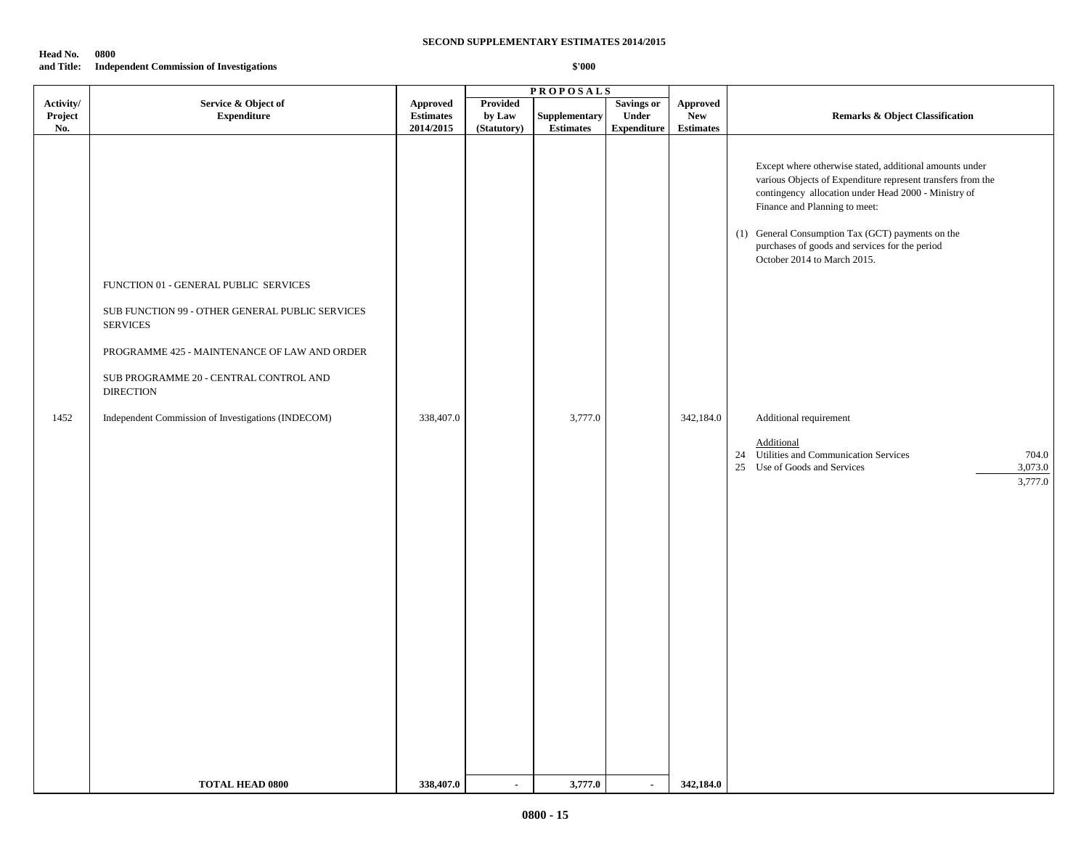#### **Head No. 0800 and Title: Independent Commission of Investigations**

|                             |                                                                                                                                                                                                                                                                                 |                                                  |                                   | <b>PROPOSALS</b>                  |                                                         |                                                   |                                                                                                                                                                                                                                                                                                                                                                                                                                                                                                               |
|-----------------------------|---------------------------------------------------------------------------------------------------------------------------------------------------------------------------------------------------------------------------------------------------------------------------------|--------------------------------------------------|-----------------------------------|-----------------------------------|---------------------------------------------------------|---------------------------------------------------|---------------------------------------------------------------------------------------------------------------------------------------------------------------------------------------------------------------------------------------------------------------------------------------------------------------------------------------------------------------------------------------------------------------------------------------------------------------------------------------------------------------|
| Activity/<br>Project<br>No. | Service & Object of<br><b>Expenditure</b>                                                                                                                                                                                                                                       | <b>Approved</b><br><b>Estimates</b><br>2014/2015 | Provided<br>by Law<br>(Statutory) | Supplementary<br><b>Estimates</b> | <b>Savings or</b><br><b>Under</b><br><b>Expenditure</b> | <b>Approved</b><br><b>New</b><br><b>Estimates</b> | <b>Remarks &amp; Object Classification</b>                                                                                                                                                                                                                                                                                                                                                                                                                                                                    |
| 1452                        | FUNCTION 01 - GENERAL PUBLIC SERVICES<br>SUB FUNCTION 99 - OTHER GENERAL PUBLIC SERVICES<br><b>SERVICES</b><br>PROGRAMME 425 - MAINTENANCE OF LAW AND ORDER<br>SUB PROGRAMME 20 - CENTRAL CONTROL AND<br><b>DIRECTION</b><br>Independent Commission of Investigations (INDECOM) | 338,407.0                                        |                                   | 3,777.0                           |                                                         | 342,184.0                                         | Except where otherwise stated, additional amounts under<br>various Objects of Expenditure represent transfers from the<br>contingency allocation under Head 2000 - Ministry of<br>Finance and Planning to meet:<br>(1) General Consumption Tax (GCT) payments on the<br>purchases of goods and services for the period<br>October 2014 to March 2015.<br>Additional requirement<br>Additional<br>Utilities and Communication Services<br>704.0<br>24<br>3,073.0<br>25<br>Use of Goods and Services<br>3,777.0 |
|                             | <b>TOTAL HEAD 0800</b>                                                                                                                                                                                                                                                          | 338,407.0                                        | $\sim$                            | 3,777.0                           | $\sim$                                                  | 342,184.0                                         |                                                                                                                                                                                                                                                                                                                                                                                                                                                                                                               |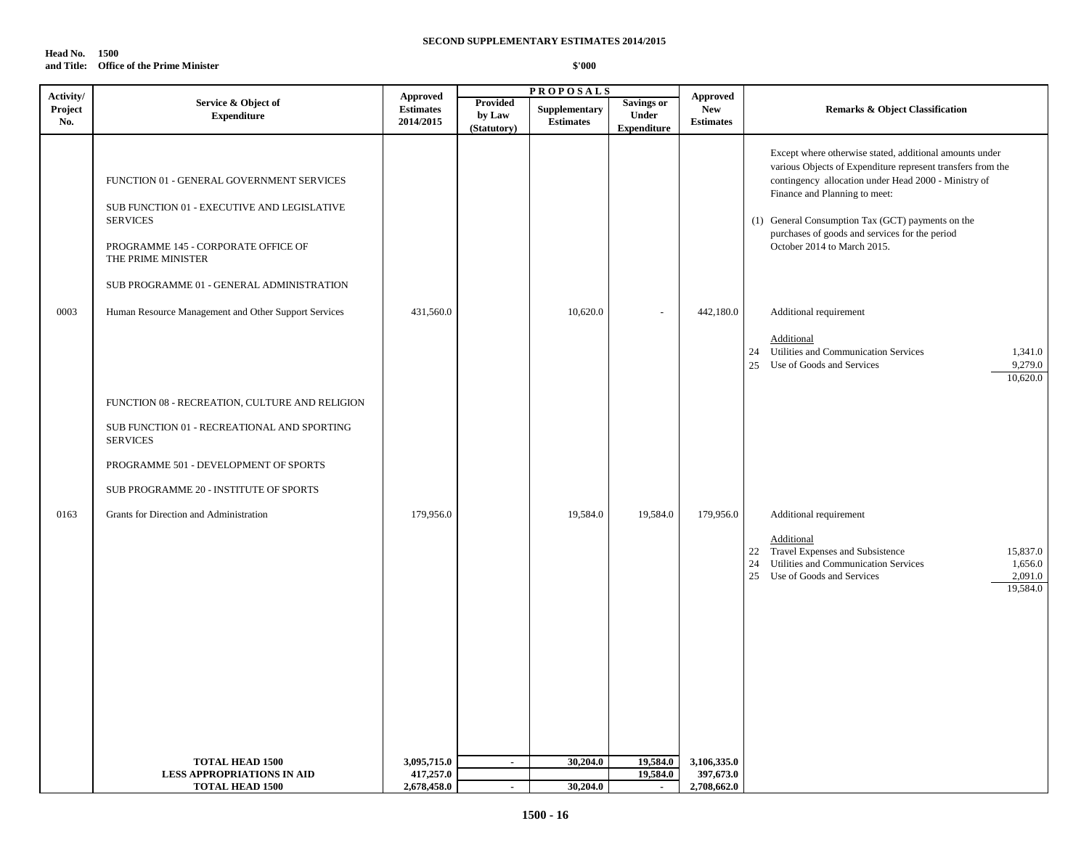| Head No. | 1500                                    |
|----------|-----------------------------------------|
|          | and Title: Office of the Prime Minister |

| Activity/ |                                                                                                                                                                                                     | Approved         |                       | <b>PROPOSALS</b> |                                    | <b>Approved</b>  |                                                                                                                                                                                                                                                                                                                                                       |
|-----------|-----------------------------------------------------------------------------------------------------------------------------------------------------------------------------------------------------|------------------|-----------------------|------------------|------------------------------------|------------------|-------------------------------------------------------------------------------------------------------------------------------------------------------------------------------------------------------------------------------------------------------------------------------------------------------------------------------------------------------|
| Project   | Service & Object of                                                                                                                                                                                 | <b>Estimates</b> | <b>Provided</b>       | Supplementary    | <b>Savings or</b>                  | <b>New</b>       | Remarks & Object Classification                                                                                                                                                                                                                                                                                                                       |
| No.       | <b>Expenditure</b>                                                                                                                                                                                  | 2014/2015        | by Law<br>(Statutory) | <b>Estimates</b> | <b>Under</b><br><b>Expenditure</b> | <b>Estimates</b> |                                                                                                                                                                                                                                                                                                                                                       |
|           | FUNCTION 01 - GENERAL GOVERNMENT SERVICES<br>SUB FUNCTION 01 - EXECUTIVE AND LEGISLATIVE<br><b>SERVICES</b><br>PROGRAMME 145 - CORPORATE OFFICE OF<br>THE PRIME MINISTER                            |                  |                       |                  |                                    |                  | Except where otherwise stated, additional amounts under<br>various Objects of Expenditure represent transfers from the<br>contingency allocation under Head 2000 - Ministry of<br>Finance and Planning to meet:<br>(1) General Consumption Tax (GCT) payments on the<br>purchases of goods and services for the period<br>October 2014 to March 2015. |
| 0003      | SUB PROGRAMME 01 - GENERAL ADMINISTRATION<br>Human Resource Management and Other Support Services                                                                                                   | 431,560.0        |                       | 10,620.0         |                                    | 442,180.0        | Additional requirement<br>Additional<br>Utilities and Communication Services<br>1,341.0<br>24<br>25<br>Use of Goods and Services<br>9,279.0<br>10,620.0                                                                                                                                                                                               |
|           | FUNCTION 08 - RECREATION, CULTURE AND RELIGION<br>SUB FUNCTION 01 - RECREATIONAL AND SPORTING<br><b>SERVICES</b><br>PROGRAMME 501 - DEVELOPMENT OF SPORTS<br>SUB PROGRAMME 20 - INSTITUTE OF SPORTS |                  |                       |                  |                                    |                  |                                                                                                                                                                                                                                                                                                                                                       |
| 0163      | Grants for Direction and Administration                                                                                                                                                             | 179,956.0        |                       | 19,584.0         | 19,584.0                           | 179,956.0        | Additional requirement<br>Additional<br>Travel Expenses and Subsistence<br>22<br>15,837.0<br>Utilities and Communication Services<br>24<br>1,656.0<br>25<br>Use of Goods and Services<br>2,091.0<br>19,584.0                                                                                                                                          |
|           | <b>TOTAL HEAD 1500</b>                                                                                                                                                                              | 3,095,715.0      | $\sim$                | 30,204.0         | 19,584.0                           | 3,106,335.0      |                                                                                                                                                                                                                                                                                                                                                       |
|           | <b>LESS APPROPRIATIONS IN AID</b>                                                                                                                                                                   | 417,257.0        |                       |                  | 19,584.0                           | 397,673.0        |                                                                                                                                                                                                                                                                                                                                                       |
|           | <b>TOTAL HEAD 1500</b>                                                                                                                                                                              | 2,678,458.0      | $\sim$                | 30,204.0         |                                    | 2,708,662.0      |                                                                                                                                                                                                                                                                                                                                                       |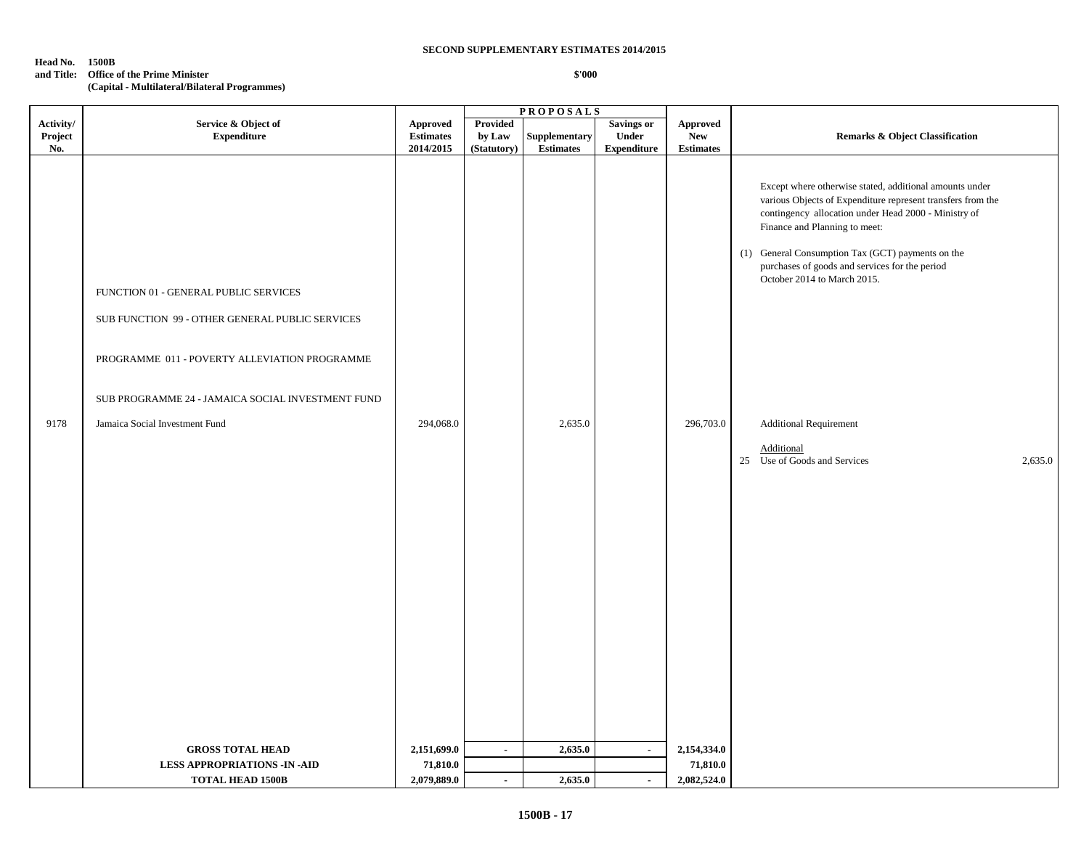**Head No. 1500B**

**and Title: Office of the Prime Minister**

**(Capital - Multilateral/Bilateral Programmes)**

|                |                                                                                                                                                                                                                                  |                               |                       | <b>PROPOSALS</b>                 |                                    |                                |                                                                                                                                                                                                                                                                                                                                                                                        |
|----------------|----------------------------------------------------------------------------------------------------------------------------------------------------------------------------------------------------------------------------------|-------------------------------|-----------------------|----------------------------------|------------------------------------|--------------------------------|----------------------------------------------------------------------------------------------------------------------------------------------------------------------------------------------------------------------------------------------------------------------------------------------------------------------------------------------------------------------------------------|
| Activity/      | Service & Object of                                                                                                                                                                                                              | Approved                      | Provided              |                                  | <b>Savings or</b>                  | <b>Approved</b>                |                                                                                                                                                                                                                                                                                                                                                                                        |
| Project<br>No. | <b>Expenditure</b>                                                                                                                                                                                                               | <b>Estimates</b><br>2014/2015 | by Law<br>(Statutory) | Supplementary<br>$\bf Estimates$ | <b>Under</b><br><b>Expenditure</b> | <b>New</b><br><b>Estimates</b> | <b>Remarks &amp; Object Classification</b>                                                                                                                                                                                                                                                                                                                                             |
|                |                                                                                                                                                                                                                                  |                               |                       |                                  |                                    |                                |                                                                                                                                                                                                                                                                                                                                                                                        |
| 9178           | FUNCTION 01 - GENERAL PUBLIC SERVICES<br>SUB FUNCTION 99 - OTHER GENERAL PUBLIC SERVICES<br>PROGRAMME 011 - POVERTY ALLEVIATION PROGRAMME<br>SUB PROGRAMME 24 - JAMAICA SOCIAL INVESTMENT FUND<br>Jamaica Social Investment Fund | 294,068.0                     |                       | 2,635.0                          |                                    | 296,703.0                      | Except where otherwise stated, additional amounts under<br>various Objects of Expenditure represent transfers from the<br>contingency allocation under Head 2000 - Ministry of<br>Finance and Planning to meet:<br>(1) General Consumption Tax (GCT) payments on the<br>purchases of goods and services for the period<br>October 2014 to March 2015.<br><b>Additional Requirement</b> |
|                |                                                                                                                                                                                                                                  |                               |                       |                                  |                                    |                                | Additional<br>25 Use of Goods and Services<br>2,635.0                                                                                                                                                                                                                                                                                                                                  |
|                |                                                                                                                                                                                                                                  |                               |                       |                                  |                                    |                                |                                                                                                                                                                                                                                                                                                                                                                                        |
|                |                                                                                                                                                                                                                                  |                               |                       |                                  |                                    |                                |                                                                                                                                                                                                                                                                                                                                                                                        |
|                |                                                                                                                                                                                                                                  |                               |                       |                                  |                                    |                                |                                                                                                                                                                                                                                                                                                                                                                                        |
|                |                                                                                                                                                                                                                                  |                               |                       |                                  |                                    |                                |                                                                                                                                                                                                                                                                                                                                                                                        |
|                |                                                                                                                                                                                                                                  |                               |                       |                                  |                                    |                                |                                                                                                                                                                                                                                                                                                                                                                                        |
|                |                                                                                                                                                                                                                                  |                               |                       |                                  |                                    |                                |                                                                                                                                                                                                                                                                                                                                                                                        |
|                |                                                                                                                                                                                                                                  |                               |                       |                                  |                                    |                                |                                                                                                                                                                                                                                                                                                                                                                                        |
|                |                                                                                                                                                                                                                                  |                               |                       |                                  |                                    |                                |                                                                                                                                                                                                                                                                                                                                                                                        |
|                |                                                                                                                                                                                                                                  |                               |                       |                                  |                                    |                                |                                                                                                                                                                                                                                                                                                                                                                                        |
|                |                                                                                                                                                                                                                                  |                               |                       |                                  |                                    |                                |                                                                                                                                                                                                                                                                                                                                                                                        |
|                |                                                                                                                                                                                                                                  |                               |                       |                                  |                                    |                                |                                                                                                                                                                                                                                                                                                                                                                                        |
|                |                                                                                                                                                                                                                                  |                               |                       |                                  |                                    |                                |                                                                                                                                                                                                                                                                                                                                                                                        |
|                | <b>GROSS TOTAL HEAD</b>                                                                                                                                                                                                          | 2,151,699.0                   | $\sim$                | 2,635.0                          | $\sim$                             | 2,154,334.0                    |                                                                                                                                                                                                                                                                                                                                                                                        |
|                | <b>LESS APPROPRIATIONS -IN -AID</b>                                                                                                                                                                                              | 71,810.0                      |                       |                                  |                                    | 71,810.0                       |                                                                                                                                                                                                                                                                                                                                                                                        |
|                | <b>TOTAL HEAD 1500B</b>                                                                                                                                                                                                          | 2,079,889.0                   | $\mathbf{r}$          | 2,635.0                          | $\sim$                             | 2,082,524.0                    |                                                                                                                                                                                                                                                                                                                                                                                        |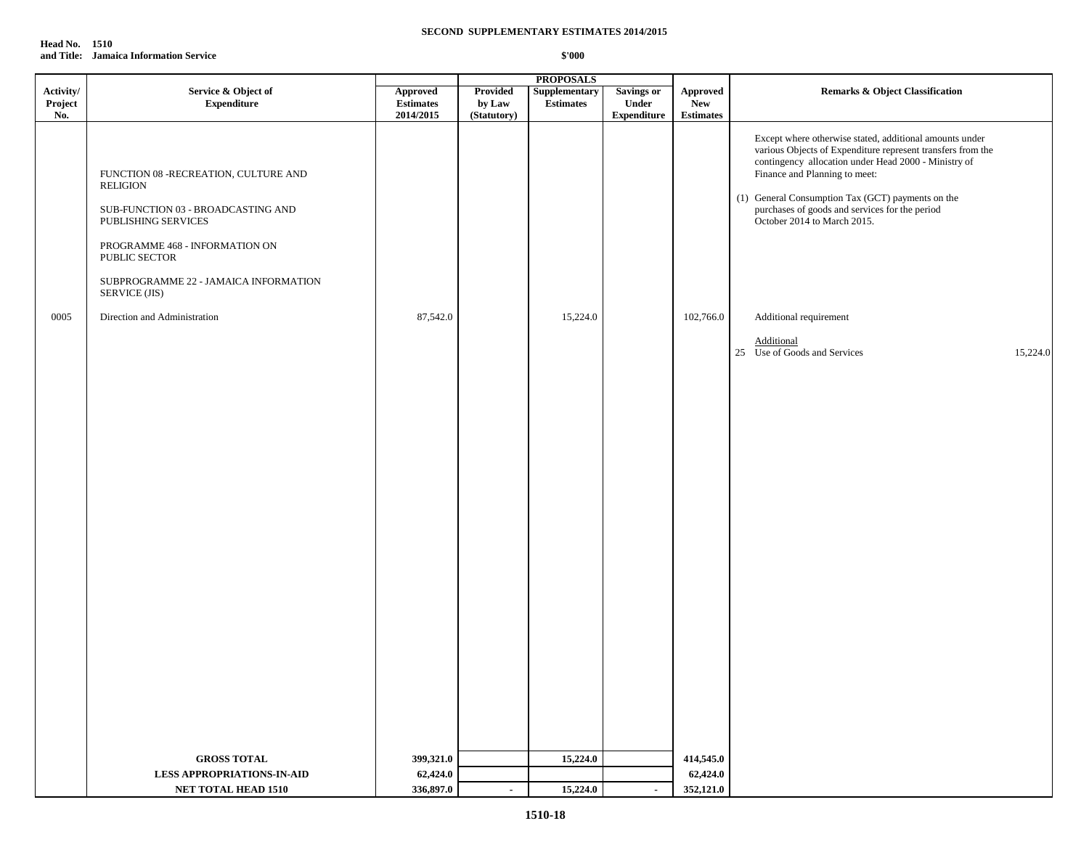| <b>Head No. 1510</b> |                                        |
|----------------------|----------------------------------------|
|                      | and Title: Jamaica Information Service |

|           |                                                                                                                                                                                                                                   |                  |             | <b>PROPOSALS</b> |                    |                  |                                                                                                                                                                                                                                                                                                                                                       |          |
|-----------|-----------------------------------------------------------------------------------------------------------------------------------------------------------------------------------------------------------------------------------|------------------|-------------|------------------|--------------------|------------------|-------------------------------------------------------------------------------------------------------------------------------------------------------------------------------------------------------------------------------------------------------------------------------------------------------------------------------------------------------|----------|
| Activity/ | Service & Object of                                                                                                                                                                                                               | Approved         | Provided    | Supplementary    | <b>Savings or</b>  | Approved         | <b>Remarks &amp; Object Classification</b>                                                                                                                                                                                                                                                                                                            |          |
| Project   | Expenditure                                                                                                                                                                                                                       | <b>Estimates</b> | by Law      | <b>Estimates</b> | Under              | New              |                                                                                                                                                                                                                                                                                                                                                       |          |
| No.       |                                                                                                                                                                                                                                   | 2014/2015        | (Statutory) |                  | <b>Expenditure</b> | <b>Estimates</b> |                                                                                                                                                                                                                                                                                                                                                       |          |
|           | FUNCTION 08 -RECREATION, CULTURE AND<br><b>RELIGION</b><br>SUB-FUNCTION 03 - BROADCASTING AND<br>PUBLISHING SERVICES<br>PROGRAMME 468 - INFORMATION ON<br>PUBLIC SECTOR<br>SUBPROGRAMME 22 - JAMAICA INFORMATION<br>SERVICE (JIS) |                  |             |                  |                    |                  | Except where otherwise stated, additional amounts under<br>various Objects of Expenditure represent transfers from the<br>contingency allocation under Head 2000 - Ministry of<br>Finance and Planning to meet:<br>(1) General Consumption Tax (GCT) payments on the<br>purchases of goods and services for the period<br>October 2014 to March 2015. |          |
| 0005      | Direction and Administration                                                                                                                                                                                                      | 87,542.0         |             | 15,224.0         |                    | 102,766.0        | Additional requirement                                                                                                                                                                                                                                                                                                                                |          |
|           |                                                                                                                                                                                                                                   |                  |             |                  |                    |                  |                                                                                                                                                                                                                                                                                                                                                       |          |
|           |                                                                                                                                                                                                                                   |                  |             |                  |                    |                  | Additional                                                                                                                                                                                                                                                                                                                                            |          |
|           |                                                                                                                                                                                                                                   |                  |             |                  |                    |                  | 25 Use of Goods and Services                                                                                                                                                                                                                                                                                                                          | 15,224.0 |
|           |                                                                                                                                                                                                                                   |                  |             |                  |                    |                  |                                                                                                                                                                                                                                                                                                                                                       |          |
|           |                                                                                                                                                                                                                                   |                  |             |                  |                    |                  |                                                                                                                                                                                                                                                                                                                                                       |          |
|           |                                                                                                                                                                                                                                   |                  |             |                  |                    |                  |                                                                                                                                                                                                                                                                                                                                                       |          |
|           |                                                                                                                                                                                                                                   |                  |             |                  |                    |                  |                                                                                                                                                                                                                                                                                                                                                       |          |
|           |                                                                                                                                                                                                                                   |                  |             |                  |                    |                  |                                                                                                                                                                                                                                                                                                                                                       |          |
|           |                                                                                                                                                                                                                                   |                  |             |                  |                    |                  |                                                                                                                                                                                                                                                                                                                                                       |          |
|           |                                                                                                                                                                                                                                   |                  |             |                  |                    |                  |                                                                                                                                                                                                                                                                                                                                                       |          |
|           |                                                                                                                                                                                                                                   |                  |             |                  |                    |                  |                                                                                                                                                                                                                                                                                                                                                       |          |
|           |                                                                                                                                                                                                                                   |                  |             |                  |                    |                  |                                                                                                                                                                                                                                                                                                                                                       |          |
|           |                                                                                                                                                                                                                                   |                  |             |                  |                    |                  |                                                                                                                                                                                                                                                                                                                                                       |          |
|           |                                                                                                                                                                                                                                   |                  |             |                  |                    |                  |                                                                                                                                                                                                                                                                                                                                                       |          |
|           |                                                                                                                                                                                                                                   |                  |             |                  |                    |                  |                                                                                                                                                                                                                                                                                                                                                       |          |
|           |                                                                                                                                                                                                                                   |                  |             |                  |                    |                  |                                                                                                                                                                                                                                                                                                                                                       |          |
|           |                                                                                                                                                                                                                                   |                  |             |                  |                    |                  |                                                                                                                                                                                                                                                                                                                                                       |          |
|           |                                                                                                                                                                                                                                   |                  |             |                  |                    |                  |                                                                                                                                                                                                                                                                                                                                                       |          |
|           |                                                                                                                                                                                                                                   |                  |             |                  |                    |                  |                                                                                                                                                                                                                                                                                                                                                       |          |
|           |                                                                                                                                                                                                                                   |                  |             |                  |                    |                  |                                                                                                                                                                                                                                                                                                                                                       |          |
|           |                                                                                                                                                                                                                                   |                  |             |                  |                    |                  |                                                                                                                                                                                                                                                                                                                                                       |          |
|           |                                                                                                                                                                                                                                   |                  |             |                  |                    |                  |                                                                                                                                                                                                                                                                                                                                                       |          |
|           |                                                                                                                                                                                                                                   |                  |             |                  |                    |                  |                                                                                                                                                                                                                                                                                                                                                       |          |
|           |                                                                                                                                                                                                                                   |                  |             |                  |                    |                  |                                                                                                                                                                                                                                                                                                                                                       |          |
|           |                                                                                                                                                                                                                                   |                  |             |                  |                    |                  |                                                                                                                                                                                                                                                                                                                                                       |          |
|           |                                                                                                                                                                                                                                   |                  |             |                  |                    |                  |                                                                                                                                                                                                                                                                                                                                                       |          |
|           | <b>GROSS TOTAL</b>                                                                                                                                                                                                                | 399,321.0        |             | 15,224.0         |                    | 414,545.0        |                                                                                                                                                                                                                                                                                                                                                       |          |
|           | <b>LESS APPROPRIATIONS-IN-AID</b>                                                                                                                                                                                                 | 62,424.0         |             |                  |                    | 62,424.0         |                                                                                                                                                                                                                                                                                                                                                       |          |
|           | <b>NET TOTAL HEAD 1510</b>                                                                                                                                                                                                        | 336,897.0        |             | 15,224.0         | $\sim$             | 352,121.0        |                                                                                                                                                                                                                                                                                                                                                       |          |
|           |                                                                                                                                                                                                                                   |                  |             |                  |                    |                  |                                                                                                                                                                                                                                                                                                                                                       |          |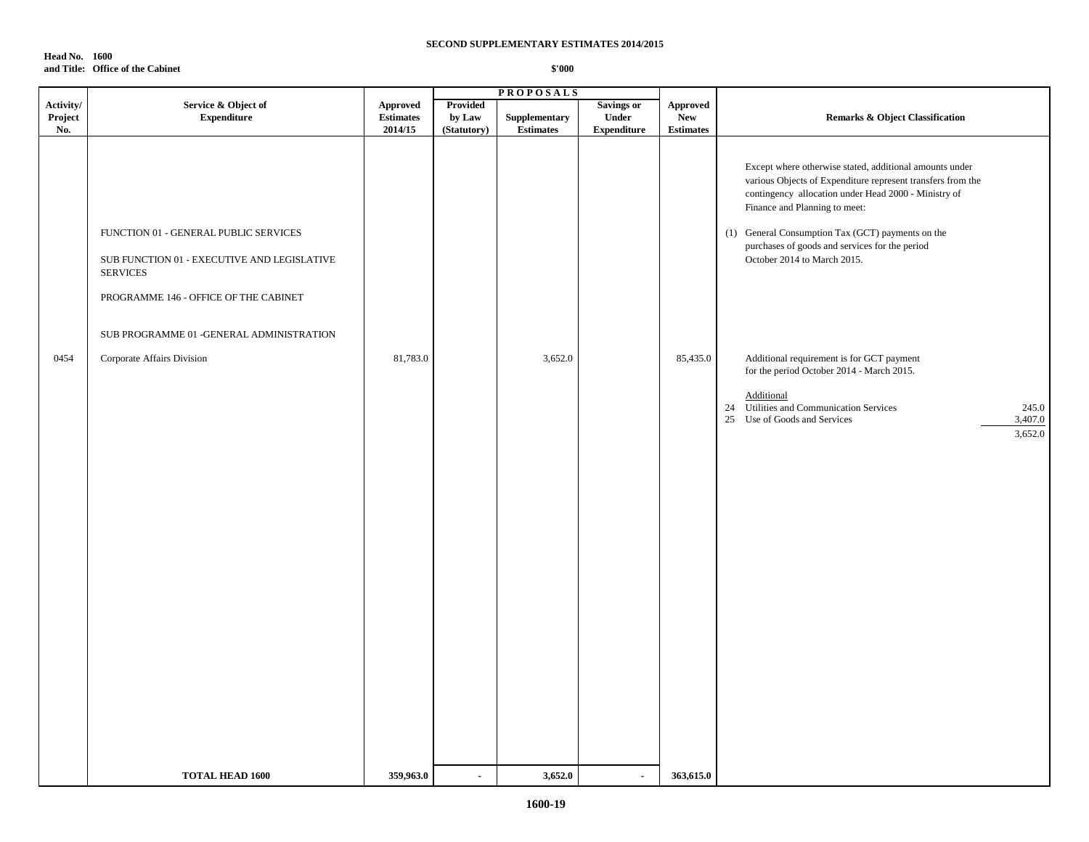**Head No. 1600 and Title: Office of the Cabinet**

|                             |                                                                                                                                                                                                                            |                                                |                                          | <b>PROPOSALS</b>                  |                                                  |                                                   |                                                                                                                                                                                                                                                                                                                                                                                                                                                                                                                                                                         |
|-----------------------------|----------------------------------------------------------------------------------------------------------------------------------------------------------------------------------------------------------------------------|------------------------------------------------|------------------------------------------|-----------------------------------|--------------------------------------------------|---------------------------------------------------|-------------------------------------------------------------------------------------------------------------------------------------------------------------------------------------------------------------------------------------------------------------------------------------------------------------------------------------------------------------------------------------------------------------------------------------------------------------------------------------------------------------------------------------------------------------------------|
| Activity/<br>Project<br>No. | Service & Object of<br><b>Expenditure</b>                                                                                                                                                                                  | <b>Approved</b><br><b>Estimates</b><br>2014/15 | <b>Provided</b><br>by Law<br>(Statutory) | Supplementary<br><b>Estimates</b> | <b>Savings or</b><br>Under<br><b>Expenditure</b> | <b>Approved</b><br><b>New</b><br><b>Estimates</b> | <b>Remarks &amp; Object Classification</b>                                                                                                                                                                                                                                                                                                                                                                                                                                                                                                                              |
| 0454                        | FUNCTION 01 - GENERAL PUBLIC SERVICES<br>SUB FUNCTION 01 - EXECUTIVE AND LEGISLATIVE<br><b>SERVICES</b><br>PROGRAMME 146 - OFFICE OF THE CABINET<br>SUB PROGRAMME 01 -GENERAL ADMINISTRATION<br>Corporate Affairs Division | 81,783.0                                       |                                          | 3,652.0                           |                                                  | 85,435.0                                          | Except where otherwise stated, additional amounts under<br>various Objects of Expenditure represent transfers from the<br>contingency allocation under Head 2000 - Ministry of<br>Finance and Planning to meet:<br>(1) General Consumption Tax (GCT) payments on the<br>purchases of goods and services for the period<br>October 2014 to March 2015.<br>Additional requirement is for GCT payment<br>for the period October 2014 - March 2015.<br>Additional<br>24 Utilities and Communication Services<br>245.0<br>25 Use of Goods and Services<br>3,407.0<br>3,652.0 |
|                             |                                                                                                                                                                                                                            |                                                |                                          |                                   |                                                  |                                                   |                                                                                                                                                                                                                                                                                                                                                                                                                                                                                                                                                                         |
|                             | <b>TOTAL HEAD 1600</b>                                                                                                                                                                                                     | 359,963.0                                      | $\overline{\phantom{a}}$                 | 3,652.0                           | $\blacksquare$                                   | 363,615.0                                         |                                                                                                                                                                                                                                                                                                                                                                                                                                                                                                                                                                         |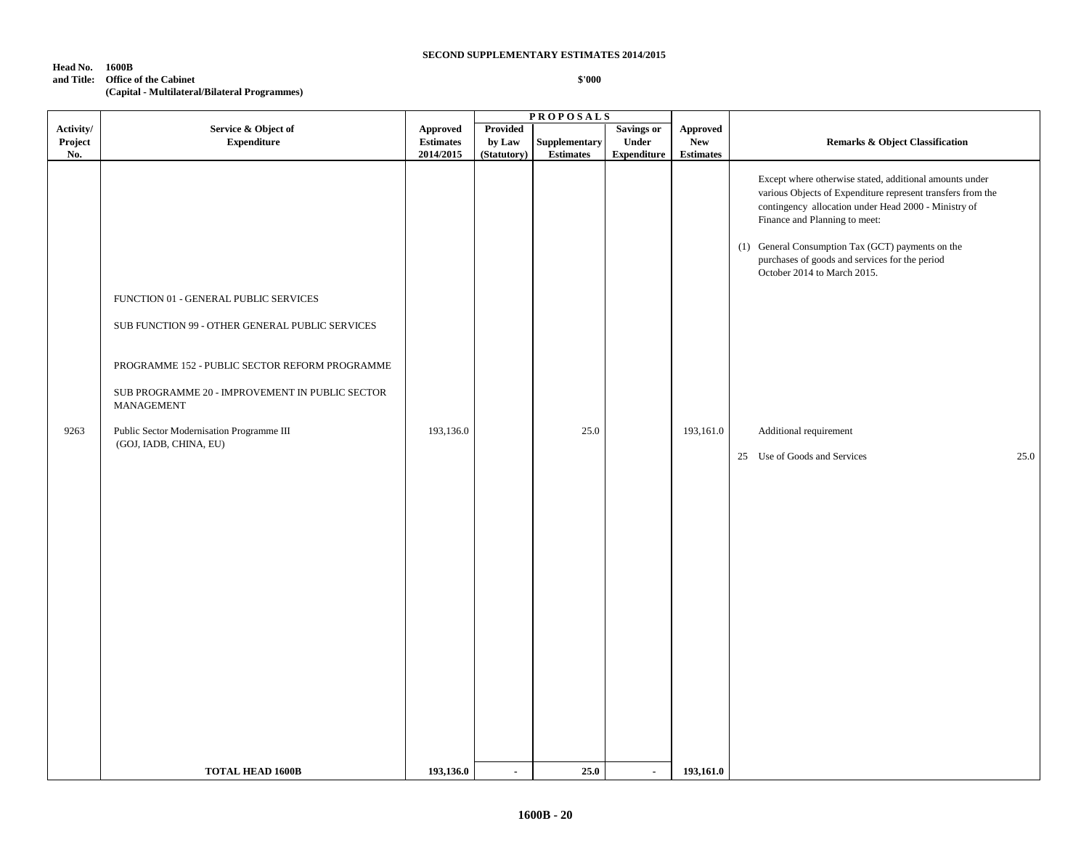**Head No. 1600B**

#### **and Title: Office of the Cabinet (Capital - Multilateral/Bilateral Programmes)**

|           |                                                                     |                  |                 | <b>PROPOSALS</b>                                                          |                   |                  |                                                                                                                                                                                |
|-----------|---------------------------------------------------------------------|------------------|-----------------|---------------------------------------------------------------------------|-------------------|------------------|--------------------------------------------------------------------------------------------------------------------------------------------------------------------------------|
| Activity/ | Service & Object of                                                 | <b>Approved</b>  | <b>Provided</b> |                                                                           | <b>Savings or</b> | <b>Approved</b>  |                                                                                                                                                                                |
| Project   | <b>Expenditure</b>                                                  | <b>Estimates</b> | by Law          | <b>Supplementary</b>                                                      | Under             | <b>New</b>       | <b>Remarks &amp; Object Classification</b>                                                                                                                                     |
| No.       |                                                                     | 2014/2015        | (Statutory)     | $\begin{minipage}{.4\linewidth} Estimates \end{minipage} \vspace{-0.5em}$ | Expenditure       | <b>Estimates</b> |                                                                                                                                                                                |
|           |                                                                     |                  |                 |                                                                           |                   |                  | Except where otherwise stated, additional amounts under<br>various Objects of Expenditure represent transfers from the<br>contingency allocation under Head 2000 - Ministry of |
|           |                                                                     |                  |                 |                                                                           |                   |                  | Finance and Planning to meet:                                                                                                                                                  |
|           |                                                                     |                  |                 |                                                                           |                   |                  | (1) General Consumption Tax (GCT) payments on the<br>purchases of goods and services for the period<br>October 2014 to March 2015.                                             |
|           | FUNCTION 01 - GENERAL PUBLIC SERVICES                               |                  |                 |                                                                           |                   |                  |                                                                                                                                                                                |
|           | SUB FUNCTION 99 - OTHER GENERAL PUBLIC SERVICES                     |                  |                 |                                                                           |                   |                  |                                                                                                                                                                                |
|           | PROGRAMME 152 - PUBLIC SECTOR REFORM PROGRAMME                      |                  |                 |                                                                           |                   |                  |                                                                                                                                                                                |
|           | SUB PROGRAMME 20 - IMPROVEMENT IN PUBLIC SECTOR<br>MANAGEMENT       |                  |                 |                                                                           |                   |                  |                                                                                                                                                                                |
| 9263      | Public Sector Modernisation Programme III<br>(GOJ, IADB, CHINA, EU) | 193,136.0        |                 | 25.0                                                                      |                   | 193,161.0        | Additional requirement                                                                                                                                                         |
|           |                                                                     |                  |                 |                                                                           |                   |                  | 25.0<br>25 Use of Goods and Services                                                                                                                                           |
|           |                                                                     |                  |                 |                                                                           |                   |                  |                                                                                                                                                                                |
|           |                                                                     |                  |                 |                                                                           |                   |                  |                                                                                                                                                                                |
|           |                                                                     |                  |                 |                                                                           |                   |                  |                                                                                                                                                                                |
|           |                                                                     |                  |                 |                                                                           |                   |                  |                                                                                                                                                                                |
|           |                                                                     |                  |                 |                                                                           |                   |                  |                                                                                                                                                                                |
|           |                                                                     |                  |                 |                                                                           |                   |                  |                                                                                                                                                                                |
|           |                                                                     |                  |                 |                                                                           |                   |                  |                                                                                                                                                                                |
|           |                                                                     |                  |                 |                                                                           |                   |                  |                                                                                                                                                                                |
|           |                                                                     |                  |                 |                                                                           |                   |                  |                                                                                                                                                                                |
|           |                                                                     |                  |                 |                                                                           |                   |                  |                                                                                                                                                                                |
|           |                                                                     |                  |                 |                                                                           |                   |                  |                                                                                                                                                                                |
|           | <b>TOTAL HEAD 1600B</b>                                             | 193,136.0        | $\blacksquare$  | 25.0                                                                      | $\blacksquare$    | 193,161.0        |                                                                                                                                                                                |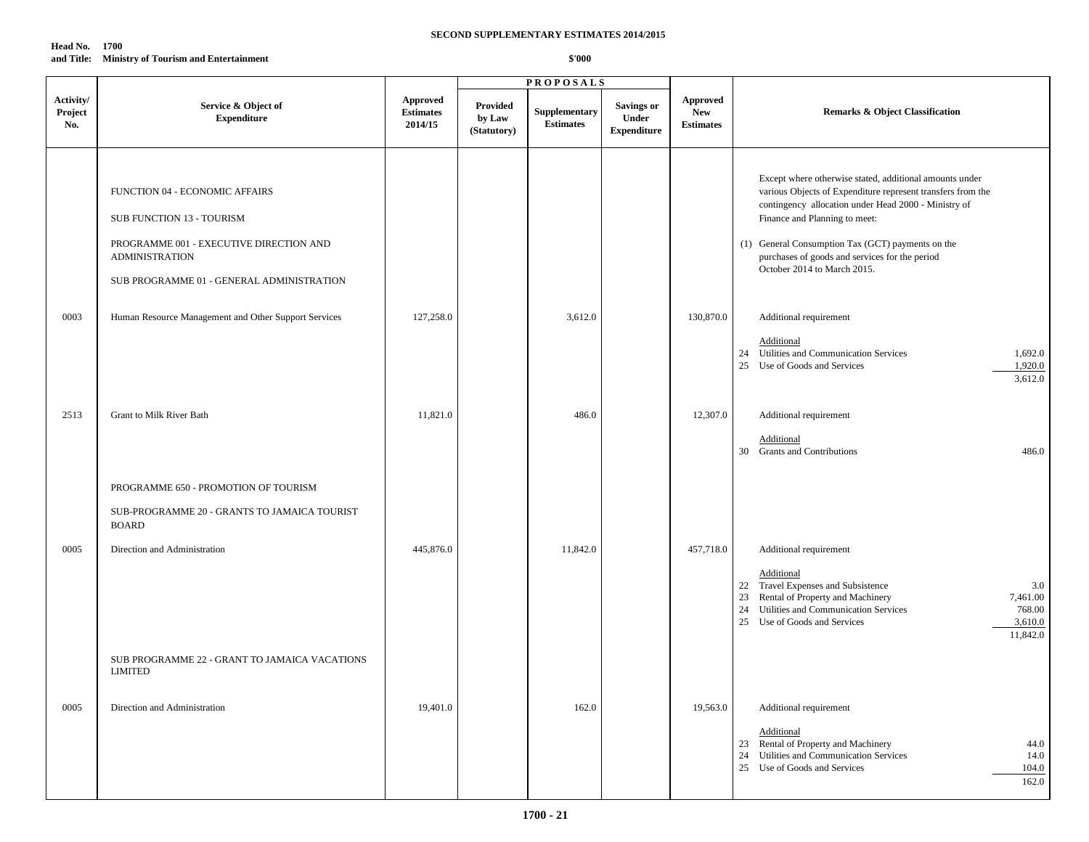| Head No.   | 1700                                         |
|------------|----------------------------------------------|
| and Title: | <b>Ministry of Tourism and Entertainment</b> |

|                             |                                                                                                                                                                              |                                         |                                   | <b>PROPOSALS</b>                  |                                                         |                                                   |                                                                                                                                                                                                                                                                                                                                                       |
|-----------------------------|------------------------------------------------------------------------------------------------------------------------------------------------------------------------------|-----------------------------------------|-----------------------------------|-----------------------------------|---------------------------------------------------------|---------------------------------------------------|-------------------------------------------------------------------------------------------------------------------------------------------------------------------------------------------------------------------------------------------------------------------------------------------------------------------------------------------------------|
| Activity/<br>Project<br>No. | Service & Object of<br><b>Expenditure</b>                                                                                                                                    | Approved<br><b>Estimates</b><br>2014/15 | Provided<br>by Law<br>(Statutory) | Supplementary<br><b>Estimates</b> | <b>Savings or</b><br><b>Under</b><br><b>Expenditure</b> | <b>Approved</b><br><b>New</b><br><b>Estimates</b> | <b>Remarks &amp; Object Classification</b>                                                                                                                                                                                                                                                                                                            |
|                             | FUNCTION 04 - ECONOMIC AFFAIRS<br>SUB FUNCTION 13 - TOURISM<br>PROGRAMME 001 - EXECUTIVE DIRECTION AND<br><b>ADMINISTRATION</b><br>SUB PROGRAMME 01 - GENERAL ADMINISTRATION |                                         |                                   |                                   |                                                         |                                                   | Except where otherwise stated, additional amounts under<br>various Objects of Expenditure represent transfers from the<br>contingency allocation under Head 2000 - Ministry of<br>Finance and Planning to meet:<br>(1) General Consumption Tax (GCT) payments on the<br>purchases of goods and services for the period<br>October 2014 to March 2015. |
| 0003                        | Human Resource Management and Other Support Services                                                                                                                         | 127,258.0                               |                                   | 3,612.0                           |                                                         | 130,870.0                                         | Additional requirement<br>Additional<br>24 Utilities and Communication Services<br>1,692.0<br>25 Use of Goods and Services<br>1,920.0<br>3,612.0                                                                                                                                                                                                      |
| 2513                        | Grant to Milk River Bath                                                                                                                                                     | 11,821.0                                |                                   | 486.0                             |                                                         | 12,307.0                                          | Additional requirement<br>Additional<br>30 Grants and Contributions<br>486.0                                                                                                                                                                                                                                                                          |
|                             | PROGRAMME 650 - PROMOTION OF TOURISM<br>SUB-PROGRAMME 20 - GRANTS TO JAMAICA TOURIST<br><b>BOARD</b>                                                                         |                                         |                                   |                                   |                                                         |                                                   |                                                                                                                                                                                                                                                                                                                                                       |
| 0005                        | Direction and Administration                                                                                                                                                 | 445,876.0                               |                                   | 11,842.0                          |                                                         | 457,718.0                                         | Additional requirement<br>Additional<br>22 Travel Expenses and Subsistence<br>3.0<br>Rental of Property and Machinery<br>7,461.00<br>23<br>24 Utilities and Communication Services<br>768.00<br>25 Use of Goods and Services<br>3,610.0<br>11,842.0                                                                                                   |
|                             | SUB PROGRAMME 22 - GRANT TO JAMAICA VACATIONS<br><b>LIMITED</b>                                                                                                              |                                         |                                   |                                   |                                                         |                                                   |                                                                                                                                                                                                                                                                                                                                                       |
| 0005                        | Direction and Administration                                                                                                                                                 | 19,401.0                                |                                   | 162.0                             |                                                         | 19,563.0                                          | Additional requirement<br>Additional<br>23 Rental of Property and Machinery<br>44.0<br>24 Utilities and Communication Services<br>14.0<br>25 Use of Goods and Services<br>104.0<br>162.0                                                                                                                                                              |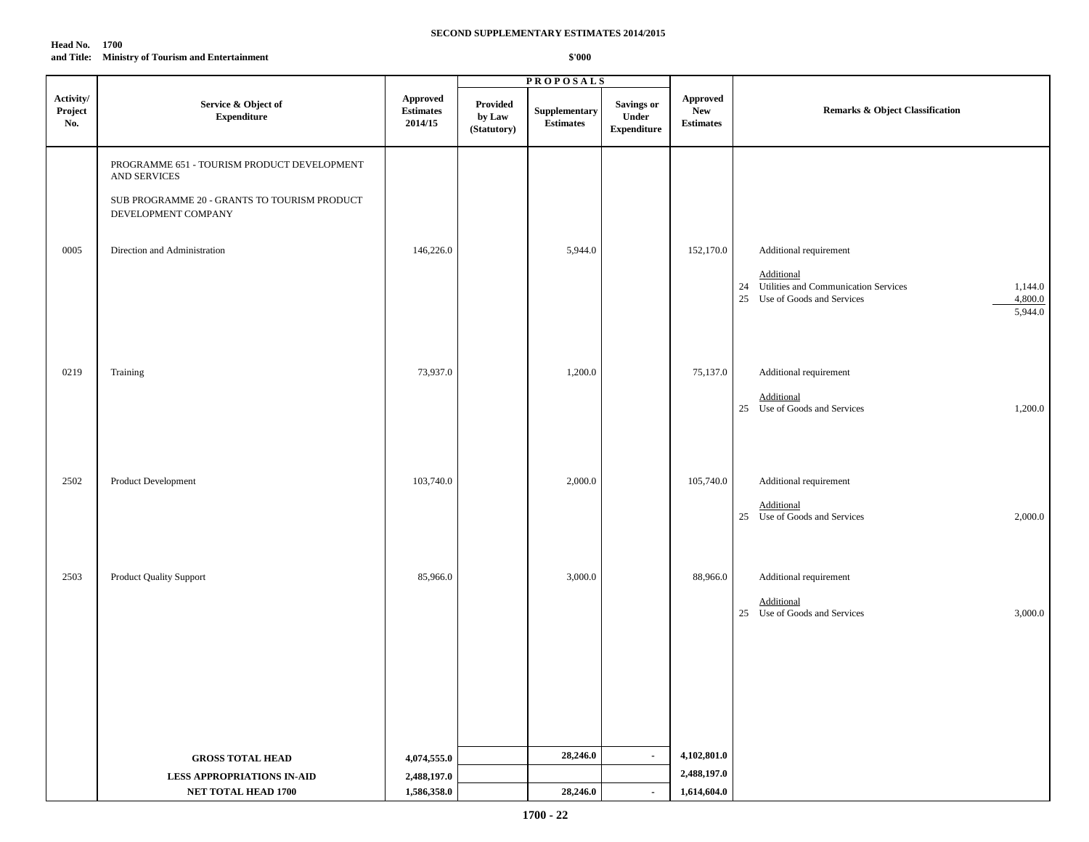| <b>Head No.</b> | 1700                                             |
|-----------------|--------------------------------------------------|
|                 | and Title: Ministry of Tourism and Entertainment |

| Activity/<br>${\Large {\bf\large Appendix}}$<br><b>Approved</b><br>Service & Object of<br>Provided<br>Savings or<br>Supplementary<br>Project<br>Remarks & Object Classification<br><b>Estimates</b><br><b>New</b><br>${\bf Expenditure}$<br>Under<br>by Law<br><b>Estimates</b><br>No.<br>2014/15<br><b>Estimates</b><br>(Statutory)<br><b>Expenditure</b><br>PROGRAMME 651 - TOURISM PRODUCT DEVELOPMENT<br><b>AND SERVICES</b><br>SUB PROGRAMME 20 - GRANTS TO TOURISM PRODUCT<br>DEVELOPMENT COMPANY<br>146,226.0<br>5,944.0<br>0005<br>Direction and Administration<br>152,170.0<br>Additional requirement<br>Additional<br>24 Utilities and Communication Services<br>25 Use of Goods and Services<br>0219<br>Training<br>73,937.0<br>1,200.0<br>75,137.0<br>Additional requirement<br>Additional<br>25 Use of Goods and Services<br>2502<br>Product Development<br>103,740.0<br>2,000.0<br>Additional requirement<br>105,740.0<br>Additional<br>25 Use of Goods and Services<br>2503<br>Product Quality Support<br>85,966.0<br>3,000.0<br>Additional requirement<br>88,966.0<br>Additional<br>25 Use of Goods and Services |  |  | <b>PROPOSALS</b> |  |                               |
|----------------------------------------------------------------------------------------------------------------------------------------------------------------------------------------------------------------------------------------------------------------------------------------------------------------------------------------------------------------------------------------------------------------------------------------------------------------------------------------------------------------------------------------------------------------------------------------------------------------------------------------------------------------------------------------------------------------------------------------------------------------------------------------------------------------------------------------------------------------------------------------------------------------------------------------------------------------------------------------------------------------------------------------------------------------------------------------------------------------------------------|--|--|------------------|--|-------------------------------|
|                                                                                                                                                                                                                                                                                                                                                                                                                                                                                                                                                                                                                                                                                                                                                                                                                                                                                                                                                                                                                                                                                                                                  |  |  |                  |  |                               |
|                                                                                                                                                                                                                                                                                                                                                                                                                                                                                                                                                                                                                                                                                                                                                                                                                                                                                                                                                                                                                                                                                                                                  |  |  |                  |  |                               |
|                                                                                                                                                                                                                                                                                                                                                                                                                                                                                                                                                                                                                                                                                                                                                                                                                                                                                                                                                                                                                                                                                                                                  |  |  |                  |  |                               |
|                                                                                                                                                                                                                                                                                                                                                                                                                                                                                                                                                                                                                                                                                                                                                                                                                                                                                                                                                                                                                                                                                                                                  |  |  |                  |  |                               |
|                                                                                                                                                                                                                                                                                                                                                                                                                                                                                                                                                                                                                                                                                                                                                                                                                                                                                                                                                                                                                                                                                                                                  |  |  |                  |  | 1,144.0<br>4,800.0<br>5,944.0 |
|                                                                                                                                                                                                                                                                                                                                                                                                                                                                                                                                                                                                                                                                                                                                                                                                                                                                                                                                                                                                                                                                                                                                  |  |  |                  |  |                               |
|                                                                                                                                                                                                                                                                                                                                                                                                                                                                                                                                                                                                                                                                                                                                                                                                                                                                                                                                                                                                                                                                                                                                  |  |  |                  |  | 1,200.0                       |
|                                                                                                                                                                                                                                                                                                                                                                                                                                                                                                                                                                                                                                                                                                                                                                                                                                                                                                                                                                                                                                                                                                                                  |  |  |                  |  |                               |
|                                                                                                                                                                                                                                                                                                                                                                                                                                                                                                                                                                                                                                                                                                                                                                                                                                                                                                                                                                                                                                                                                                                                  |  |  |                  |  | 2,000.0                       |
|                                                                                                                                                                                                                                                                                                                                                                                                                                                                                                                                                                                                                                                                                                                                                                                                                                                                                                                                                                                                                                                                                                                                  |  |  |                  |  |                               |
|                                                                                                                                                                                                                                                                                                                                                                                                                                                                                                                                                                                                                                                                                                                                                                                                                                                                                                                                                                                                                                                                                                                                  |  |  |                  |  | 3,000.0                       |
|                                                                                                                                                                                                                                                                                                                                                                                                                                                                                                                                                                                                                                                                                                                                                                                                                                                                                                                                                                                                                                                                                                                                  |  |  |                  |  |                               |
|                                                                                                                                                                                                                                                                                                                                                                                                                                                                                                                                                                                                                                                                                                                                                                                                                                                                                                                                                                                                                                                                                                                                  |  |  |                  |  |                               |
| 28,246.0<br>4,102,801.0<br>$\sim$<br>4,074,555.0<br><b>GROSS TOTAL HEAD</b>                                                                                                                                                                                                                                                                                                                                                                                                                                                                                                                                                                                                                                                                                                                                                                                                                                                                                                                                                                                                                                                      |  |  |                  |  |                               |
| 2,488,197.0<br><b>LESS APPROPRIATIONS IN-AID</b><br>2,488,197.0                                                                                                                                                                                                                                                                                                                                                                                                                                                                                                                                                                                                                                                                                                                                                                                                                                                                                                                                                                                                                                                                  |  |  |                  |  |                               |
| 1,586,358.0<br><b>NET TOTAL HEAD 1700</b><br>28,246.0<br>1,614,604.0<br>$\sim$                                                                                                                                                                                                                                                                                                                                                                                                                                                                                                                                                                                                                                                                                                                                                                                                                                                                                                                                                                                                                                                   |  |  |                  |  |                               |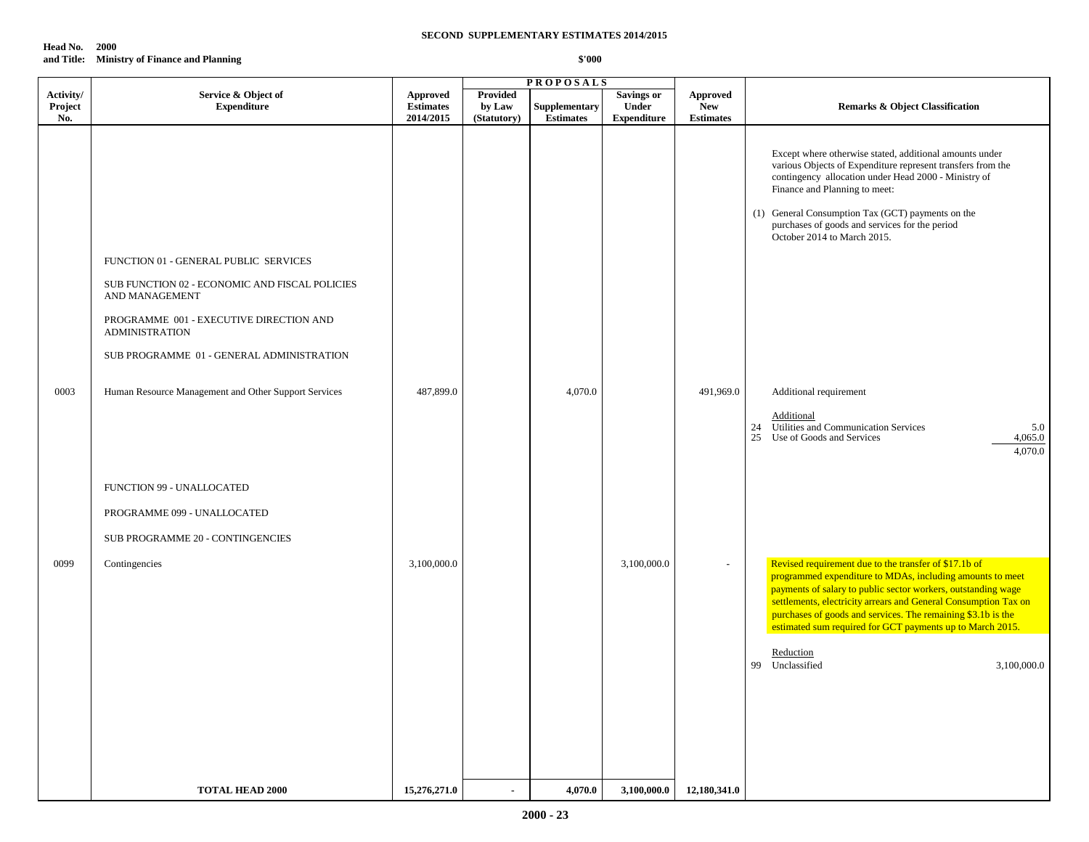| <b>Head No.</b> | - 2000                                      |
|-----------------|---------------------------------------------|
|                 | and Title: Ministry of Finance and Planning |

|                             |                                                                                                                                                                                                                            |                                           |                                          | <b>PROPOSALS</b>                  |                                                  |                                                   |                                                                                                                                                                                                                                                                                                                                                                                                                                    |
|-----------------------------|----------------------------------------------------------------------------------------------------------------------------------------------------------------------------------------------------------------------------|-------------------------------------------|------------------------------------------|-----------------------------------|--------------------------------------------------|---------------------------------------------------|------------------------------------------------------------------------------------------------------------------------------------------------------------------------------------------------------------------------------------------------------------------------------------------------------------------------------------------------------------------------------------------------------------------------------------|
| Activity/<br>Project<br>No. | Service & Object of<br><b>Expenditure</b>                                                                                                                                                                                  | Approved<br><b>Estimates</b><br>2014/2015 | <b>Provided</b><br>by Law<br>(Statutory) | Supplementary<br><b>Estimates</b> | <b>Savings or</b><br>Under<br><b>Expenditure</b> | <b>Approved</b><br><b>New</b><br><b>Estimates</b> | Remarks & Object Classification                                                                                                                                                                                                                                                                                                                                                                                                    |
|                             | FUNCTION 01 - GENERAL PUBLIC SERVICES<br>SUB FUNCTION 02 - ECONOMIC AND FISCAL POLICIES<br>AND MANAGEMENT<br>PROGRAMME 001 - EXECUTIVE DIRECTION AND<br><b>ADMINISTRATION</b><br>SUB PROGRAMME 01 - GENERAL ADMINISTRATION |                                           |                                          |                                   |                                                  |                                                   | Except where otherwise stated, additional amounts under<br>various Objects of Expenditure represent transfers from the<br>contingency allocation under Head 2000 - Ministry of<br>Finance and Planning to meet:<br>(1) General Consumption Tax (GCT) payments on the<br>purchases of goods and services for the period<br>October 2014 to March 2015.                                                                              |
| 0003                        | Human Resource Management and Other Support Services                                                                                                                                                                       | 487,899.0                                 |                                          | 4,070.0                           |                                                  | 491,969.0                                         | Additional requirement<br>Additional<br>Utilities and Communication Services<br>5.0<br>24<br>25<br>Use of Goods and Services<br>4,065.0<br>4,070.0                                                                                                                                                                                                                                                                                 |
|                             | FUNCTION 99 - UNALLOCATED<br>PROGRAMME 099 - UNALLOCATED<br>SUB PROGRAMME 20 - CONTINGENCIES                                                                                                                               |                                           |                                          |                                   |                                                  |                                                   |                                                                                                                                                                                                                                                                                                                                                                                                                                    |
| 0099                        | Contingencies                                                                                                                                                                                                              | 3,100,000.0                               |                                          |                                   | 3,100,000.0                                      |                                                   | Revised requirement due to the transfer of \$17.1b of<br>programmed expenditure to MDAs, including amounts to meet<br>payments of salary to public sector workers, outstanding wage<br>settlements, electricity arrears and General Consumption Tax on<br>purchases of goods and services. The remaining \$3.1b is the<br>estimated sum required for GCT payments up to March 2015.<br>Reduction<br>99 Unclassified<br>3,100,000.0 |
|                             | <b>TOTAL HEAD 2000</b>                                                                                                                                                                                                     | 15,276,271.0                              |                                          | 4,070.0                           | 3,100,000.0                                      | 12,180,341.0                                      |                                                                                                                                                                                                                                                                                                                                                                                                                                    |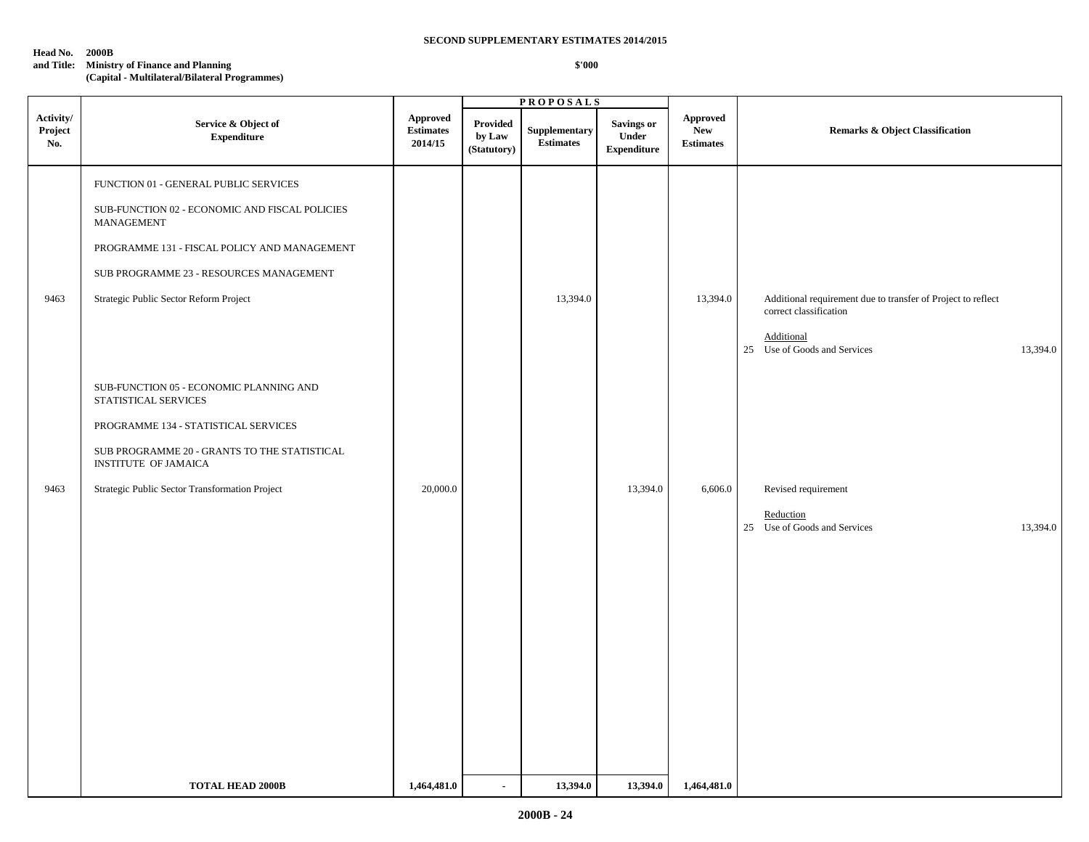#### **Head No. 2000B**

# **and Title: Ministry of Finance and Planning**

**(Capital - Multilateral/Bilateral Programmes)**

|                             |                                                                                                                                                                                                                                            |                                         |                                   | <b>PROPOSALS</b>                  |                                                  |                                                   |                                                                                                                                                  |
|-----------------------------|--------------------------------------------------------------------------------------------------------------------------------------------------------------------------------------------------------------------------------------------|-----------------------------------------|-----------------------------------|-----------------------------------|--------------------------------------------------|---------------------------------------------------|--------------------------------------------------------------------------------------------------------------------------------------------------|
| Activity/<br>Project<br>No. | Service & Object of<br><b>Expenditure</b>                                                                                                                                                                                                  | Approved<br><b>Estimates</b><br>2014/15 | Provided<br>by Law<br>(Statutory) | Supplementary<br><b>Estimates</b> | <b>Savings or</b><br>Under<br><b>Expenditure</b> | <b>Approved</b><br><b>New</b><br><b>Estimates</b> | <b>Remarks &amp; Object Classification</b>                                                                                                       |
| 9463                        | FUNCTION 01 - GENERAL PUBLIC SERVICES<br>SUB-FUNCTION 02 - ECONOMIC AND FISCAL POLICIES<br>MANAGEMENT<br>PROGRAMME 131 - FISCAL POLICY AND MANAGEMENT<br>SUB PROGRAMME 23 - RESOURCES MANAGEMENT<br>Strategic Public Sector Reform Project |                                         |                                   | 13,394.0                          |                                                  | 13,394.0                                          | Additional requirement due to transfer of Project to reflect<br>correct classification<br>Additional<br>25 Use of Goods and Services<br>13,394.0 |
|                             | SUB-FUNCTION 05 - ECONOMIC PLANNING AND<br>STATISTICAL SERVICES<br>PROGRAMME 134 - STATISTICAL SERVICES<br>SUB PROGRAMME 20 - GRANTS TO THE STATISTICAL<br><b>INSTITUTE OF JAMAICA</b>                                                     |                                         |                                   |                                   |                                                  |                                                   |                                                                                                                                                  |
| 9463                        | Strategic Public Sector Transformation Project                                                                                                                                                                                             | 20,000.0                                |                                   |                                   | 13,394.0                                         | 6,606.0                                           | Revised requirement<br>Reduction<br>13,394.0<br>25 Use of Goods and Services                                                                     |
|                             | <b>TOTAL HEAD 2000B</b>                                                                                                                                                                                                                    | 1,464,481.0                             | $\blacksquare$                    | 13,394.0                          | 13,394.0                                         | 1,464,481.0                                       |                                                                                                                                                  |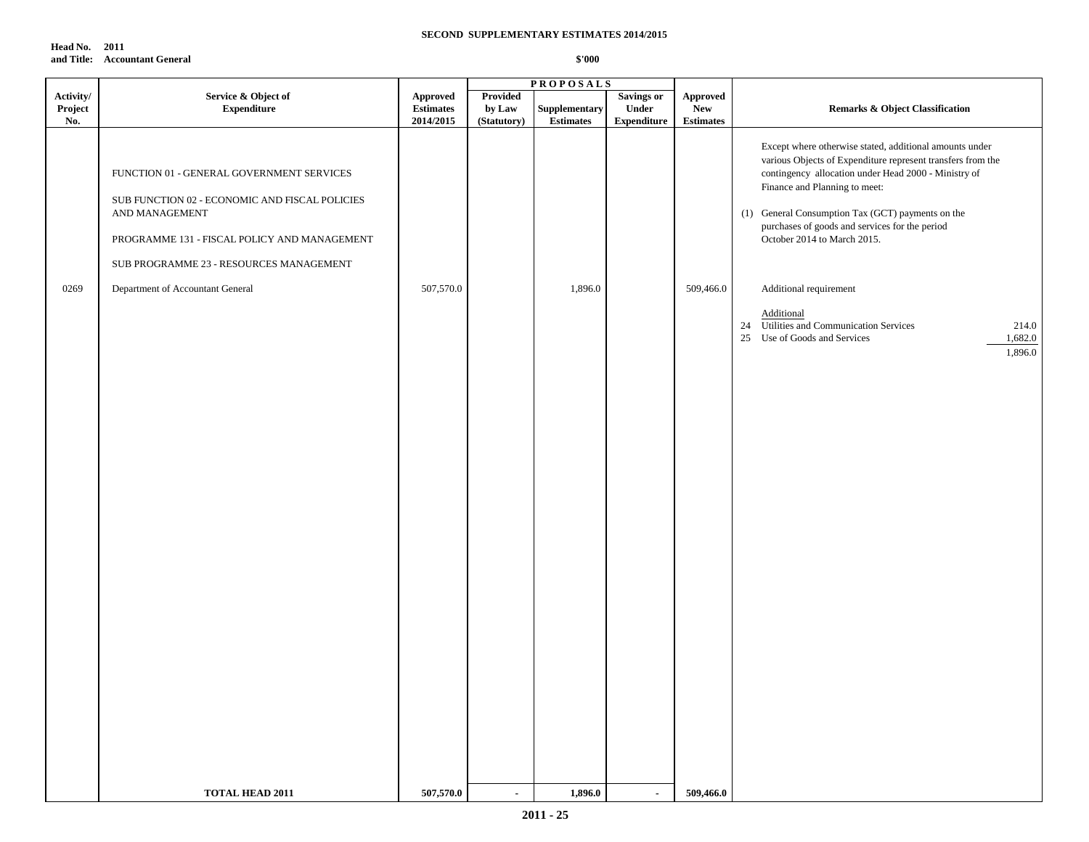**Head No. 2011 and Title: Accountant General**

| Activity/<br>Project<br>No. | Service & Object of<br><b>Expenditure</b>                                                                                                                                                                | Approved<br><b>Estimates</b><br>2014/2015 | Provided<br>by Law<br>(Statutory) | <b>PROPOSALS</b><br>Supplementary<br><b>Estimates</b> | <b>Savings or</b><br>Under<br><b>Expenditure</b> | Approved<br><b>New</b><br><b>Estimates</b> | <b>Remarks &amp; Object Classification</b>                                                                                                                                                                                                                                                                                                            |
|-----------------------------|----------------------------------------------------------------------------------------------------------------------------------------------------------------------------------------------------------|-------------------------------------------|-----------------------------------|-------------------------------------------------------|--------------------------------------------------|--------------------------------------------|-------------------------------------------------------------------------------------------------------------------------------------------------------------------------------------------------------------------------------------------------------------------------------------------------------------------------------------------------------|
|                             | FUNCTION 01 - GENERAL GOVERNMENT SERVICES<br>SUB FUNCTION 02 - ECONOMIC AND FISCAL POLICIES<br>AND MANAGEMENT<br>PROGRAMME 131 - FISCAL POLICY AND MANAGEMENT<br>SUB PROGRAMME 23 - RESOURCES MANAGEMENT |                                           |                                   |                                                       |                                                  |                                            | Except where otherwise stated, additional amounts under<br>various Objects of Expenditure represent transfers from the<br>contingency allocation under Head 2000 - Ministry of<br>Finance and Planning to meet:<br>(1) General Consumption Tax (GCT) payments on the<br>purchases of goods and services for the period<br>October 2014 to March 2015. |
| 0269                        | Department of Accountant General                                                                                                                                                                         | 507,570.0                                 |                                   | 1,896.0                                               |                                                  | 509,466.0                                  | Additional requirement<br>Additional<br>24 Utilities and Communication Services<br>214.0<br>Use of Goods and Services<br>1,682.0<br>25<br>1,896.0                                                                                                                                                                                                     |
|                             | TOTAL HEAD 2011                                                                                                                                                                                          | 507,570.0                                 |                                   | 1,896.0                                               |                                                  | 509,466.0                                  |                                                                                                                                                                                                                                                                                                                                                       |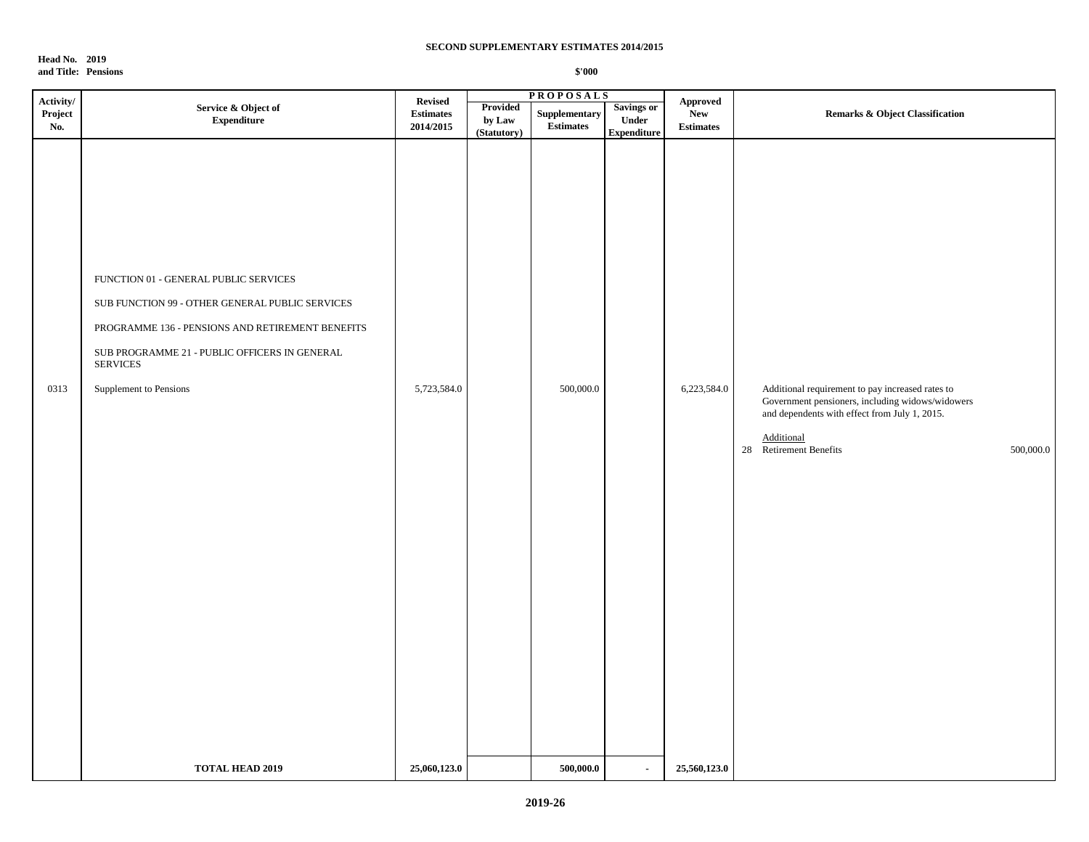**Head No. 2019 and Title: Pensions**

|                             |                                                                                                                                                                                                                                            |                                                 |                                   | <b>PROPOSALS</b>                                 |                                                  |                                                          |                                                                                                                                                                                                            |
|-----------------------------|--------------------------------------------------------------------------------------------------------------------------------------------------------------------------------------------------------------------------------------------|-------------------------------------------------|-----------------------------------|--------------------------------------------------|--------------------------------------------------|----------------------------------------------------------|------------------------------------------------------------------------------------------------------------------------------------------------------------------------------------------------------------|
| Activity/<br>Project<br>No. | Service & Object of<br>${\bf Expenditure}$                                                                                                                                                                                                 | <b>Revised</b><br><b>Estimates</b><br>2014/2015 | Provided<br>by Law<br>(Statutory) | ${\large \bf Supplementary}$<br><b>Estimates</b> | <b>Savings or</b><br>Under<br><b>Expenditure</b> | ${\Large\bf Approved}$<br><b>New</b><br><b>Estimates</b> | <b>Remarks &amp; Object Classification</b>                                                                                                                                                                 |
| 0313                        | FUNCTION 01 - GENERAL PUBLIC SERVICES<br>SUB FUNCTION 99 - OTHER GENERAL PUBLIC SERVICES<br>PROGRAMME 136 - PENSIONS AND RETIREMENT BENEFITS<br>SUB PROGRAMME 21 - PUBLIC OFFICERS IN GENERAL<br><b>SERVICES</b><br>Supplement to Pensions | 5,723,584.0                                     |                                   | 500,000.0                                        |                                                  | 6,223,584.0                                              | Additional requirement to pay increased rates to<br>Government pensioners, including widows/widowers<br>and dependents with effect from July 1, 2015.<br>Additional<br>28 Retirement Benefits<br>500,000.0 |
|                             | <b>TOTAL HEAD 2019</b>                                                                                                                                                                                                                     | 25,060,123.0                                    |                                   | 500,000.0                                        | $\blacksquare$                                   | 25,560,123.0                                             |                                                                                                                                                                                                            |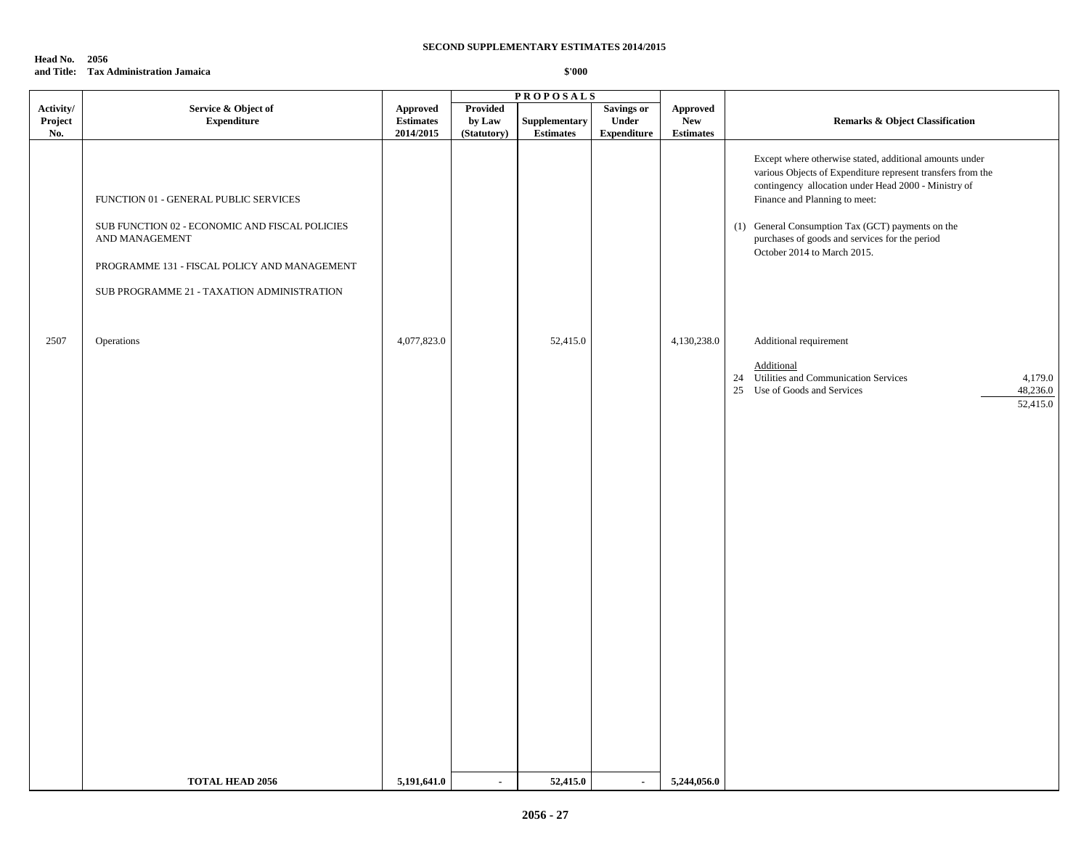**Head No. 2056 and Title: Tax Administration Jamaica**

|           |                                                                                                                                                                                                         |                  |                 | <b>PROPOSALS</b> |                    |                  |                                                                                                                                                                                                                                                                                                                                                       |
|-----------|---------------------------------------------------------------------------------------------------------------------------------------------------------------------------------------------------------|------------------|-----------------|------------------|--------------------|------------------|-------------------------------------------------------------------------------------------------------------------------------------------------------------------------------------------------------------------------------------------------------------------------------------------------------------------------------------------------------|
| Activity/ | Service & Object of                                                                                                                                                                                     | <b>Approved</b>  | <b>Provided</b> |                  | <b>Savings or</b>  | <b>Approved</b>  |                                                                                                                                                                                                                                                                                                                                                       |
| Project   | <b>Expenditure</b>                                                                                                                                                                                      | <b>Estimates</b> | by Law          | Supplementary    | Under              | <b>New</b>       | <b>Remarks &amp; Object Classification</b>                                                                                                                                                                                                                                                                                                            |
| No.       |                                                                                                                                                                                                         | 2014/2015        | (Statutory)     | <b>Estimates</b> | <b>Expenditure</b> | <b>Estimates</b> |                                                                                                                                                                                                                                                                                                                                                       |
|           | FUNCTION 01 - GENERAL PUBLIC SERVICES<br>SUB FUNCTION 02 - ECONOMIC AND FISCAL POLICIES<br>AND MANAGEMENT<br>PROGRAMME 131 - FISCAL POLICY AND MANAGEMENT<br>SUB PROGRAMME 21 - TAXATION ADMINISTRATION |                  |                 |                  |                    |                  | Except where otherwise stated, additional amounts under<br>various Objects of Expenditure represent transfers from the<br>contingency allocation under Head 2000 - Ministry of<br>Finance and Planning to meet:<br>(1) General Consumption Tax (GCT) payments on the<br>purchases of goods and services for the period<br>October 2014 to March 2015. |
|           |                                                                                                                                                                                                         |                  |                 |                  |                    |                  |                                                                                                                                                                                                                                                                                                                                                       |
| 2507      | Operations                                                                                                                                                                                              | 4,077,823.0      |                 | 52,415.0         |                    | 4,130,238.0      | Additional requirement                                                                                                                                                                                                                                                                                                                                |
|           |                                                                                                                                                                                                         |                  |                 |                  |                    |                  | Additional                                                                                                                                                                                                                                                                                                                                            |
|           |                                                                                                                                                                                                         |                  |                 |                  |                    |                  | 24 Utilities and Communication Services<br>4,179.0<br>48,236.0<br>25 Use of Goods and Services                                                                                                                                                                                                                                                        |
|           |                                                                                                                                                                                                         |                  |                 |                  |                    |                  | 52,415.0                                                                                                                                                                                                                                                                                                                                              |
|           |                                                                                                                                                                                                         |                  |                 |                  |                    |                  |                                                                                                                                                                                                                                                                                                                                                       |
|           |                                                                                                                                                                                                         |                  |                 |                  |                    |                  |                                                                                                                                                                                                                                                                                                                                                       |
|           |                                                                                                                                                                                                         |                  |                 |                  |                    |                  |                                                                                                                                                                                                                                                                                                                                                       |
|           |                                                                                                                                                                                                         |                  |                 |                  |                    |                  |                                                                                                                                                                                                                                                                                                                                                       |
|           |                                                                                                                                                                                                         |                  |                 |                  |                    |                  |                                                                                                                                                                                                                                                                                                                                                       |
|           |                                                                                                                                                                                                         |                  |                 |                  |                    |                  |                                                                                                                                                                                                                                                                                                                                                       |
|           |                                                                                                                                                                                                         |                  |                 |                  |                    |                  |                                                                                                                                                                                                                                                                                                                                                       |
|           |                                                                                                                                                                                                         |                  |                 |                  |                    |                  |                                                                                                                                                                                                                                                                                                                                                       |
|           |                                                                                                                                                                                                         |                  |                 |                  |                    |                  |                                                                                                                                                                                                                                                                                                                                                       |
|           |                                                                                                                                                                                                         |                  |                 |                  |                    |                  |                                                                                                                                                                                                                                                                                                                                                       |
|           |                                                                                                                                                                                                         |                  |                 |                  |                    |                  |                                                                                                                                                                                                                                                                                                                                                       |
|           |                                                                                                                                                                                                         |                  |                 |                  |                    |                  |                                                                                                                                                                                                                                                                                                                                                       |
|           |                                                                                                                                                                                                         |                  |                 |                  |                    |                  |                                                                                                                                                                                                                                                                                                                                                       |
|           |                                                                                                                                                                                                         |                  |                 |                  |                    |                  |                                                                                                                                                                                                                                                                                                                                                       |
|           |                                                                                                                                                                                                         |                  |                 |                  |                    |                  |                                                                                                                                                                                                                                                                                                                                                       |
|           |                                                                                                                                                                                                         |                  |                 |                  |                    |                  |                                                                                                                                                                                                                                                                                                                                                       |
|           |                                                                                                                                                                                                         |                  |                 |                  |                    |                  |                                                                                                                                                                                                                                                                                                                                                       |
|           |                                                                                                                                                                                                         |                  |                 |                  |                    |                  |                                                                                                                                                                                                                                                                                                                                                       |
|           |                                                                                                                                                                                                         |                  |                 |                  |                    |                  |                                                                                                                                                                                                                                                                                                                                                       |
|           |                                                                                                                                                                                                         |                  |                 |                  |                    |                  |                                                                                                                                                                                                                                                                                                                                                       |
|           | <b>TOTAL HEAD 2056</b>                                                                                                                                                                                  | 5,191,641.0      | $\mathbf{r}$    | 52,415.0         | $\blacksquare$     | 5,244,056.0      |                                                                                                                                                                                                                                                                                                                                                       |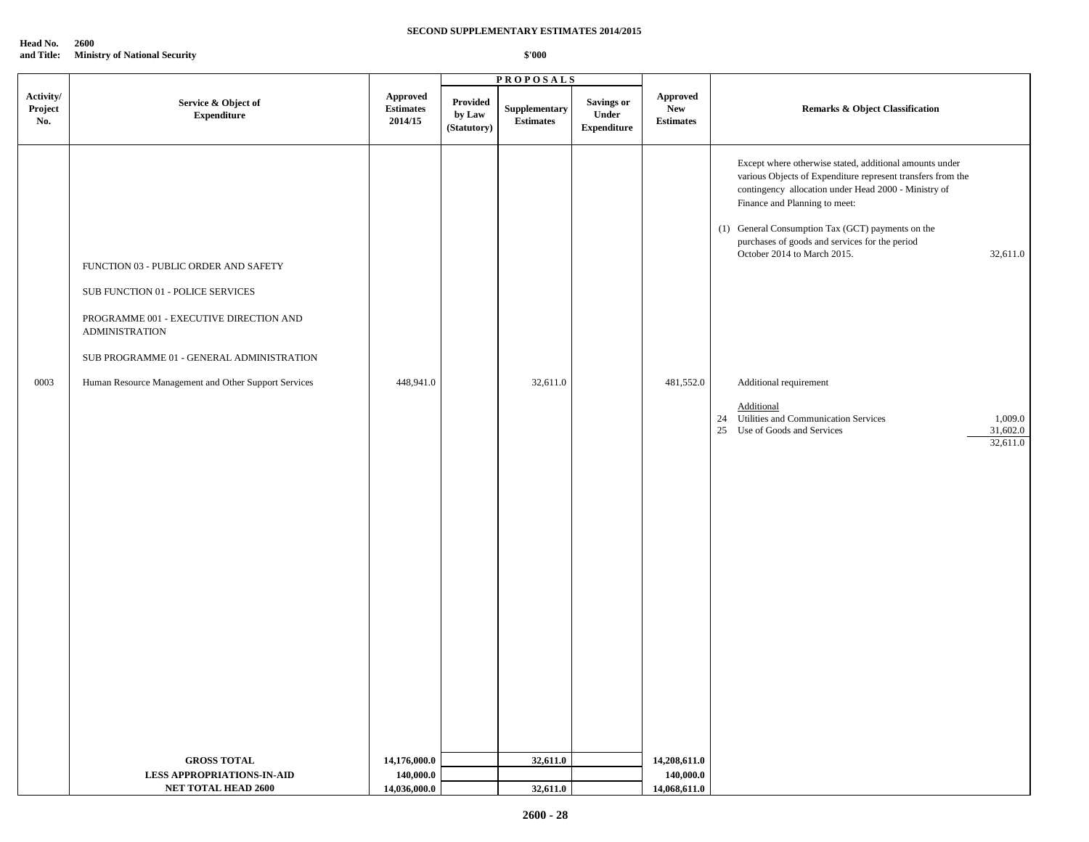**Head No. 2600**

**and Title: Ministry of National Security \$'000**

|                             |                                                                                                                                                                                                                                                     | <b>PROPOSALS</b>                          |                                   |                                   |                                           |                                             |                                                                                                                                                                                                                                                                                                                                                                                                                                                                                                                         |  |  |
|-----------------------------|-----------------------------------------------------------------------------------------------------------------------------------------------------------------------------------------------------------------------------------------------------|-------------------------------------------|-----------------------------------|-----------------------------------|-------------------------------------------|---------------------------------------------|-------------------------------------------------------------------------------------------------------------------------------------------------------------------------------------------------------------------------------------------------------------------------------------------------------------------------------------------------------------------------------------------------------------------------------------------------------------------------------------------------------------------------|--|--|
| Activity/<br>Project<br>No. | Service & Object of<br><b>Expenditure</b>                                                                                                                                                                                                           | Approved<br><b>Estimates</b><br>2014/15   | Provided<br>by Law<br>(Statutory) | Supplementary<br><b>Estimates</b> | Savings or<br>Under<br><b>Expenditure</b> | Approved<br>${\bf New}$<br><b>Estimates</b> | <b>Remarks &amp; Object Classification</b>                                                                                                                                                                                                                                                                                                                                                                                                                                                                              |  |  |
| 0003                        | FUNCTION 03 - PUBLIC ORDER AND SAFETY<br>SUB FUNCTION 01 - POLICE SERVICES<br>PROGRAMME 001 - EXECUTIVE DIRECTION AND<br><b>ADMINISTRATION</b><br>SUB PROGRAMME 01 - GENERAL ADMINISTRATION<br>Human Resource Management and Other Support Services | 448,941.0                                 |                                   | 32,611.0                          |                                           | 481,552.0                                   | Except where otherwise stated, additional amounts under<br>various Objects of Expenditure represent transfers from the<br>contingency allocation under Head 2000 - Ministry of<br>Finance and Planning to meet:<br>(1) General Consumption Tax (GCT) payments on the<br>purchases of goods and services for the period<br>October 2014 to March 2015.<br>32,611.0<br>Additional requirement<br>Additional<br>24 Utilities and Communication Services<br>1,009.0<br>25 Use of Goods and Services<br>31,602.0<br>32,611.0 |  |  |
|                             | <b>GROSS TOTAL</b><br><b>LESS APPROPRIATIONS-IN-AID</b><br><b>NET TOTAL HEAD 2600</b>                                                                                                                                                               | 14,176,000.0<br>140,000.0<br>14,036,000.0 |                                   | 32,611.0<br>32,611.0              |                                           | 14,208,611.0<br>140,000.0<br>14,068,611.0   |                                                                                                                                                                                                                                                                                                                                                                                                                                                                                                                         |  |  |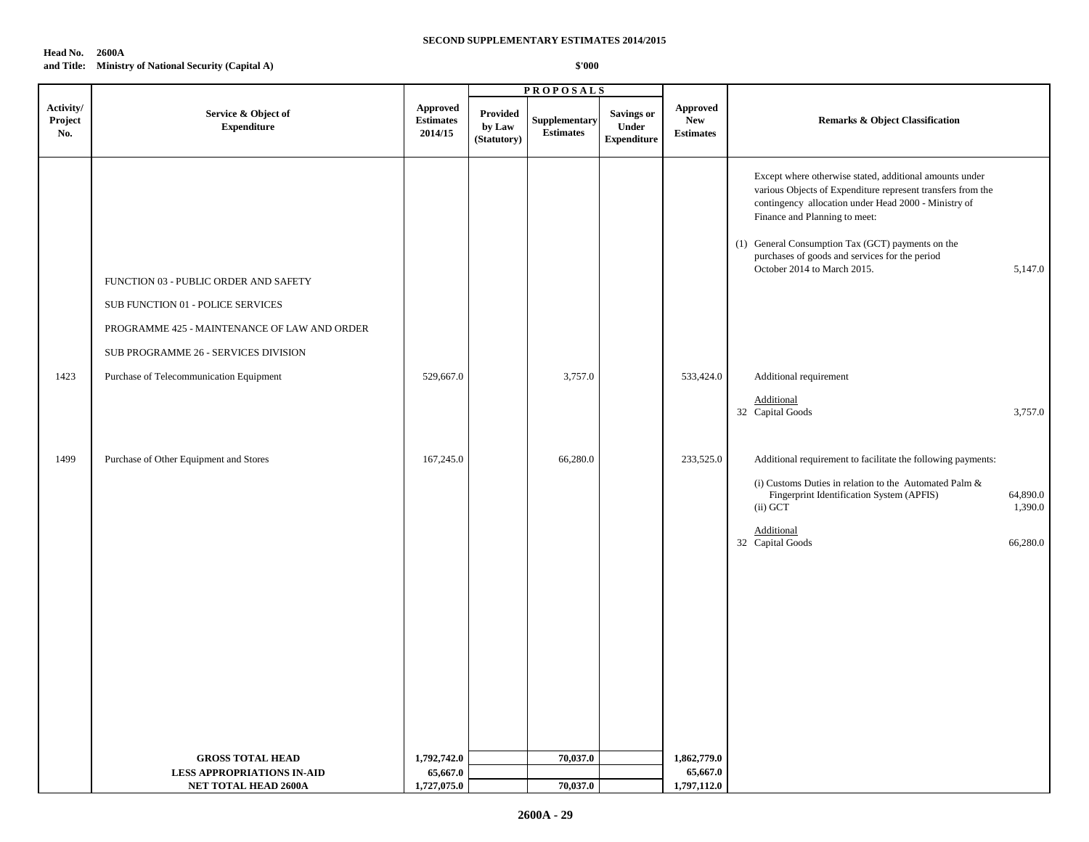#### **Head No. 2600A and Title: Ministry of National Security (Capital A)**

|                             |                                                                                                                                                                    |                                         |                                          | <b>PROPOSALS</b>                  |                                           |                                            |                                                                                                                                                                                                                                                                                                                                                       |                                 |
|-----------------------------|--------------------------------------------------------------------------------------------------------------------------------------------------------------------|-----------------------------------------|------------------------------------------|-----------------------------------|-------------------------------------------|--------------------------------------------|-------------------------------------------------------------------------------------------------------------------------------------------------------------------------------------------------------------------------------------------------------------------------------------------------------------------------------------------------------|---------------------------------|
| Activity/<br>Project<br>No. | Service & Object of<br><b>Expenditure</b>                                                                                                                          | Approved<br><b>Estimates</b><br>2014/15 | <b>Provided</b><br>by Law<br>(Statutory) | Supplementary<br><b>Estimates</b> | Savings or<br>Under<br><b>Expenditure</b> | Approved<br><b>New</b><br><b>Estimates</b> | <b>Remarks &amp; Object Classification</b>                                                                                                                                                                                                                                                                                                            |                                 |
|                             | FUNCTION 03 - PUBLIC ORDER AND SAFETY<br>SUB FUNCTION 01 - POLICE SERVICES<br>PROGRAMME 425 - MAINTENANCE OF LAW AND ORDER<br>SUB PROGRAMME 26 - SERVICES DIVISION |                                         |                                          |                                   |                                           |                                            | Except where otherwise stated, additional amounts under<br>various Objects of Expenditure represent transfers from the<br>contingency allocation under Head 2000 - Ministry of<br>Finance and Planning to meet:<br>(1) General Consumption Tax (GCT) payments on the<br>purchases of goods and services for the period<br>October 2014 to March 2015. | 5,147.0                         |
| 1423                        | Purchase of Telecommunication Equipment                                                                                                                            | 529,667.0                               |                                          | 3,757.0                           |                                           | 533,424.0                                  | Additional requirement                                                                                                                                                                                                                                                                                                                                |                                 |
|                             |                                                                                                                                                                    |                                         |                                          |                                   |                                           |                                            | Additional<br>32 Capital Goods                                                                                                                                                                                                                                                                                                                        | 3,757.0                         |
| 1499                        | Purchase of Other Equipment and Stores                                                                                                                             | 167,245.0                               |                                          | 66,280.0                          |                                           | 233,525.0                                  | Additional requirement to facilitate the following payments:<br>(i) Customs Duties in relation to the Automated Palm $\&$<br>Fingerprint Identification System (APFIS)<br>(ii) GCT<br>Additional<br>32 Capital Goods                                                                                                                                  | 64,890.0<br>1,390.0<br>66,280.0 |
|                             | <b>GROSS TOTAL HEAD</b>                                                                                                                                            | 1,792,742.0                             |                                          | 70,037.0                          |                                           | 1,862,779.0                                |                                                                                                                                                                                                                                                                                                                                                       |                                 |
|                             | <b>LESS APPROPRIATIONS IN-AID</b>                                                                                                                                  | 65,667.0                                |                                          |                                   |                                           | 65,667.0                                   |                                                                                                                                                                                                                                                                                                                                                       |                                 |
|                             | <b>NET TOTAL HEAD 2600A</b>                                                                                                                                        | 1,727,075.0                             |                                          | 70,037.0                          |                                           | 1,797,112.0                                |                                                                                                                                                                                                                                                                                                                                                       |                                 |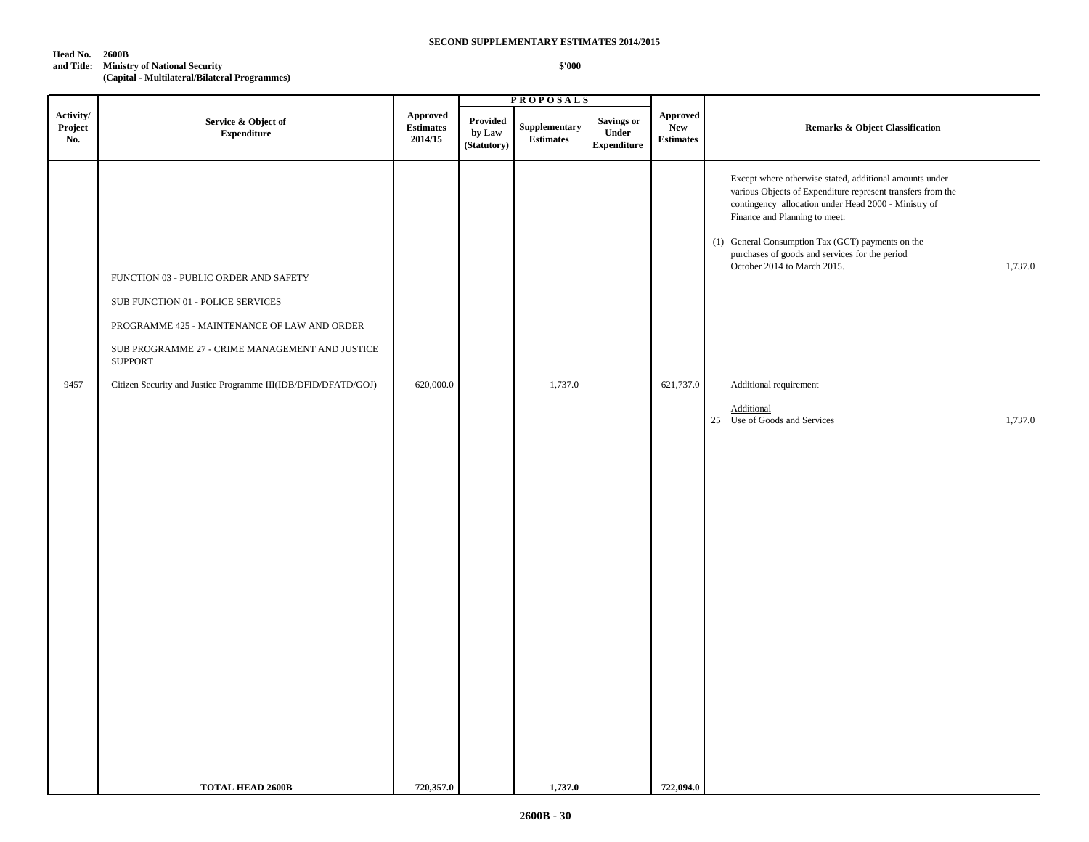#### **Head No. 2600B**

**and Title: Ministry of National Security**

**(Capital - Multilateral/Bilateral Programmes)**

|                             |                                                                                                                                                                                                                                                                   |                                                |                                          | <b>PROPOSALS</b>                  |                                           |                                            |                                                                                                                                                                                                                                                                                                                                                                                                                                                     |
|-----------------------------|-------------------------------------------------------------------------------------------------------------------------------------------------------------------------------------------------------------------------------------------------------------------|------------------------------------------------|------------------------------------------|-----------------------------------|-------------------------------------------|--------------------------------------------|-----------------------------------------------------------------------------------------------------------------------------------------------------------------------------------------------------------------------------------------------------------------------------------------------------------------------------------------------------------------------------------------------------------------------------------------------------|
| Activity/<br>Project<br>No. | Service & Object of<br>${\bf Expenditure}$                                                                                                                                                                                                                        | <b>Approved</b><br><b>Estimates</b><br>2014/15 | <b>Provided</b><br>by Law<br>(Statutory) | Supplementary<br><b>Estimates</b> | Savings or<br>Under<br><b>Expenditure</b> | Approved<br><b>New</b><br><b>Estimates</b> | <b>Remarks &amp; Object Classification</b>                                                                                                                                                                                                                                                                                                                                                                                                          |
| 9457                        | FUNCTION 03 - PUBLIC ORDER AND SAFETY<br>SUB FUNCTION 01 - POLICE SERVICES<br>PROGRAMME 425 - MAINTENANCE OF LAW AND ORDER<br>SUB PROGRAMME 27 - CRIME MANAGEMENT AND JUSTICE<br><b>SUPPORT</b><br>Citizen Security and Justice Programme III(IDB/DFID/DFATD/GOJ) | 620,000.0                                      |                                          | 1,737.0                           |                                           | 621,737.0                                  | Except where otherwise stated, additional amounts under<br>various Objects of Expenditure represent transfers from the<br>contingency allocation under Head 2000 - Ministry of<br>Finance and Planning to meet:<br>(1) General Consumption Tax (GCT) payments on the<br>purchases of goods and services for the period<br>1,737.0<br>October 2014 to March 2015.<br>Additional requirement<br>Additional<br>25 Use of Goods and Services<br>1,737.0 |
|                             | <b>TOTAL HEAD 2600B</b>                                                                                                                                                                                                                                           | 720,357.0                                      |                                          | 1,737.0                           |                                           | 722,094.0                                  |                                                                                                                                                                                                                                                                                                                                                                                                                                                     |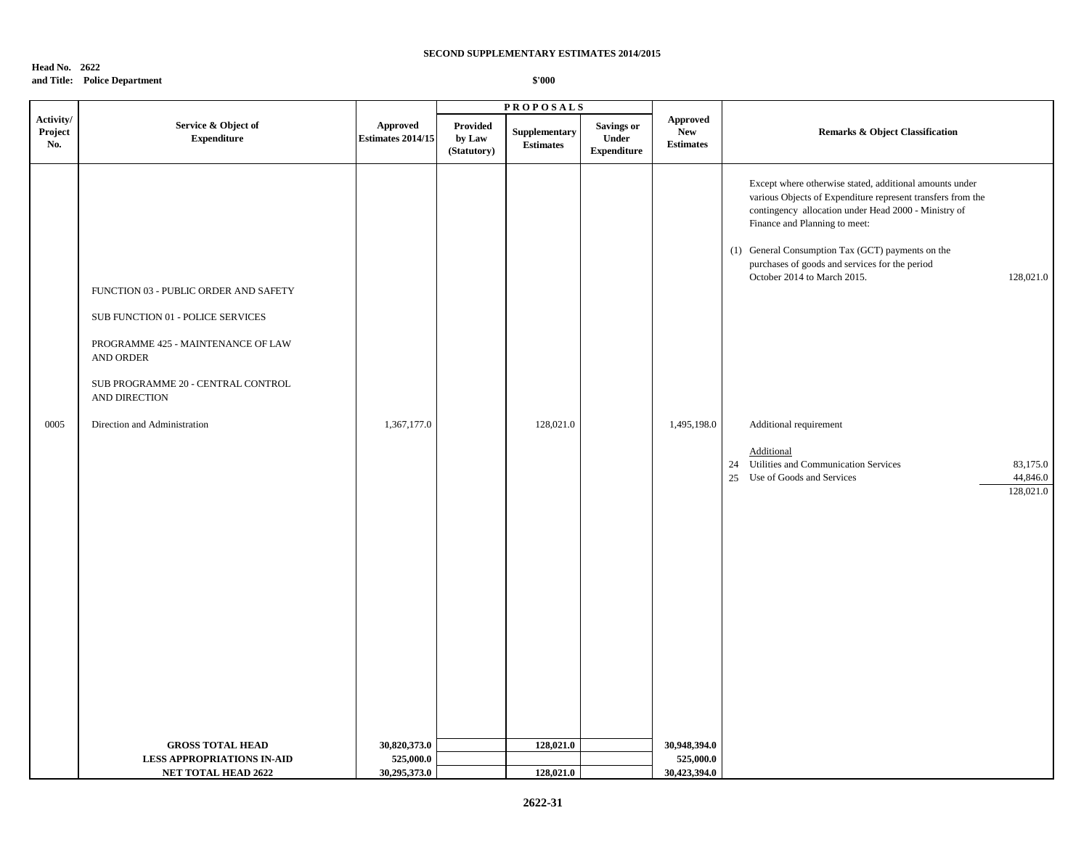#### **Head No. 2622 and Title: Police Department \$'000**

|                             |                                                                                                                                                                                      |                                      |                                   | <b>PROPOSALS</b>                  |                                                         |                                                   |                                                                                                                                                                                                                                                                                                                                                                    |                      |
|-----------------------------|--------------------------------------------------------------------------------------------------------------------------------------------------------------------------------------|--------------------------------------|-----------------------------------|-----------------------------------|---------------------------------------------------------|---------------------------------------------------|--------------------------------------------------------------------------------------------------------------------------------------------------------------------------------------------------------------------------------------------------------------------------------------------------------------------------------------------------------------------|----------------------|
| Activity/<br>Project<br>No. | Service & Object of<br>${\bf Expenditure}$                                                                                                                                           | Approved<br><b>Estimates 2014/15</b> | Provided<br>by Law<br>(Statutory) | Supplementary<br><b>Estimates</b> | <b>Savings or</b><br><b>Under</b><br><b>Expenditure</b> | <b>Approved</b><br><b>New</b><br><b>Estimates</b> | Remarks & Object Classification                                                                                                                                                                                                                                                                                                                                    |                      |
|                             | FUNCTION 03 - PUBLIC ORDER AND SAFETY<br>SUB FUNCTION 01 - POLICE SERVICES<br>PROGRAMME 425 - MAINTENANCE OF LAW<br>AND ORDER<br>SUB PROGRAMME 20 - CENTRAL CONTROL<br>AND DIRECTION |                                      |                                   |                                   |                                                         |                                                   | Except where otherwise stated, additional amounts under<br>various Objects of Expenditure represent transfers from the<br>contingency allocation under Head 2000 - Ministry of<br>Finance and Planning to meet:<br>(1) General Consumption Tax (GCT) payments on the<br>purchases of goods and services for the period<br>October 2014 to March 2015.<br>128,021.0 |                      |
| 0005                        | Direction and Administration                                                                                                                                                         | 1,367,177.0                          |                                   | 128,021.0                         |                                                         | 1,495,198.0                                       | Additional requirement<br>Additional<br>Utilities and Communication Services<br>24<br>Use of Goods and Services<br>25<br>128,021.0                                                                                                                                                                                                                                 | 83,175.0<br>44,846.0 |
|                             | <b>GROSS TOTAL HEAD</b><br><b>LESS APPROPRIATIONS IN-AID</b>                                                                                                                         | 30,820,373.0<br>525,000.0            |                                   | 128,021.0                         |                                                         | 30,948,394.0<br>525,000.0                         |                                                                                                                                                                                                                                                                                                                                                                    |                      |
|                             | <b>NET TOTAL HEAD 2622</b>                                                                                                                                                           | 30,295,373.0                         |                                   | 128,021.0                         |                                                         | 30,423,394.0                                      |                                                                                                                                                                                                                                                                                                                                                                    |                      |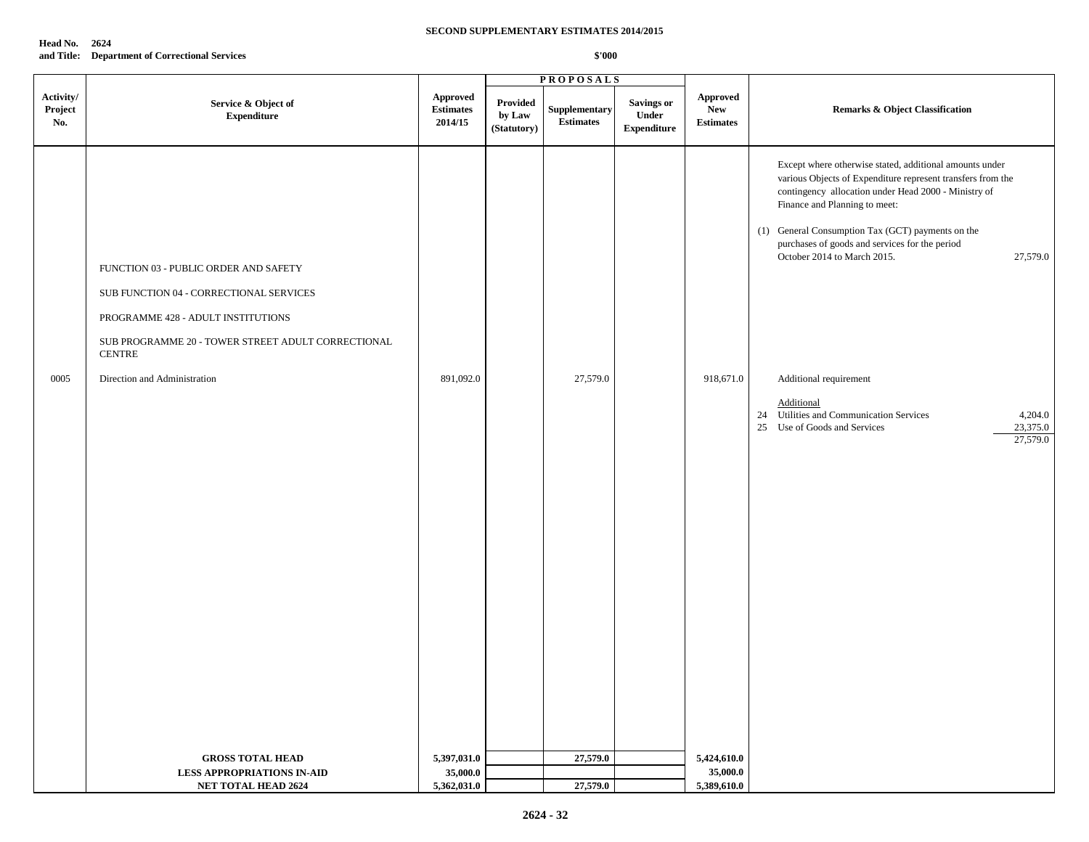| Head No. | 2624                                           |
|----------|------------------------------------------------|
|          | and Title: Department of Correctional Services |

| Activity/<br><b>Approved</b><br>Approved<br>Provided<br>Savings or<br>Service & Object of<br>Supplementary<br>Project<br><b>New</b><br><b>Remarks &amp; Object Classification</b><br><b>Estimates</b><br>Under<br>${\bf Expenditure}$<br>by Law<br><b>Estimates</b><br>No.<br>2014/15<br><b>Estimates</b><br>(Statutory)<br><b>Expenditure</b><br>Except where otherwise stated, additional amounts under<br>various Objects of Expenditure represent transfers from the<br>contingency allocation under Head 2000 - Ministry of<br>Finance and Planning to meet:<br>(1) General Consumption Tax (GCT) payments on the<br>purchases of goods and services for the period<br>October 2014 to March 2015.<br>27,579.0<br>FUNCTION 03 - PUBLIC ORDER AND SAFETY<br>SUB FUNCTION 04 - CORRECTIONAL SERVICES<br>PROGRAMME 428 - ADULT INSTITUTIONS<br>SUB PROGRAMME 20 - TOWER STREET ADULT CORRECTIONAL<br><b>CENTRE</b><br>Direction and Administration<br>27,579.0<br>0005<br>891,092.0<br>918,671.0<br>Additional requirement<br>Additional<br>24 Utilities and Communication Services<br>4,204.0<br>25 Use of Goods and Services<br>23,375.0<br>27,579.0<br>5,424,610.0<br>27,579.0<br><b>GROSS TOTAL HEAD</b><br>5,397,031.0 |  |  | <b>PROPOSALS</b> |  |  |
|-------------------------------------------------------------------------------------------------------------------------------------------------------------------------------------------------------------------------------------------------------------------------------------------------------------------------------------------------------------------------------------------------------------------------------------------------------------------------------------------------------------------------------------------------------------------------------------------------------------------------------------------------------------------------------------------------------------------------------------------------------------------------------------------------------------------------------------------------------------------------------------------------------------------------------------------------------------------------------------------------------------------------------------------------------------------------------------------------------------------------------------------------------------------------------------------------------------------------------|--|--|------------------|--|--|
|                                                                                                                                                                                                                                                                                                                                                                                                                                                                                                                                                                                                                                                                                                                                                                                                                                                                                                                                                                                                                                                                                                                                                                                                                               |  |  |                  |  |  |
|                                                                                                                                                                                                                                                                                                                                                                                                                                                                                                                                                                                                                                                                                                                                                                                                                                                                                                                                                                                                                                                                                                                                                                                                                               |  |  |                  |  |  |
| 35,000.0<br>35,000.0<br><b>LESS APPROPRIATIONS IN-AID</b>                                                                                                                                                                                                                                                                                                                                                                                                                                                                                                                                                                                                                                                                                                                                                                                                                                                                                                                                                                                                                                                                                                                                                                     |  |  |                  |  |  |
| 5,389,610.0<br>5,362,031.0<br>27,579.0<br><b>NET TOTAL HEAD 2624</b>                                                                                                                                                                                                                                                                                                                                                                                                                                                                                                                                                                                                                                                                                                                                                                                                                                                                                                                                                                                                                                                                                                                                                          |  |  |                  |  |  |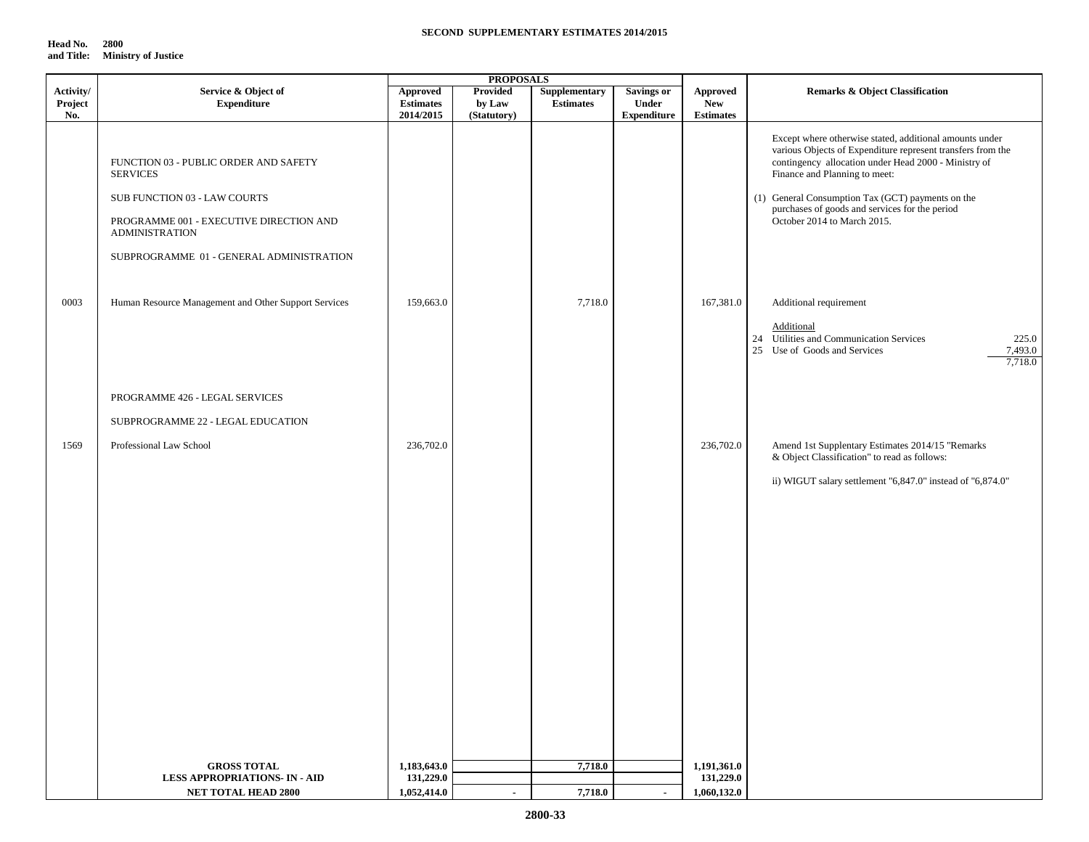| Head No.   | 2800                       |
|------------|----------------------------|
| and Title: | <b>Ministry of Justice</b> |

|                             |                                                                                                                                                                                                          |                                                  | <b>PROPOSALS</b>                         |                                   |                                           |                                     |                                                                                                                                                                                                                                                                                                                                                       |
|-----------------------------|----------------------------------------------------------------------------------------------------------------------------------------------------------------------------------------------------------|--------------------------------------------------|------------------------------------------|-----------------------------------|-------------------------------------------|-------------------------------------|-------------------------------------------------------------------------------------------------------------------------------------------------------------------------------------------------------------------------------------------------------------------------------------------------------------------------------------------------------|
| Activity/<br>Project<br>No. | Service & Object of<br><b>Expenditure</b>                                                                                                                                                                | <b>Approved</b><br><b>Estimates</b><br>2014/2015 | <b>Provided</b><br>by Law<br>(Statutory) | Supplementary<br><b>Estimates</b> | Savings or<br>Under<br><b>Expenditure</b> | Approved<br>New<br><b>Estimates</b> | <b>Remarks &amp; Object Classification</b>                                                                                                                                                                                                                                                                                                            |
|                             | FUNCTION 03 - PUBLIC ORDER AND SAFETY<br><b>SERVICES</b><br>SUB FUNCTION 03 - LAW COURTS<br>PROGRAMME 001 - EXECUTIVE DIRECTION AND<br><b>ADMINISTRATION</b><br>SUBPROGRAMME 01 - GENERAL ADMINISTRATION |                                                  |                                          |                                   |                                           |                                     | Except where otherwise stated, additional amounts under<br>various Objects of Expenditure represent transfers from the<br>contingency allocation under Head 2000 - Ministry of<br>Finance and Planning to meet:<br>(1) General Consumption Tax (GCT) payments on the<br>purchases of goods and services for the period<br>October 2014 to March 2015. |
| 0003                        | Human Resource Management and Other Support Services                                                                                                                                                     | 159,663.0                                        |                                          | 7,718.0                           |                                           | 167,381.0                           | Additional requirement<br>Additional<br>24 Utilities and Communication Services<br>225.0<br>25 Use of Goods and Services<br>7,493.0<br>7,718.0                                                                                                                                                                                                        |
|                             | PROGRAMME 426 - LEGAL SERVICES                                                                                                                                                                           |                                                  |                                          |                                   |                                           |                                     |                                                                                                                                                                                                                                                                                                                                                       |
|                             | SUBPROGRAMME 22 - LEGAL EDUCATION                                                                                                                                                                        |                                                  |                                          |                                   |                                           |                                     |                                                                                                                                                                                                                                                                                                                                                       |
| 1569                        | Professional Law School                                                                                                                                                                                  | 236,702.0                                        |                                          |                                   |                                           | 236,702.0                           | Amend 1st Supplentary Estimates 2014/15 "Remarks<br>& Object Classification" to read as follows:<br>ii) WIGUT salary settlement "6,847.0" instead of "6,874.0"                                                                                                                                                                                        |
|                             |                                                                                                                                                                                                          |                                                  |                                          |                                   |                                           |                                     |                                                                                                                                                                                                                                                                                                                                                       |
|                             |                                                                                                                                                                                                          |                                                  |                                          |                                   |                                           |                                     |                                                                                                                                                                                                                                                                                                                                                       |
|                             | <b>GROSS TOTAL</b><br><b>LESS APPROPRIATIONS- IN - AID</b>                                                                                                                                               | 1,183,643.0<br>131,229.0                         |                                          | 7,718.0                           |                                           | 1,191,361.0<br>131,229.0            |                                                                                                                                                                                                                                                                                                                                                       |
|                             | <b>NET TOTAL HEAD 2800</b>                                                                                                                                                                               | 1,052,414.0                                      |                                          | 7,718.0                           | $\sim$                                    | 1,060,132.0                         |                                                                                                                                                                                                                                                                                                                                                       |
|                             |                                                                                                                                                                                                          |                                                  |                                          |                                   |                                           |                                     |                                                                                                                                                                                                                                                                                                                                                       |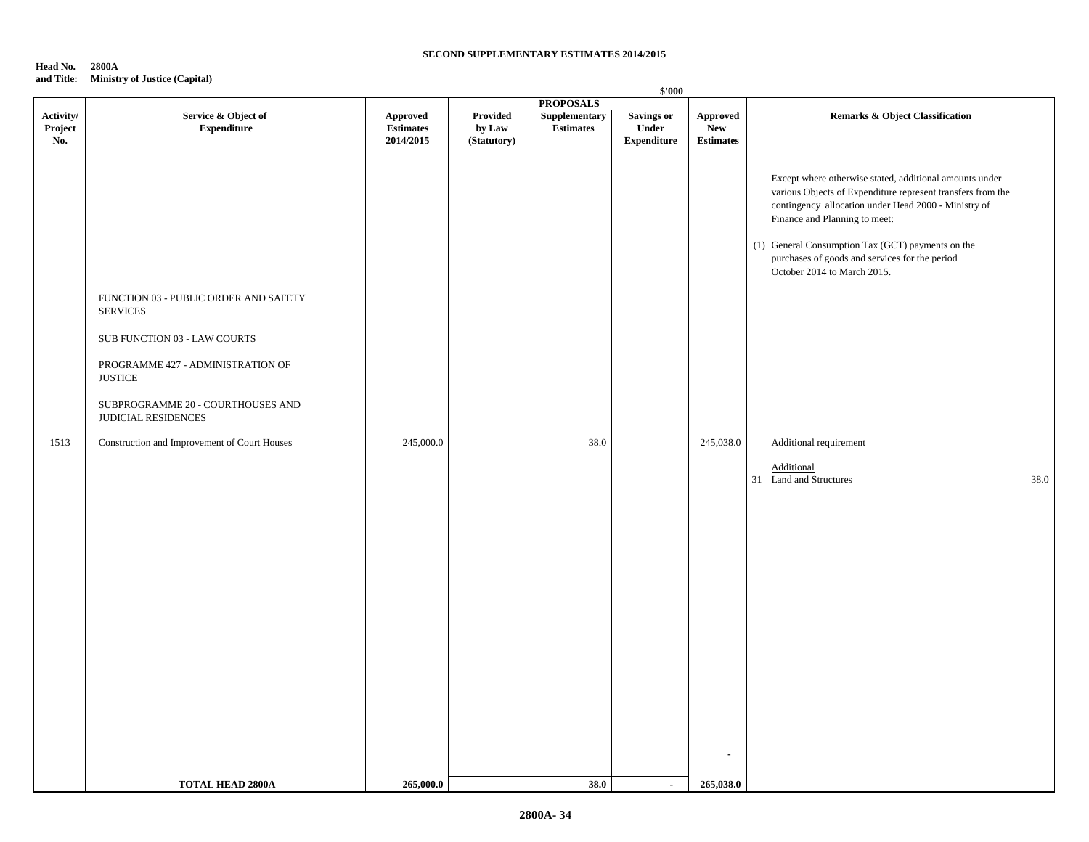#### **Head No. 2800A and Title: Ministry of Justice (Capital)**

|                             | $\mathbf{v} = \mathbf{v}$<br>$\cdots$                                                                                                                                                                                                                       | \$'000                                    |                                          |                                                       |                                                         |                                            |                                                                                                                                                                                                                                                                                                                                                                                                                                 |  |
|-----------------------------|-------------------------------------------------------------------------------------------------------------------------------------------------------------------------------------------------------------------------------------------------------------|-------------------------------------------|------------------------------------------|-------------------------------------------------------|---------------------------------------------------------|--------------------------------------------|---------------------------------------------------------------------------------------------------------------------------------------------------------------------------------------------------------------------------------------------------------------------------------------------------------------------------------------------------------------------------------------------------------------------------------|--|
| Activity/<br>Project<br>No. | Service & Object of<br><b>Expenditure</b>                                                                                                                                                                                                                   | Approved<br><b>Estimates</b><br>2014/2015 | <b>Provided</b><br>by Law<br>(Statutory) | <b>PROPOSALS</b><br>Supplementary<br><b>Estimates</b> | <b>Savings or</b><br><b>Under</b><br><b>Expenditure</b> | Approved<br><b>New</b><br><b>Estimates</b> | <b>Remarks &amp; Object Classification</b>                                                                                                                                                                                                                                                                                                                                                                                      |  |
| 1513                        | FUNCTION 03 - PUBLIC ORDER AND SAFETY<br><b>SERVICES</b><br>SUB FUNCTION 03 - LAW COURTS<br>PROGRAMME 427 - ADMINISTRATION OF<br><b>JUSTICE</b><br>SUBPROGRAMME 20 - COURTHOUSES AND<br>JUDICIAL RESIDENCES<br>Construction and Improvement of Court Houses | 245,000.0                                 |                                          | 38.0                                                  |                                                         | 245,038.0                                  | Except where otherwise stated, additional amounts under<br>various Objects of Expenditure represent transfers from the<br>contingency allocation under Head 2000 - Ministry of<br>Finance and Planning to meet:<br>(1) General Consumption Tax (GCT) payments on the<br>purchases of goods and services for the period<br>October 2014 to March 2015.<br>Additional requirement<br>Additional<br>31 Land and Structures<br>38.0 |  |
|                             | <b>TOTAL HEAD 2800A</b>                                                                                                                                                                                                                                     | 265,000.0                                 |                                          | 38.0                                                  | $\blacksquare$                                          | 265,038.0                                  |                                                                                                                                                                                                                                                                                                                                                                                                                                 |  |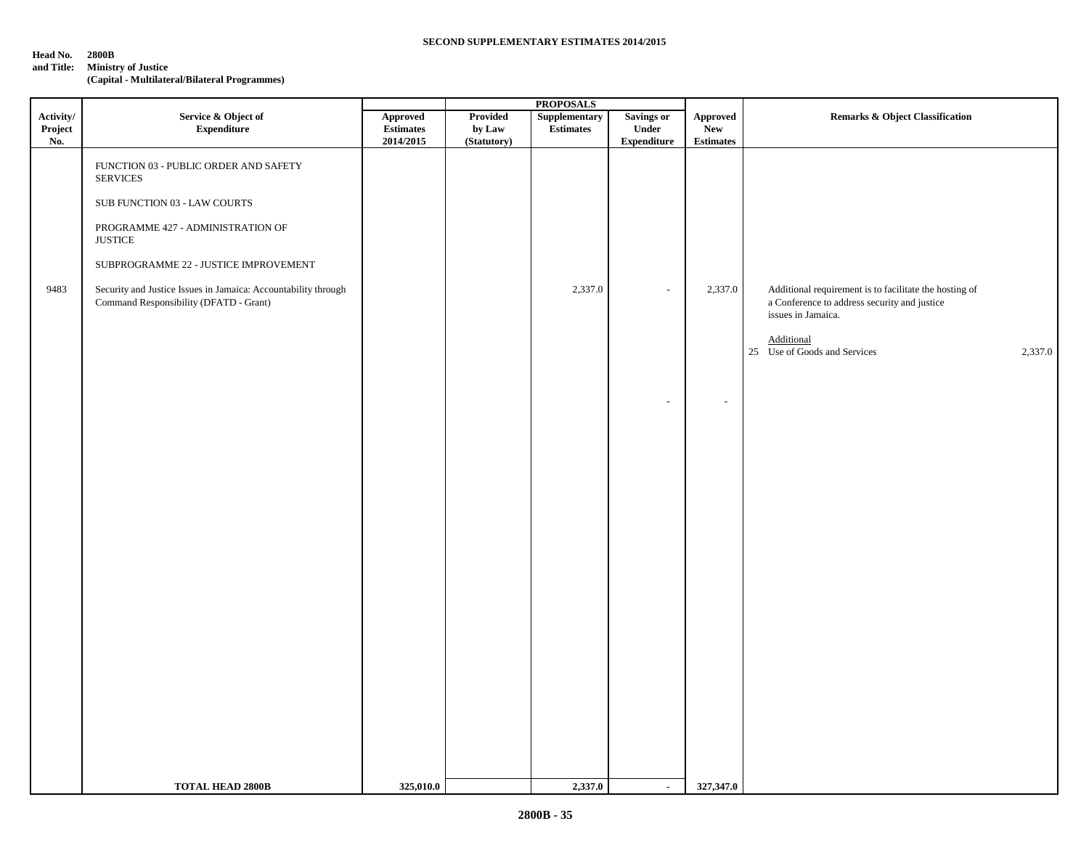# **Head No. 2800B**

**and Title: Ministry of Justice**

**(Capital - Multilateral/Bilateral Programmes)**

|                                   |                                                                                                          | <b>PROPOSALS</b>                                                                                             |                                   |                                   |                                                          |                                                                     |                                                                                                                              |
|-----------------------------------|----------------------------------------------------------------------------------------------------------|--------------------------------------------------------------------------------------------------------------|-----------------------------------|-----------------------------------|----------------------------------------------------------|---------------------------------------------------------------------|------------------------------------------------------------------------------------------------------------------------------|
| $\bf Activity/$<br>Project<br>No. | Service & Object of<br><b>Expenditure</b>                                                                | Approved<br>$\begin{minipage}{.4\linewidth} Estimates \end{minipage} \vspace{-0.000\textwidth}$<br>2014/2015 | Provided<br>by Law<br>(Statutory) | Supplementary<br><b>Estimates</b> | <b>Savings or</b><br>${\bf Under}$<br><b>Expenditure</b> | Approved<br><b>New</b><br>$\label{eq:estimates} \textbf{Estimates}$ | <b>Remarks &amp; Object Classification</b>                                                                                   |
|                                   | FUNCTION 03 - PUBLIC ORDER AND SAFETY<br><b>SERVICES</b>                                                 |                                                                                                              |                                   |                                   |                                                          |                                                                     |                                                                                                                              |
|                                   | SUB FUNCTION 03 - LAW COURTS                                                                             |                                                                                                              |                                   |                                   |                                                          |                                                                     |                                                                                                                              |
|                                   | PROGRAMME 427 - ADMINISTRATION OF<br><b>JUSTICE</b>                                                      |                                                                                                              |                                   |                                   |                                                          |                                                                     |                                                                                                                              |
|                                   | SUBPROGRAMME 22 - JUSTICE IMPROVEMENT                                                                    |                                                                                                              |                                   |                                   |                                                          |                                                                     |                                                                                                                              |
| 9483                              | Security and Justice Issues in Jamaica: Accountability through<br>Command Responsibility (DFATD - Grant) |                                                                                                              |                                   | 2,337.0                           | $\sim$                                                   | 2,337.0                                                             | Additional requirement is to facilitate the hosting of<br>a Conference to address security and justice<br>issues in Jamaica. |
|                                   |                                                                                                          |                                                                                                              |                                   |                                   |                                                          |                                                                     | Additional<br>25 Use of Goods and Services<br>2,337.0                                                                        |
|                                   |                                                                                                          |                                                                                                              |                                   |                                   | $\overline{\phantom{a}}$                                 | $\sim$                                                              |                                                                                                                              |
|                                   |                                                                                                          |                                                                                                              |                                   |                                   |                                                          |                                                                     |                                                                                                                              |
|                                   |                                                                                                          |                                                                                                              |                                   |                                   |                                                          |                                                                     |                                                                                                                              |
|                                   |                                                                                                          |                                                                                                              |                                   |                                   |                                                          |                                                                     |                                                                                                                              |
|                                   |                                                                                                          |                                                                                                              |                                   |                                   |                                                          |                                                                     |                                                                                                                              |
|                                   |                                                                                                          |                                                                                                              |                                   |                                   |                                                          |                                                                     |                                                                                                                              |
|                                   |                                                                                                          |                                                                                                              |                                   |                                   |                                                          |                                                                     |                                                                                                                              |
|                                   |                                                                                                          |                                                                                                              |                                   |                                   |                                                          |                                                                     |                                                                                                                              |
|                                   |                                                                                                          |                                                                                                              |                                   |                                   |                                                          |                                                                     |                                                                                                                              |
|                                   | <b>TOTAL HEAD 2800B</b>                                                                                  | 325,010.0                                                                                                    |                                   | 2,337.0                           | $\sim$                                                   | 327,347.0                                                           |                                                                                                                              |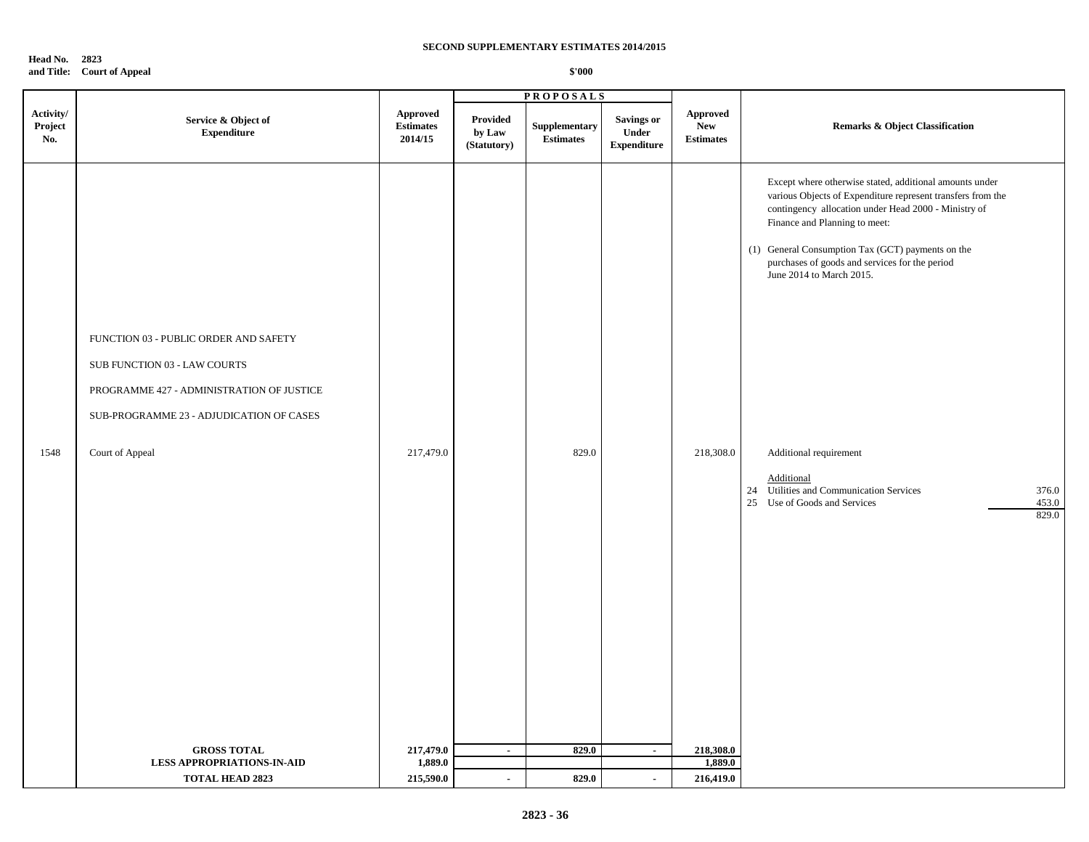**Head No. 2823 and Title: Court of Appeal**

|                             |                                                                                                                                                                                                         |                                         | <b>PROPOSALS</b>                  |                                  |                                                  |                                            |                                                                                                                                                                                                                                                                                                                                                                                                                                                                                                  |
|-----------------------------|---------------------------------------------------------------------------------------------------------------------------------------------------------------------------------------------------------|-----------------------------------------|-----------------------------------|----------------------------------|--------------------------------------------------|--------------------------------------------|--------------------------------------------------------------------------------------------------------------------------------------------------------------------------------------------------------------------------------------------------------------------------------------------------------------------------------------------------------------------------------------------------------------------------------------------------------------------------------------------------|
| Activity/<br>Project<br>No. | Service & Object of<br><b>Expenditure</b>                                                                                                                                                               | Approved<br><b>Estimates</b><br>2014/15 | Provided<br>by Law<br>(Statutory) | Supplementary<br>$\bf Estimates$ | <b>Savings or</b><br>Under<br><b>Expenditure</b> | Approved<br><b>New</b><br><b>Estimates</b> | <b>Remarks &amp; Object Classification</b>                                                                                                                                                                                                                                                                                                                                                                                                                                                       |
| 1548                        | FUNCTION 03 - PUBLIC ORDER AND SAFETY<br>SUB FUNCTION 03 - LAW COURTS<br>PROGRAMME 427 - ADMINISTRATION OF JUSTICE<br>SUB-PROGRAMME 23 - ADJUDICATION OF CASES<br>Court of Appeal<br><b>GROSS TOTAL</b> | 217,479.0<br>217,479.0                  | $\sim$                            | 829.0<br>829.0                   | $\sim$                                           | 218,308.0<br>218,308.0                     | Except where otherwise stated, additional amounts under<br>various Objects of Expenditure represent transfers from the<br>contingency allocation under Head 2000 - Ministry of<br>Finance and Planning to meet:<br>(1) General Consumption Tax (GCT) payments on the<br>purchases of goods and services for the period<br>June 2014 to March 2015.<br>Additional requirement<br>Additional<br>24 Utilities and Communication Services<br>376.0<br>25 Use of Goods and Services<br>453.0<br>829.0 |
|                             | <b>LESS APPROPRIATIONS-IN-AID</b>                                                                                                                                                                       | 1,889.0                                 |                                   |                                  |                                                  | 1,889.0                                    |                                                                                                                                                                                                                                                                                                                                                                                                                                                                                                  |
|                             | TOTAL HEAD 2823                                                                                                                                                                                         | 215,590.0                               | $\sim$                            | 829.0                            | $\sim$                                           | 216,419.0                                  |                                                                                                                                                                                                                                                                                                                                                                                                                                                                                                  |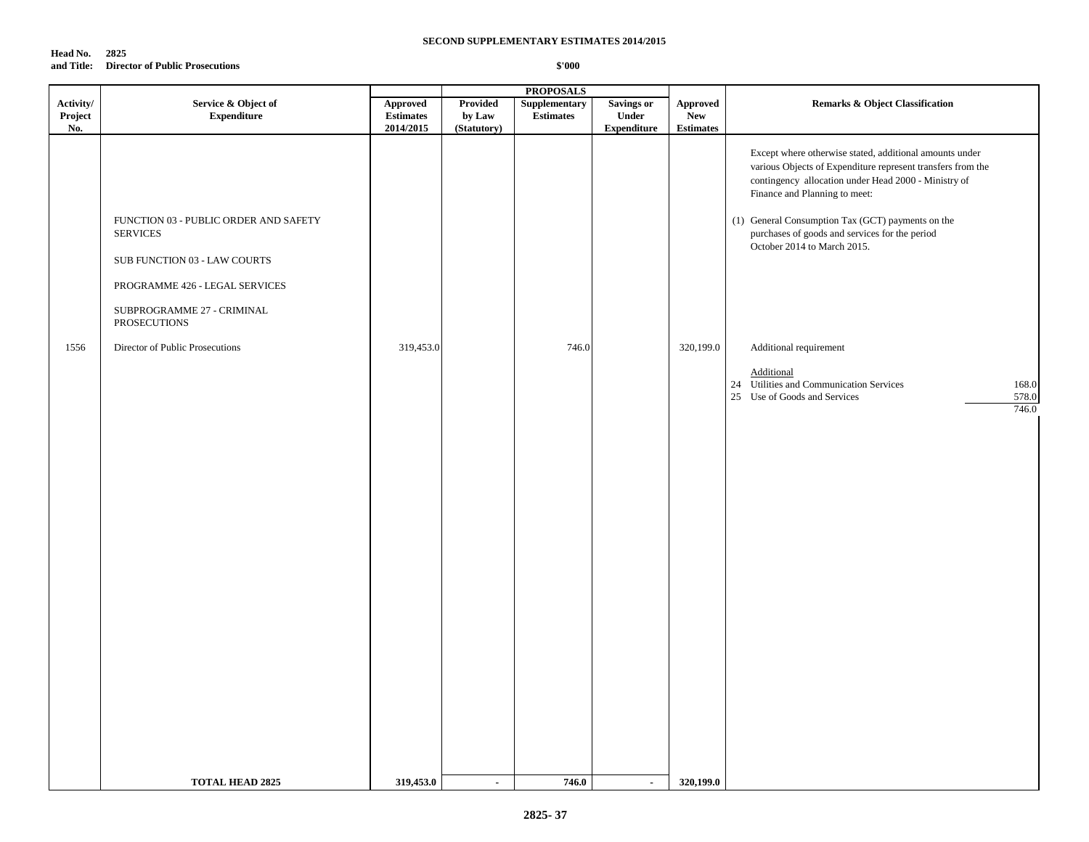### **Head No. 2825 and Title: Director of Public Prosecutions**

|                             |                                                                                                                                                                          |                                                  |                                          | <b>PROPOSALS</b>                  |                                                  |                                                   |                                                                                                                                                                                                                                                                                                                                                       |
|-----------------------------|--------------------------------------------------------------------------------------------------------------------------------------------------------------------------|--------------------------------------------------|------------------------------------------|-----------------------------------|--------------------------------------------------|---------------------------------------------------|-------------------------------------------------------------------------------------------------------------------------------------------------------------------------------------------------------------------------------------------------------------------------------------------------------------------------------------------------------|
| Activity/<br>Project<br>No. | Service & Object of<br><b>Expenditure</b>                                                                                                                                | <b>Approved</b><br><b>Estimates</b><br>2014/2015 | <b>Provided</b><br>by Law<br>(Statutory) | Supplementary<br><b>Estimates</b> | <b>Savings or</b><br>Under<br><b>Expenditure</b> | <b>Approved</b><br><b>New</b><br><b>Estimates</b> | <b>Remarks &amp; Object Classification</b>                                                                                                                                                                                                                                                                                                            |
|                             | FUNCTION 03 - PUBLIC ORDER AND SAFETY<br><b>SERVICES</b><br>SUB FUNCTION 03 - LAW COURTS<br>PROGRAMME 426 - LEGAL SERVICES<br>SUBPROGRAMME 27 - CRIMINAL<br>PROSECUTIONS |                                                  |                                          |                                   |                                                  |                                                   | Except where otherwise stated, additional amounts under<br>various Objects of Expenditure represent transfers from the<br>contingency allocation under Head 2000 - Ministry of<br>Finance and Planning to meet:<br>(1) General Consumption Tax (GCT) payments on the<br>purchases of goods and services for the period<br>October 2014 to March 2015. |
| 1556                        | Director of Public Prosecutions                                                                                                                                          | 319,453.0                                        |                                          | 746.0                             |                                                  | 320,199.0                                         | Additional requirement                                                                                                                                                                                                                                                                                                                                |
|                             |                                                                                                                                                                          |                                                  |                                          |                                   |                                                  |                                                   | Additional<br>24 Utilities and Communication Services<br>168.0<br>25 Use of Goods and Services<br>578.0<br>746.0                                                                                                                                                                                                                                      |
|                             | <b>TOTAL HEAD 2825</b>                                                                                                                                                   | 319,453.0                                        | $\blacksquare$                           | 746.0                             | $\blacksquare$                                   | 320,199.0                                         |                                                                                                                                                                                                                                                                                                                                                       |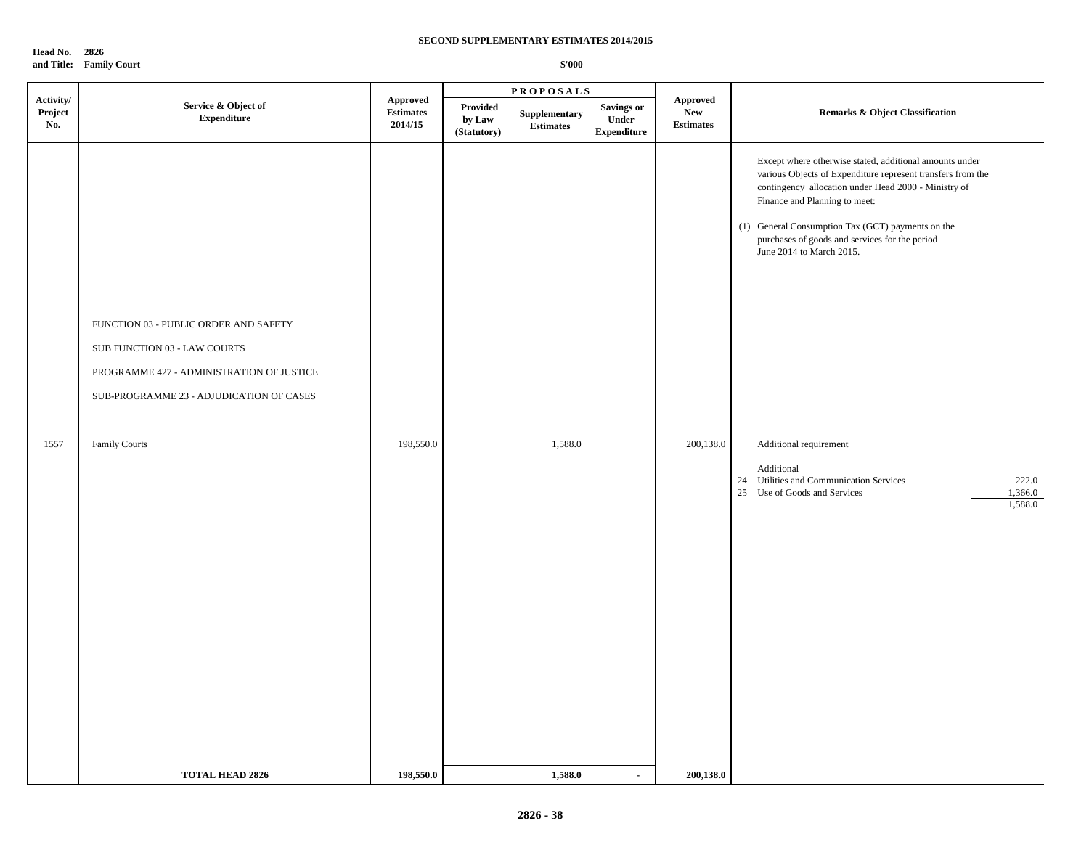**Head No. 2826 and Title: Family Court**

| Activity/<br>Project<br>No. | Service & Object of<br><b>Expenditure</b>                                                                                                                                              | <b>Approved</b><br><b>Estimates</b><br>2014/15 | Provided<br>by Law<br>(Statutory) | ${\large \bf Supplementary}$<br><b>Estimates</b> | Savings or<br>Under | <b>Approved</b><br><b>New</b> | <b>Remarks &amp; Object Classification</b>                                                                                                                                                                                                                                                                                                                                                                                                                                                              |
|-----------------------------|----------------------------------------------------------------------------------------------------------------------------------------------------------------------------------------|------------------------------------------------|-----------------------------------|--------------------------------------------------|---------------------|-------------------------------|---------------------------------------------------------------------------------------------------------------------------------------------------------------------------------------------------------------------------------------------------------------------------------------------------------------------------------------------------------------------------------------------------------------------------------------------------------------------------------------------------------|
|                             |                                                                                                                                                                                        |                                                |                                   |                                                  | <b>Expenditure</b>  | <b>Estimates</b>              |                                                                                                                                                                                                                                                                                                                                                                                                                                                                                                         |
| 1557                        | FUNCTION 03 - PUBLIC ORDER AND SAFETY<br>SUB FUNCTION 03 - LAW COURTS<br>PROGRAMME 427 - ADMINISTRATION OF JUSTICE<br>SUB-PROGRAMME 23 - ADJUDICATION OF CASES<br><b>Family Courts</b> | 198,550.0                                      |                                   | 1,588.0                                          |                     | 200,138.0                     | Except where otherwise stated, additional amounts under<br>various Objects of Expenditure represent transfers from the<br>contingency allocation under Head 2000 - Ministry of<br>Finance and Planning to meet:<br>(1) General Consumption Tax (GCT) payments on the<br>purchases of goods and services for the period<br>June 2014 to March 2015.<br>Additional requirement<br>Additional<br>24 Utilities and Communication Services<br>222.0<br>Use of Goods and Services<br>1,366.0<br>25<br>1,588.0 |
|                             | <b>TOTAL HEAD 2826</b>                                                                                                                                                                 | 198,550.0                                      |                                   | 1,588.0                                          | $\blacksquare$      | 200,138.0                     |                                                                                                                                                                                                                                                                                                                                                                                                                                                                                                         |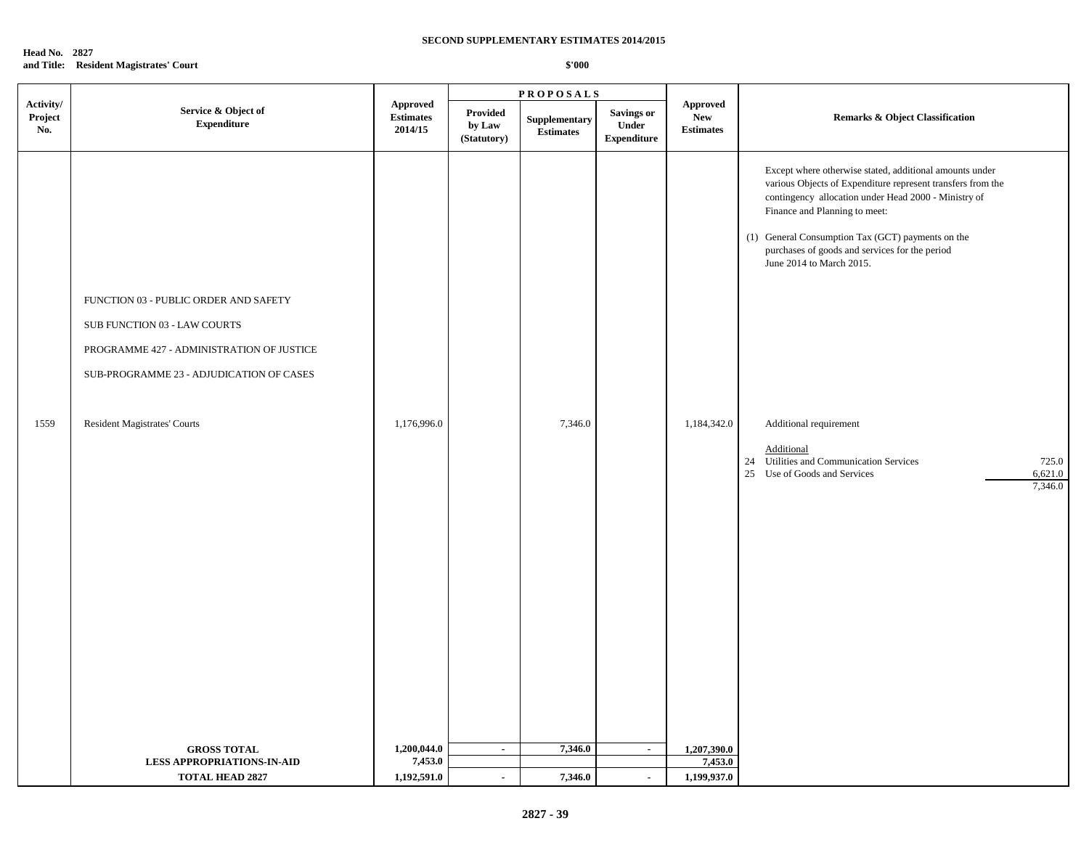### **Head No. 2827 and Title: Resident Magistrates' Court**

|                             |                                                                                                                                                                                                       |                                         |                                   | <b>PROPOSALS</b>                 |                                           |                                                   |                                                                                                                                                                                                                                                                                                                                                                                                                                                                                                      |  |
|-----------------------------|-------------------------------------------------------------------------------------------------------------------------------------------------------------------------------------------------------|-----------------------------------------|-----------------------------------|----------------------------------|-------------------------------------------|---------------------------------------------------|------------------------------------------------------------------------------------------------------------------------------------------------------------------------------------------------------------------------------------------------------------------------------------------------------------------------------------------------------------------------------------------------------------------------------------------------------------------------------------------------------|--|
| Activity/<br>Project<br>No. | Service & Object of<br><b>Expenditure</b>                                                                                                                                                             | Approved<br><b>Estimates</b><br>2014/15 | Provided<br>by Law<br>(Statutory) | Supplementary<br>$\bf Estimates$ | Savings or<br>Under<br><b>Expenditure</b> | <b>Approved</b><br><b>New</b><br><b>Estimates</b> | <b>Remarks &amp; Object Classification</b>                                                                                                                                                                                                                                                                                                                                                                                                                                                           |  |
| 1559                        | FUNCTION 03 - PUBLIC ORDER AND SAFETY<br>SUB FUNCTION 03 - LAW COURTS<br>PROGRAMME 427 - ADMINISTRATION OF JUSTICE<br>SUB-PROGRAMME 23 - ADJUDICATION OF CASES<br><b>Resident Magistrates' Courts</b> | 1,176,996.0                             |                                   | 7,346.0                          |                                           | 1,184,342.0                                       | Except where otherwise stated, additional amounts under<br>various Objects of Expenditure represent transfers from the<br>contingency allocation under Head 2000 - Ministry of<br>Finance and Planning to meet:<br>(1) General Consumption Tax (GCT) payments on the<br>purchases of goods and services for the period<br>June 2014 to March 2015.<br>Additional requirement<br>Additional<br>725.0<br>24 Utilities and Communication Services<br>25 Use of Goods and Services<br>6,621.0<br>7,346.0 |  |
|                             | <b>GROSS TOTAL</b><br><b>LESS APPROPRIATIONS-IN-AID</b><br><b>TOTAL HEAD 2827</b>                                                                                                                     | 1,200,044.0<br>7,453.0<br>1,192,591.0   | $\sim$<br>$\sim$                  | 7,346.0<br>7,346.0               | $\sim$<br>$\sim$                          | 1,207,390.0<br>7,453.0<br>1,199,937.0             |                                                                                                                                                                                                                                                                                                                                                                                                                                                                                                      |  |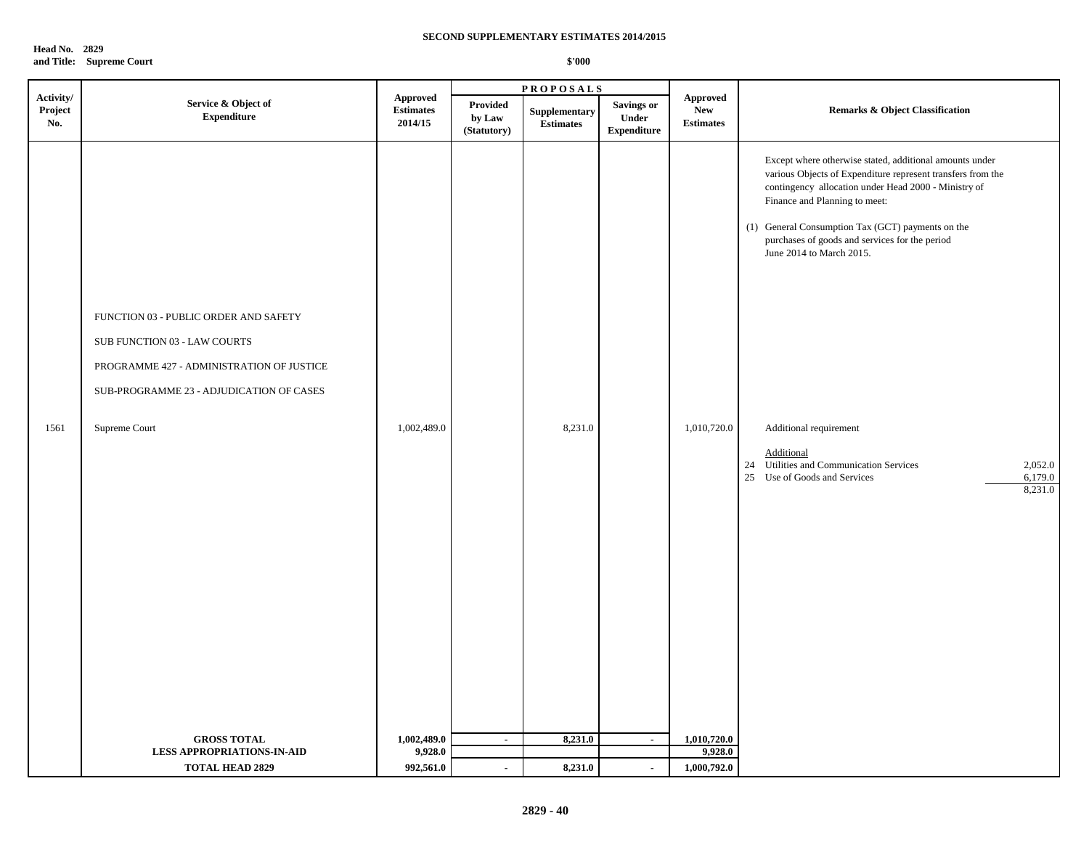| <b>Head No. 2829</b> |                          |
|----------------------|--------------------------|
|                      | and Title: Supreme Court |

| Service & Object of<br>Provided<br><b>Savings or</b><br>Project<br><b>New</b><br><b>Estimates</b><br><b>Remarks &amp; Object Classification</b><br>Supplementary<br>${\bf Expenditure}$<br>Under<br>by Law<br>2014/15<br>No.<br><b>Estimates</b><br>$\label{p:estimates} \textbf{Estimates}$<br>(Statutory)<br><b>Expenditure</b><br>Except where otherwise stated, additional amounts under<br>various Objects of Expenditure represent transfers from the<br>contingency allocation under Head 2000 - Ministry of<br>Finance and Planning to meet:<br>(1) General Consumption Tax (GCT) payments on the<br>purchases of goods and services for the period<br>June 2014 to March 2015.<br>FUNCTION 03 - PUBLIC ORDER AND SAFETY<br>SUB FUNCTION 03 - LAW COURTS<br>PROGRAMME 427 - ADMINISTRATION OF JUSTICE<br>SUB-PROGRAMME 23 - ADJUDICATION OF CASES<br>1,002,489.0<br>8,231.0<br>1561<br>Supreme Court<br>1,010,720.0<br>Additional requirement<br>Additional<br>24 Utilities and Communication Services<br>2,052.0<br>25 Use of Goods and Services<br>6,179.0<br>8,231.0<br>8,231.0<br><b>GROSS TOTAL</b><br>1,002,489.0<br>1,010,720.0<br>$\sim$<br>$\sim$<br>9,928.0<br>9,928.0<br><b>LESS APPROPRIATIONS-IN-AID</b><br>992,561.0<br>8,231.0<br><b>TOTAL HEAD 2829</b><br>$\overline{a}$<br>$\sim$ |           |                 | <b>PROPOSALS</b> |                 |  |  |
|-------------------------------------------------------------------------------------------------------------------------------------------------------------------------------------------------------------------------------------------------------------------------------------------------------------------------------------------------------------------------------------------------------------------------------------------------------------------------------------------------------------------------------------------------------------------------------------------------------------------------------------------------------------------------------------------------------------------------------------------------------------------------------------------------------------------------------------------------------------------------------------------------------------------------------------------------------------------------------------------------------------------------------------------------------------------------------------------------------------------------------------------------------------------------------------------------------------------------------------------------------------------------------------------------------------|-----------|-----------------|------------------|-----------------|--|--|
|                                                                                                                                                                                                                                                                                                                                                                                                                                                                                                                                                                                                                                                                                                                                                                                                                                                                                                                                                                                                                                                                                                                                                                                                                                                                                                             | Activity/ | <b>Approved</b> |                  | <b>Approved</b> |  |  |
|                                                                                                                                                                                                                                                                                                                                                                                                                                                                                                                                                                                                                                                                                                                                                                                                                                                                                                                                                                                                                                                                                                                                                                                                                                                                                                             |           |                 |                  |                 |  |  |
|                                                                                                                                                                                                                                                                                                                                                                                                                                                                                                                                                                                                                                                                                                                                                                                                                                                                                                                                                                                                                                                                                                                                                                                                                                                                                                             |           |                 |                  |                 |  |  |
|                                                                                                                                                                                                                                                                                                                                                                                                                                                                                                                                                                                                                                                                                                                                                                                                                                                                                                                                                                                                                                                                                                                                                                                                                                                                                                             |           |                 |                  |                 |  |  |
|                                                                                                                                                                                                                                                                                                                                                                                                                                                                                                                                                                                                                                                                                                                                                                                                                                                                                                                                                                                                                                                                                                                                                                                                                                                                                                             |           |                 |                  | 1,000,792.0     |  |  |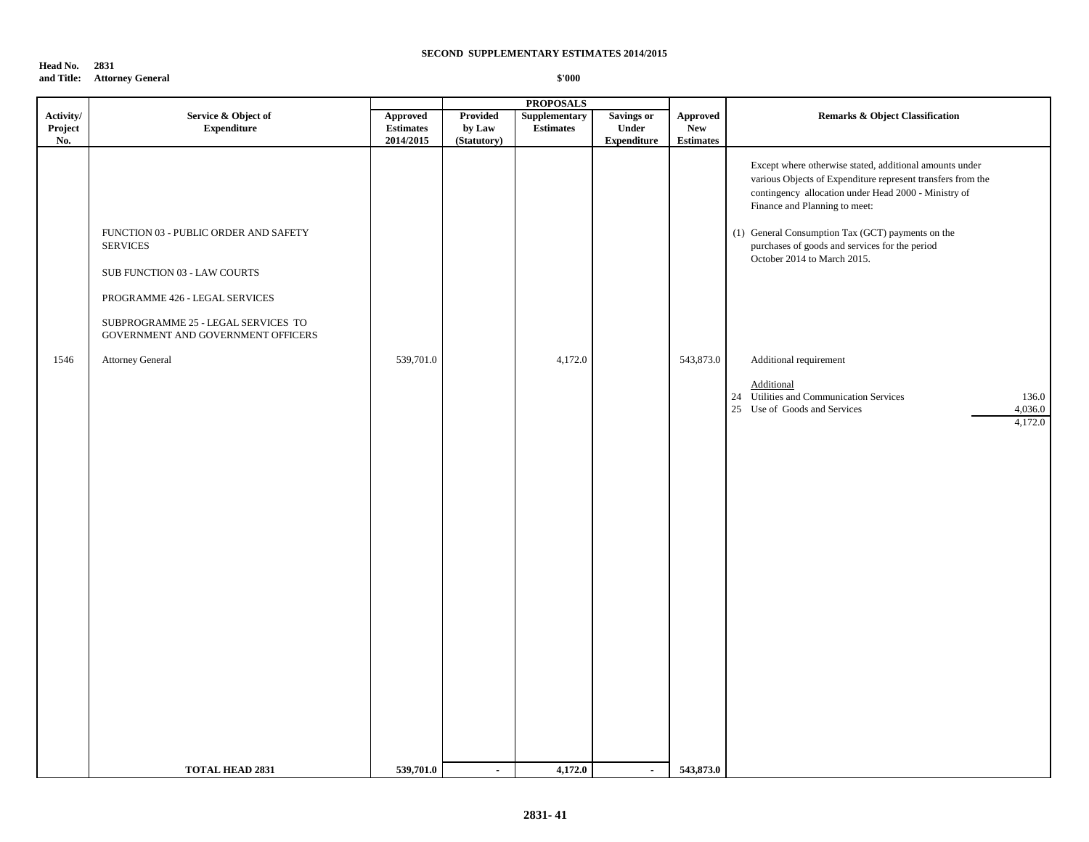### **Head No. 2831 and Title: Attorney General**

|                        |                                                                                                                                                                                                                                                          |                                            |                       | <b>PROPOSALS</b>            |                             |                                             |                                                                                                                                                                                                                                                                                                                                                                                                                                                                                                         |
|------------------------|----------------------------------------------------------------------------------------------------------------------------------------------------------------------------------------------------------------------------------------------------------|--------------------------------------------|-----------------------|-----------------------------|-----------------------------|---------------------------------------------|---------------------------------------------------------------------------------------------------------------------------------------------------------------------------------------------------------------------------------------------------------------------------------------------------------------------------------------------------------------------------------------------------------------------------------------------------------------------------------------------------------|
| Activity/              | Service & Object of                                                                                                                                                                                                                                      | Approved                                   | Provided              | Supplementary               | <b>Savings or</b>           | <b>Approved</b>                             | <b>Remarks &amp; Object Classification</b>                                                                                                                                                                                                                                                                                                                                                                                                                                                              |
|                        |                                                                                                                                                                                                                                                          |                                            |                       |                             |                             |                                             |                                                                                                                                                                                                                                                                                                                                                                                                                                                                                                         |
| Project<br>No.<br>1546 | <b>Expenditure</b><br>FUNCTION 03 - PUBLIC ORDER AND SAFETY<br><b>SERVICES</b><br>SUB FUNCTION 03 - LAW COURTS<br>PROGRAMME 426 - LEGAL SERVICES<br>SUBPROGRAMME 25 - LEGAL SERVICES TO<br>GOVERNMENT AND GOVERNMENT OFFICERS<br><b>Attorney General</b> | <b>Estimates</b><br>2014/2015<br>539,701.0 | by Law<br>(Statutory) | <b>Estimates</b><br>4,172.0 | Under<br><b>Expenditure</b> | <b>New</b><br><b>Estimates</b><br>543,873.0 | Except where otherwise stated, additional amounts under<br>various Objects of Expenditure represent transfers from the<br>contingency allocation under Head 2000 - Ministry of<br>Finance and Planning to meet:<br>(1) General Consumption Tax (GCT) payments on the<br>purchases of goods and services for the period<br>October 2014 to March 2015.<br>Additional requirement<br>Additional<br>24 Utilities and Communication Services<br>136.0<br>4,036.0<br>25 Use of Goods and Services<br>4,172.0 |
|                        |                                                                                                                                                                                                                                                          |                                            |                       |                             |                             |                                             |                                                                                                                                                                                                                                                                                                                                                                                                                                                                                                         |
|                        | <b>TOTAL HEAD 2831</b>                                                                                                                                                                                                                                   | 539,701.0                                  | $\blacksquare$        | 4,172.0                     | $\sim$                      | 543,873.0                                   |                                                                                                                                                                                                                                                                                                                                                                                                                                                                                                         |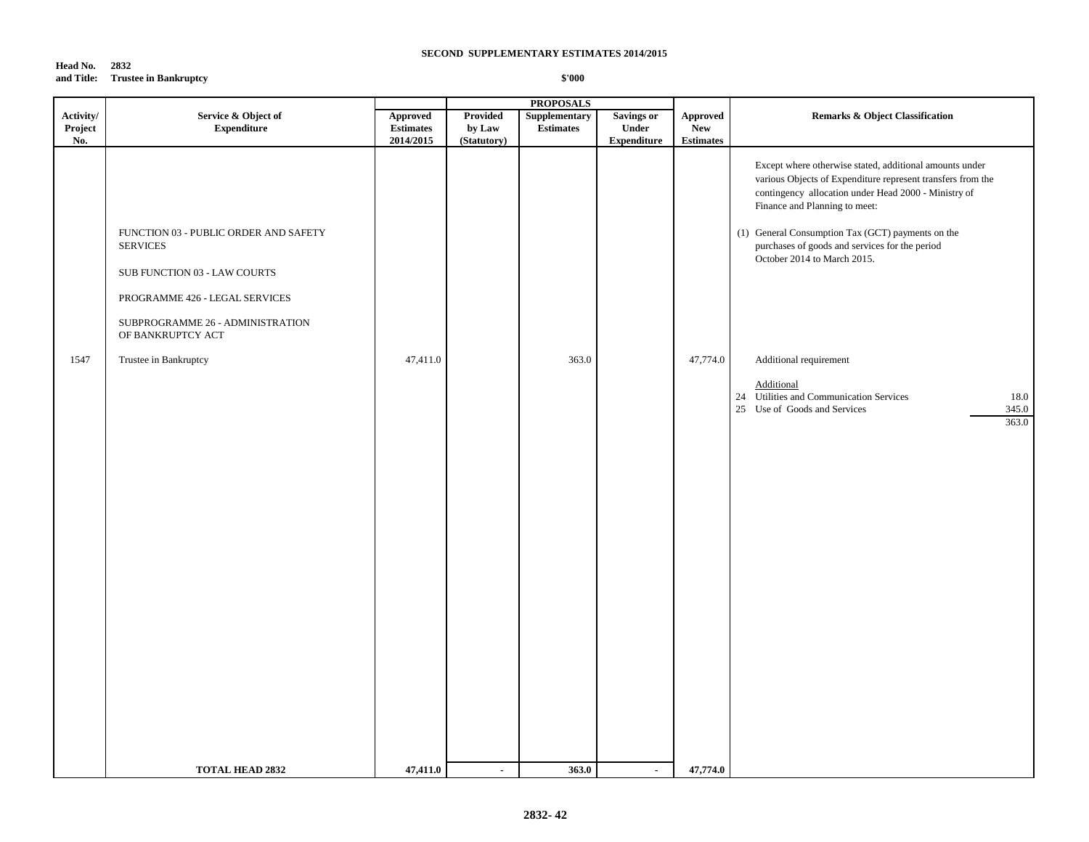### **Head No. 2832 and Title: Trustee in Bankruptcy**

|           |                                                                                                                                                                                     |                  |                 | <b>PROPOSALS</b> |                    |                  |                                                                                                                                                                                                                                                                                                                                                       |
|-----------|-------------------------------------------------------------------------------------------------------------------------------------------------------------------------------------|------------------|-----------------|------------------|--------------------|------------------|-------------------------------------------------------------------------------------------------------------------------------------------------------------------------------------------------------------------------------------------------------------------------------------------------------------------------------------------------------|
| Activity/ | Service & Object of                                                                                                                                                                 | Approved         | <b>Provided</b> | Supplementary    | <b>Savings or</b>  | <b>Approved</b>  | Remarks & Object Classification                                                                                                                                                                                                                                                                                                                       |
| Project   | ${\bf Expenditure}$                                                                                                                                                                 | <b>Estimates</b> | by Law          | <b>Estimates</b> | Under              | New              |                                                                                                                                                                                                                                                                                                                                                       |
| No.       |                                                                                                                                                                                     | 2014/2015        | (Statutory)     |                  | <b>Expenditure</b> | <b>Estimates</b> |                                                                                                                                                                                                                                                                                                                                                       |
|           | FUNCTION 03 - PUBLIC ORDER AND SAFETY<br><b>SERVICES</b><br>SUB FUNCTION 03 - LAW COURTS<br>PROGRAMME 426 - LEGAL SERVICES<br>SUBPROGRAMME 26 - ADMINISTRATION<br>OF BANKRUPTCY ACT |                  |                 |                  |                    |                  | Except where otherwise stated, additional amounts under<br>various Objects of Expenditure represent transfers from the<br>contingency allocation under Head 2000 - Ministry of<br>Finance and Planning to meet:<br>(1) General Consumption Tax (GCT) payments on the<br>purchases of goods and services for the period<br>October 2014 to March 2015. |
| 1547      | Trustee in Bankruptcy                                                                                                                                                               | 47,411.0         |                 | 363.0            |                    | 47,774.0         | Additional requirement                                                                                                                                                                                                                                                                                                                                |
|           |                                                                                                                                                                                     |                  |                 |                  |                    |                  | Additional<br>24 Utilities and Communication Services<br>18.0<br>345.0<br>25 Use of Goods and Services<br>363.0                                                                                                                                                                                                                                       |
|           | <b>TOTAL HEAD 2832</b>                                                                                                                                                              | 47,411.0         | $\blacksquare$  | 363.0            | $\sim$             | 47,774.0         |                                                                                                                                                                                                                                                                                                                                                       |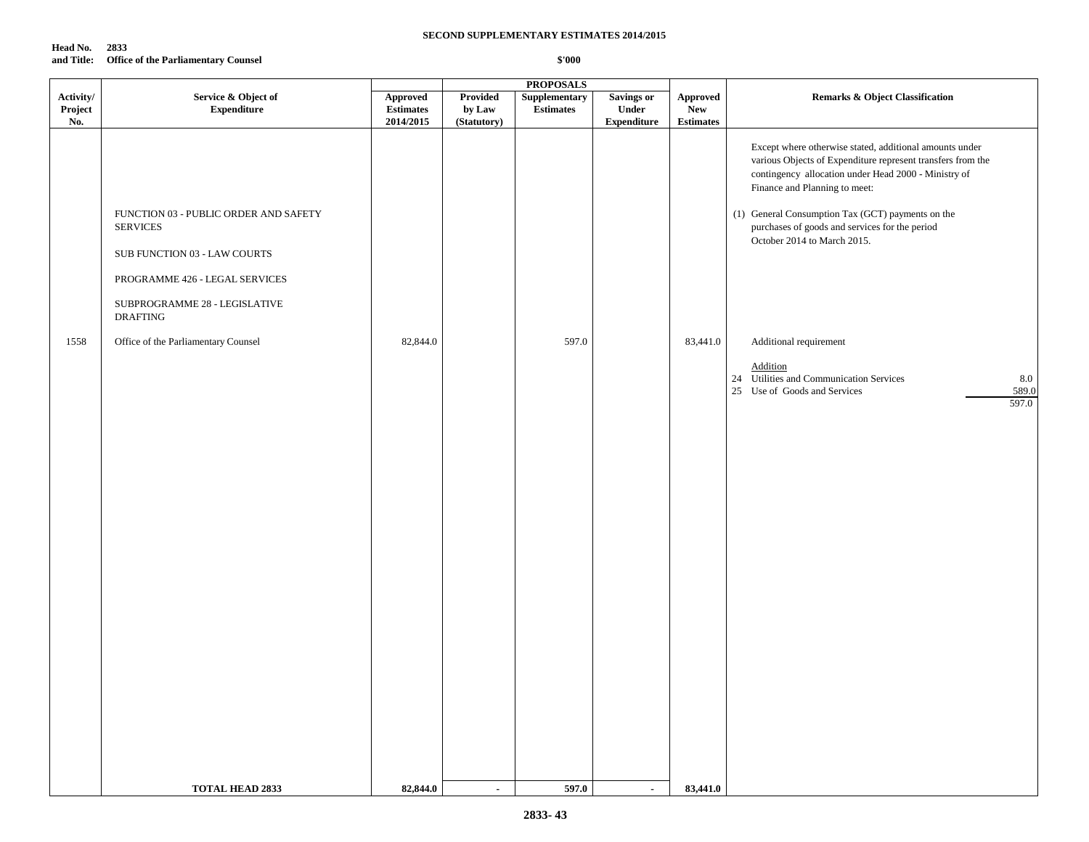| Head No. | 2833                                           |
|----------|------------------------------------------------|
|          | and Title: Office of the Parliamentary Counsel |

|                |                                                                                                                                                             |                               |                       | <b>PROPOSALS</b> |                             |                                |                                                                                                                                                                                                                                                                                                                                                       |
|----------------|-------------------------------------------------------------------------------------------------------------------------------------------------------------|-------------------------------|-----------------------|------------------|-----------------------------|--------------------------------|-------------------------------------------------------------------------------------------------------------------------------------------------------------------------------------------------------------------------------------------------------------------------------------------------------------------------------------------------------|
| Activity/      | Service & Object of                                                                                                                                         | ${\Large\bf Approved}$        | <b>Provided</b>       | Supplementary    | <b>Savings or</b>           | Approved                       | <b>Remarks &amp; Object Classification</b>                                                                                                                                                                                                                                                                                                            |
| Project<br>No. | <b>Expenditure</b>                                                                                                                                          | <b>Estimates</b><br>2014/2015 | by Law<br>(Statutory) | <b>Estimates</b> | Under<br><b>Expenditure</b> | <b>New</b><br><b>Estimates</b> |                                                                                                                                                                                                                                                                                                                                                       |
|                | FUNCTION 03 - PUBLIC ORDER AND SAFETY<br><b>SERVICES</b><br>SUB FUNCTION 03 - LAW COURTS<br>PROGRAMME 426 - LEGAL SERVICES<br>SUBPROGRAMME 28 - LEGISLATIVE |                               |                       |                  |                             |                                | Except where otherwise stated, additional amounts under<br>various Objects of Expenditure represent transfers from the<br>contingency allocation under Head 2000 - Ministry of<br>Finance and Planning to meet:<br>(1) General Consumption Tax (GCT) payments on the<br>purchases of goods and services for the period<br>October 2014 to March 2015. |
|                | <b>DRAFTING</b>                                                                                                                                             |                               |                       |                  |                             |                                |                                                                                                                                                                                                                                                                                                                                                       |
| 1558           | Office of the Parliamentary Counsel                                                                                                                         | 82,844.0                      |                       | 597.0            |                             | 83,441.0                       | Additional requirement                                                                                                                                                                                                                                                                                                                                |
|                |                                                                                                                                                             |                               |                       |                  |                             |                                | Addition<br>24 Utilities and Communication Services<br>8.0                                                                                                                                                                                                                                                                                            |
|                |                                                                                                                                                             |                               |                       |                  |                             |                                | 25 Use of Goods and Services<br>589.0                                                                                                                                                                                                                                                                                                                 |
|                |                                                                                                                                                             |                               |                       |                  |                             |                                | 597.0                                                                                                                                                                                                                                                                                                                                                 |
|                |                                                                                                                                                             |                               |                       |                  |                             |                                |                                                                                                                                                                                                                                                                                                                                                       |
|                |                                                                                                                                                             |                               |                       |                  |                             |                                |                                                                                                                                                                                                                                                                                                                                                       |
|                |                                                                                                                                                             |                               |                       |                  |                             |                                |                                                                                                                                                                                                                                                                                                                                                       |
|                |                                                                                                                                                             |                               |                       |                  |                             |                                |                                                                                                                                                                                                                                                                                                                                                       |
|                |                                                                                                                                                             |                               |                       |                  |                             |                                |                                                                                                                                                                                                                                                                                                                                                       |
|                |                                                                                                                                                             |                               |                       |                  |                             |                                |                                                                                                                                                                                                                                                                                                                                                       |
|                |                                                                                                                                                             |                               |                       |                  |                             |                                |                                                                                                                                                                                                                                                                                                                                                       |
|                |                                                                                                                                                             |                               |                       |                  |                             |                                |                                                                                                                                                                                                                                                                                                                                                       |
|                |                                                                                                                                                             |                               |                       |                  |                             |                                |                                                                                                                                                                                                                                                                                                                                                       |
|                |                                                                                                                                                             |                               |                       |                  |                             |                                |                                                                                                                                                                                                                                                                                                                                                       |
|                |                                                                                                                                                             |                               |                       |                  |                             |                                |                                                                                                                                                                                                                                                                                                                                                       |
|                |                                                                                                                                                             |                               |                       |                  |                             |                                |                                                                                                                                                                                                                                                                                                                                                       |
|                |                                                                                                                                                             |                               |                       |                  |                             |                                |                                                                                                                                                                                                                                                                                                                                                       |
|                |                                                                                                                                                             |                               |                       |                  |                             |                                |                                                                                                                                                                                                                                                                                                                                                       |
|                |                                                                                                                                                             |                               |                       |                  |                             |                                |                                                                                                                                                                                                                                                                                                                                                       |
|                |                                                                                                                                                             |                               |                       |                  |                             |                                |                                                                                                                                                                                                                                                                                                                                                       |
|                |                                                                                                                                                             |                               |                       |                  |                             |                                |                                                                                                                                                                                                                                                                                                                                                       |
|                | <b>TOTAL HEAD 2833</b>                                                                                                                                      | 82,844.0                      | $\blacksquare$        | 597.0            | $\blacksquare$              | 83,441.0                       |                                                                                                                                                                                                                                                                                                                                                       |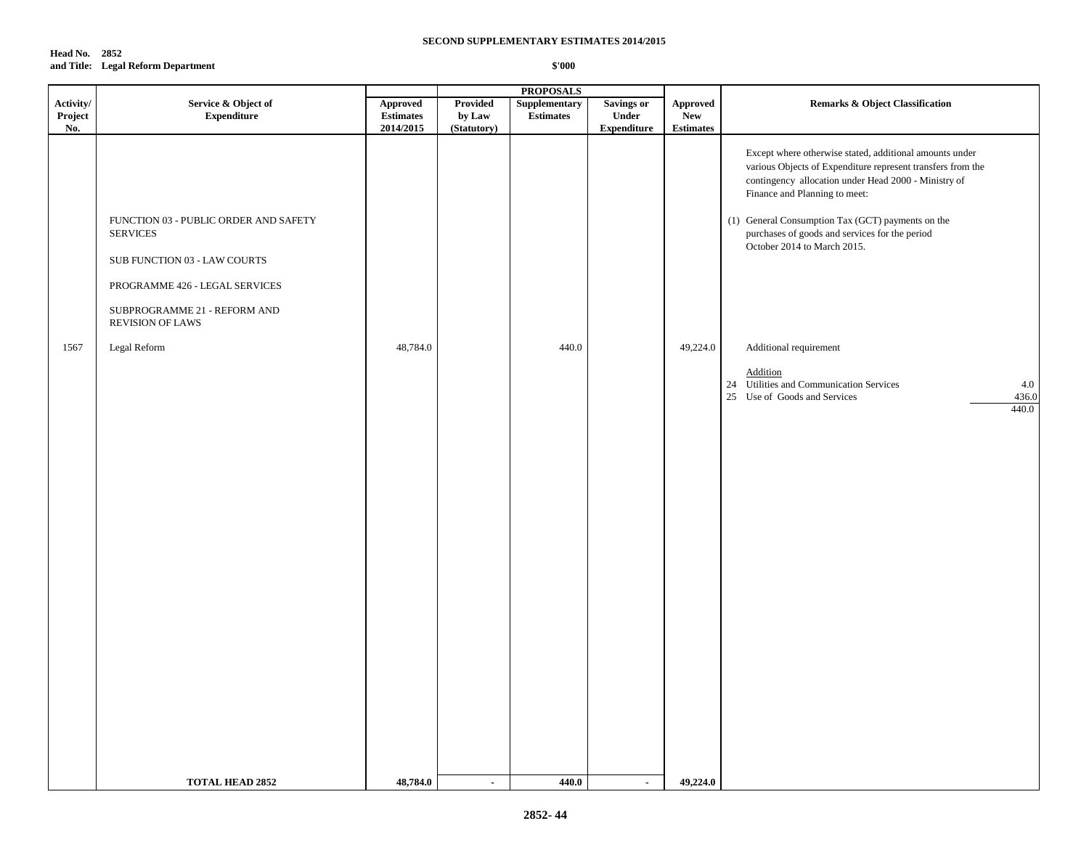### **Head No. 2852 and Title: Legal Reform Department**

|                             |                                                                                                                                                                                       |                                                                                   |                                   | <b>PROPOSALS</b>                  |                                                         |                                                   |                                                                                                                                                                                                                                                                                                                                                       |
|-----------------------------|---------------------------------------------------------------------------------------------------------------------------------------------------------------------------------------|-----------------------------------------------------------------------------------|-----------------------------------|-----------------------------------|---------------------------------------------------------|---------------------------------------------------|-------------------------------------------------------------------------------------------------------------------------------------------------------------------------------------------------------------------------------------------------------------------------------------------------------------------------------------------------------|
| Activity/<br>Project<br>No. | Service & Object of<br><b>Expenditure</b>                                                                                                                                             | <b>Approved</b><br>$\begin{array}{c} \textbf{Estimates} \end{array}$<br>2014/2015 | Provided<br>by Law<br>(Statutory) | Supplementary<br><b>Estimates</b> | <b>Savings or</b><br><b>Under</b><br><b>Expenditure</b> | <b>Approved</b><br><b>New</b><br><b>Estimates</b> | <b>Remarks &amp; Object Classification</b>                                                                                                                                                                                                                                                                                                            |
|                             | FUNCTION 03 - PUBLIC ORDER AND SAFETY<br><b>SERVICES</b><br>SUB FUNCTION 03 - LAW COURTS<br>PROGRAMME 426 - LEGAL SERVICES<br>SUBPROGRAMME 21 - REFORM AND<br><b>REVISION OF LAWS</b> |                                                                                   |                                   |                                   |                                                         |                                                   | Except where otherwise stated, additional amounts under<br>various Objects of Expenditure represent transfers from the<br>contingency allocation under Head 2000 - Ministry of<br>Finance and Planning to meet:<br>(1) General Consumption Tax (GCT) payments on the<br>purchases of goods and services for the period<br>October 2014 to March 2015. |
| 1567                        | Legal Reform                                                                                                                                                                          | 48,784.0                                                                          |                                   | 440.0                             |                                                         | 49,224.0                                          | Additional requirement                                                                                                                                                                                                                                                                                                                                |
|                             |                                                                                                                                                                                       |                                                                                   |                                   |                                   |                                                         |                                                   | Addition<br>24 Utilities and Communication Services<br>4.0<br>25 Use of Goods and Services<br>436.0<br>440.0                                                                                                                                                                                                                                          |
|                             | <b>TOTAL HEAD 2852</b>                                                                                                                                                                | 48,784.0                                                                          | $\sim$                            | 440.0                             | $\sim$                                                  | 49,224.0                                          |                                                                                                                                                                                                                                                                                                                                                       |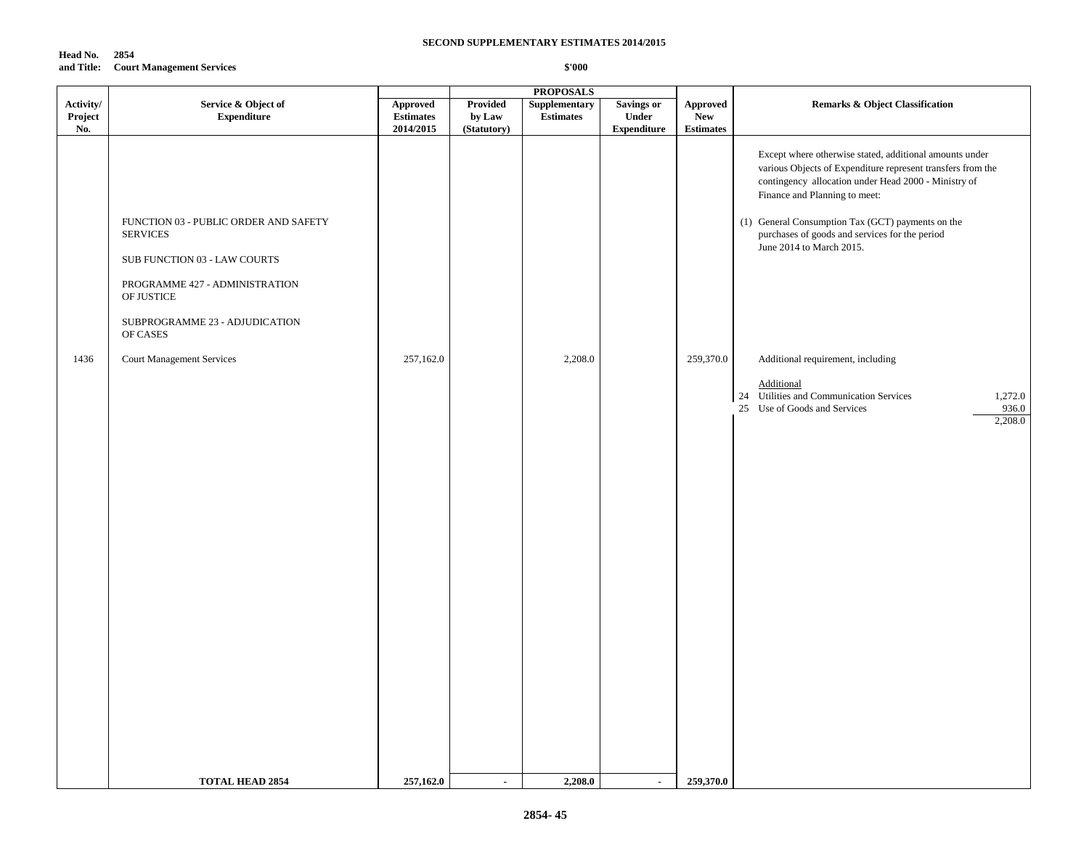| Head No. | 2854                                 |
|----------|--------------------------------------|
|          | and Title: Court Management Services |

|                      |                                                                                                                                                                                                                            |                              |                             | <b>PROPOSALS</b>           |                            |                               |                                                                                                                                                                                                                                                                                                                                                                                                                                                                                                                 |
|----------------------|----------------------------------------------------------------------------------------------------------------------------------------------------------------------------------------------------------------------------|------------------------------|-----------------------------|----------------------------|----------------------------|-------------------------------|-----------------------------------------------------------------------------------------------------------------------------------------------------------------------------------------------------------------------------------------------------------------------------------------------------------------------------------------------------------------------------------------------------------------------------------------------------------------------------------------------------------------|
| Activity/<br>Project | Service & Object of<br><b>Expenditure</b>                                                                                                                                                                                  | Approved<br><b>Estimates</b> | Provided<br>by Law          | Supplementary<br>Estimates | <b>Savings or</b><br>Under | <b>Approved</b><br><b>New</b> | <b>Remarks &amp; Object Classification</b>                                                                                                                                                                                                                                                                                                                                                                                                                                                                      |
| No.<br>1436          | FUNCTION 03 - PUBLIC ORDER AND SAFETY<br><b>SERVICES</b><br>SUB FUNCTION 03 - LAW COURTS<br>PROGRAMME 427 - ADMINISTRATION<br>OF JUSTICE<br>SUBPROGRAMME 23 - ADJUDICATION<br>OF CASES<br><b>Court Management Services</b> | 2014/2015<br>257,162.0       | (Statutory)                 | 2,208.0                    | <b>Expenditure</b>         | <b>Estimates</b><br>259,370.0 | Except where otherwise stated, additional amounts under<br>various Objects of Expenditure represent transfers from the<br>contingency allocation under Head 2000 - Ministry of<br>Finance and Planning to meet:<br>(1) General Consumption Tax (GCT) payments on the<br>purchases of goods and services for the period<br>June 2014 to March 2015.<br>Additional requirement, including<br>Additional<br>24 Utilities and Communication Services<br>1,272.0<br>25 Use of Goods and Services<br>936.0<br>2,208.0 |
|                      |                                                                                                                                                                                                                            |                              |                             |                            |                            |                               |                                                                                                                                                                                                                                                                                                                                                                                                                                                                                                                 |
|                      | <b>TOTAL HEAD 2854</b>                                                                                                                                                                                                     | 257,162.0                    | $\mathcal{L}_{\mathcal{A}}$ | 2,208.0                    | $\sim$                     | 259,370.0                     |                                                                                                                                                                                                                                                                                                                                                                                                                                                                                                                 |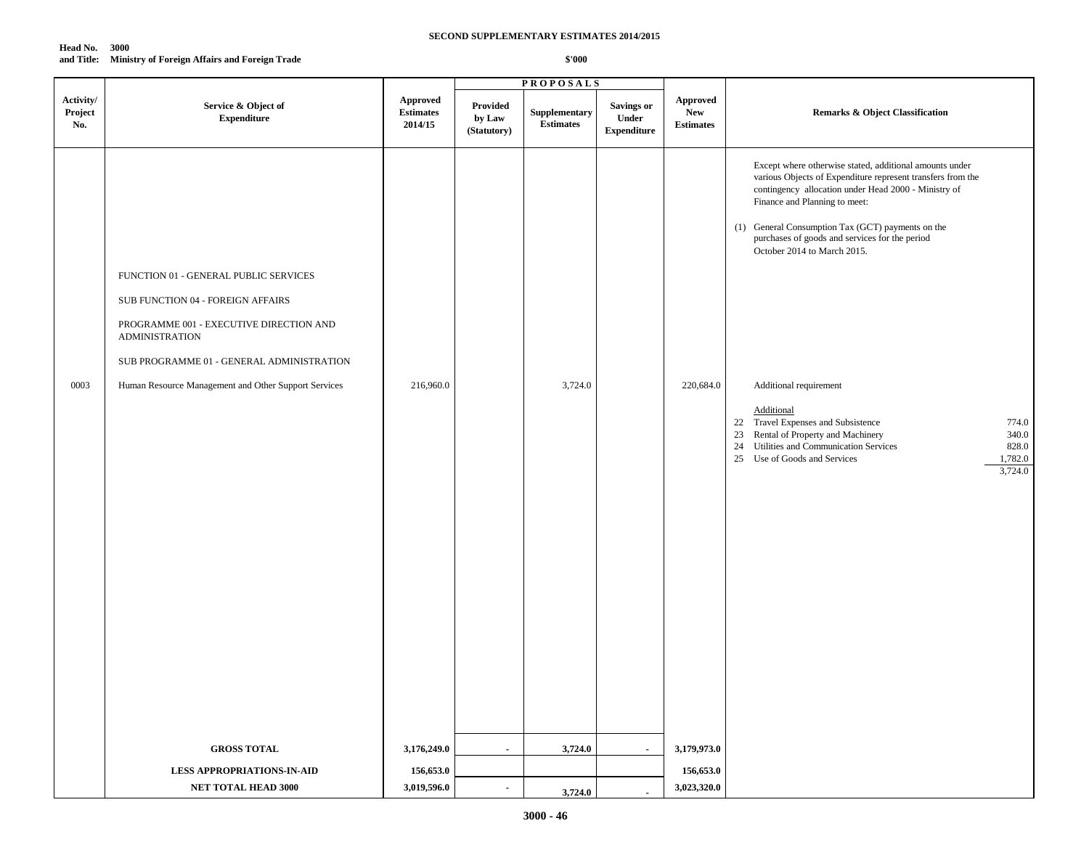| Head No.   | - 3000                                               |
|------------|------------------------------------------------------|
| and Title: | <b>Ministry of Foreign Affairs and Foreign Trade</b> |

|                             |                                                                                                                                                                                                                                                     |                                         |                                   | <b>PROPOSALS</b>                  |                                                  |                                            |                                                                                                                                                                                                                                                                                                                                                                                                                                                                                                                                                                                                        |
|-----------------------------|-----------------------------------------------------------------------------------------------------------------------------------------------------------------------------------------------------------------------------------------------------|-----------------------------------------|-----------------------------------|-----------------------------------|--------------------------------------------------|--------------------------------------------|--------------------------------------------------------------------------------------------------------------------------------------------------------------------------------------------------------------------------------------------------------------------------------------------------------------------------------------------------------------------------------------------------------------------------------------------------------------------------------------------------------------------------------------------------------------------------------------------------------|
| Activity/<br>Project<br>No. | Service & Object of<br><b>Expenditure</b>                                                                                                                                                                                                           | Approved<br><b>Estimates</b><br>2014/15 | Provided<br>by Law<br>(Statutory) | Supplementary<br><b>Estimates</b> | <b>Savings or</b><br>Under<br><b>Expenditure</b> | Approved<br><b>New</b><br><b>Estimates</b> | <b>Remarks &amp; Object Classification</b>                                                                                                                                                                                                                                                                                                                                                                                                                                                                                                                                                             |
| 0003                        | FUNCTION 01 - GENERAL PUBLIC SERVICES<br>SUB FUNCTION 04 - FOREIGN AFFAIRS<br>PROGRAMME 001 - EXECUTIVE DIRECTION AND<br><b>ADMINISTRATION</b><br>SUB PROGRAMME 01 - GENERAL ADMINISTRATION<br>Human Resource Management and Other Support Services | 216,960.0                               |                                   | 3,724.0                           |                                                  | 220,684.0<br>3,179,973.0                   | Except where otherwise stated, additional amounts under<br>various Objects of Expenditure represent transfers from the<br>contingency allocation under Head 2000 - Ministry of<br>Finance and Planning to meet:<br>(1) General Consumption Tax (GCT) payments on the<br>purchases of goods and services for the period<br>October 2014 to March 2015.<br>Additional requirement<br>Additional<br>22 Travel Expenses and Subsistence<br>774.0<br>23 Rental of Property and Machinery<br>340.0<br>24 Utilities and Communication Services<br>828.0<br>25 Use of Goods and Services<br>1,782.0<br>3,724.0 |
|                             | <b>GROSS TOTAL</b>                                                                                                                                                                                                                                  | 3,176,249.0                             | $\blacksquare$                    | 3,724.0                           | $\sim$                                           |                                            |                                                                                                                                                                                                                                                                                                                                                                                                                                                                                                                                                                                                        |
|                             | <b>LESS APPROPRIATIONS-IN-AID</b><br>NET TOTAL HEAD 3000                                                                                                                                                                                            | 156,653.0<br>3,019,596.0                | $\blacksquare$                    |                                   |                                                  | 156,653.0<br>3,023,320.0                   |                                                                                                                                                                                                                                                                                                                                                                                                                                                                                                                                                                                                        |
|                             |                                                                                                                                                                                                                                                     |                                         |                                   | 3,724.0                           |                                                  |                                            |                                                                                                                                                                                                                                                                                                                                                                                                                                                                                                                                                                                                        |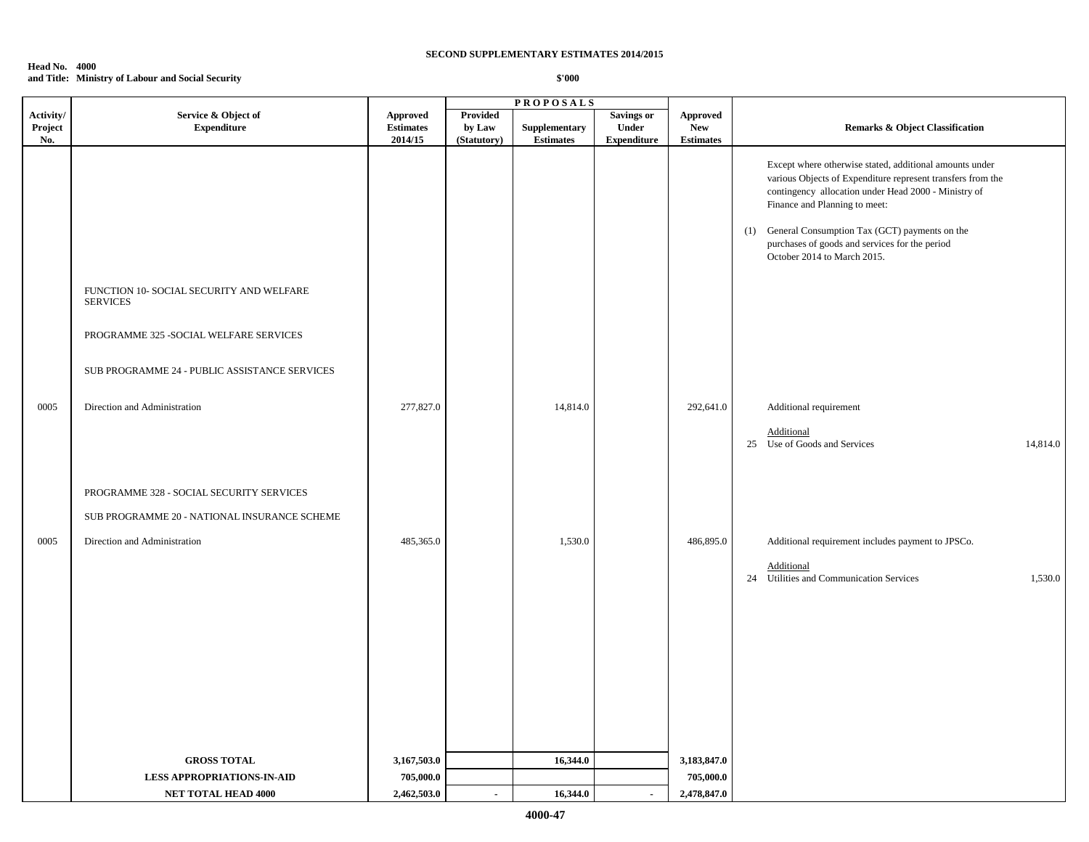### **Head No. 4000 and Title: Ministry of Labour and Social Security**

|           |                                                                                                                                                         |                                         |                | <b>PROPOSALS</b>     |                    |                                         |                                                                                                                                                                                                                                                                                                                                                       |
|-----------|---------------------------------------------------------------------------------------------------------------------------------------------------------|-----------------------------------------|----------------|----------------------|--------------------|-----------------------------------------|-------------------------------------------------------------------------------------------------------------------------------------------------------------------------------------------------------------------------------------------------------------------------------------------------------------------------------------------------------|
| Activity/ | Service & Object of                                                                                                                                     | <b>Approved</b>                         | Provided       |                      | <b>Savings or</b>  | <b>Approved</b>                         |                                                                                                                                                                                                                                                                                                                                                       |
| Project   | <b>Expenditure</b>                                                                                                                                      | <b>Estimates</b>                        | by Law         | Supplementary        | Under              | <b>New</b>                              | <b>Remarks &amp; Object Classification</b>                                                                                                                                                                                                                                                                                                            |
| No.       | FUNCTION 10- SOCIAL SECURITY AND WELFARE<br><b>SERVICES</b><br>PROGRAMME 325 - SOCIAL WELFARE SERVICES<br>SUB PROGRAMME 24 - PUBLIC ASSISTANCE SERVICES | 2014/15                                 | (Statutory)    | <b>Estimates</b>     | <b>Expenditure</b> | <b>Estimates</b>                        | Except where otherwise stated, additional amounts under<br>various Objects of Expenditure represent transfers from the<br>contingency allocation under Head 2000 - Ministry of<br>Finance and Planning to meet:<br>(1) General Consumption Tax (GCT) payments on the<br>purchases of goods and services for the period<br>October 2014 to March 2015. |
| 0005      | Direction and Administration                                                                                                                            | 277,827.0                               |                | 14,814.0             |                    | 292,641.0                               | Additional requirement<br>Additional<br>25 Use of Goods and Services<br>14,814.0                                                                                                                                                                                                                                                                      |
|           | PROGRAMME 328 - SOCIAL SECURITY SERVICES<br>SUB PROGRAMME 20 - NATIONAL INSURANCE SCHEME                                                                |                                         |                |                      |                    |                                         |                                                                                                                                                                                                                                                                                                                                                       |
| 0005      | Direction and Administration                                                                                                                            | 485,365.0                               |                | 1,530.0              |                    | 486,895.0                               | Additional requirement includes payment to JPSCo.<br>Additional<br>24 Utilities and Communication Services<br>1,530.0                                                                                                                                                                                                                                 |
|           | <b>GROSS TOTAL</b><br><b>LESS APPROPRIATIONS-IN-AID</b><br>NET TOTAL HEAD 4000                                                                          | 3,167,503.0<br>705,000.0<br>2,462,503.0 | $\blacksquare$ | 16,344.0<br>16,344.0 | $\blacksquare$     | 3,183,847.0<br>705,000.0<br>2,478,847.0 |                                                                                                                                                                                                                                                                                                                                                       |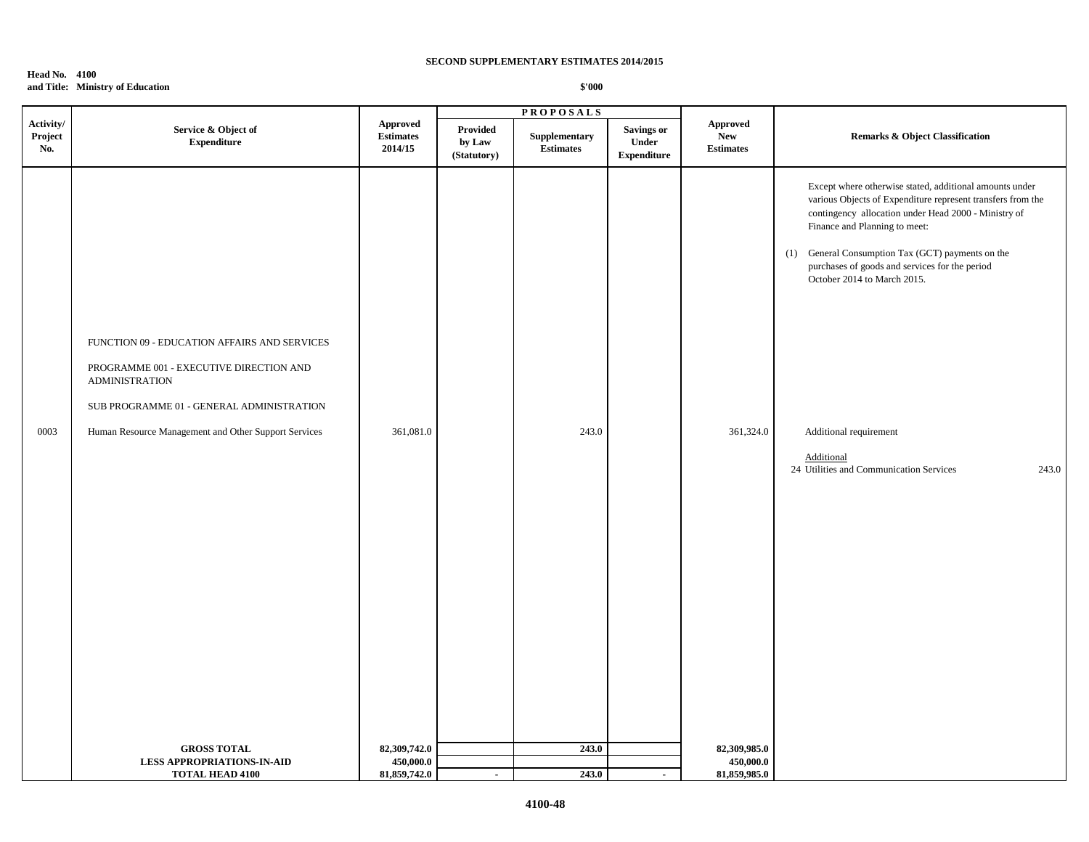|                             |                                                                                                                                                                                                                       |                                                | <b>PROPOSALS</b>                         |                                   |                                                  |                                                   |                                                                                                                                                                                                                                                                                                                                                                                                                                                   |  |
|-----------------------------|-----------------------------------------------------------------------------------------------------------------------------------------------------------------------------------------------------------------------|------------------------------------------------|------------------------------------------|-----------------------------------|--------------------------------------------------|---------------------------------------------------|---------------------------------------------------------------------------------------------------------------------------------------------------------------------------------------------------------------------------------------------------------------------------------------------------------------------------------------------------------------------------------------------------------------------------------------------------|--|
| Activity/<br>Project<br>No. | Service & Object of<br><b>Expenditure</b>                                                                                                                                                                             | <b>Approved</b><br><b>Estimates</b><br>2014/15 | <b>Provided</b><br>by Law<br>(Statutory) | Supplementary<br><b>Estimates</b> | <b>Savings or</b><br>Under<br><b>Expenditure</b> | <b>Approved</b><br><b>New</b><br><b>Estimates</b> | <b>Remarks &amp; Object Classification</b>                                                                                                                                                                                                                                                                                                                                                                                                        |  |
| 0003                        | FUNCTION 09 - EDUCATION AFFAIRS AND SERVICES<br>PROGRAMME 001 - EXECUTIVE DIRECTION AND<br><b>ADMINISTRATION</b><br>SUB PROGRAMME 01 - GENERAL ADMINISTRATION<br>Human Resource Management and Other Support Services | 361,081.0                                      |                                          | 243.0                             |                                                  | 361,324.0                                         | Except where otherwise stated, additional amounts under<br>various Objects of Expenditure represent transfers from the<br>contingency allocation under Head 2000 - Ministry of<br>Finance and Planning to meet:<br>(1) General Consumption Tax (GCT) payments on the<br>purchases of goods and services for the period<br>October 2014 to March 2015.<br>Additional requirement<br>Additional<br>24 Utilities and Communication Services<br>243.0 |  |
|                             | <b>GROSS TOTAL</b>                                                                                                                                                                                                    | 82,309,742.0                                   |                                          | 243.0                             |                                                  | 82,309,985.0                                      |                                                                                                                                                                                                                                                                                                                                                                                                                                                   |  |
|                             | <b>LESS APPROPRIATIONS-IN-AID</b>                                                                                                                                                                                     | 450,000.0                                      |                                          |                                   |                                                  | 450,000.0                                         |                                                                                                                                                                                                                                                                                                                                                                                                                                                   |  |
|                             | <b>TOTAL HEAD 4100</b>                                                                                                                                                                                                | 81,859,742.0                                   | $\sim$                                   | 243.0                             | $\sim$                                           | 81,859,985.0                                      |                                                                                                                                                                                                                                                                                                                                                                                                                                                   |  |

# **Head No. 4100 and Title: Ministry of Education**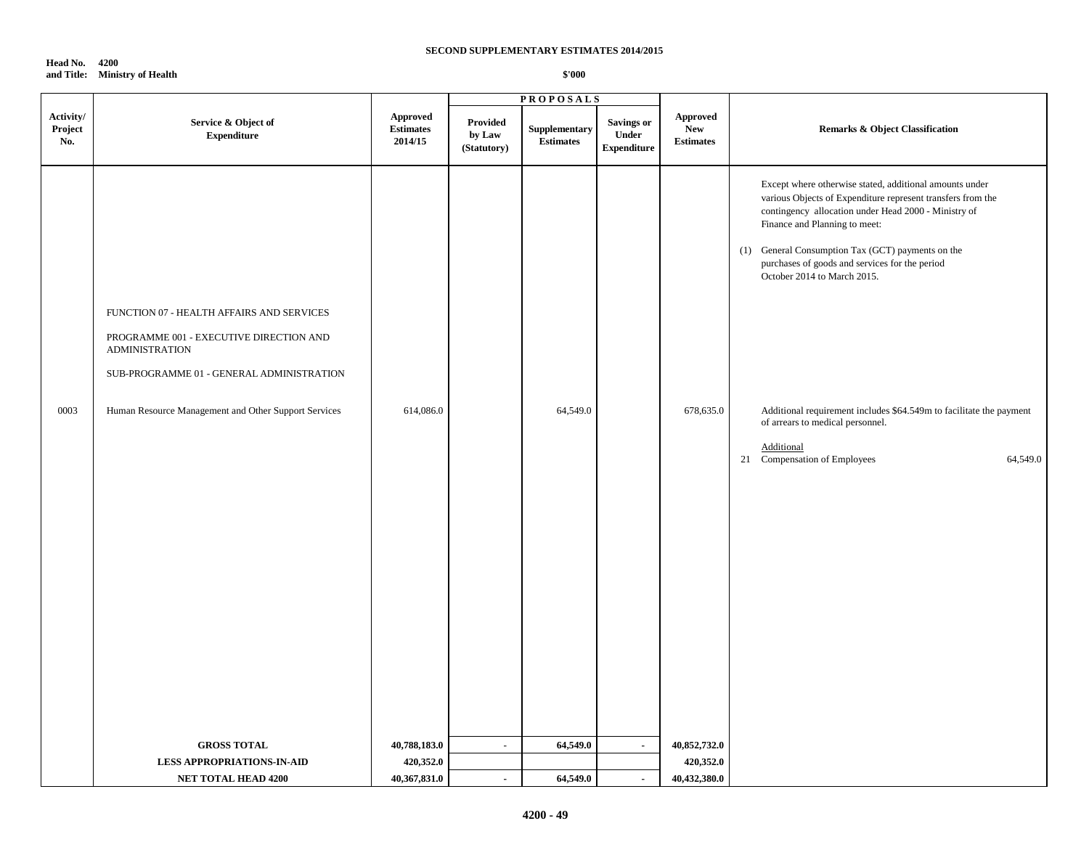**Head No. 4200 and Title: Ministry of Health**

|                             |                                                                                                                                                                                                                                          |                                                |                                   | <b>PROPOSALS</b>                  |                                                         |                                            |                                                                                                                                                                                                                                                                                                                                                                                                                                                                                                                            |
|-----------------------------|------------------------------------------------------------------------------------------------------------------------------------------------------------------------------------------------------------------------------------------|------------------------------------------------|-----------------------------------|-----------------------------------|---------------------------------------------------------|--------------------------------------------|----------------------------------------------------------------------------------------------------------------------------------------------------------------------------------------------------------------------------------------------------------------------------------------------------------------------------------------------------------------------------------------------------------------------------------------------------------------------------------------------------------------------------|
| Activity/<br>Project<br>No. | Service & Object of<br>${\bf Expenditure}$                                                                                                                                                                                               | <b>Approved</b><br><b>Estimates</b><br>2014/15 | Provided<br>by Law<br>(Statutory) | Supplementary<br><b>Estimates</b> | <b>Savings or</b><br><b>Under</b><br><b>Expenditure</b> | Approved<br><b>New</b><br><b>Estimates</b> | <b>Remarks &amp; Object Classification</b>                                                                                                                                                                                                                                                                                                                                                                                                                                                                                 |
| 0003                        | FUNCTION 07 - HEALTH AFFAIRS AND SERVICES<br>PROGRAMME 001 - EXECUTIVE DIRECTION AND<br><b>ADMINISTRATION</b><br>SUB-PROGRAMME 01 - GENERAL ADMINISTRATION<br>Human Resource Management and Other Support Services<br><b>GROSS TOTAL</b> | 614,086.0<br>40,788,183.0                      | $\mathcal{L}_{\mathcal{A}}$       | 64,549.0<br>64,549.0              | $\blacksquare$                                          | 678,635.0<br>40,852,732.0                  | Except where otherwise stated, additional amounts under<br>various Objects of Expenditure represent transfers from the<br>contingency allocation under Head 2000 - Ministry of<br>Finance and Planning to meet:<br>(1) General Consumption Tax (GCT) payments on the<br>purchases of goods and services for the period<br>October 2014 to March 2015.<br>Additional requirement includes \$64.549m to facilitate the payment<br>of arrears to medical personnel.<br>Additional<br>21 Compensation of Employees<br>64,549.0 |
|                             | <b>LESS APPROPRIATIONS-IN-AID</b>                                                                                                                                                                                                        | 420,352.0                                      |                                   |                                   |                                                         | 420,352.0                                  |                                                                                                                                                                                                                                                                                                                                                                                                                                                                                                                            |
|                             | <b>NET TOTAL HEAD 4200</b>                                                                                                                                                                                                               | 40,367,831.0                                   | $\sim$                            | 64,549.0                          | $\sim$                                                  | 40,432,380.0                               |                                                                                                                                                                                                                                                                                                                                                                                                                                                                                                                            |
|                             |                                                                                                                                                                                                                                          |                                                |                                   |                                   |                                                         |                                            |                                                                                                                                                                                                                                                                                                                                                                                                                                                                                                                            |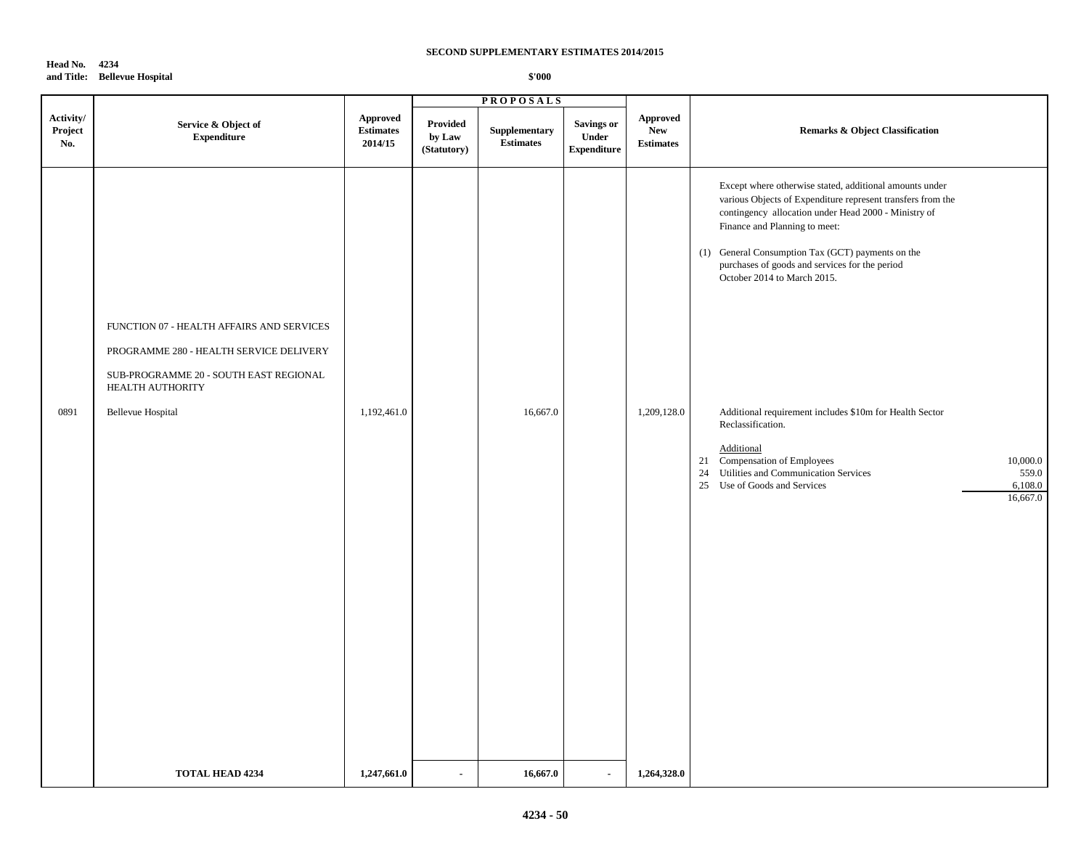# **Head No. 4234 and Title: Bellevue Hospital**

|                             |                                                                                                                                                                                |                                         | <b>PROPOSALS</b>                         |                                   |                                                   |                                            |                                                                                                                                                                                                                                                                                                                                                                                                                                                                                                                                                                                                               |
|-----------------------------|--------------------------------------------------------------------------------------------------------------------------------------------------------------------------------|-----------------------------------------|------------------------------------------|-----------------------------------|---------------------------------------------------|--------------------------------------------|---------------------------------------------------------------------------------------------------------------------------------------------------------------------------------------------------------------------------------------------------------------------------------------------------------------------------------------------------------------------------------------------------------------------------------------------------------------------------------------------------------------------------------------------------------------------------------------------------------------|
| Activity/<br>Project<br>No. | Service & Object of<br><b>Expenditure</b>                                                                                                                                      | Approved<br><b>Estimates</b><br>2014/15 | <b>Provided</b><br>by Law<br>(Statutory) | Supplementary<br><b>Estimates</b> | <b>Savings or</b><br>Under<br>${\bf Expenditure}$ | Approved<br><b>New</b><br><b>Estimates</b> | <b>Remarks &amp; Object Classification</b>                                                                                                                                                                                                                                                                                                                                                                                                                                                                                                                                                                    |
| 0891                        | FUNCTION 07 - HEALTH AFFAIRS AND SERVICES<br>PROGRAMME 280 - HEALTH SERVICE DELIVERY<br>SUB-PROGRAMME 20 - SOUTH EAST REGIONAL<br>HEALTH AUTHORITY<br><b>Bellevue Hospital</b> | 1,192,461.0                             |                                          | 16,667.0                          |                                                   | 1,209,128.0                                | Except where otherwise stated, additional amounts under<br>various Objects of Expenditure represent transfers from the<br>contingency allocation under Head 2000 - Ministry of<br>Finance and Planning to meet:<br>(1) General Consumption Tax (GCT) payments on the<br>purchases of goods and services for the period<br>October 2014 to March 2015.<br>Additional requirement includes \$10m for Health Sector<br>Reclassification.<br>Additional<br>Compensation of Employees<br>10,000.0<br>21<br>24 Utilities and Communication Services<br>559.0<br>25 Use of Goods and Services<br>6,108.0<br>16,667.0 |
|                             | <b>TOTAL HEAD 4234</b>                                                                                                                                                         | 1,247,661.0                             | $\blacksquare$                           | 16,667.0                          | $\sim$                                            | 1,264,328.0                                |                                                                                                                                                                                                                                                                                                                                                                                                                                                                                                                                                                                                               |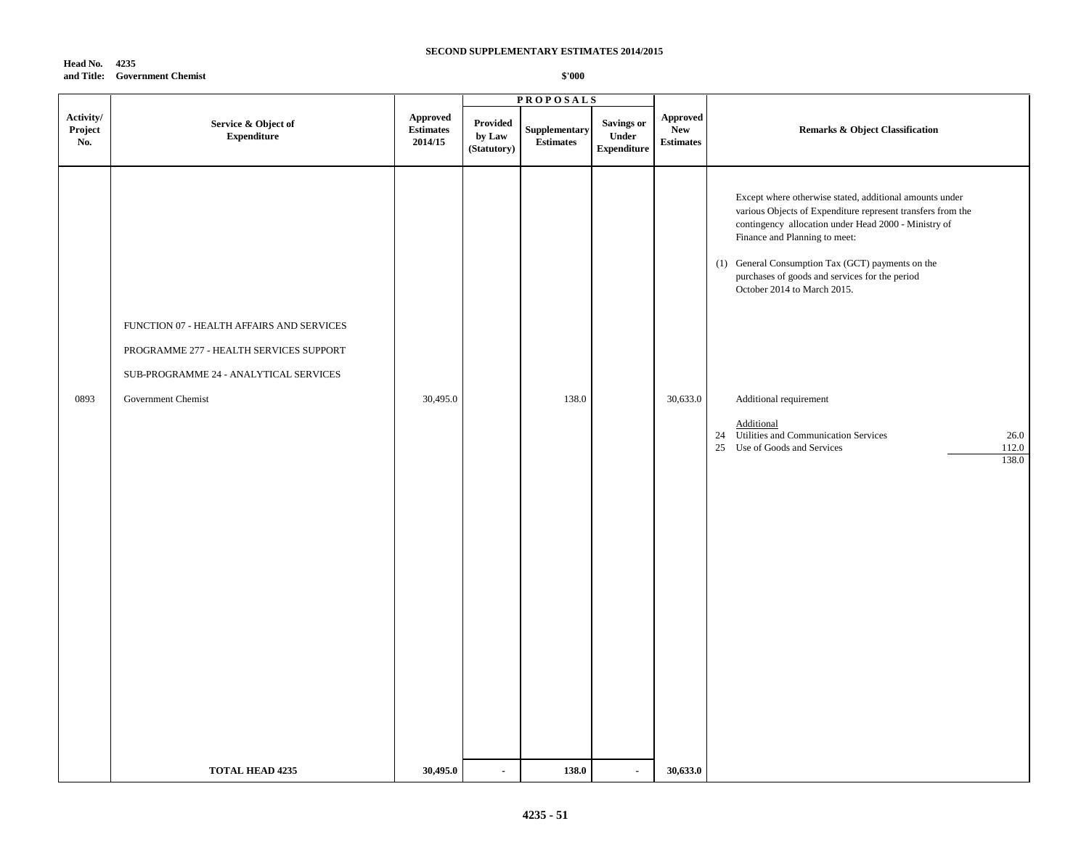| Head No. | 4235                          |
|----------|-------------------------------|
|          | and Title: Government Chemist |

|                             |                                                                                                                                                      |                                                |                                   | <b>PROPOSALS</b>                  |                                                  |                                                   |                                                                                                                                                                                                                                                                                                                                                                                                                                                                                                        |
|-----------------------------|------------------------------------------------------------------------------------------------------------------------------------------------------|------------------------------------------------|-----------------------------------|-----------------------------------|--------------------------------------------------|---------------------------------------------------|--------------------------------------------------------------------------------------------------------------------------------------------------------------------------------------------------------------------------------------------------------------------------------------------------------------------------------------------------------------------------------------------------------------------------------------------------------------------------------------------------------|
| Activity/<br>Project<br>No. | Service & Object of<br><b>Expenditure</b>                                                                                                            | <b>Approved</b><br><b>Estimates</b><br>2014/15 | Provided<br>by Law<br>(Statutory) | Supplementary<br><b>Estimates</b> | <b>Savings or</b><br>Under<br><b>Expenditure</b> | <b>Approved</b><br><b>New</b><br><b>Estimates</b> | <b>Remarks &amp; Object Classification</b>                                                                                                                                                                                                                                                                                                                                                                                                                                                             |
| 0893                        | FUNCTION 07 - HEALTH AFFAIRS AND SERVICES<br>PROGRAMME 277 - HEALTH SERVICES SUPPORT<br>SUB-PROGRAMME 24 - ANALYTICAL SERVICES<br>Government Chemist | 30,495.0                                       |                                   | 138.0                             |                                                  | 30,633.0                                          | Except where otherwise stated, additional amounts under<br>various Objects of Expenditure represent transfers from the<br>contingency allocation under Head 2000 - Ministry of<br>Finance and Planning to meet:<br>(1) General Consumption Tax (GCT) payments on the<br>purchases of goods and services for the period<br>October 2014 to March 2015.<br>Additional requirement<br>Additional<br>24 Utilities and Communication Services<br>26.0<br>25 Use of Goods and Services<br>$112.0\,$<br>138.0 |
|                             | <b>TOTAL HEAD 4235</b>                                                                                                                               | 30,495.0                                       | $\sim$                            | 138.0                             | $\blacksquare$                                   | 30,633.0                                          |                                                                                                                                                                                                                                                                                                                                                                                                                                                                                                        |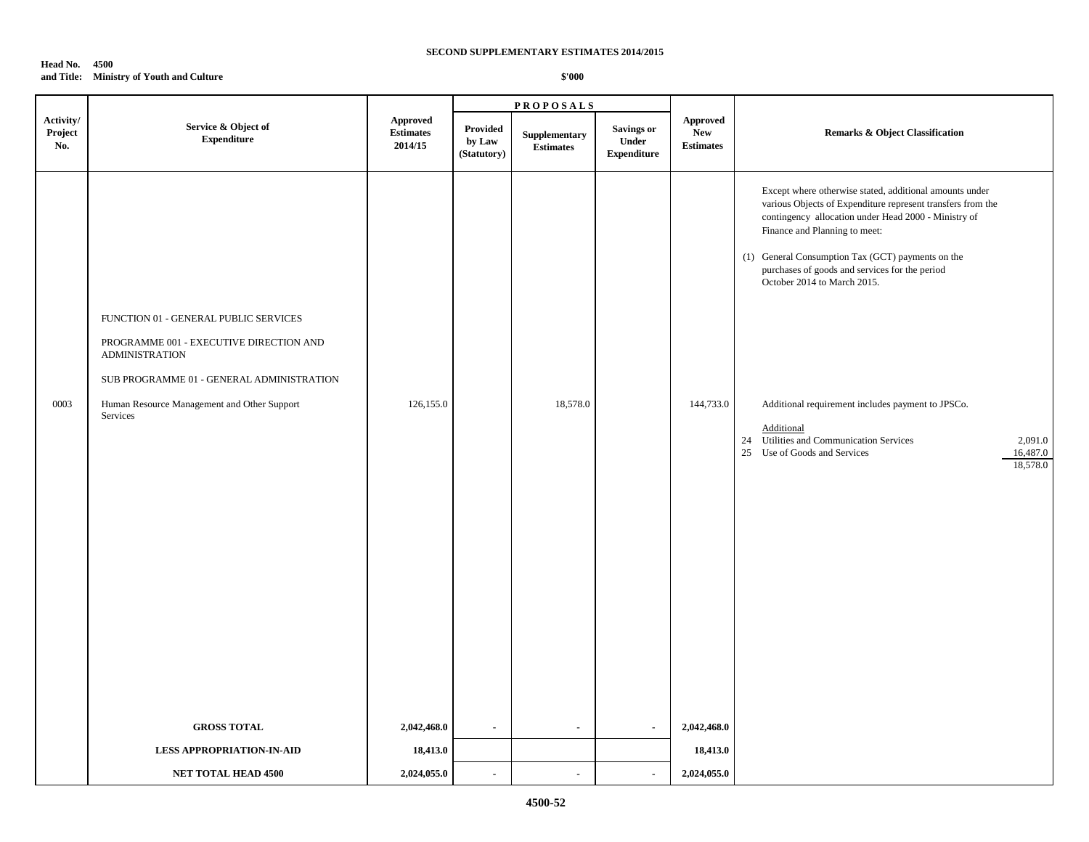### **Head No. 4500 and Title: Ministry of Youth and Culture**

|                             |                                                                                                                                                                                                                   |                                                |                                          | <b>PROPOSALS</b>                  |                                                  |                                            | <b>Remarks &amp; Object Classification</b>                                                                                                                                                                                                                                                                                                                                                                                                                                                                                             |  |
|-----------------------------|-------------------------------------------------------------------------------------------------------------------------------------------------------------------------------------------------------------------|------------------------------------------------|------------------------------------------|-----------------------------------|--------------------------------------------------|--------------------------------------------|----------------------------------------------------------------------------------------------------------------------------------------------------------------------------------------------------------------------------------------------------------------------------------------------------------------------------------------------------------------------------------------------------------------------------------------------------------------------------------------------------------------------------------------|--|
| Activity/<br>Project<br>No. | Service & Object of<br><b>Expenditure</b>                                                                                                                                                                         | <b>Approved</b><br><b>Estimates</b><br>2014/15 | <b>Provided</b><br>by Law<br>(Statutory) | Supplementary<br><b>Estimates</b> | <b>Savings or</b><br>Under<br><b>Expenditure</b> | Approved<br><b>New</b><br><b>Estimates</b> |                                                                                                                                                                                                                                                                                                                                                                                                                                                                                                                                        |  |
| 0003                        | FUNCTION 01 - GENERAL PUBLIC SERVICES<br>PROGRAMME 001 - EXECUTIVE DIRECTION AND<br><b>ADMINISTRATION</b><br>SUB PROGRAMME 01 - GENERAL ADMINISTRATION<br>Human Resource Management and Other Support<br>Services | 126,155.0                                      |                                          | 18,578.0                          |                                                  | 144,733.0                                  | Except where otherwise stated, additional amounts under<br>various Objects of Expenditure represent transfers from the<br>contingency allocation under Head 2000 - Ministry of<br>Finance and Planning to meet:<br>(1) General Consumption Tax (GCT) payments on the<br>purchases of goods and services for the period<br>October 2014 to March 2015.<br>Additional requirement includes payment to JPSCo.<br>Additional<br>24 Utilities and Communication Services<br>2,091.0<br>25 Use of Goods and Services<br>16,487.0<br>18,578.0 |  |
|                             | <b>GROSS TOTAL</b>                                                                                                                                                                                                | 2,042,468.0                                    | $\overline{\phantom{a}}$                 | $\sim$                            | $\sim$                                           | 2,042,468.0                                |                                                                                                                                                                                                                                                                                                                                                                                                                                                                                                                                        |  |
|                             | <b>LESS APPROPRIATION-IN-AID</b>                                                                                                                                                                                  | 18,413.0                                       |                                          |                                   |                                                  | 18,413.0                                   |                                                                                                                                                                                                                                                                                                                                                                                                                                                                                                                                        |  |
|                             | <b>NET TOTAL HEAD 4500</b>                                                                                                                                                                                        | 2,024,055.0                                    | $\blacksquare$                           | $\blacksquare$                    | $\sim$                                           | 2,024,055.0                                |                                                                                                                                                                                                                                                                                                                                                                                                                                                                                                                                        |  |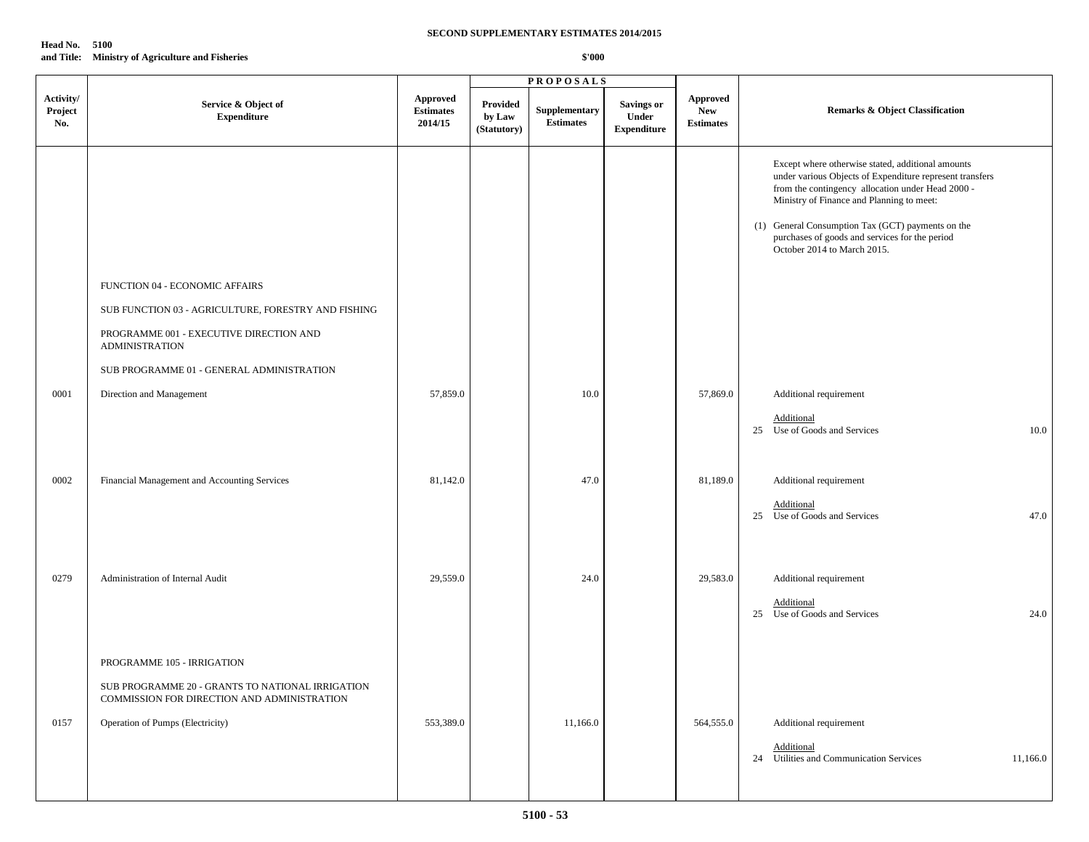| Head No. | 5100                                             |
|----------|--------------------------------------------------|
|          | and Title: Ministry of Agriculture and Fisheries |

|                             |                                                                                                                                  |                                         |                                          | <b>PROPOSALS</b>                  |                                                  |                                                   |                                                                                                                                                                                                                                                                                                                                                       |
|-----------------------------|----------------------------------------------------------------------------------------------------------------------------------|-----------------------------------------|------------------------------------------|-----------------------------------|--------------------------------------------------|---------------------------------------------------|-------------------------------------------------------------------------------------------------------------------------------------------------------------------------------------------------------------------------------------------------------------------------------------------------------------------------------------------------------|
| Activity/<br>Project<br>No. | Service & Object of<br><b>Expenditure</b>                                                                                        | Approved<br><b>Estimates</b><br>2014/15 | <b>Provided</b><br>by Law<br>(Statutory) | Supplementary<br><b>Estimates</b> | <b>Savings or</b><br>Under<br><b>Expenditure</b> | <b>Approved</b><br><b>New</b><br><b>Estimates</b> | <b>Remarks &amp; Object Classification</b>                                                                                                                                                                                                                                                                                                            |
|                             | FUNCTION 04 - ECONOMIC AFFAIRS<br>SUB FUNCTION 03 - AGRICULTURE, FORESTRY AND FISHING<br>PROGRAMME 001 - EXECUTIVE DIRECTION AND |                                         |                                          |                                   |                                                  |                                                   | Except where otherwise stated, additional amounts<br>under various Objects of Expenditure represent transfers<br>from the contingency allocation under Head 2000 -<br>Ministry of Finance and Planning to meet:<br>(1) General Consumption Tax (GCT) payments on the<br>purchases of goods and services for the period<br>October 2014 to March 2015. |
|                             | <b>ADMINISTRATION</b><br>SUB PROGRAMME 01 - GENERAL ADMINISTRATION                                                               |                                         |                                          |                                   |                                                  |                                                   |                                                                                                                                                                                                                                                                                                                                                       |
| 0001                        | Direction and Management                                                                                                         | 57,859.0                                |                                          | 10.0                              |                                                  | 57,869.0                                          | Additional requirement                                                                                                                                                                                                                                                                                                                                |
|                             |                                                                                                                                  |                                         |                                          |                                   |                                                  |                                                   | Additional<br>25 Use of Goods and Services<br>10.0                                                                                                                                                                                                                                                                                                    |
| 0002                        | Financial Management and Accounting Services                                                                                     | 81,142.0                                |                                          | 47.0                              |                                                  | 81,189.0                                          | Additional requirement                                                                                                                                                                                                                                                                                                                                |
|                             |                                                                                                                                  |                                         |                                          |                                   |                                                  |                                                   | <b>Additional</b><br>25 Use of Goods and Services<br>47.0                                                                                                                                                                                                                                                                                             |
| 0279                        | Administration of Internal Audit                                                                                                 | 29,559.0                                |                                          | 24.0                              |                                                  | 29,583.0                                          | Additional requirement                                                                                                                                                                                                                                                                                                                                |
|                             |                                                                                                                                  |                                         |                                          |                                   |                                                  |                                                   | <b>Additional</b><br>25 Use of Goods and Services<br>24.0                                                                                                                                                                                                                                                                                             |
|                             | PROGRAMME 105 - IRRIGATION                                                                                                       |                                         |                                          |                                   |                                                  |                                                   |                                                                                                                                                                                                                                                                                                                                                       |
|                             | SUB PROGRAMME 20 - GRANTS TO NATIONAL IRRIGATION<br>COMMISSION FOR DIRECTION AND ADMINISTRATION                                  |                                         |                                          |                                   |                                                  |                                                   |                                                                                                                                                                                                                                                                                                                                                       |
| 0157                        | Operation of Pumps (Electricity)                                                                                                 | 553,389.0                               |                                          | 11,166.0                          |                                                  | 564,555.0                                         | Additional requirement                                                                                                                                                                                                                                                                                                                                |
|                             |                                                                                                                                  |                                         |                                          |                                   |                                                  |                                                   | Additional<br>24 Utilities and Communication Services<br>11,166.0                                                                                                                                                                                                                                                                                     |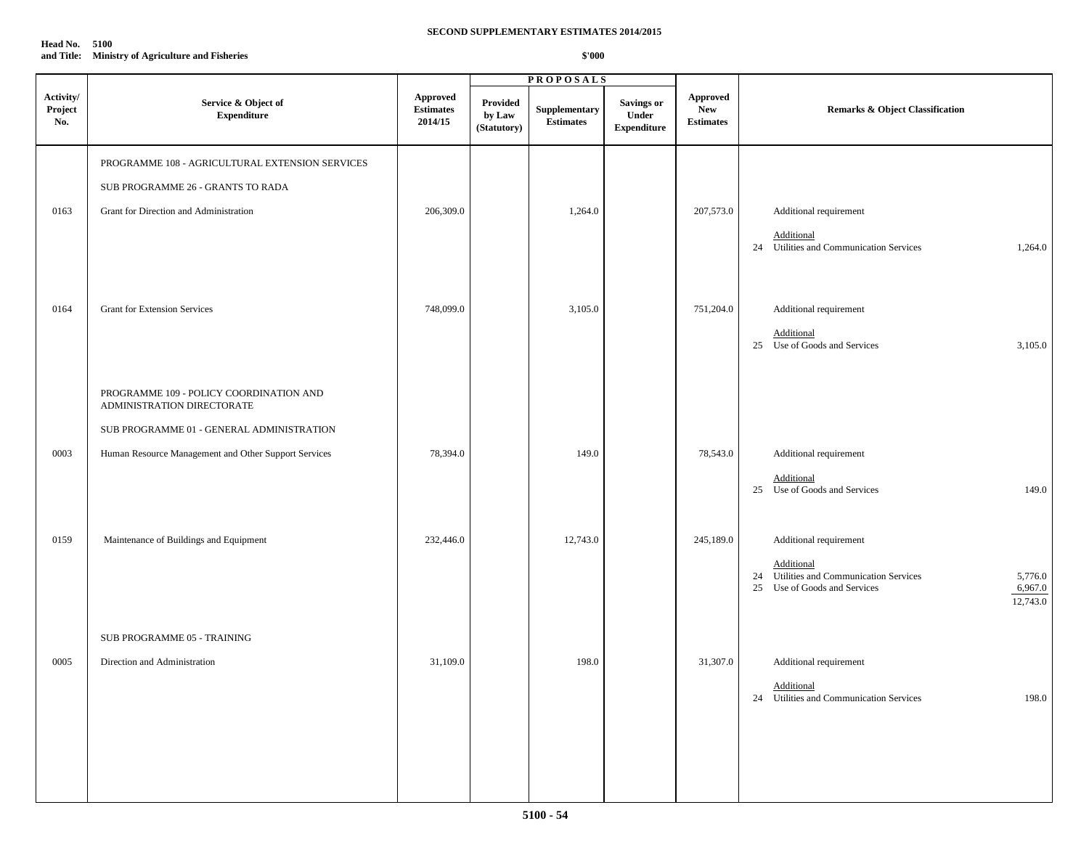| Head No.   | 5100                                         |
|------------|----------------------------------------------|
| and Title: | <b>Ministry of Agriculture and Fisheries</b> |

|                             |                                                                       |                                                |                                   | <b>PROPOSALS</b>                  |                                                  |                                                    |                                                                  |
|-----------------------------|-----------------------------------------------------------------------|------------------------------------------------|-----------------------------------|-----------------------------------|--------------------------------------------------|----------------------------------------------------|------------------------------------------------------------------|
| Activity/<br>Project<br>No. | Service & Object of<br><b>Expenditure</b>                             | <b>Approved</b><br><b>Estimates</b><br>2014/15 | Provided<br>by Law<br>(Statutory) | Supplementary<br><b>Estimates</b> | <b>Savings or</b><br>Under<br><b>Expenditure</b> | <b>Approved</b><br>${\bf New}$<br><b>Estimates</b> | Remarks & Object Classification                                  |
|                             | PROGRAMME 108 - AGRICULTURAL EXTENSION SERVICES                       |                                                |                                   |                                   |                                                  |                                                    |                                                                  |
|                             | SUB PROGRAMME 26 - GRANTS TO RADA                                     |                                                |                                   |                                   |                                                  |                                                    |                                                                  |
| 0163                        | Grant for Direction and Administration                                | 206,309.0                                      |                                   | 1,264.0                           |                                                  | 207,573.0                                          | Additional requirement                                           |
|                             |                                                                       |                                                |                                   |                                   |                                                  |                                                    | Additional<br>24 Utilities and Communication Services<br>1,264.0 |
|                             |                                                                       |                                                |                                   |                                   |                                                  |                                                    |                                                                  |
| 0164                        | <b>Grant for Extension Services</b>                                   | 748,099.0                                      |                                   | 3,105.0                           |                                                  | 751,204.0                                          | Additional requirement                                           |
|                             |                                                                       |                                                |                                   |                                   |                                                  |                                                    | Additional<br>25 Use of Goods and Services<br>3,105.0            |
|                             |                                                                       |                                                |                                   |                                   |                                                  |                                                    |                                                                  |
|                             | PROGRAMME 109 - POLICY COORDINATION AND<br>ADMINISTRATION DIRECTORATE |                                                |                                   |                                   |                                                  |                                                    |                                                                  |
|                             | SUB PROGRAMME 01 - GENERAL ADMINISTRATION                             |                                                |                                   |                                   |                                                  |                                                    |                                                                  |
| 0003                        | Human Resource Management and Other Support Services                  | 78,394.0                                       |                                   | 149.0                             |                                                  | 78,543.0                                           | Additional requirement                                           |
|                             |                                                                       |                                                |                                   |                                   |                                                  |                                                    | Additional<br>25 Use of Goods and Services<br>149.0              |
|                             |                                                                       |                                                |                                   |                                   |                                                  |                                                    |                                                                  |
| 0159                        | Maintenance of Buildings and Equipment                                | 232,446.0                                      |                                   | 12,743.0                          |                                                  | 245,189.0                                          | Additional requirement                                           |
|                             |                                                                       |                                                |                                   |                                   |                                                  |                                                    | Additional<br>24 Utilities and Communication Services<br>5,776.0 |
|                             |                                                                       |                                                |                                   |                                   |                                                  |                                                    | Use of Goods and Services<br>6,967.0<br>25<br>12,743.0           |
|                             | SUB PROGRAMME 05 - TRAINING                                           |                                                |                                   |                                   |                                                  |                                                    |                                                                  |
| 0005                        | Direction and Administration                                          | 31,109.0                                       |                                   | 198.0                             |                                                  | 31,307.0                                           | Additional requirement                                           |
|                             |                                                                       |                                                |                                   |                                   |                                                  |                                                    | Additional<br>198.0<br>24 Utilities and Communication Services   |
|                             |                                                                       |                                                |                                   |                                   |                                                  |                                                    |                                                                  |
|                             |                                                                       |                                                |                                   |                                   |                                                  |                                                    |                                                                  |
|                             |                                                                       |                                                |                                   |                                   |                                                  |                                                    |                                                                  |
|                             |                                                                       |                                                |                                   |                                   |                                                  |                                                    |                                                                  |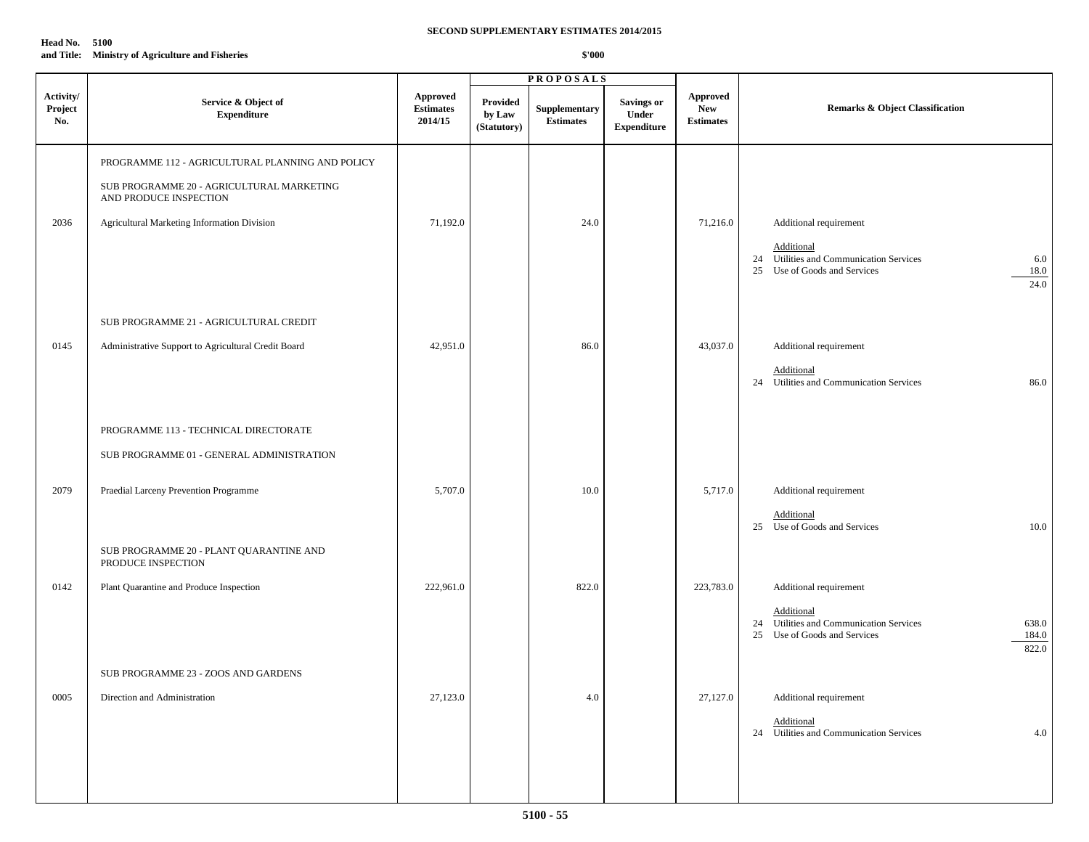| <b>Head No. 5100</b> |                                                  |
|----------------------|--------------------------------------------------|
|                      | and Title: Ministry of Agriculture and Fisheries |

|                             |                                                                                                                                                                        |                                         |                                          | <b>PROPOSALS</b>                  |                                                  |                                                   |                                                                                                                                            |
|-----------------------------|------------------------------------------------------------------------------------------------------------------------------------------------------------------------|-----------------------------------------|------------------------------------------|-----------------------------------|--------------------------------------------------|---------------------------------------------------|--------------------------------------------------------------------------------------------------------------------------------------------|
| Activity/<br>Project<br>No. | Service & Object of<br><b>Expenditure</b>                                                                                                                              | Approved<br><b>Estimates</b><br>2014/15 | <b>Provided</b><br>by Law<br>(Statutory) | Supplementary<br><b>Estimates</b> | <b>Savings or</b><br>Under<br><b>Expenditure</b> | <b>Approved</b><br><b>New</b><br><b>Estimates</b> | Remarks & Object Classification                                                                                                            |
| 2036                        | PROGRAMME 112 - AGRICULTURAL PLANNING AND POLICY<br>SUB PROGRAMME 20 - AGRICULTURAL MARKETING<br>AND PRODUCE INSPECTION<br>Agricultural Marketing Information Division | 71,192.0                                |                                          | 24.0                              |                                                  | 71,216.0                                          | Additional requirement<br>Additional<br>24 Utilities and Communication Services<br>6.0<br>18.0<br>25 Use of Goods and Services<br>24.0     |
| 0145                        | SUB PROGRAMME 21 - AGRICULTURAL CREDIT<br>Administrative Support to Agricultural Credit Board                                                                          | 42,951.0                                |                                          | 86.0                              |                                                  | 43,037.0                                          | Additional requirement<br>Additional<br>24 Utilities and Communication Services<br>86.0                                                    |
| 2079                        | PROGRAMME 113 - TECHNICAL DIRECTORATE<br>SUB PROGRAMME 01 - GENERAL ADMINISTRATION<br>Praedial Larceny Prevention Programme                                            | 5,707.0                                 |                                          | 10.0                              |                                                  | 5,717.0                                           | Additional requirement                                                                                                                     |
|                             | SUB PROGRAMME 20 - PLANT QUARANTINE AND<br>PRODUCE INSPECTION                                                                                                          |                                         |                                          |                                   |                                                  |                                                   | Additional<br>25 Use of Goods and Services<br>10.0                                                                                         |
| 0142                        | Plant Quarantine and Produce Inspection                                                                                                                                | 222,961.0                               |                                          | 822.0                             |                                                  | 223,783.0                                         | Additional requirement<br>Additional<br>24 Utilities and Communication Services<br>638.0<br>184.0<br>25 Use of Goods and Services<br>822.0 |
| 0005                        | SUB PROGRAMME 23 - ZOOS AND GARDENS<br>Direction and Administration                                                                                                    | 27,123.0                                |                                          | 4.0                               |                                                  | 27,127.0                                          | Additional requirement<br>Additional<br>24 Utilities and Communication Services<br>4.0                                                     |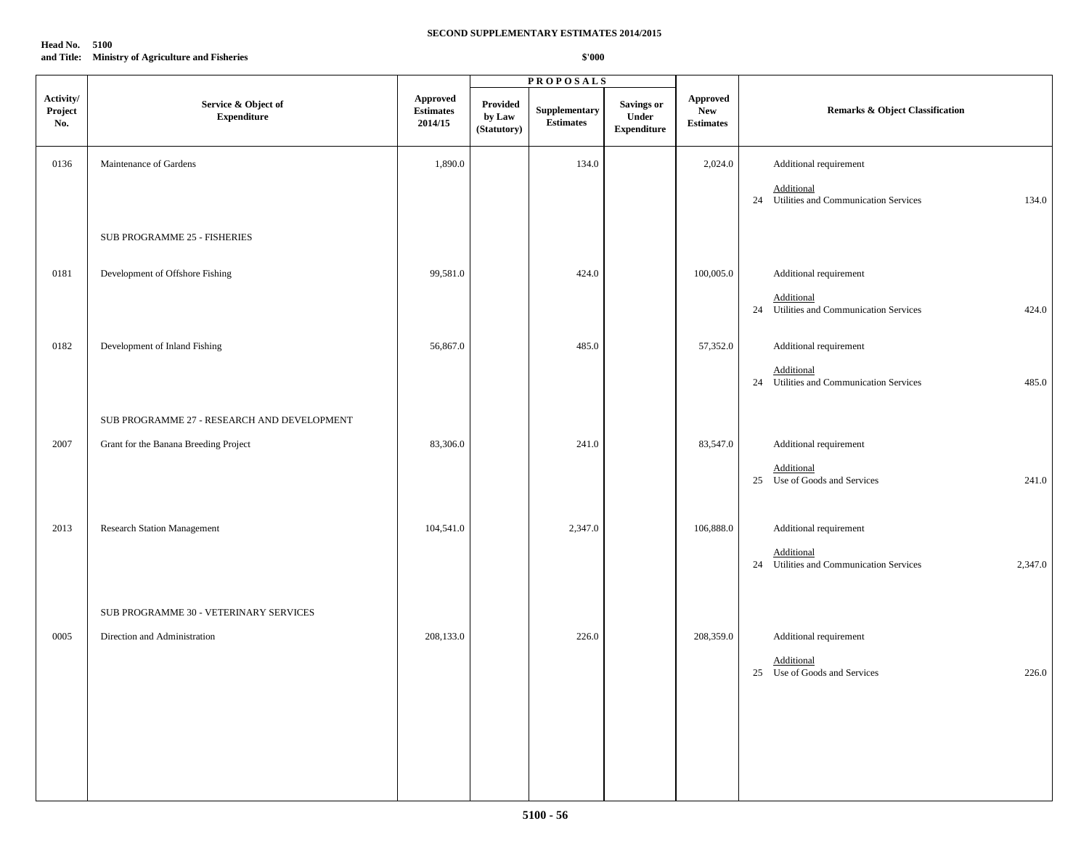# **Head No. 5100 and Title: Ministry of Agriculture and Fisheries**

|                             |                                             |                                                |                                   | <b>PROPOSALS</b>                  |                                                         |                                                   |                                                                  |
|-----------------------------|---------------------------------------------|------------------------------------------------|-----------------------------------|-----------------------------------|---------------------------------------------------------|---------------------------------------------------|------------------------------------------------------------------|
| Activity/<br>Project<br>No. | Service & Object of<br><b>Expenditure</b>   | <b>Approved</b><br><b>Estimates</b><br>2014/15 | Provided<br>by Law<br>(Statutory) | Supplementary<br><b>Estimates</b> | <b>Savings or</b><br><b>Under</b><br><b>Expenditure</b> | <b>Approved</b><br><b>New</b><br><b>Estimates</b> | <b>Remarks &amp; Object Classification</b>                       |
| 0136                        | Maintenance of Gardens                      | 1,890.0                                        |                                   | 134.0                             |                                                         | 2,024.0                                           | Additional requirement                                           |
|                             |                                             |                                                |                                   |                                   |                                                         |                                                   | Additional<br>24 Utilities and Communication Services<br>134.0   |
|                             | <b>SUB PROGRAMME 25 - FISHERIES</b>         |                                                |                                   |                                   |                                                         |                                                   |                                                                  |
| 0181                        | Development of Offshore Fishing             | 99,581.0                                       |                                   | 424.0                             |                                                         | 100,005.0                                         | Additional requirement                                           |
|                             |                                             |                                                |                                   |                                   |                                                         |                                                   | Additional<br>24 Utilities and Communication Services<br>424.0   |
| 0182                        | Development of Inland Fishing               | 56,867.0                                       |                                   | 485.0                             |                                                         | 57,352.0                                          | Additional requirement                                           |
|                             |                                             |                                                |                                   |                                   |                                                         |                                                   | Additional<br>24 Utilities and Communication Services<br>485.0   |
|                             | SUB PROGRAMME 27 - RESEARCH AND DEVELOPMENT |                                                |                                   |                                   |                                                         |                                                   |                                                                  |
| 2007                        | Grant for the Banana Breeding Project       | 83,306.0                                       |                                   | 241.0                             |                                                         | 83,547.0                                          | Additional requirement                                           |
|                             |                                             |                                                |                                   |                                   |                                                         |                                                   | Additional<br>25 Use of Goods and Services<br>241.0              |
| 2013                        | <b>Research Station Management</b>          | 104,541.0                                      |                                   | 2,347.0                           |                                                         | 106,888.0                                         | Additional requirement                                           |
|                             |                                             |                                                |                                   |                                   |                                                         |                                                   | Additional<br>24 Utilities and Communication Services<br>2,347.0 |
|                             | SUB PROGRAMME 30 - VETERINARY SERVICES      |                                                |                                   |                                   |                                                         |                                                   |                                                                  |
| 0005                        | Direction and Administration                | 208,133.0                                      |                                   | 226.0                             |                                                         | 208,359.0                                         | Additional requirement                                           |
|                             |                                             |                                                |                                   |                                   |                                                         |                                                   | Additional<br>25 Use of Goods and Services<br>226.0              |
|                             |                                             |                                                |                                   |                                   |                                                         |                                                   |                                                                  |
|                             |                                             |                                                |                                   |                                   |                                                         |                                                   |                                                                  |
|                             |                                             |                                                |                                   |                                   |                                                         |                                                   |                                                                  |
|                             |                                             |                                                |                                   |                                   |                                                         |                                                   |                                                                  |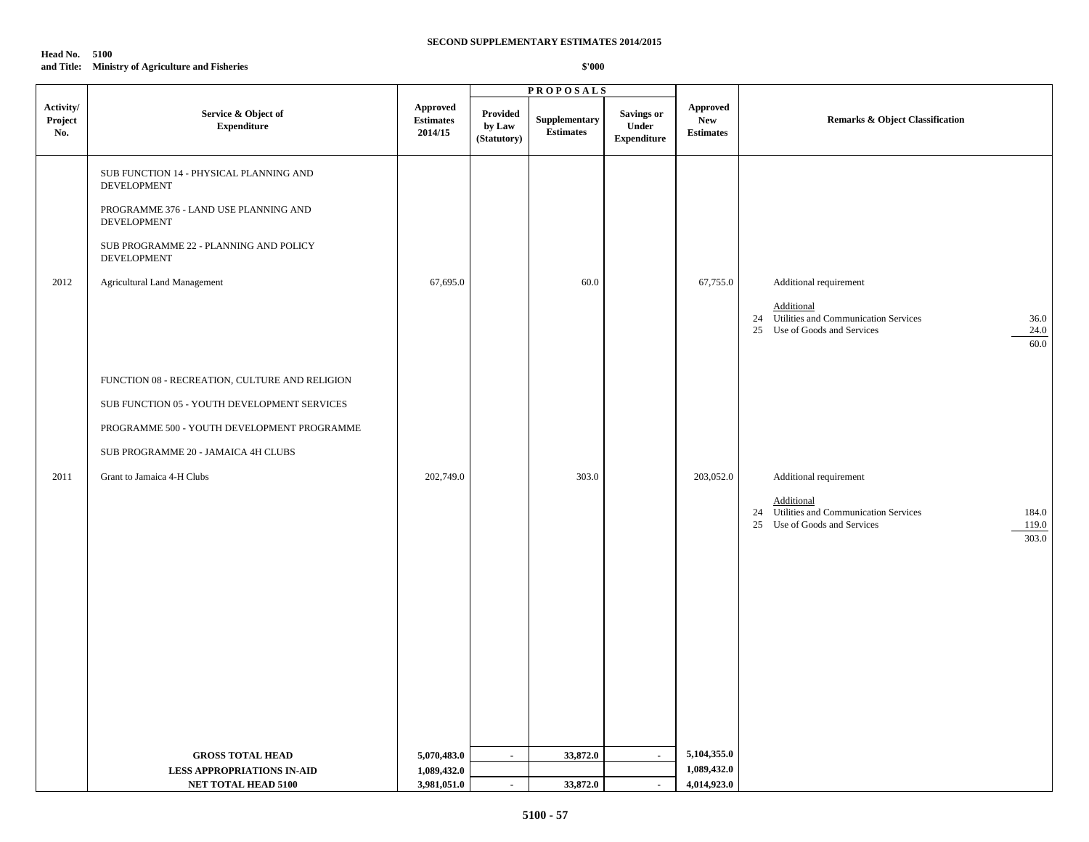# **Head No. 5100 and Title: Ministry of Agriculture and Fisheries**

|                             |                                                               |                                                                        |                                   | <b>PROPOSALS</b>                  |                                                  |                                                   |                                                                                                                  |
|-----------------------------|---------------------------------------------------------------|------------------------------------------------------------------------|-----------------------------------|-----------------------------------|--------------------------------------------------|---------------------------------------------------|------------------------------------------------------------------------------------------------------------------|
| Activity/<br>Project<br>No. | Service & Object of<br><b>Expenditure</b>                     | <b>Approved</b><br>$\label{p:estimates} \textbf{Estimates}$<br>2014/15 | Provided<br>by Law<br>(Statutory) | Supplementary<br><b>Estimates</b> | <b>Savings or</b><br>Under<br><b>Expenditure</b> | <b>Approved</b><br><b>New</b><br><b>Estimates</b> | <b>Remarks &amp; Object Classification</b>                                                                       |
|                             | SUB FUNCTION 14 - PHYSICAL PLANNING AND<br><b>DEVELOPMENT</b> |                                                                        |                                   |                                   |                                                  |                                                   |                                                                                                                  |
|                             | PROGRAMME 376 - LAND USE PLANNING AND<br><b>DEVELOPMENT</b>   |                                                                        |                                   |                                   |                                                  |                                                   |                                                                                                                  |
|                             | SUB PROGRAMME 22 - PLANNING AND POLICY<br>DEVELOPMENT         |                                                                        |                                   |                                   |                                                  |                                                   |                                                                                                                  |
| 2012                        | <b>Agricultural Land Management</b>                           | 67,695.0                                                               |                                   | 60.0                              |                                                  | 67,755.0                                          | Additional requirement                                                                                           |
|                             |                                                               |                                                                        |                                   |                                   |                                                  |                                                   | Additional<br>24 Utilities and Communication Services<br>36.0<br>25 Use of Goods and Services<br>24.0<br>60.0    |
|                             | FUNCTION 08 - RECREATION, CULTURE AND RELIGION                |                                                                        |                                   |                                   |                                                  |                                                   |                                                                                                                  |
|                             | SUB FUNCTION 05 - YOUTH DEVELOPMENT SERVICES                  |                                                                        |                                   |                                   |                                                  |                                                   |                                                                                                                  |
|                             | PROGRAMME 500 - YOUTH DEVELOPMENT PROGRAMME                   |                                                                        |                                   |                                   |                                                  |                                                   |                                                                                                                  |
|                             | SUB PROGRAMME 20 - JAMAICA 4H CLUBS                           |                                                                        |                                   |                                   |                                                  |                                                   |                                                                                                                  |
| 2011                        | Grant to Jamaica 4-H Clubs                                    | 202,749.0                                                              |                                   | 303.0                             |                                                  | 203,052.0                                         | Additional requirement                                                                                           |
|                             |                                                               |                                                                        |                                   |                                   |                                                  |                                                   | Additional<br>24 Utilities and Communication Services<br>184.0<br>25 Use of Goods and Services<br>119.0<br>303.0 |
|                             |                                                               |                                                                        |                                   |                                   |                                                  |                                                   |                                                                                                                  |
|                             |                                                               |                                                                        |                                   |                                   |                                                  |                                                   |                                                                                                                  |
|                             |                                                               |                                                                        |                                   |                                   |                                                  |                                                   |                                                                                                                  |
|                             |                                                               |                                                                        |                                   |                                   |                                                  |                                                   |                                                                                                                  |
|                             |                                                               |                                                                        |                                   |                                   |                                                  |                                                   |                                                                                                                  |
|                             |                                                               |                                                                        |                                   |                                   |                                                  |                                                   |                                                                                                                  |
|                             | <b>GROSS TOTAL HEAD</b><br><b>LESS APPROPRIATIONS IN-AID</b>  | 5,070,483.0<br>1,089,432.0                                             | $\sim$                            | 33,872.0                          | $\sim$                                           | 5,104,355.0<br>1,089,432.0                        |                                                                                                                  |
|                             | NET TOTAL HEAD 5100                                           | 3,981,051.0                                                            | $\sim$                            | 33,872.0                          | $\blacksquare$                                   | 4,014,923.0                                       |                                                                                                                  |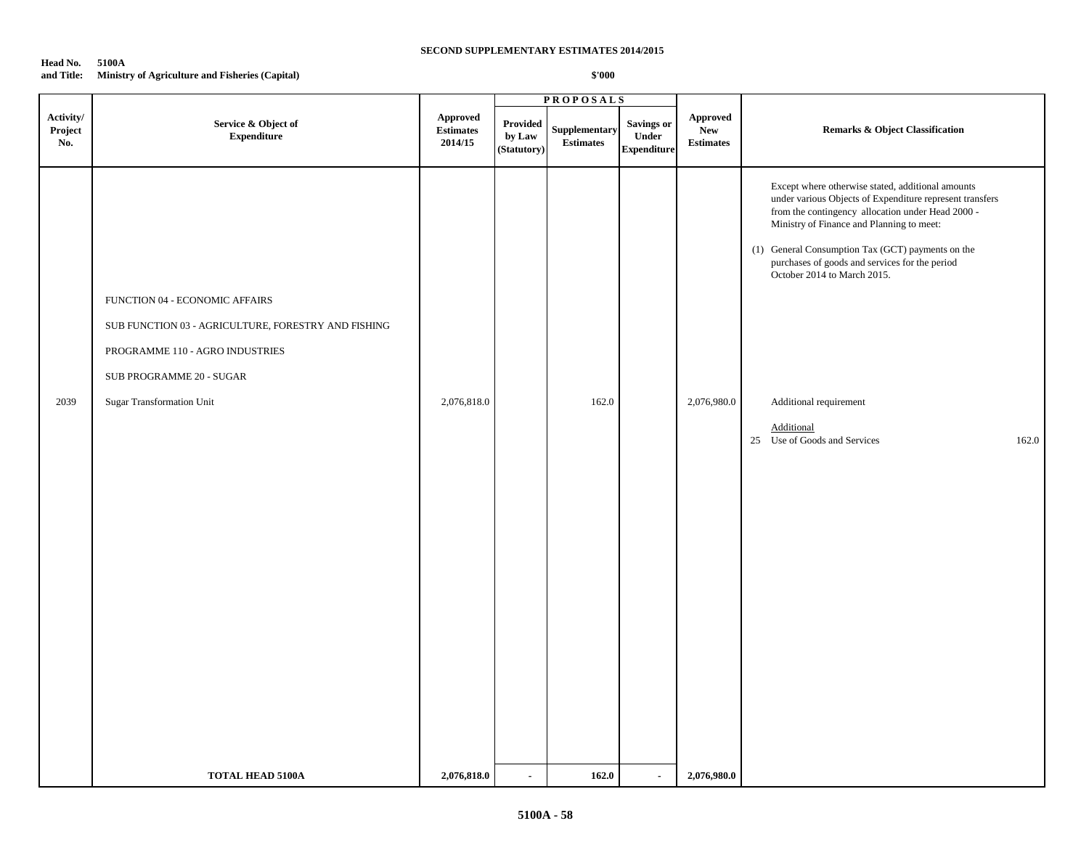### **Head No. 5100A and Title: Ministry of Agriculture and Fisheries (Capital)**

|                             |                                                                                                                                                                                          |                                                |                                   | <b>PROPOSALS</b>                  |                                           |                                            |                                                                                                                                                                                                                                                                                                                                                                                                                                        |
|-----------------------------|------------------------------------------------------------------------------------------------------------------------------------------------------------------------------------------|------------------------------------------------|-----------------------------------|-----------------------------------|-------------------------------------------|--------------------------------------------|----------------------------------------------------------------------------------------------------------------------------------------------------------------------------------------------------------------------------------------------------------------------------------------------------------------------------------------------------------------------------------------------------------------------------------------|
| Activity/<br>Project<br>No. | Service & Object of<br>${\bf Expenditure}$                                                                                                                                               | <b>Approved</b><br><b>Estimates</b><br>2014/15 | Provided<br>by Law<br>(Statutory) | Supplementary<br><b>Estimates</b> | Savings or<br>Under<br><b>Expenditure</b> | Approved<br><b>New</b><br><b>Estimates</b> | Remarks & Object Classification                                                                                                                                                                                                                                                                                                                                                                                                        |
| 2039                        | FUNCTION 04 - ECONOMIC AFFAIRS<br>SUB FUNCTION 03 - AGRICULTURE, FORESTRY AND FISHING<br>PROGRAMME 110 - AGRO INDUSTRIES<br>SUB PROGRAMME 20 - SUGAR<br><b>Sugar Transformation Unit</b> | 2,076,818.0                                    |                                   | 162.0                             |                                           | 2,076,980.0                                | Except where otherwise stated, additional amounts<br>under various Objects of Expenditure represent transfers<br>from the contingency allocation under Head 2000 -<br>Ministry of Finance and Planning to meet:<br>(1) General Consumption Tax (GCT) payments on the<br>purchases of goods and services for the period<br>October 2014 to March 2015.<br>Additional requirement<br>Additional<br>25 Use of Goods and Services<br>162.0 |
|                             | <b>TOTAL HEAD 5100A</b>                                                                                                                                                                  | 2,076,818.0                                    | $\sim$                            | 162.0                             | $\blacksquare$                            | 2,076,980.0                                |                                                                                                                                                                                                                                                                                                                                                                                                                                        |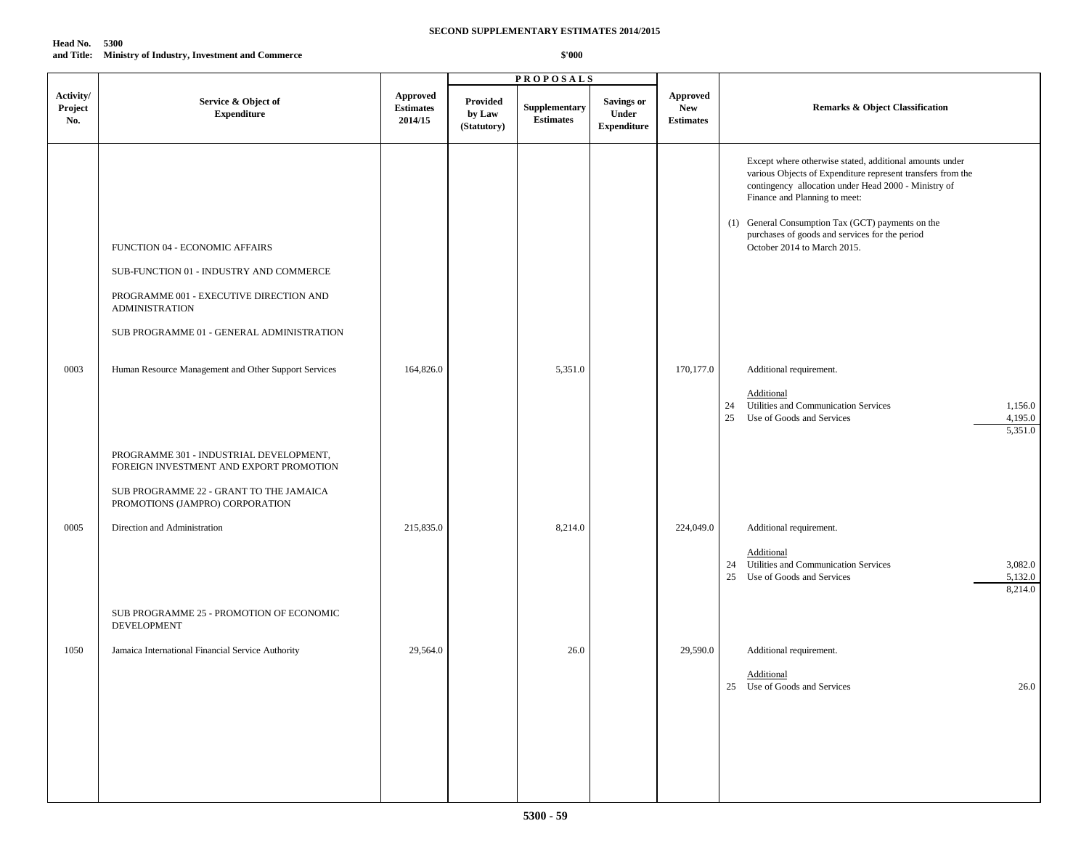### **Head No. 5300 and Title: Ministry of Industry, Investment and Commerce**

|                             |                                                                                                                                                                                            |                                               |                                   | <b>PROPOSALS</b>                  |                                                  |                                            |                                                                                                                                                                                                                                                                                                                                                       |
|-----------------------------|--------------------------------------------------------------------------------------------------------------------------------------------------------------------------------------------|-----------------------------------------------|-----------------------------------|-----------------------------------|--------------------------------------------------|--------------------------------------------|-------------------------------------------------------------------------------------------------------------------------------------------------------------------------------------------------------------------------------------------------------------------------------------------------------------------------------------------------------|
| Activity/<br>Project<br>No. | Service & Object of<br><b>Expenditure</b>                                                                                                                                                  | <b>Approved</b><br>$\bf Estimates$<br>2014/15 | Provided<br>by Law<br>(Statutory) | Supplementary<br><b>Estimates</b> | <b>Savings or</b><br>Under<br><b>Expenditure</b> | Approved<br><b>New</b><br><b>Estimates</b> | Remarks & Object Classification                                                                                                                                                                                                                                                                                                                       |
|                             | FUNCTION 04 - ECONOMIC AFFAIRS<br>SUB-FUNCTION 01 - INDUSTRY AND COMMERCE<br>PROGRAMME 001 - EXECUTIVE DIRECTION AND<br><b>ADMINISTRATION</b><br>SUB PROGRAMME 01 - GENERAL ADMINISTRATION |                                               |                                   |                                   |                                                  |                                            | Except where otherwise stated, additional amounts under<br>various Objects of Expenditure represent transfers from the<br>contingency allocation under Head 2000 - Ministry of<br>Finance and Planning to meet:<br>(1) General Consumption Tax (GCT) payments on the<br>purchases of goods and services for the period<br>October 2014 to March 2015. |
| 0003                        | Human Resource Management and Other Support Services<br>PROGRAMME 301 - INDUSTRIAL DEVELOPMENT,<br>FOREIGN INVESTMENT AND EXPORT PROMOTION                                                 | 164,826.0                                     |                                   | 5,351.0                           |                                                  | 170,177.0                                  | Additional requirement.<br>Additional<br>Utilities and Communication Services<br>24<br>1,156.0<br>25<br>Use of Goods and Services<br>4,195.0<br>5,351.0                                                                                                                                                                                               |
|                             | SUB PROGRAMME 22 - GRANT TO THE JAMAICA<br>PROMOTIONS (JAMPRO) CORPORATION                                                                                                                 |                                               |                                   |                                   |                                                  |                                            |                                                                                                                                                                                                                                                                                                                                                       |
| 0005                        | Direction and Administration                                                                                                                                                               | 215,835.0                                     |                                   | 8,214.0                           |                                                  | 224,049.0                                  | Additional requirement.<br>Additional<br>Utilities and Communication Services<br>3,082.0<br>24<br>Use of Goods and Services<br>5,132.0<br>25<br>8,214.0                                                                                                                                                                                               |
|                             | SUB PROGRAMME 25 - PROMOTION OF ECONOMIC<br><b>DEVELOPMENT</b>                                                                                                                             |                                               |                                   |                                   |                                                  |                                            |                                                                                                                                                                                                                                                                                                                                                       |
| 1050                        | Jamaica International Financial Service Authority                                                                                                                                          | 29,564.0                                      |                                   | 26.0                              |                                                  | 29,590.0                                   | Additional requirement.<br>Additional<br>25 Use of Goods and Services<br>26.0                                                                                                                                                                                                                                                                         |
|                             |                                                                                                                                                                                            |                                               |                                   |                                   |                                                  |                                            |                                                                                                                                                                                                                                                                                                                                                       |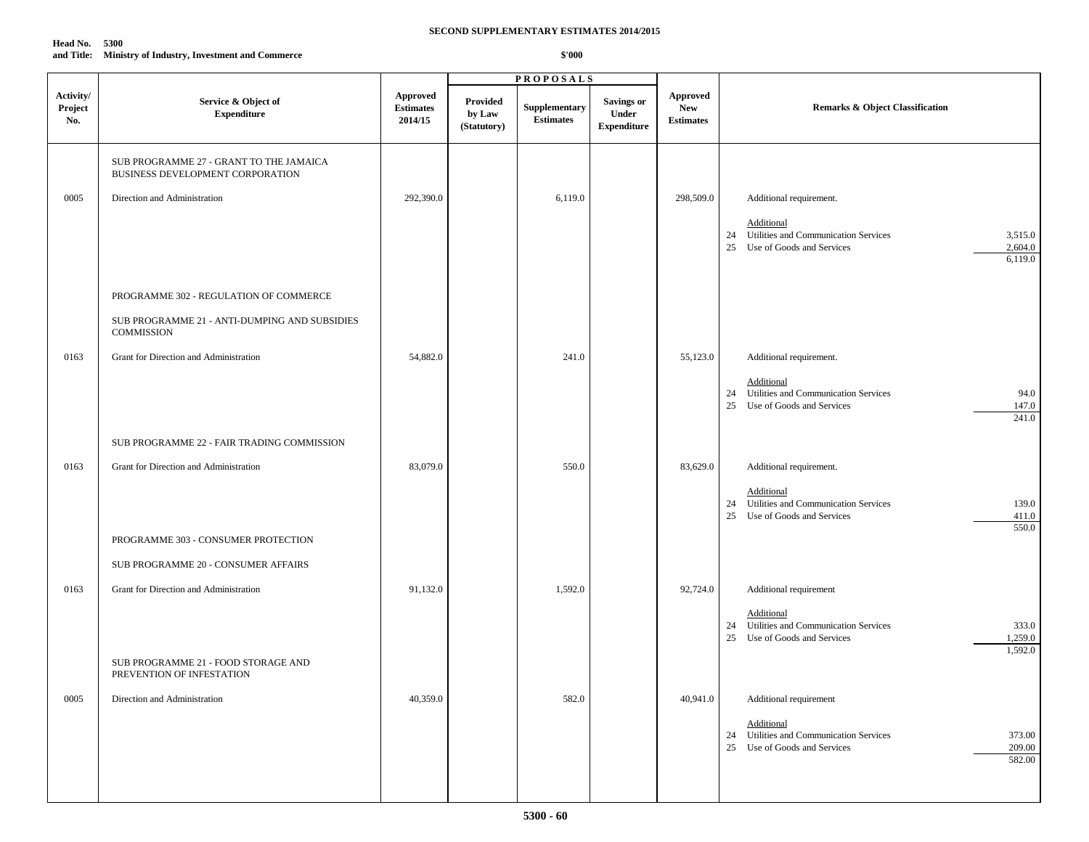# **Head No. 5300**

# **and Title: Ministry of Industry, Investment and Commerce**

|                             |                                                                             |                                                |                                          | <b>PROPOSALS</b>                  |                                           |                                                   |                                                                                                                              |
|-----------------------------|-----------------------------------------------------------------------------|------------------------------------------------|------------------------------------------|-----------------------------------|-------------------------------------------|---------------------------------------------------|------------------------------------------------------------------------------------------------------------------------------|
| Activity/<br>Project<br>No. | Service & Object of<br><b>Expenditure</b>                                   | <b>Approved</b><br><b>Estimates</b><br>2014/15 | <b>Provided</b><br>by Law<br>(Statutory) | Supplementary<br><b>Estimates</b> | Savings or<br>Under<br><b>Expenditure</b> | <b>Approved</b><br><b>New</b><br><b>Estimates</b> | <b>Remarks &amp; Object Classification</b>                                                                                   |
|                             | SUB PROGRAMME 27 - GRANT TO THE JAMAICA<br>BUSINESS DEVELOPMENT CORPORATION |                                                |                                          |                                   |                                           |                                                   |                                                                                                                              |
| 0005                        | Direction and Administration                                                | 292,390.0                                      |                                          | 6,119.0                           |                                           | 298,509.0                                         | Additional requirement.                                                                                                      |
|                             |                                                                             |                                                |                                          |                                   |                                           |                                                   | Additional<br>Utilities and Communication Services<br>3,515.0<br>24<br>Use of Goods and Services<br>2,604.0<br>25<br>6,119.0 |
|                             | PROGRAMME 302 - REGULATION OF COMMERCE                                      |                                                |                                          |                                   |                                           |                                                   |                                                                                                                              |
|                             | SUB PROGRAMME 21 - ANTI-DUMPING AND SUBSIDIES<br>COMMISSION                 |                                                |                                          |                                   |                                           |                                                   |                                                                                                                              |
| 0163                        | Grant for Direction and Administration                                      | 54,882.0                                       |                                          | 241.0                             |                                           | 55,123.0                                          | Additional requirement.                                                                                                      |
|                             |                                                                             |                                                |                                          |                                   |                                           |                                                   | Additional<br>Utilities and Communication Services<br>94.0<br>24<br>147.0<br>25<br>Use of Goods and Services<br>241.0        |
|                             | SUB PROGRAMME 22 - FAIR TRADING COMMISSION                                  |                                                |                                          |                                   |                                           |                                                   |                                                                                                                              |
| 0163                        | Grant for Direction and Administration                                      | 83,079.0                                       |                                          | 550.0                             |                                           | 83,629.0                                          | Additional requirement.                                                                                                      |
|                             |                                                                             |                                                |                                          |                                   |                                           |                                                   | Additional<br>Utilities and Communication Services<br>139.0<br>24<br>Use of Goods and Services<br>411.0<br>25<br>550.0       |
|                             | PROGRAMME 303 - CONSUMER PROTECTION                                         |                                                |                                          |                                   |                                           |                                                   |                                                                                                                              |
|                             | SUB PROGRAMME 20 - CONSUMER AFFAIRS                                         |                                                |                                          |                                   |                                           |                                                   |                                                                                                                              |
| 0163                        | Grant for Direction and Administration                                      | 91,132.0                                       |                                          | 1,592.0                           |                                           | 92,724.0                                          | Additional requirement                                                                                                       |
|                             |                                                                             |                                                |                                          |                                   |                                           |                                                   | Additional<br>24 Utilities and Communication Services<br>333.0<br>Use of Goods and Services<br>1,259.0<br>25<br>1,592.0      |
|                             | SUB PROGRAMME 21 - FOOD STORAGE AND<br>PREVENTION OF INFESTATION            |                                                |                                          |                                   |                                           |                                                   |                                                                                                                              |
| 0005                        | Direction and Administration                                                | 40,359.0                                       |                                          | 582.0                             |                                           | 40,941.0                                          | Additional requirement                                                                                                       |
|                             |                                                                             |                                                |                                          |                                   |                                           |                                                   | Additional<br>Utilities and Communication Services<br>373.00<br>24<br>25 Use of Goods and Services<br>209.00<br>582.00       |
|                             |                                                                             |                                                |                                          |                                   |                                           |                                                   |                                                                                                                              |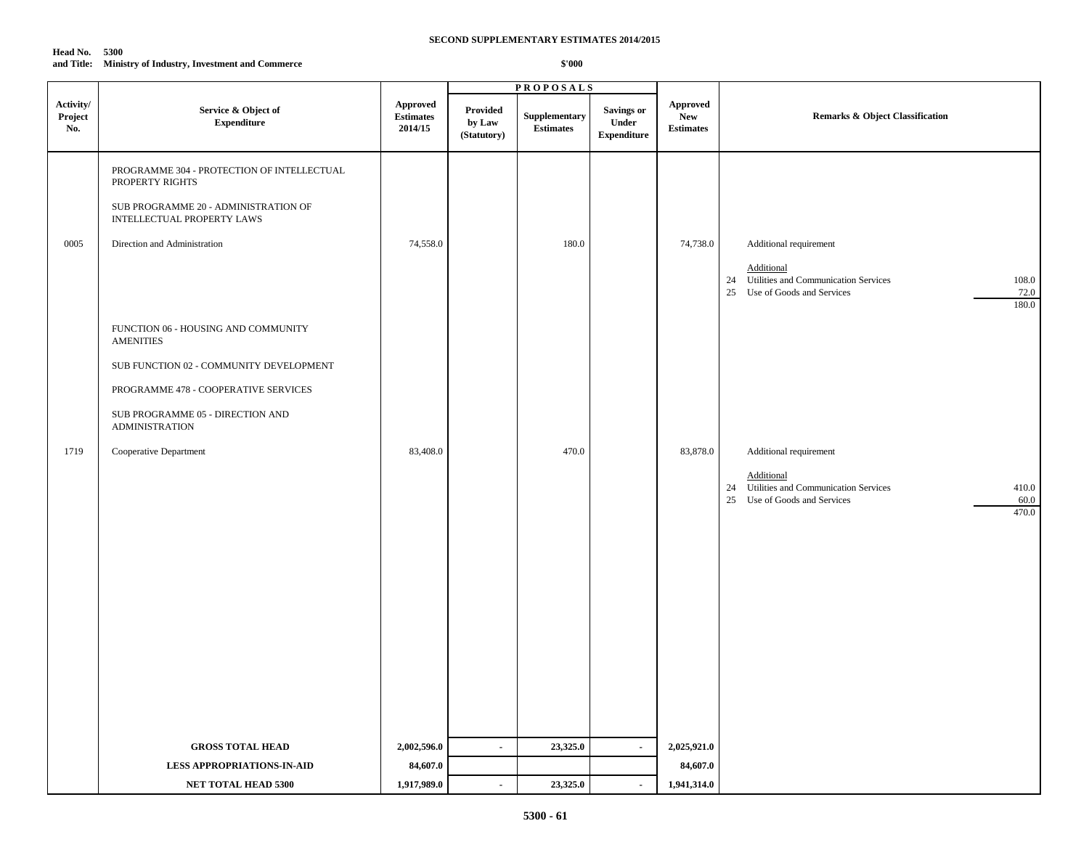| <b>Head No. 5300</b> |                                               |
|----------------------|-----------------------------------------------|
| and Title:           | Ministry of Industry, Investment and Commerce |

|                             |                                                                                                                                                                                                                                   |                                                |                                   | <b>PROPOSALS</b>                  |                                                  |                                                   |                                                                                                                                                 |
|-----------------------------|-----------------------------------------------------------------------------------------------------------------------------------------------------------------------------------------------------------------------------------|------------------------------------------------|-----------------------------------|-----------------------------------|--------------------------------------------------|---------------------------------------------------|-------------------------------------------------------------------------------------------------------------------------------------------------|
| Activity/<br>Project<br>No. | Service & Object of<br><b>Expenditure</b>                                                                                                                                                                                         | <b>Approved</b><br><b>Estimates</b><br>2014/15 | Provided<br>by Law<br>(Statutory) | Supplementary<br><b>Estimates</b> | <b>Savings or</b><br>Under<br><b>Expenditure</b> | <b>Approved</b><br><b>New</b><br><b>Estimates</b> | Remarks & Object Classification                                                                                                                 |
| 0005                        | PROGRAMME 304 - PROTECTION OF INTELLECTUAL<br>PROPERTY RIGHTS<br>SUB PROGRAMME 20 - ADMINISTRATION OF<br><b>INTELLECTUAL PROPERTY LAWS</b><br>Direction and Administration                                                        | 74,558.0                                       |                                   | 180.0                             |                                                  | 74,738.0                                          | Additional requirement<br>Additional<br>24 Utilities and Communication Services<br>108.0<br>25<br>Use of Goods and Services<br>72.0<br>180.0    |
| 1719                        | FUNCTION 06 - HOUSING AND COMMUNITY<br><b>AMENITIES</b><br>SUB FUNCTION 02 - COMMUNITY DEVELOPMENT<br>PROGRAMME 478 - COOPERATIVE SERVICES<br>SUB PROGRAMME 05 - DIRECTION AND<br><b>ADMINISTRATION</b><br>Cooperative Department | 83,408.0                                       |                                   | 470.0                             |                                                  | 83,878.0                                          | Additional requirement<br>Additional<br>Utilities and Communication Services<br>410.0<br>24<br>60.0<br>25<br>Use of Goods and Services<br>470.0 |
|                             | <b>GROSS TOTAL HEAD</b>                                                                                                                                                                                                           | 2,002,596.0                                    | $\blacksquare$                    | 23,325.0                          | $\blacksquare$                                   | 2,025,921.0                                       |                                                                                                                                                 |
|                             | <b>LESS APPROPRIATIONS-IN-AID</b>                                                                                                                                                                                                 | 84,607.0                                       |                                   |                                   |                                                  | 84,607.0                                          |                                                                                                                                                 |
|                             | NET TOTAL HEAD 5300                                                                                                                                                                                                               | 1,917,989.0                                    | $\blacksquare$                    | 23,325.0                          | $\blacksquare$                                   | 1,941,314.0                                       |                                                                                                                                                 |
|                             |                                                                                                                                                                                                                                   |                                                |                                   |                                   |                                                  |                                                   |                                                                                                                                                 |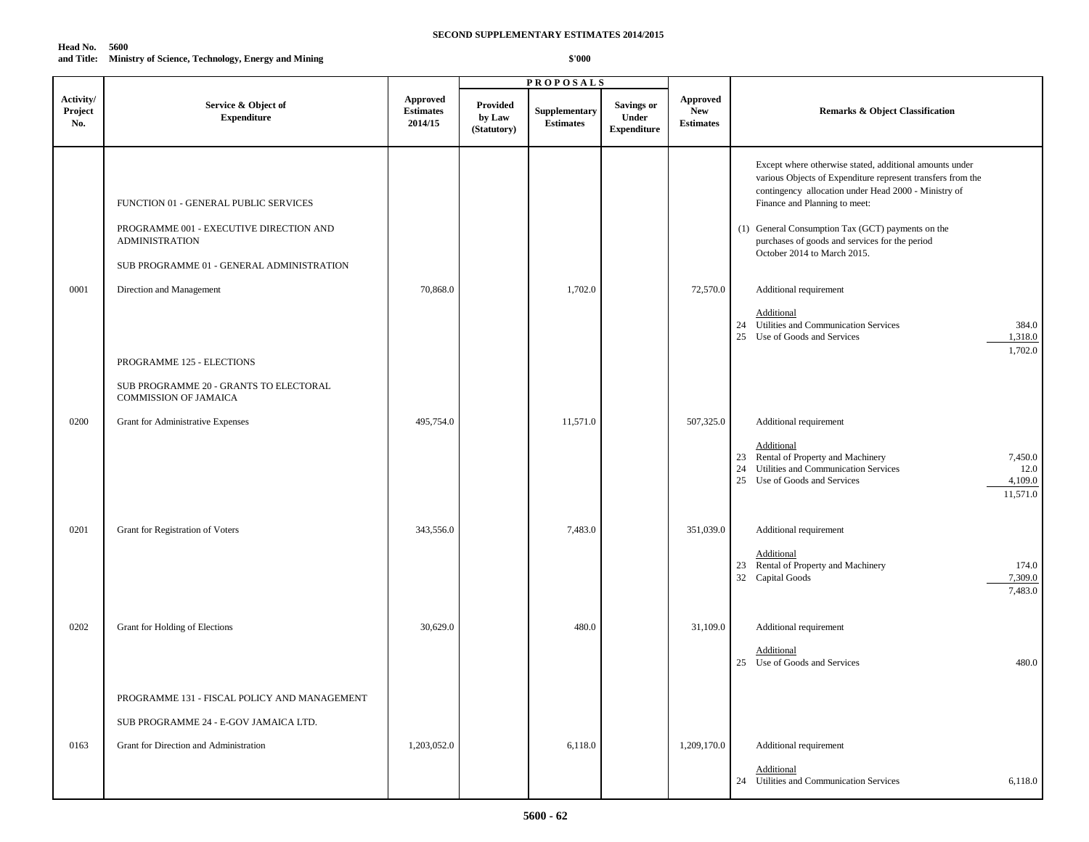| SECOND SUPPLEMENTARY ESTIMATES 2014/2015 |  |  |  |
|------------------------------------------|--|--|--|
|------------------------------------------|--|--|--|

| Head No. 5600 |                                                               |
|---------------|---------------------------------------------------------------|
|               | and Title: Ministry of Science, Technology, Energy and Mining |

|                             |                                                                                                           |                                         |                                          | <b>PROPOSALS</b>                  |                                                  |                                                   |                                                                                                                                                                                                                                                                                                                                                       |
|-----------------------------|-----------------------------------------------------------------------------------------------------------|-----------------------------------------|------------------------------------------|-----------------------------------|--------------------------------------------------|---------------------------------------------------|-------------------------------------------------------------------------------------------------------------------------------------------------------------------------------------------------------------------------------------------------------------------------------------------------------------------------------------------------------|
| Activity/<br>Project<br>No. | Service & Object of<br><b>Expenditure</b>                                                                 | Approved<br><b>Estimates</b><br>2014/15 | <b>Provided</b><br>by Law<br>(Statutory) | Supplementary<br><b>Estimates</b> | <b>Savings or</b><br>Under<br><b>Expenditure</b> | <b>Approved</b><br><b>New</b><br><b>Estimates</b> | <b>Remarks &amp; Object Classification</b>                                                                                                                                                                                                                                                                                                            |
|                             | FUNCTION 01 - GENERAL PUBLIC SERVICES<br>PROGRAMME 001 - EXECUTIVE DIRECTION AND<br><b>ADMINISTRATION</b> |                                         |                                          |                                   |                                                  |                                                   | Except where otherwise stated, additional amounts under<br>various Objects of Expenditure represent transfers from the<br>contingency allocation under Head 2000 - Ministry of<br>Finance and Planning to meet:<br>(1) General Consumption Tax (GCT) payments on the<br>purchases of goods and services for the period<br>October 2014 to March 2015. |
| 0001                        | SUB PROGRAMME 01 - GENERAL ADMINISTRATION<br>Direction and Management                                     | 70,868.0                                |                                          | 1,702.0                           |                                                  | 72,570.0                                          | Additional requirement<br><b>Additional</b>                                                                                                                                                                                                                                                                                                           |
|                             | PROGRAMME 125 - ELECTIONS                                                                                 |                                         |                                          |                                   |                                                  |                                                   | 24 Utilities and Communication Services<br>384.0<br>25 Use of Goods and Services<br>1,318.0<br>1,702.0                                                                                                                                                                                                                                                |
|                             | SUB PROGRAMME 20 - GRANTS TO ELECTORAL<br>COMMISSION OF JAMAICA                                           |                                         |                                          |                                   |                                                  |                                                   |                                                                                                                                                                                                                                                                                                                                                       |
| 0200                        | Grant for Administrative Expenses                                                                         | 495,754.0                               |                                          | 11,571.0                          |                                                  | 507,325.0                                         | Additional requirement<br>Additional<br>23 Rental of Property and Machinery<br>7,450.0<br>Utilities and Communication Services<br>12.0<br>24<br>4,109.0<br>25 Use of Goods and Services<br>11,571.0                                                                                                                                                   |
| 0201                        | Grant for Registration of Voters                                                                          | 343,556.0                               |                                          | 7,483.0                           |                                                  | 351,039.0                                         | Additional requirement<br>Additional<br>23 Rental of Property and Machinery<br>174.0<br>32 Capital Goods<br>7,309.0<br>7,483.0                                                                                                                                                                                                                        |
| 0202                        | Grant for Holding of Elections                                                                            | 30,629.0                                |                                          | 480.0                             |                                                  | 31,109.0                                          | Additional requirement<br>Additional<br>25 Use of Goods and Services<br>480.0                                                                                                                                                                                                                                                                         |
|                             | PROGRAMME 131 - FISCAL POLICY AND MANAGEMENT                                                              |                                         |                                          |                                   |                                                  |                                                   |                                                                                                                                                                                                                                                                                                                                                       |
|                             | SUB PROGRAMME 24 - E-GOV JAMAICA LTD.                                                                     |                                         |                                          |                                   |                                                  |                                                   |                                                                                                                                                                                                                                                                                                                                                       |
| 0163                        | Grant for Direction and Administration                                                                    | 1,203,052.0                             |                                          | 6,118.0                           |                                                  | 1,209,170.0                                       | Additional requirement                                                                                                                                                                                                                                                                                                                                |
|                             |                                                                                                           |                                         |                                          |                                   |                                                  |                                                   | Additional<br>24 Utilities and Communication Services<br>6,118.0                                                                                                                                                                                                                                                                                      |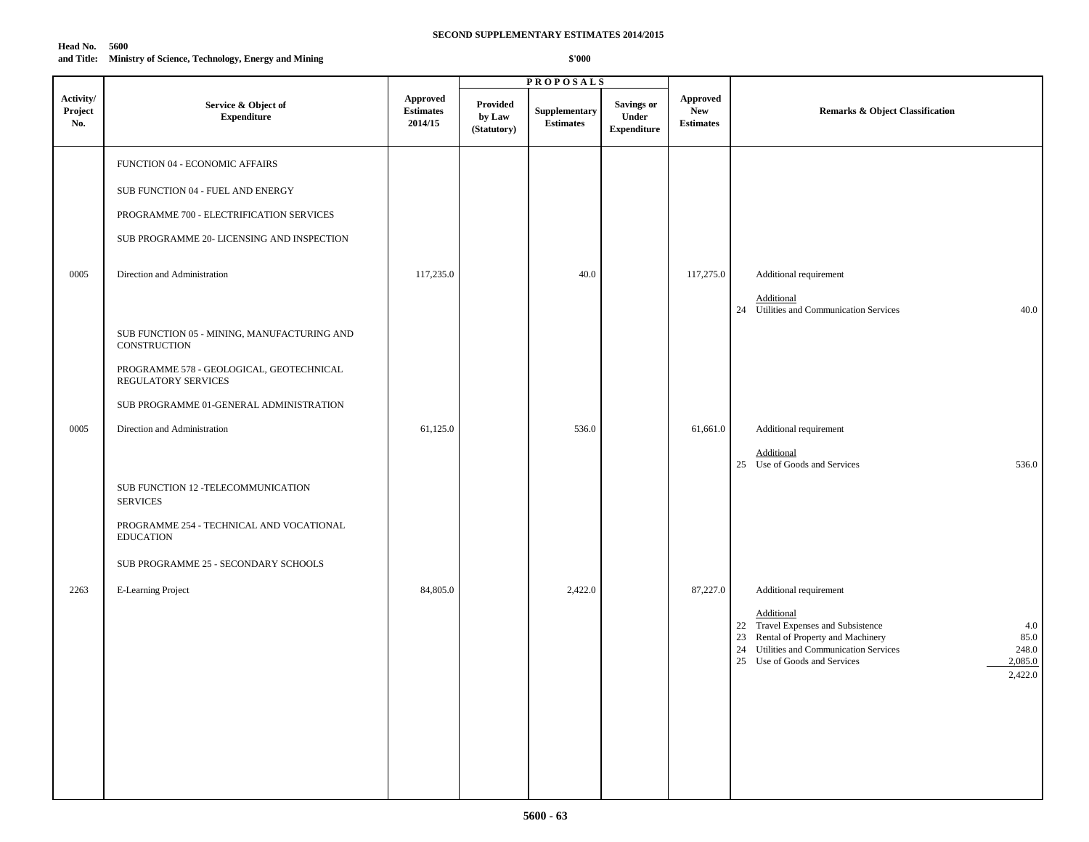| Head No.   | 5600                                               |
|------------|----------------------------------------------------|
| and Title: | Ministry of Science, Technology, Energy and Mining |

|                             |                                                                                                                                                                                                                                                              |                                                |                                   | <b>PROPOSALS</b>                  |                                                  |                                                   |                                                                                                                                                                                                                                            |
|-----------------------------|--------------------------------------------------------------------------------------------------------------------------------------------------------------------------------------------------------------------------------------------------------------|------------------------------------------------|-----------------------------------|-----------------------------------|--------------------------------------------------|---------------------------------------------------|--------------------------------------------------------------------------------------------------------------------------------------------------------------------------------------------------------------------------------------------|
| Activity/<br>Project<br>No. | Service & Object of<br><b>Expenditure</b>                                                                                                                                                                                                                    | <b>Approved</b><br><b>Estimates</b><br>2014/15 | Provided<br>by Law<br>(Statutory) | Supplementary<br><b>Estimates</b> | <b>Savings or</b><br>Under<br><b>Expenditure</b> | <b>Approved</b><br><b>New</b><br><b>Estimates</b> | Remarks & Object Classification                                                                                                                                                                                                            |
| 0005                        | FUNCTION 04 - ECONOMIC AFFAIRS<br>SUB FUNCTION 04 - FUEL AND ENERGY<br>PROGRAMME 700 - ELECTRIFICATION SERVICES<br>SUB PROGRAMME 20- LICENSING AND INSPECTION<br>Direction and Administration<br>SUB FUNCTION 05 - MINING, MANUFACTURING AND<br>CONSTRUCTION | 117,235.0                                      |                                   | 40.0                              |                                                  | 117,275.0                                         | Additional requirement<br>Additional<br>24 Utilities and Communication Services<br>40.0                                                                                                                                                    |
| 0005                        | PROGRAMME 578 - GEOLOGICAL, GEOTECHNICAL<br>REGULATORY SERVICES<br>SUB PROGRAMME 01-GENERAL ADMINISTRATION<br>Direction and Administration<br>SUB FUNCTION 12 -TELECOMMUNICATION<br><b>SERVICES</b>                                                          | 61,125.0                                       |                                   | 536.0                             |                                                  | 61,661.0                                          | Additional requirement<br>Additional<br>25 Use of Goods and Services<br>536.0                                                                                                                                                              |
| 2263                        | PROGRAMME 254 - TECHNICAL AND VOCATIONAL<br><b>EDUCATION</b><br>SUB PROGRAMME 25 - SECONDARY SCHOOLS<br>E-Learning Project                                                                                                                                   | 84,805.0                                       |                                   | 2,422.0                           |                                                  | 87,227.0                                          | Additional requirement<br>Additional<br>22 Travel Expenses and Subsistence<br>4.0<br>23 Rental of Property and Machinery<br>85.0<br>24 Utilities and Communication Services<br>248.0<br>25 Use of Goods and Services<br>2,085.0<br>2,422.0 |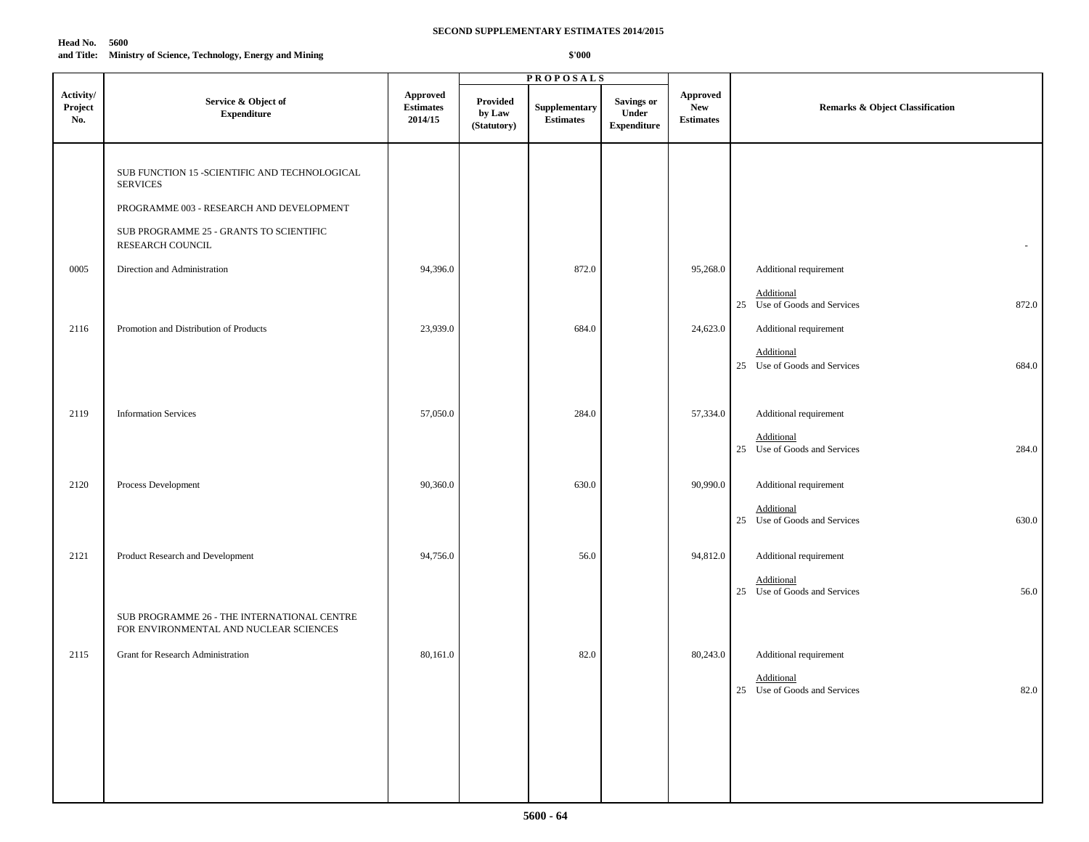### **Head No. 5600 and Title: Ministry of Science, Technology, Energy and Mining**

|                             |                                                                                       |                                                |                                   | <b>PROPOSALS</b>                  |                                                  |                                                   |                                                        |
|-----------------------------|---------------------------------------------------------------------------------------|------------------------------------------------|-----------------------------------|-----------------------------------|--------------------------------------------------|---------------------------------------------------|--------------------------------------------------------|
| Activity/<br>Project<br>No. | Service & Object of<br><b>Expenditure</b>                                             | <b>Approved</b><br><b>Estimates</b><br>2014/15 | Provided<br>by Law<br>(Statutory) | Supplementary<br><b>Estimates</b> | <b>Savings or</b><br>Under<br><b>Expenditure</b> | <b>Approved</b><br><b>New</b><br><b>Estimates</b> | <b>Remarks &amp; Object Classification</b>             |
|                             | SUB FUNCTION 15 -SCIENTIFIC AND TECHNOLOGICAL<br><b>SERVICES</b>                      |                                                |                                   |                                   |                                                  |                                                   |                                                        |
|                             | PROGRAMME 003 - RESEARCH AND DEVELOPMENT                                              |                                                |                                   |                                   |                                                  |                                                   |                                                        |
|                             | SUB PROGRAMME 25 - GRANTS TO SCIENTIFIC<br>RESEARCH COUNCIL                           |                                                |                                   |                                   |                                                  |                                                   | $\overline{\phantom{a}}$                               |
| 0005                        | Direction and Administration                                                          | 94,396.0                                       |                                   | 872.0                             |                                                  | 95,268.0                                          | Additional requirement                                 |
|                             |                                                                                       |                                                |                                   |                                   |                                                  |                                                   | Additional<br>25 Use of Goods and Services<br>872.0    |
| 2116                        | Promotion and Distribution of Products                                                | 23,939.0                                       |                                   | 684.0                             |                                                  | 24,623.0                                          | Additional requirement                                 |
|                             |                                                                                       |                                                |                                   |                                   |                                                  |                                                   | Additional<br>25 Use of Goods and Services<br>684.0    |
| 2119                        | <b>Information Services</b>                                                           | 57,050.0                                       |                                   | 284.0                             |                                                  | 57,334.0                                          | Additional requirement                                 |
|                             |                                                                                       |                                                |                                   |                                   |                                                  |                                                   | Additional<br>25 Use of Goods and Services<br>284.0    |
| 2120                        | Process Development                                                                   | 90,360.0                                       |                                   | 630.0                             |                                                  | 90,990.0                                          | Additional requirement                                 |
|                             |                                                                                       |                                                |                                   |                                   |                                                  |                                                   | Additional<br>25 Use of Goods and Services<br>630.0    |
| 2121                        | Product Research and Development                                                      | 94,756.0                                       |                                   | 56.0                              |                                                  | 94,812.0                                          | Additional requirement                                 |
|                             |                                                                                       |                                                |                                   |                                   |                                                  |                                                   | Additional<br>56.0<br>25 Use of Goods and Services     |
|                             | SUB PROGRAMME 26 - THE INTERNATIONAL CENTRE<br>FOR ENVIRONMENTAL AND NUCLEAR SCIENCES |                                                |                                   |                                   |                                                  |                                                   |                                                        |
| 2115                        | Grant for Research Administration                                                     | 80,161.0                                       |                                   | 82.0                              |                                                  | 80,243.0                                          | Additional requirement                                 |
|                             |                                                                                       |                                                |                                   |                                   |                                                  |                                                   | Additional<br>$82.0\,$<br>25 Use of Goods and Services |
|                             |                                                                                       |                                                |                                   |                                   |                                                  |                                                   |                                                        |
|                             |                                                                                       |                                                |                                   |                                   |                                                  |                                                   |                                                        |
|                             |                                                                                       |                                                |                                   |                                   |                                                  |                                                   |                                                        |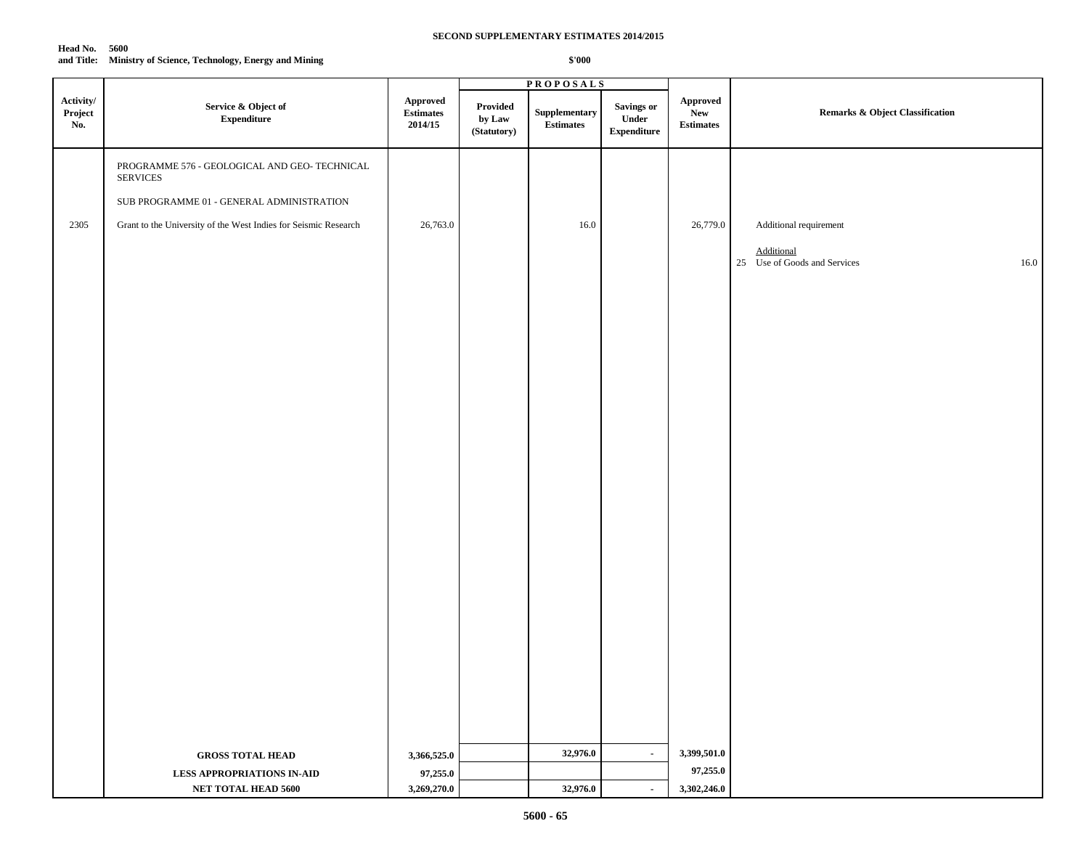| <b>Head No. 5600</b> |                                                    |
|----------------------|----------------------------------------------------|
| and Title:           | Ministry of Science, Technology, Energy and Mining |

|                             |                                                                  |                                  |                                   | <b>PROPOSALS</b>                          |                                            |                                            |                                                           |
|-----------------------------|------------------------------------------------------------------|----------------------------------|-----------------------------------|-------------------------------------------|--------------------------------------------|--------------------------------------------|-----------------------------------------------------------|
| Activity/<br>Project<br>No. | Service & Object of<br><b>Expenditure</b>                        | Approved<br>Estimates<br>2014/15 | Provided<br>by Law<br>(Statutory) | ${\large \bf Supplementary}$<br>Estimates | Savings or<br>Under<br>${\bf Expenditure}$ | <b>Approved</b><br>New<br><b>Estimates</b> | <b>Remarks &amp; Object Classification</b>                |
|                             | PROGRAMME 576 - GEOLOGICAL AND GEO- TECHNICAL<br><b>SERVICES</b> |                                  |                                   |                                           |                                            |                                            |                                                           |
|                             | SUB PROGRAMME 01 - GENERAL ADMINISTRATION                        |                                  |                                   |                                           |                                            |                                            |                                                           |
| 2305                        | Grant to the University of the West Indies for Seismic Research  | 26,763.0                         |                                   | 16.0                                      |                                            | 26,779.0                                   | Additional requirement                                    |
|                             |                                                                  |                                  |                                   |                                           |                                            |                                            |                                                           |
|                             |                                                                  |                                  |                                   |                                           |                                            |                                            | <b>Additional</b><br>25 Use of Goods and Services<br>16.0 |
|                             |                                                                  |                                  |                                   |                                           |                                            |                                            |                                                           |
|                             |                                                                  |                                  |                                   |                                           |                                            |                                            |                                                           |
|                             |                                                                  |                                  |                                   |                                           |                                            |                                            |                                                           |
|                             |                                                                  |                                  |                                   |                                           |                                            |                                            |                                                           |
|                             |                                                                  |                                  |                                   |                                           |                                            |                                            |                                                           |
|                             |                                                                  |                                  |                                   |                                           |                                            |                                            |                                                           |
|                             |                                                                  |                                  |                                   |                                           |                                            |                                            |                                                           |
|                             |                                                                  |                                  |                                   |                                           |                                            |                                            |                                                           |
|                             |                                                                  |                                  |                                   |                                           |                                            |                                            |                                                           |
|                             |                                                                  |                                  |                                   |                                           |                                            |                                            |                                                           |
|                             |                                                                  |                                  |                                   |                                           |                                            |                                            |                                                           |
|                             |                                                                  |                                  |                                   |                                           |                                            |                                            |                                                           |
|                             |                                                                  |                                  |                                   |                                           |                                            |                                            |                                                           |
|                             |                                                                  |                                  |                                   |                                           |                                            |                                            |                                                           |
|                             |                                                                  |                                  |                                   |                                           |                                            |                                            |                                                           |
|                             |                                                                  |                                  |                                   |                                           |                                            |                                            |                                                           |
|                             |                                                                  |                                  |                                   |                                           |                                            |                                            |                                                           |
|                             |                                                                  |                                  |                                   |                                           |                                            |                                            |                                                           |
|                             |                                                                  |                                  |                                   |                                           |                                            |                                            |                                                           |
|                             |                                                                  |                                  |                                   |                                           |                                            |                                            |                                                           |
|                             |                                                                  |                                  |                                   |                                           |                                            |                                            |                                                           |
|                             |                                                                  |                                  |                                   |                                           |                                            |                                            |                                                           |
|                             |                                                                  |                                  |                                   |                                           |                                            |                                            |                                                           |
|                             |                                                                  |                                  |                                   |                                           |                                            |                                            |                                                           |
|                             | <b>GROSS TOTAL HEAD</b>                                          | 3,366,525.0                      |                                   | 32,976.0                                  | $\blacksquare$                             | 3,399,501.0<br>97,255.0                    |                                                           |
|                             | <b>LESS APPROPRIATIONS IN-AID</b><br>NET TOTAL HEAD 5600         | 97,255.0<br>3,269,270.0          |                                   | 32,976.0                                  | $\blacksquare$                             | 3,302,246.0                                |                                                           |
|                             |                                                                  |                                  |                                   |                                           |                                            |                                            |                                                           |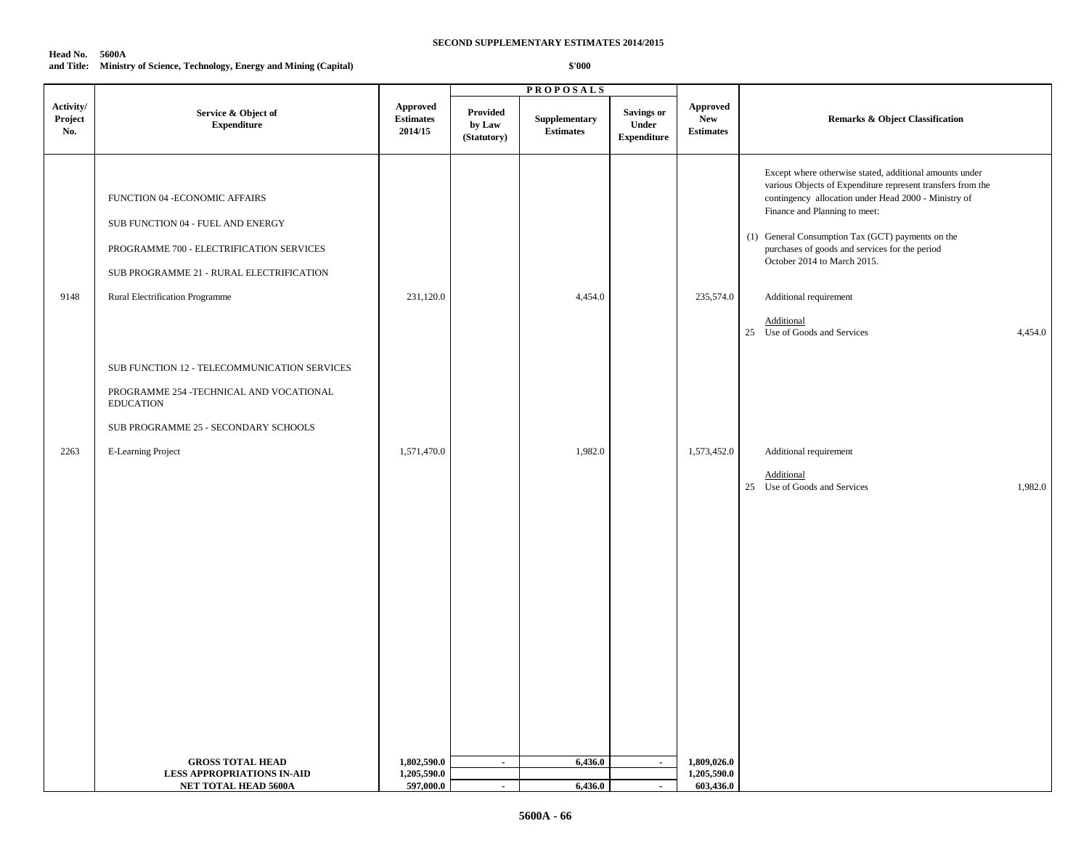### **Head No. 5600A**

### **and Title: Ministry of Science, Technology, Energy and Mining (Capital)**

|                             |                                                                                                                                                                                                                                                                                                                                                        |                                                |                                   | <b>PROPOSALS</b>                  |                                                  |                                                  |                                                                                                                                                                                                                                                                                                                                                                                                                                          |
|-----------------------------|--------------------------------------------------------------------------------------------------------------------------------------------------------------------------------------------------------------------------------------------------------------------------------------------------------------------------------------------------------|------------------------------------------------|-----------------------------------|-----------------------------------|--------------------------------------------------|--------------------------------------------------|------------------------------------------------------------------------------------------------------------------------------------------------------------------------------------------------------------------------------------------------------------------------------------------------------------------------------------------------------------------------------------------------------------------------------------------|
| Activity/<br>Project<br>No. | Service & Object of<br><b>Expenditure</b>                                                                                                                                                                                                                                                                                                              | <b>Approved</b><br><b>Estimates</b><br>2014/15 | Provided<br>by Law<br>(Statutory) | Supplementary<br><b>Estimates</b> | <b>Savings or</b><br>Under<br><b>Expenditure</b> | <b>Approved</b><br><b>New</b><br>$\bf Estimates$ | <b>Remarks &amp; Object Classification</b>                                                                                                                                                                                                                                                                                                                                                                                               |
| 9148                        | FUNCTION 04 - ECONOMIC AFFAIRS<br>SUB FUNCTION 04 - FUEL AND ENERGY<br>PROGRAMME 700 - ELECTRIFICATION SERVICES<br>SUB PROGRAMME 21 - RURAL ELECTRIFICATION<br>Rural Electrification Programme<br>SUB FUNCTION 12 - TELECOMMUNICATION SERVICES<br>PROGRAMME 254 - TECHNICAL AND VOCATIONAL<br><b>EDUCATION</b><br>SUB PROGRAMME 25 - SECONDARY SCHOOLS | 231,120.0                                      |                                   | 4,454.0                           |                                                  | 235,574.0                                        | Except where otherwise stated, additional amounts under<br>various Objects of Expenditure represent transfers from the<br>contingency allocation under Head 2000 - Ministry of<br>Finance and Planning to meet:<br>(1) General Consumption Tax (GCT) payments on the<br>purchases of goods and services for the period<br>October 2014 to March 2015.<br>Additional requirement<br>Additional<br>25 Use of Goods and Services<br>4,454.0 |
| 2263                        | E-Learning Project                                                                                                                                                                                                                                                                                                                                     | 1,571,470.0                                    |                                   | 1,982.0                           |                                                  | 1,573,452.0                                      | Additional requirement<br>Additional                                                                                                                                                                                                                                                                                                                                                                                                     |
|                             |                                                                                                                                                                                                                                                                                                                                                        |                                                |                                   |                                   |                                                  |                                                  | 25 Use of Goods and Services<br>1,982.0                                                                                                                                                                                                                                                                                                                                                                                                  |
|                             | <b>GROSS TOTAL HEAD</b><br><b>LESS APPROPRIATIONS IN-AID</b>                                                                                                                                                                                                                                                                                           | 1,802,590.0<br>1,205,590.0                     | $\sim$                            | 6,436.0                           | $\sim$                                           | 1,809,026.0<br>1,205,590.0                       |                                                                                                                                                                                                                                                                                                                                                                                                                                          |
|                             | NET TOTAL HEAD 5600A                                                                                                                                                                                                                                                                                                                                   | 597,000.0                                      | $\sim$                            | 6,436.0                           | $\sim$                                           | 603,436.0                                        |                                                                                                                                                                                                                                                                                                                                                                                                                                          |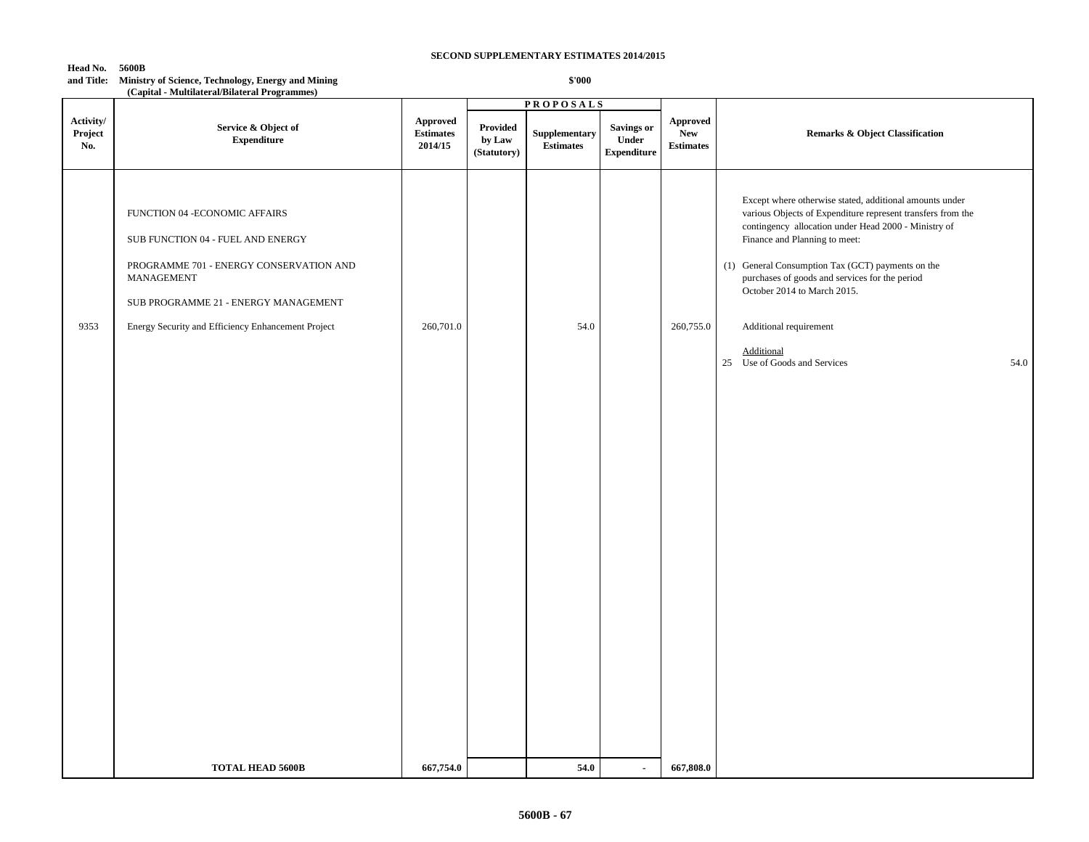**\$'000**

**Head No. 5600B**

**and Title: Ministry of Science, Technology, Energy and Mining**

|                             | (Capital - Multilateral/Bilateral Programmes)                                                                                                                                                                              |                                                |                                   | <b>PROPOSALS</b>                                 |                                                  |                                                   |                                                                                                                                                                                                                                                                                                                                                                                                                                       |
|-----------------------------|----------------------------------------------------------------------------------------------------------------------------------------------------------------------------------------------------------------------------|------------------------------------------------|-----------------------------------|--------------------------------------------------|--------------------------------------------------|---------------------------------------------------|---------------------------------------------------------------------------------------------------------------------------------------------------------------------------------------------------------------------------------------------------------------------------------------------------------------------------------------------------------------------------------------------------------------------------------------|
| Activity/<br>Project<br>No. | Service & Object of<br>${\bf Expenditure}$                                                                                                                                                                                 | <b>Approved</b><br><b>Estimates</b><br>2014/15 | Provided<br>by Law<br>(Statutory) | ${\large \bf Supplementary}$<br><b>Estimates</b> | <b>Savings or</b><br>Under<br><b>Expenditure</b> | <b>Approved</b><br><b>New</b><br><b>Estimates</b> | <b>Remarks &amp; Object Classification</b>                                                                                                                                                                                                                                                                                                                                                                                            |
| 9353                        | FUNCTION 04 - ECONOMIC AFFAIRS<br>SUB FUNCTION 04 - FUEL AND ENERGY<br>PROGRAMME 701 - ENERGY CONSERVATION AND<br>MANAGEMENT<br>SUB PROGRAMME 21 - ENERGY MANAGEMENT<br>Energy Security and Efficiency Enhancement Project | 260,701.0                                      |                                   | 54.0                                             |                                                  | 260,755.0                                         | Except where otherwise stated, additional amounts under<br>various Objects of Expenditure represent transfers from the<br>contingency allocation under Head 2000 - Ministry of<br>Finance and Planning to meet:<br>(1) General Consumption Tax (GCT) payments on the<br>purchases of goods and services for the period<br>October 2014 to March 2015.<br>Additional requirement<br>Additional<br>25 Use of Goods and Services<br>54.0 |
|                             | <b>TOTAL HEAD 5600B</b>                                                                                                                                                                                                    | 667,754.0                                      |                                   | 54.0                                             | $\overline{\phantom{a}}$                         | 667,808.0                                         |                                                                                                                                                                                                                                                                                                                                                                                                                                       |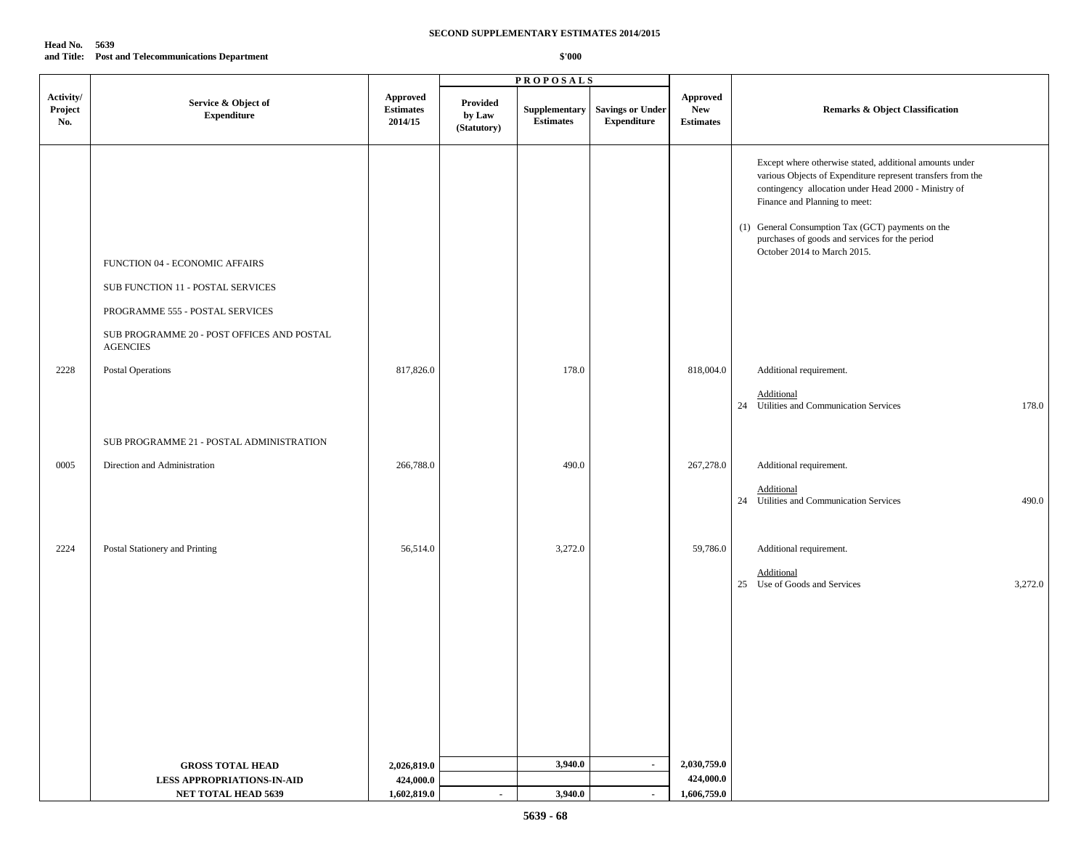| Head No. | - 5639                                            |
|----------|---------------------------------------------------|
|          | and Title: Post and Telecommunications Department |

|                             |                                                                                                                                                                         |                                                |                                   | <b>PROPOSALS</b>                  |                                               |                                            |                                                                                                                                                                                                                                                                                                                                                       |
|-----------------------------|-------------------------------------------------------------------------------------------------------------------------------------------------------------------------|------------------------------------------------|-----------------------------------|-----------------------------------|-----------------------------------------------|--------------------------------------------|-------------------------------------------------------------------------------------------------------------------------------------------------------------------------------------------------------------------------------------------------------------------------------------------------------------------------------------------------------|
| Activity/<br>Project<br>No. | Service & Object of<br><b>Expenditure</b>                                                                                                                               | <b>Approved</b><br><b>Estimates</b><br>2014/15 | Provided<br>by Law<br>(Statutory) | Supplementary<br><b>Estimates</b> | <b>Savings or Under</b><br><b>Expenditure</b> | Approved<br><b>New</b><br><b>Estimates</b> | <b>Remarks &amp; Object Classification</b>                                                                                                                                                                                                                                                                                                            |
|                             | FUNCTION 04 - ECONOMIC AFFAIRS<br>SUB FUNCTION 11 - POSTAL SERVICES<br>PROGRAMME 555 - POSTAL SERVICES<br>SUB PROGRAMME 20 - POST OFFICES AND POSTAL<br><b>AGENCIES</b> |                                                |                                   |                                   |                                               |                                            | Except where otherwise stated, additional amounts under<br>various Objects of Expenditure represent transfers from the<br>contingency allocation under Head 2000 - Ministry of<br>Finance and Planning to meet:<br>(1) General Consumption Tax (GCT) payments on the<br>purchases of goods and services for the period<br>October 2014 to March 2015. |
| 2228                        | Postal Operations                                                                                                                                                       | 817,826.0                                      |                                   | 178.0                             |                                               | 818,004.0                                  | Additional requirement.                                                                                                                                                                                                                                                                                                                               |
|                             |                                                                                                                                                                         |                                                |                                   |                                   |                                               |                                            | Additional<br>24 Utilities and Communication Services<br>178.0                                                                                                                                                                                                                                                                                        |
|                             | SUB PROGRAMME 21 - POSTAL ADMINISTRATION                                                                                                                                |                                                |                                   |                                   |                                               |                                            |                                                                                                                                                                                                                                                                                                                                                       |
| 0005                        | Direction and Administration                                                                                                                                            | 266,788.0                                      |                                   | 490.0                             |                                               | 267,278.0                                  | Additional requirement.                                                                                                                                                                                                                                                                                                                               |
|                             |                                                                                                                                                                         |                                                |                                   |                                   |                                               |                                            | Additional<br>24 Utilities and Communication Services<br>490.0                                                                                                                                                                                                                                                                                        |
| 2224                        | Postal Stationery and Printing                                                                                                                                          | 56,514.0                                       |                                   | 3,272.0                           |                                               | 59,786.0                                   | Additional requirement.                                                                                                                                                                                                                                                                                                                               |
|                             |                                                                                                                                                                         |                                                |                                   |                                   |                                               |                                            | Additional<br>25 Use of Goods and Services<br>3,272.0                                                                                                                                                                                                                                                                                                 |
|                             |                                                                                                                                                                         |                                                |                                   |                                   |                                               |                                            |                                                                                                                                                                                                                                                                                                                                                       |
|                             |                                                                                                                                                                         |                                                |                                   |                                   |                                               |                                            |                                                                                                                                                                                                                                                                                                                                                       |
|                             |                                                                                                                                                                         |                                                |                                   | 3,940.0                           | $\sim$                                        | 2,030,759.0                                |                                                                                                                                                                                                                                                                                                                                                       |
|                             | <b>GROSS TOTAL HEAD</b><br><b>LESS APPROPRIATIONS-IN-AID</b>                                                                                                            | 2,026,819.0<br>424,000.0                       |                                   |                                   |                                               | 424,000.0                                  |                                                                                                                                                                                                                                                                                                                                                       |
|                             | <b>NET TOTAL HEAD 5639</b>                                                                                                                                              | 1,602,819.0                                    | $\sim$                            | 3,940.0                           | $\sim$                                        | 1,606,759.0                                |                                                                                                                                                                                                                                                                                                                                                       |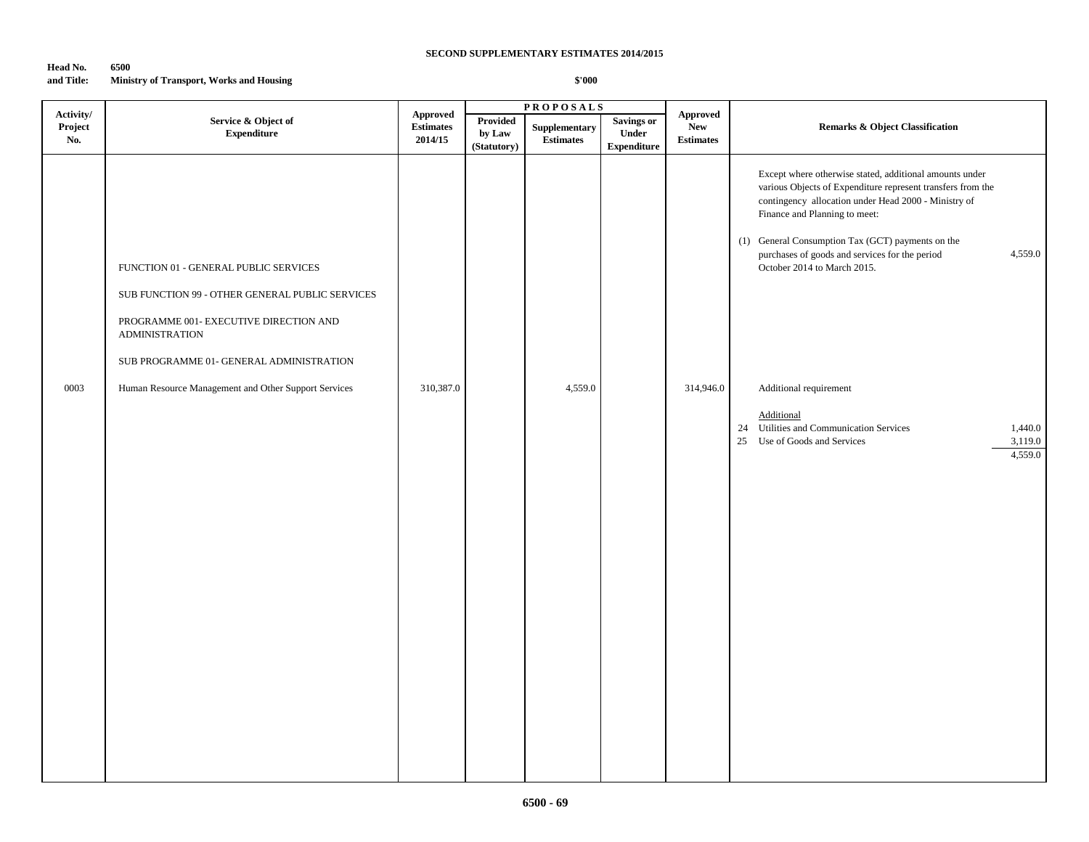### **Head No. 6500 and Title: Ministry of Transport, Works and Housing**

|                             |                                                                                                                                                                                                                                                                 |                                                                                                                   |                                   | <b>PROPOSALS</b>                  |                                                  |                                            |                                                                                                                                                                                                                                                                                                                                                                                            |  |
|-----------------------------|-----------------------------------------------------------------------------------------------------------------------------------------------------------------------------------------------------------------------------------------------------------------|-------------------------------------------------------------------------------------------------------------------|-----------------------------------|-----------------------------------|--------------------------------------------------|--------------------------------------------|--------------------------------------------------------------------------------------------------------------------------------------------------------------------------------------------------------------------------------------------------------------------------------------------------------------------------------------------------------------------------------------------|--|
| Activity/<br>Project<br>No. | Service & Object of<br><b>Expenditure</b>                                                                                                                                                                                                                       | <b>Approved</b><br>$\begin{minipage}{.4\linewidth} Estimates \end{minipage} \vspace{-0.000\textwidth}$<br>2014/15 | Provided<br>by Law<br>(Statutory) | Supplementary<br><b>Estimates</b> | <b>Savings or</b><br>Under<br><b>Expenditure</b> | Approved<br><b>New</b><br><b>Estimates</b> | <b>Remarks &amp; Object Classification</b>                                                                                                                                                                                                                                                                                                                                                 |  |
| 0003                        | FUNCTION 01 - GENERAL PUBLIC SERVICES<br>SUB FUNCTION 99 - OTHER GENERAL PUBLIC SERVICES<br>PROGRAMME 001- EXECUTIVE DIRECTION AND<br><b>ADMINISTRATION</b><br>SUB PROGRAMME 01- GENERAL ADMINISTRATION<br>Human Resource Management and Other Support Services | 310,387.0                                                                                                         |                                   | 4,559.0                           |                                                  | 314,946.0                                  | Except where otherwise stated, additional amounts under<br>various Objects of Expenditure represent transfers from the<br>contingency allocation under Head 2000 - Ministry of<br>Finance and Planning to meet:<br>(1) General Consumption Tax (GCT) payments on the<br>4,559.0<br>purchases of goods and services for the period<br>October 2014 to March 2015.<br>Additional requirement |  |
|                             |                                                                                                                                                                                                                                                                 |                                                                                                                   |                                   |                                   |                                                  |                                            | Additional<br>24 Utilities and Communication Services<br>1,440.0<br>25 Use of Goods and Services<br>3,119.0<br>4,559.0                                                                                                                                                                                                                                                                     |  |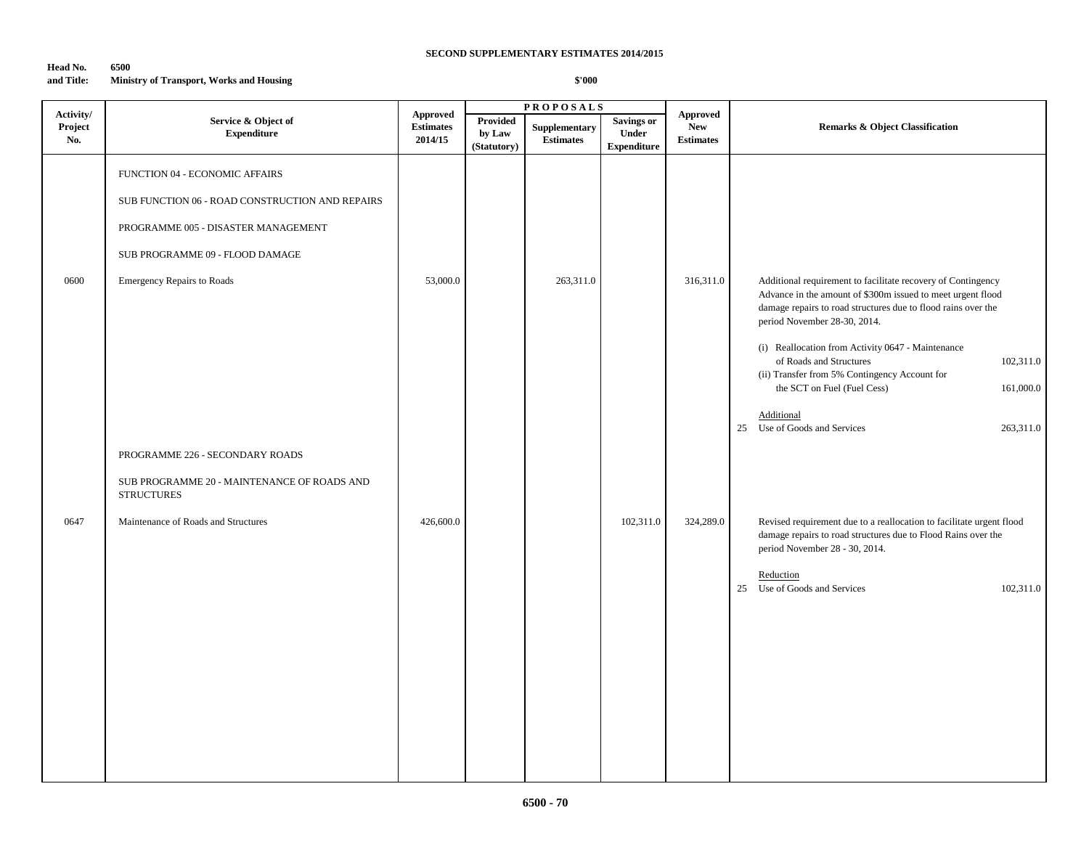### **Head No. 6500 and Title: Ministry of Transport, Works and Housing**

|                             |                                                                                                                                                                                                  |                                                |                                   | <b>PROPOSALS</b>                  |                                                  |                                                   |                                                                                                                                                                                                                                                                                                                                                                                                                                      |
|-----------------------------|--------------------------------------------------------------------------------------------------------------------------------------------------------------------------------------------------|------------------------------------------------|-----------------------------------|-----------------------------------|--------------------------------------------------|---------------------------------------------------|--------------------------------------------------------------------------------------------------------------------------------------------------------------------------------------------------------------------------------------------------------------------------------------------------------------------------------------------------------------------------------------------------------------------------------------|
| Activity/<br>Project<br>No. | Service & Object of<br><b>Expenditure</b>                                                                                                                                                        | <b>Approved</b><br><b>Estimates</b><br>2014/15 | Provided<br>by Law<br>(Statutory) | Supplementary<br><b>Estimates</b> | <b>Savings or</b><br>Under<br><b>Expenditure</b> | <b>Approved</b><br><b>New</b><br><b>Estimates</b> | <b>Remarks &amp; Object Classification</b>                                                                                                                                                                                                                                                                                                                                                                                           |
| 0600                        | FUNCTION 04 - ECONOMIC AFFAIRS<br>SUB FUNCTION 06 - ROAD CONSTRUCTION AND REPAIRS<br>PROGRAMME 005 - DISASTER MANAGEMENT<br>SUB PROGRAMME 09 - FLOOD DAMAGE<br><b>Emergency Repairs to Roads</b> | 53,000.0                                       |                                   | 263,311.0                         |                                                  | 316,311.0                                         | Additional requirement to facilitate recovery of Contingency<br>Advance in the amount of \$300m issued to meet urgent flood<br>damage repairs to road structures due to flood rains over the<br>period November 28-30, 2014.<br>(i) Reallocation from Activity 0647 - Maintenance<br>of Roads and Structures<br>102,311.0<br>(ii) Transfer from 5% Contingency Account for<br>the SCT on Fuel (Fuel Cess)<br>161,000.0<br>Additional |
|                             | PROGRAMME 226 - SECONDARY ROADS<br>SUB PROGRAMME 20 - MAINTENANCE OF ROADS AND<br><b>STRUCTURES</b>                                                                                              |                                                |                                   |                                   |                                                  |                                                   | 25 Use of Goods and Services<br>263,311.0                                                                                                                                                                                                                                                                                                                                                                                            |
| 0647                        | Maintenance of Roads and Structures                                                                                                                                                              | 426,600.0                                      |                                   |                                   | 102,311.0                                        | 324,289.0                                         | Revised requirement due to a reallocation to facilitate urgent flood<br>damage repairs to road structures due to Flood Rains over the<br>period November 28 - 30, 2014.<br>Reduction<br>25 Use of Goods and Services<br>102,311.0                                                                                                                                                                                                    |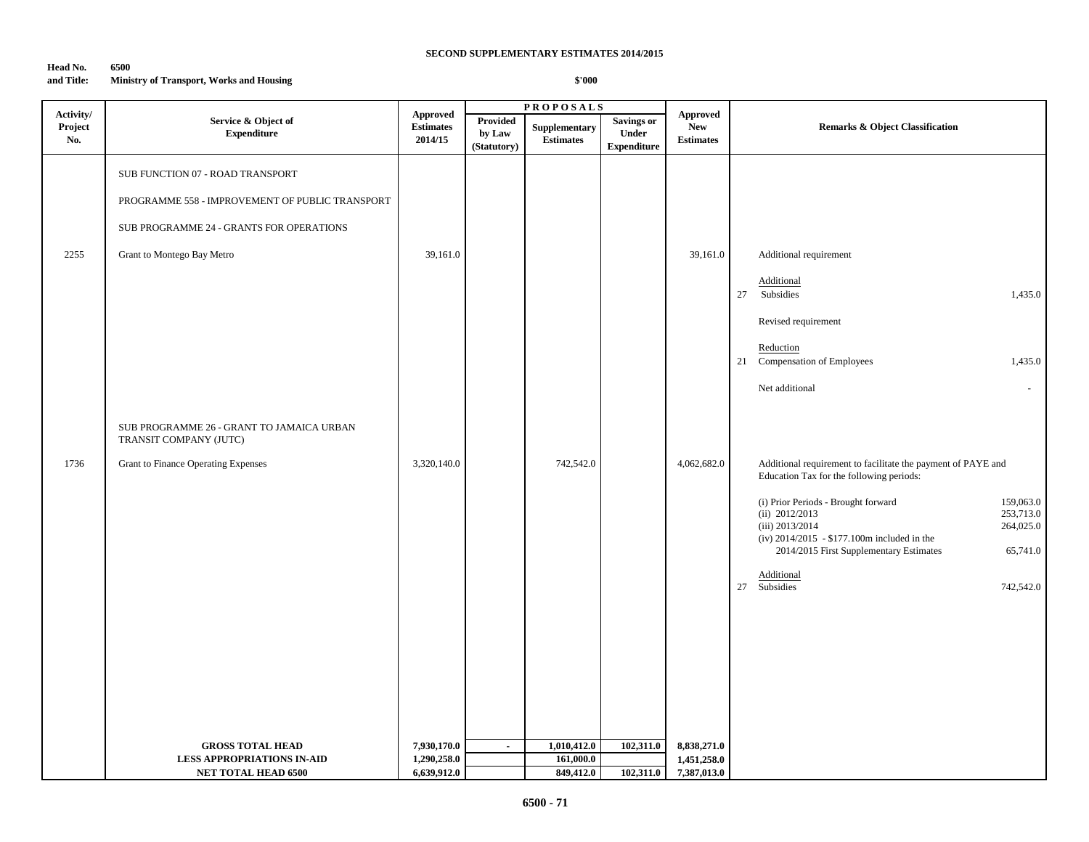### **Head No. 6500 and Title: Ministry of Transport, Works and Housing**

|                             | Service & Object of<br><b>Expenditure</b>                                                                                                                     | <b>Approved</b><br><b>Estimates</b><br>2014/15 | <b>PROPOSALS</b>                  |                                          |                                           |                                                   |                                                                                                                                                                                                                                                                                                                                                                                                               |  |
|-----------------------------|---------------------------------------------------------------------------------------------------------------------------------------------------------------|------------------------------------------------|-----------------------------------|------------------------------------------|-------------------------------------------|---------------------------------------------------|---------------------------------------------------------------------------------------------------------------------------------------------------------------------------------------------------------------------------------------------------------------------------------------------------------------------------------------------------------------------------------------------------------------|--|
| Activity/<br>Project<br>No. |                                                                                                                                                               |                                                | Provided<br>by Law<br>(Statutory) | <b>Supplementary</b><br><b>Estimates</b> | Savings or<br>Under<br><b>Expenditure</b> | <b>Approved</b><br><b>New</b><br><b>Estimates</b> | <b>Remarks &amp; Object Classification</b>                                                                                                                                                                                                                                                                                                                                                                    |  |
| 2255                        | SUB FUNCTION 07 - ROAD TRANSPORT<br>PROGRAMME 558 - IMPROVEMENT OF PUBLIC TRANSPORT<br>SUB PROGRAMME 24 - GRANTS FOR OPERATIONS<br>Grant to Montego Bay Metro | 39,161.0                                       |                                   |                                          |                                           | 39,161.0                                          | Additional requirement<br>Additional<br>27 Subsidies<br>1,435.0<br>Revised requirement<br>Reduction<br>21 Compensation of Employees<br>1,435.0                                                                                                                                                                                                                                                                |  |
| 1736                        | SUB PROGRAMME 26 - GRANT TO JAMAICA URBAN<br>TRANSIT COMPANY (JUTC)<br>Grant to Finance Operating Expenses                                                    | 3,320,140.0                                    |                                   | 742,542.0                                |                                           | 4,062,682.0                                       | Net additional<br>$\omega$<br>Additional requirement to facilitate the payment of PAYE and<br>Education Tax for the following periods:<br>(i) Prior Periods - Brought forward<br>159,063.0<br>253,713.0<br>(ii) 2012/2013<br>$(iii)$ 2013/2014<br>264,025.0<br>(iv) $2014/2015 - $177.100m$ included in the<br>65,741.0<br>2014/2015 First Supplementary Estimates<br>Additional<br>27 Subsidies<br>742,542.0 |  |
|                             | <b>GROSS TOTAL HEAD</b><br><b>LESS APPROPRIATIONS IN-AID</b>                                                                                                  | 7,930,170.0<br>1,290,258.0                     | $\blacksquare$                    | 1,010,412.0<br>161,000.0                 | 102,311.0                                 | 8,838,271.0<br>1,451,258.0                        |                                                                                                                                                                                                                                                                                                                                                                                                               |  |
|                             | NET TOTAL HEAD 6500                                                                                                                                           | 6,639,912.0                                    |                                   | 849,412.0                                | 102,311.0                                 | 7,387,013.0                                       |                                                                                                                                                                                                                                                                                                                                                                                                               |  |
|                             |                                                                                                                                                               |                                                |                                   |                                          |                                           |                                                   |                                                                                                                                                                                                                                                                                                                                                                                                               |  |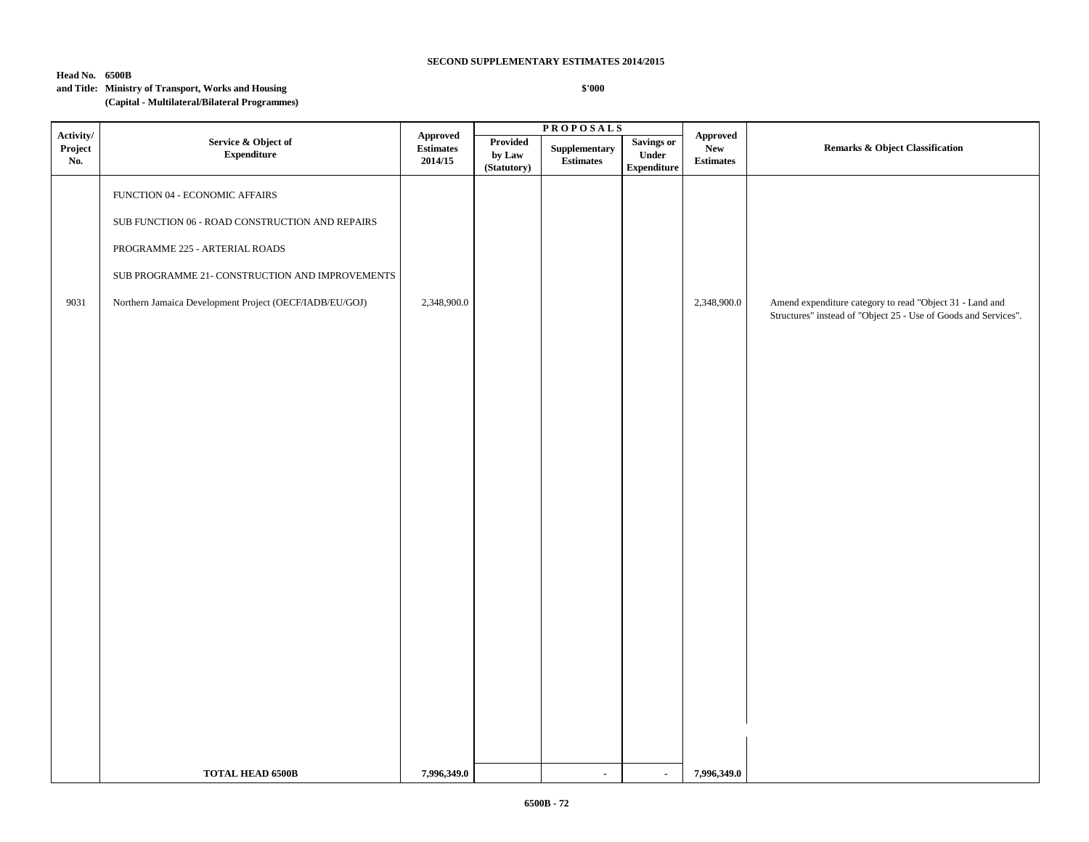# **Head No. 6500B**

# **and Title: Ministry of Transport, Works and Housing**

### **(Capital - Multilateral/Bilateral Programmes)**

|                   | Service & Object of<br><b>Expenditure</b>                                                                                                                                                                                         | Approved<br>$\begin{minipage}{.4\linewidth} Estimates \end{minipage} \vspace{-0.000\textwidth}$<br>2014/15 | <b>PROPOSALS</b>                  |                                                  |                                           |                                                   |                                                                                                                             |
|-------------------|-----------------------------------------------------------------------------------------------------------------------------------------------------------------------------------------------------------------------------------|------------------------------------------------------------------------------------------------------------|-----------------------------------|--------------------------------------------------|-------------------------------------------|---------------------------------------------------|-----------------------------------------------------------------------------------------------------------------------------|
| Project<br>No.    |                                                                                                                                                                                                                                   |                                                                                                            | Provided<br>by Law<br>(Statutory) | ${\large \bf Supplementary}$<br><b>Estimates</b> | Savings or<br>Under<br><b>Expenditure</b> | ${\bf New}$<br><b>Estimates</b>                   | <b>Remarks &amp; Object Classification</b>                                                                                  |
| Activity/<br>9031 | FUNCTION 04 - ECONOMIC AFFAIRS<br>SUB FUNCTION 06 - ROAD CONSTRUCTION AND REPAIRS<br>PROGRAMME 225 - ARTERIAL ROADS<br>SUB PROGRAMME 21- CONSTRUCTION AND IMPROVEMENTS<br>Northern Jamaica Development Project (OECF/IADB/EU/GOJ) | 2,348,900.0                                                                                                |                                   |                                                  |                                           | ${\Large\bf\large A} {\bf proved}$<br>2,348,900.0 | Amend expenditure category to read "Object 31 - Land and<br>Structures" instead of "Object 25 - Use of Goods and Services". |
|                   |                                                                                                                                                                                                                                   |                                                                                                            |                                   |                                                  |                                           |                                                   |                                                                                                                             |
|                   | <b>TOTAL HEAD 6500B</b>                                                                                                                                                                                                           | 7,996,349.0                                                                                                |                                   | $\blacksquare$                                   | $\sim$                                    | 7,996,349.0                                       |                                                                                                                             |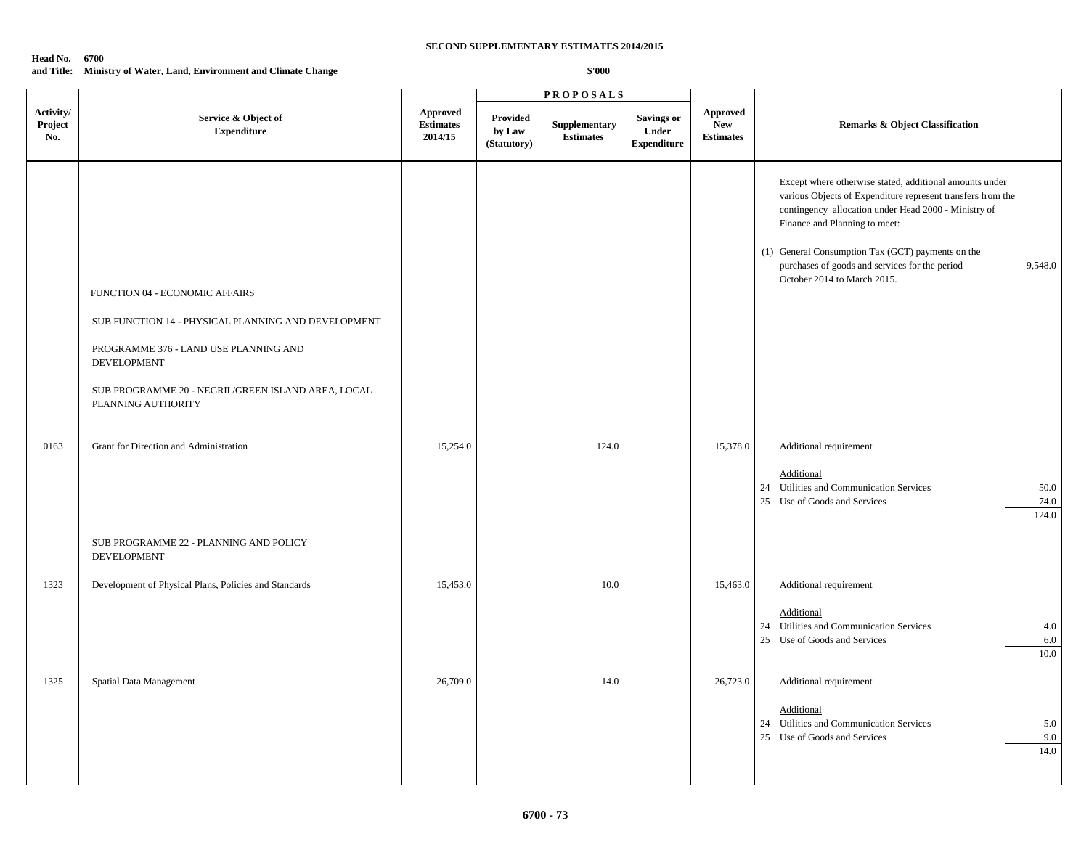#### **Head No. 6700**

### **and Title: Ministry of Water, Land, Environment and Climate Change**

|                             |                                                                                                                                                                                                                           |                                                |                                          | <b>PROPOSALS</b>                  |                                                  |                                                   |                                                                                                                                                                                                                                                                                                                                                                  |  |
|-----------------------------|---------------------------------------------------------------------------------------------------------------------------------------------------------------------------------------------------------------------------|------------------------------------------------|------------------------------------------|-----------------------------------|--------------------------------------------------|---------------------------------------------------|------------------------------------------------------------------------------------------------------------------------------------------------------------------------------------------------------------------------------------------------------------------------------------------------------------------------------------------------------------------|--|
| Activity/<br>Project<br>No. | Service & Object of<br><b>Expenditure</b>                                                                                                                                                                                 | <b>Approved</b><br><b>Estimates</b><br>2014/15 | <b>Provided</b><br>by Law<br>(Statutory) | Supplementary<br><b>Estimates</b> | <b>Savings or</b><br>Under<br><b>Expenditure</b> | <b>Approved</b><br><b>New</b><br><b>Estimates</b> | Remarks & Object Classification                                                                                                                                                                                                                                                                                                                                  |  |
|                             | FUNCTION 04 - ECONOMIC AFFAIRS<br>SUB FUNCTION 14 - PHYSICAL PLANNING AND DEVELOPMENT<br>PROGRAMME 376 - LAND USE PLANNING AND<br>DEVELOPMENT<br>SUB PROGRAMME 20 - NEGRIL/GREEN ISLAND AREA, LOCAL<br>PLANNING AUTHORITY |                                                |                                          |                                   |                                                  |                                                   | Except where otherwise stated, additional amounts under<br>various Objects of Expenditure represent transfers from the<br>contingency allocation under Head 2000 - Ministry of<br>Finance and Planning to meet:<br>(1) General Consumption Tax (GCT) payments on the<br>purchases of goods and services for the period<br>9,548.0<br>October 2014 to March 2015. |  |
| 0163                        | Grant for Direction and Administration                                                                                                                                                                                    | 15,254.0                                       |                                          | 124.0                             |                                                  | 15,378.0                                          | Additional requirement<br>Additional<br>24 Utilities and Communication Services<br>50.0<br>25 Use of Goods and Services<br>74.0<br>124.0                                                                                                                                                                                                                         |  |
|                             | SUB PROGRAMME 22 - PLANNING AND POLICY<br>DEVELOPMENT                                                                                                                                                                     |                                                |                                          |                                   |                                                  |                                                   |                                                                                                                                                                                                                                                                                                                                                                  |  |
| 1323                        | Development of Physical Plans, Policies and Standards                                                                                                                                                                     | 15,453.0                                       |                                          | 10.0                              |                                                  | 15,463.0                                          | Additional requirement<br>Additional<br>24 Utilities and Communication Services<br>4.0<br>25 Use of Goods and Services<br>6.0<br>10.0                                                                                                                                                                                                                            |  |
| 1325                        | Spatial Data Management                                                                                                                                                                                                   | 26,709.0                                       |                                          | 14.0                              |                                                  | 26,723.0                                          | Additional requirement<br>Additional<br>24 Utilities and Communication Services<br>5.0<br>25 Use of Goods and Services<br>9.0<br>14.0                                                                                                                                                                                                                            |  |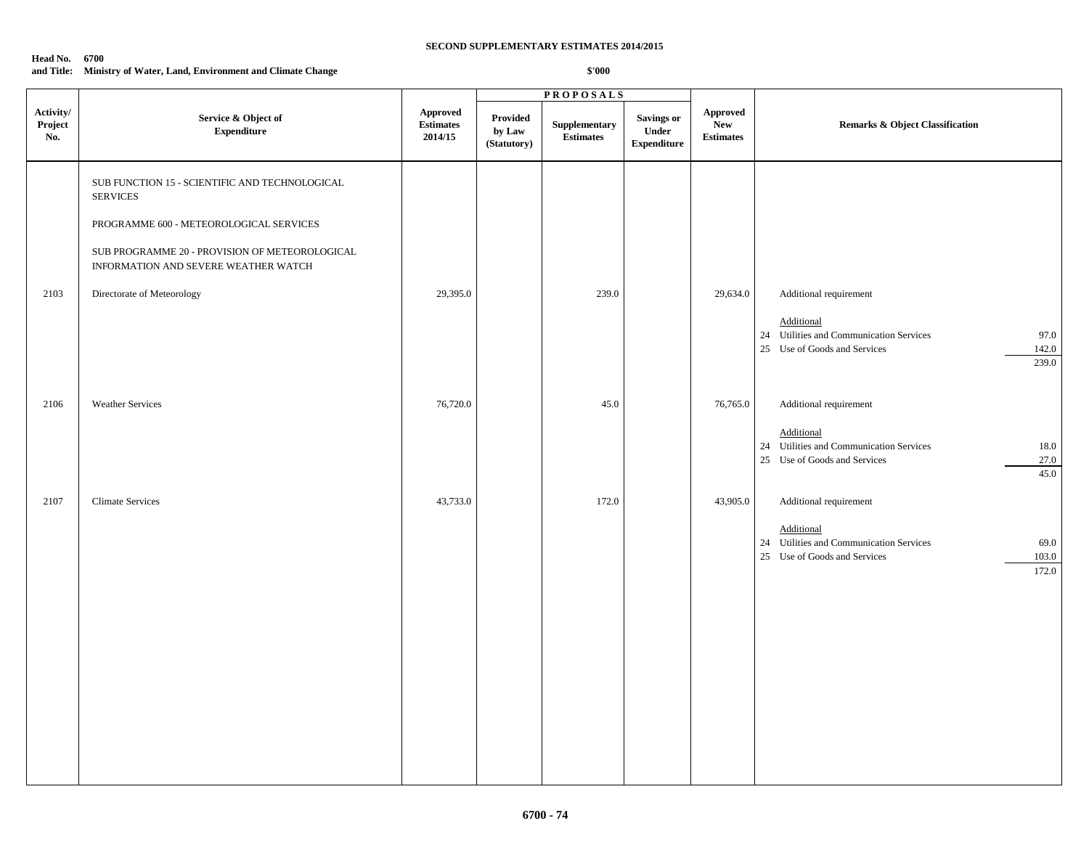#### **Head No. 6700**

### **and Title: Ministry of Water, Land, Environment and Climate Change**

|                             |                                                                                        |                                                                                       |                                          | <b>PROPOSALS</b>                  |                                                   |                                            |                                                                                                                 |  |
|-----------------------------|----------------------------------------------------------------------------------------|---------------------------------------------------------------------------------------|------------------------------------------|-----------------------------------|---------------------------------------------------|--------------------------------------------|-----------------------------------------------------------------------------------------------------------------|--|
| Activity/<br>Project<br>No. | Service & Object of<br><b>Expenditure</b>                                              | Approved<br>$\label{1.1} \begin{array}{ll} \textbf{Estimates} \end{array}$<br>2014/15 | <b>Provided</b><br>by Law<br>(Statutory) | Supplementary<br><b>Estimates</b> | <b>Savings or</b><br>Under<br>${\bf Expenditure}$ | Approved<br><b>New</b><br><b>Estimates</b> | <b>Remarks &amp; Object Classification</b>                                                                      |  |
|                             | SUB FUNCTION 15 - SCIENTIFIC AND TECHNOLOGICAL<br><b>SERVICES</b>                      |                                                                                       |                                          |                                   |                                                   |                                            |                                                                                                                 |  |
|                             | PROGRAMME 600 - METEOROLOGICAL SERVICES                                                |                                                                                       |                                          |                                   |                                                   |                                            |                                                                                                                 |  |
|                             | SUB PROGRAMME 20 - PROVISION OF METEOROLOGICAL<br>INFORMATION AND SEVERE WEATHER WATCH |                                                                                       |                                          |                                   |                                                   |                                            |                                                                                                                 |  |
| 2103                        | Directorate of Meteorology                                                             | 29,395.0                                                                              |                                          | 239.0                             |                                                   | 29,634.0                                   | Additional requirement                                                                                          |  |
|                             |                                                                                        |                                                                                       |                                          |                                   |                                                   |                                            | Additional<br>24 Utilities and Communication Services<br>97.0<br>25 Use of Goods and Services<br>142.0<br>239.0 |  |
| 2106                        | <b>Weather Services</b>                                                                | 76,720.0                                                                              |                                          | 45.0                              |                                                   | 76,765.0                                   | Additional requirement                                                                                          |  |
|                             |                                                                                        |                                                                                       |                                          |                                   |                                                   |                                            | Additional<br>24 Utilities and Communication Services<br>18.0<br>25 Use of Goods and Services<br>27.0<br>45.0   |  |
| 2107                        | <b>Climate Services</b>                                                                | 43,733.0                                                                              |                                          | 172.0                             |                                                   | 43,905.0                                   | Additional requirement                                                                                          |  |
|                             |                                                                                        |                                                                                       |                                          |                                   |                                                   |                                            | Additional<br>24 Utilities and Communication Services<br>69.0<br>25 Use of Goods and Services<br>103.0<br>172.0 |  |
|                             |                                                                                        |                                                                                       |                                          |                                   |                                                   |                                            |                                                                                                                 |  |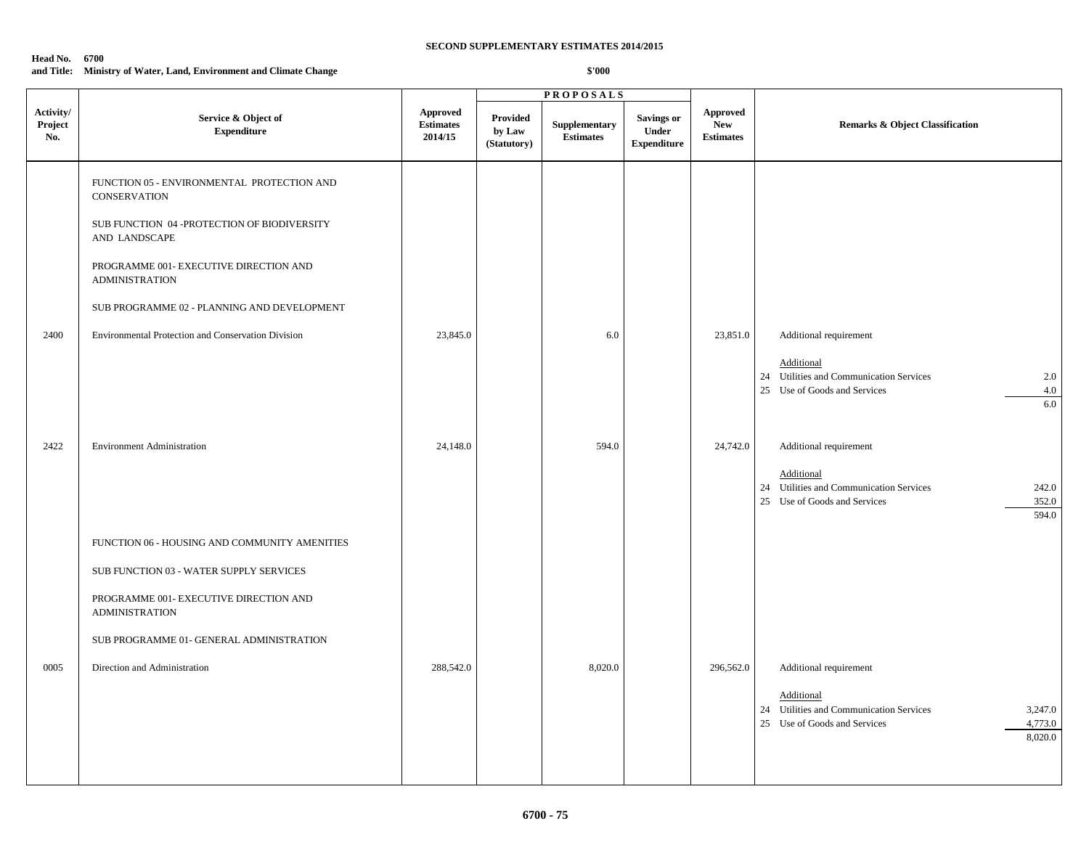#### **Head No. 6700**

### **and Title: Ministry of Water, Land, Environment and Climate Change**

|                             |                                                                   |                                                |                                          | <b>PROPOSALS</b>                  |                                                  |                                                   |                                                                                                                        |
|-----------------------------|-------------------------------------------------------------------|------------------------------------------------|------------------------------------------|-----------------------------------|--------------------------------------------------|---------------------------------------------------|------------------------------------------------------------------------------------------------------------------------|
| Activity/<br>Project<br>No. | Service & Object of<br><b>Expenditure</b>                         | <b>Approved</b><br><b>Estimates</b><br>2014/15 | <b>Provided</b><br>by Law<br>(Statutory) | Supplementary<br><b>Estimates</b> | Savings or<br><b>Under</b><br><b>Expenditure</b> | <b>Approved</b><br><b>New</b><br><b>Estimates</b> | <b>Remarks &amp; Object Classification</b>                                                                             |
|                             | FUNCTION 05 - ENVIRONMENTAL PROTECTION AND<br><b>CONSERVATION</b> |                                                |                                          |                                   |                                                  |                                                   |                                                                                                                        |
|                             | SUB FUNCTION 04 -PROTECTION OF BIODIVERSITY<br>AND LANDSCAPE      |                                                |                                          |                                   |                                                  |                                                   |                                                                                                                        |
|                             | PROGRAMME 001- EXECUTIVE DIRECTION AND<br><b>ADMINISTRATION</b>   |                                                |                                          |                                   |                                                  |                                                   |                                                                                                                        |
|                             | SUB PROGRAMME 02 - PLANNING AND DEVELOPMENT                       |                                                |                                          |                                   |                                                  |                                                   |                                                                                                                        |
| 2400                        | Environmental Protection and Conservation Division                | 23,845.0                                       |                                          | 6.0                               |                                                  | 23,851.0                                          | Additional requirement                                                                                                 |
|                             |                                                                   |                                                |                                          |                                   |                                                  |                                                   | Additional<br>24 Utilities and Communication Services<br>2.0<br>25 Use of Goods and Services<br>4.0<br>6.0             |
| 2422                        | <b>Environment Administration</b>                                 | 24,148.0                                       |                                          | 594.0                             |                                                  | 24,742.0                                          | Additional requirement                                                                                                 |
|                             |                                                                   |                                                |                                          |                                   |                                                  |                                                   | Additional<br>24 Utilities and Communication Services<br>242.0<br>25 Use of Goods and Services<br>352.0<br>594.0       |
|                             | FUNCTION 06 - HOUSING AND COMMUNITY AMENITIES                     |                                                |                                          |                                   |                                                  |                                                   |                                                                                                                        |
|                             | SUB FUNCTION 03 - WATER SUPPLY SERVICES                           |                                                |                                          |                                   |                                                  |                                                   |                                                                                                                        |
|                             | PROGRAMME 001- EXECUTIVE DIRECTION AND<br><b>ADMINISTRATION</b>   |                                                |                                          |                                   |                                                  |                                                   |                                                                                                                        |
|                             | SUB PROGRAMME 01- GENERAL ADMINISTRATION                          |                                                |                                          |                                   |                                                  |                                                   |                                                                                                                        |
| 0005                        | Direction and Administration                                      | 288,542.0                                      |                                          | 8,020.0                           |                                                  | 296,562.0                                         | Additional requirement                                                                                                 |
|                             |                                                                   |                                                |                                          |                                   |                                                  |                                                   | Additional<br>24 Utilities and Communication Services<br>3,247.0<br>4,773.0<br>25 Use of Goods and Services<br>8,020.0 |
|                             |                                                                   |                                                |                                          |                                   |                                                  |                                                   |                                                                                                                        |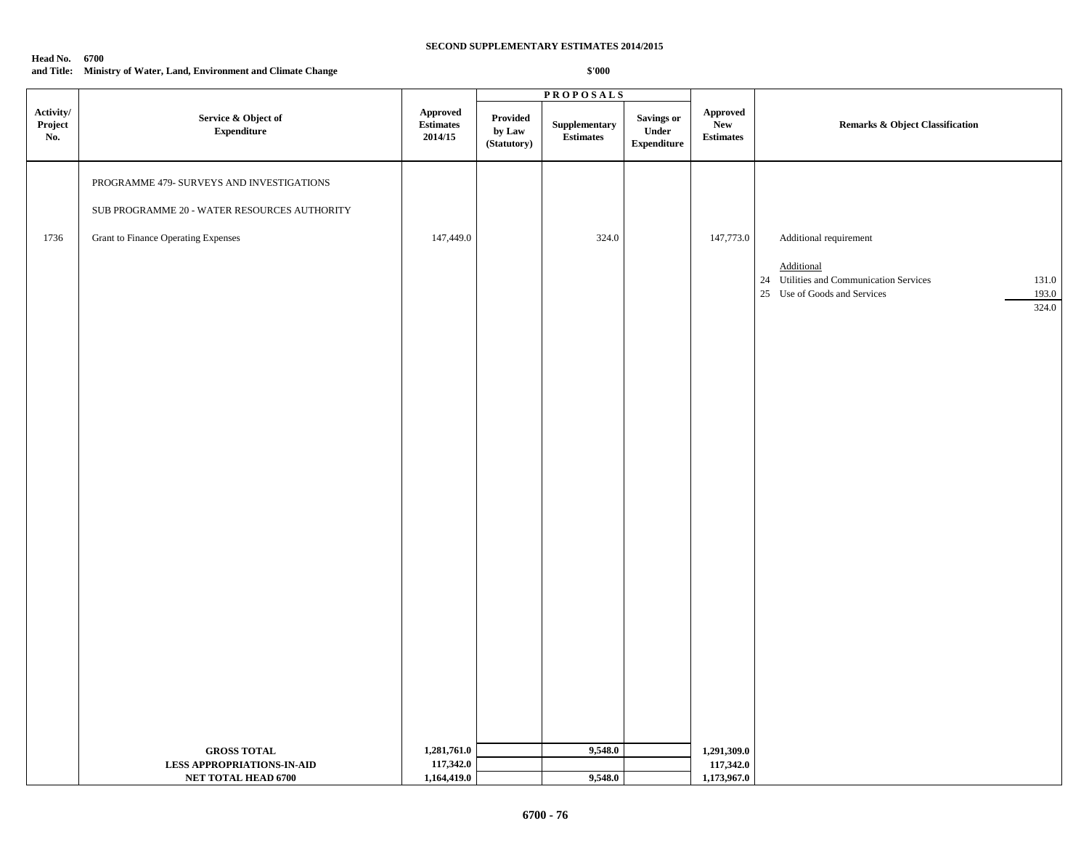#### **Head No. 6700**

# **and Title: Ministry of Water, Land, Environment and Climate Change**

|                             |                                                                                           |                                                |                                   | <b>PROPOSALS</b>                                 |                                                   |                                                   |                                                                                                                                            |  |
|-----------------------------|-------------------------------------------------------------------------------------------|------------------------------------------------|-----------------------------------|--------------------------------------------------|---------------------------------------------------|---------------------------------------------------|--------------------------------------------------------------------------------------------------------------------------------------------|--|
| Activity/<br>Project<br>No. | Service & Object of<br>${\bf Expenditure}$                                                | <b>Approved</b><br><b>Estimates</b><br>2014/15 | Provided<br>by Law<br>(Statutory) | ${\Large \bf Supplementary}$<br><b>Estimates</b> | <b>Savings or</b><br>Under<br>${\bf Expenditure}$ | <b>Approved</b><br><b>New</b><br><b>Estimates</b> | <b>Remarks &amp; Object Classification</b>                                                                                                 |  |
|                             | PROGRAMME 479- SURVEYS AND INVESTIGATIONS<br>SUB PROGRAMME 20 - WATER RESOURCES AUTHORITY |                                                |                                   |                                                  |                                                   |                                                   |                                                                                                                                            |  |
| 1736                        | <b>Grant to Finance Operating Expenses</b>                                                | 147,449.0                                      |                                   | 324.0                                            |                                                   | 147,773.0                                         | Additional requirement<br>Additional<br>24 Utilities and Communication Services<br>131.0<br>25 Use of Goods and Services<br>193.0<br>324.0 |  |
|                             |                                                                                           |                                                |                                   |                                                  |                                                   |                                                   |                                                                                                                                            |  |
|                             |                                                                                           |                                                |                                   |                                                  |                                                   |                                                   |                                                                                                                                            |  |
|                             |                                                                                           |                                                |                                   |                                                  |                                                   |                                                   |                                                                                                                                            |  |
|                             |                                                                                           |                                                |                                   |                                                  |                                                   |                                                   |                                                                                                                                            |  |
|                             | <b>GROSS TOTAL</b><br><b>LESS APPROPRIATIONS-IN-AID</b><br>NET TOTAL HEAD 6700            | 1,281,761.0<br>117,342.0<br>1,164,419.0        |                                   | 9,548.0<br>9,548.0                               |                                                   | 1,291,309.0<br>117,342.0<br>1,173,967.0           |                                                                                                                                            |  |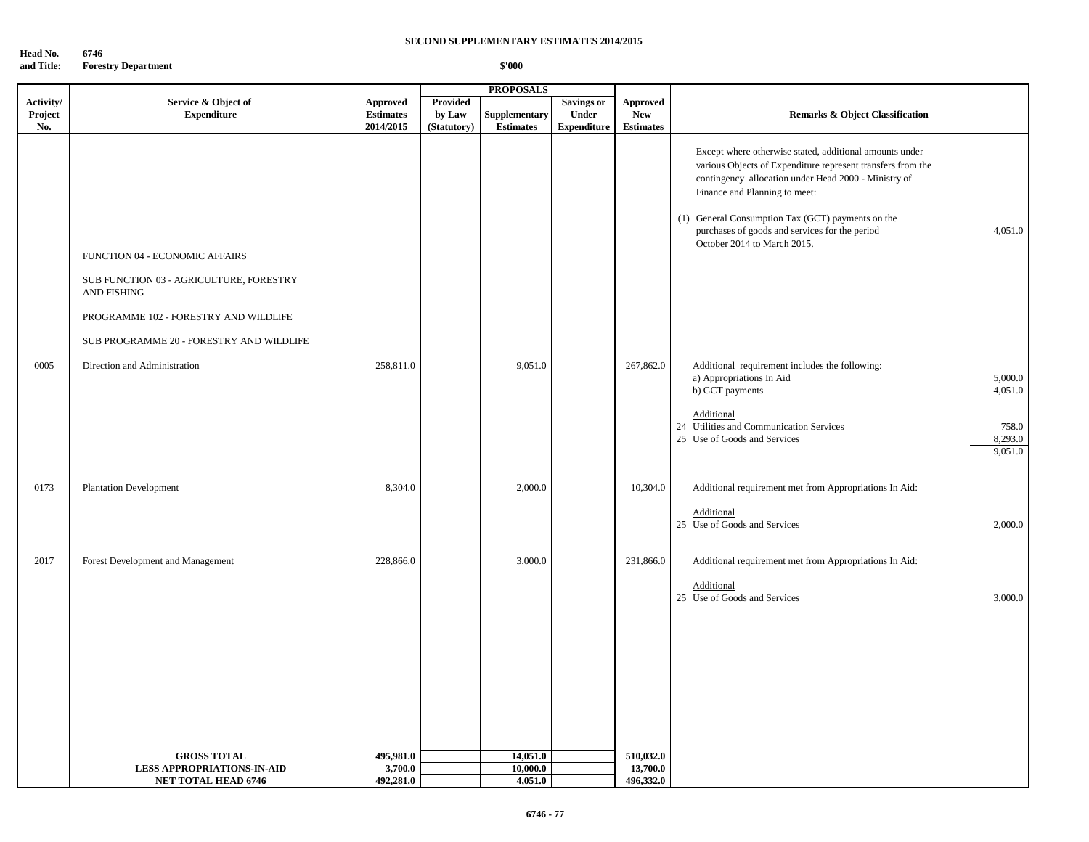**Head No.** 6746<br>and Title: Fores **Forestry Department** 

|           |                                                        | <b>PROPOSALS</b> |             |                  |                    |                  |                                                                                                                                                                                                                                                                      |                             |
|-----------|--------------------------------------------------------|------------------|-------------|------------------|--------------------|------------------|----------------------------------------------------------------------------------------------------------------------------------------------------------------------------------------------------------------------------------------------------------------------|-----------------------------|
| Activity/ | Service & Object of                                    | <b>Approved</b>  | Provided    |                  | <b>Savings or</b>  | <b>Approved</b>  |                                                                                                                                                                                                                                                                      |                             |
| Project   | <b>Expenditure</b>                                     | <b>Estimates</b> | by Law      | Supplementary    | Under              | <b>New</b>       | <b>Remarks &amp; Object Classification</b>                                                                                                                                                                                                                           |                             |
| No.       |                                                        | 2014/2015        | (Statutory) | <b>Estimates</b> | <b>Expenditure</b> | <b>Estimates</b> |                                                                                                                                                                                                                                                                      |                             |
|           |                                                        |                  |             |                  |                    |                  | Except where otherwise stated, additional amounts under<br>various Objects of Expenditure represent transfers from the<br>contingency allocation under Head 2000 - Ministry of<br>Finance and Planning to meet:<br>(1) General Consumption Tax (GCT) payments on the |                             |
|           |                                                        |                  |             |                  |                    |                  | purchases of goods and services for the period                                                                                                                                                                                                                       | 4,051.0                     |
|           | FUNCTION 04 - ECONOMIC AFFAIRS                         |                  |             |                  |                    |                  | October 2014 to March 2015.                                                                                                                                                                                                                                          |                             |
|           | SUB FUNCTION 03 - AGRICULTURE, FORESTRY<br>AND FISHING |                  |             |                  |                    |                  |                                                                                                                                                                                                                                                                      |                             |
|           | PROGRAMME 102 - FORESTRY AND WILDLIFE                  |                  |             |                  |                    |                  |                                                                                                                                                                                                                                                                      |                             |
|           | SUB PROGRAMME 20 - FORESTRY AND WILDLIFE               |                  |             |                  |                    |                  |                                                                                                                                                                                                                                                                      |                             |
| 0005      | Direction and Administration                           | 258,811.0        |             | 9,051.0          |                    | 267,862.0        | Additional requirement includes the following:<br>a) Appropriations In Aid<br>b) GCT payments                                                                                                                                                                        | 5,000.0<br>4,051.0          |
|           |                                                        |                  |             |                  |                    |                  | Additional<br>24 Utilities and Communication Services<br>25 Use of Goods and Services                                                                                                                                                                                | 758.0<br>8,293.0<br>9,051.0 |
| 0173      | <b>Plantation Development</b>                          | 8,304.0          |             | 2,000.0          |                    | 10,304.0         | Additional requirement met from Appropriations In Aid:                                                                                                                                                                                                               |                             |
|           |                                                        |                  |             |                  |                    |                  | Additional<br>25 Use of Goods and Services                                                                                                                                                                                                                           | 2,000.0                     |
| 2017      | Forest Development and Management                      | 228,866.0        |             | 3,000.0          |                    | 231,866.0        | Additional requirement met from Appropriations In Aid:                                                                                                                                                                                                               |                             |
|           |                                                        |                  |             |                  |                    |                  | Additional<br>25 Use of Goods and Services                                                                                                                                                                                                                           | 3,000.0                     |
|           |                                                        |                  |             |                  |                    |                  |                                                                                                                                                                                                                                                                      |                             |
|           |                                                        |                  |             |                  |                    |                  |                                                                                                                                                                                                                                                                      |                             |
|           |                                                        |                  |             |                  |                    |                  |                                                                                                                                                                                                                                                                      |                             |
|           | <b>GROSS TOTAL</b>                                     | 495,981.0        |             | 14,051.0         |                    | 510,032.0        |                                                                                                                                                                                                                                                                      |                             |
|           | <b>LESS APPROPRIATIONS-IN-AID</b>                      | 3,700.0          |             | 10,000.0         |                    | 13,700.0         |                                                                                                                                                                                                                                                                      |                             |
|           | <b>NET TOTAL HEAD 6746</b>                             | 492,281.0        |             | 4,051.0          |                    | 496,332.0        |                                                                                                                                                                                                                                                                      |                             |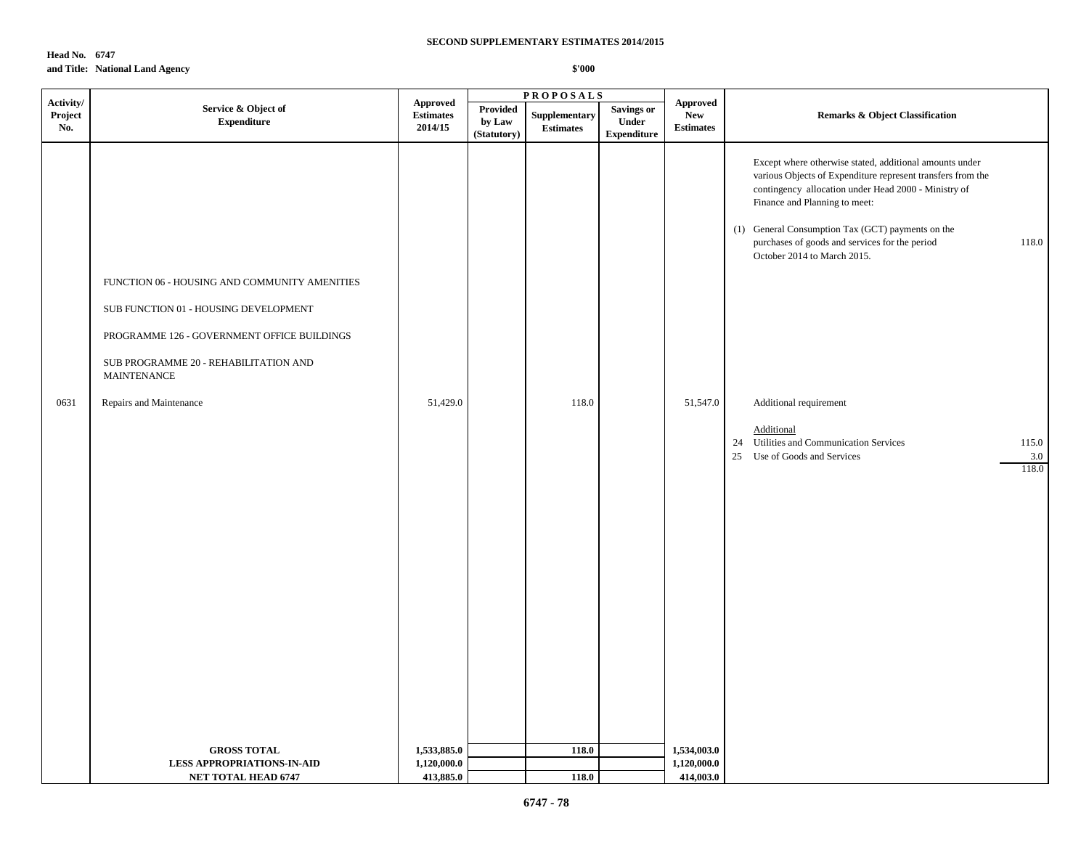**Head No. 6747 and Title: National Land Agency**

|                             |                                                                                                                                                                                                                                 |                                                |                                   | <b>PROPOSALS</b>                  |                                                         |                                                   |                                                                                                                                                                                                                                                                                                                                                                                                                                                                                                                   |  |
|-----------------------------|---------------------------------------------------------------------------------------------------------------------------------------------------------------------------------------------------------------------------------|------------------------------------------------|-----------------------------------|-----------------------------------|---------------------------------------------------------|---------------------------------------------------|-------------------------------------------------------------------------------------------------------------------------------------------------------------------------------------------------------------------------------------------------------------------------------------------------------------------------------------------------------------------------------------------------------------------------------------------------------------------------------------------------------------------|--|
| Activity/<br>Project<br>No. | Service & Object of<br><b>Expenditure</b>                                                                                                                                                                                       | <b>Approved</b><br><b>Estimates</b><br>2014/15 | Provided<br>by Law<br>(Statutory) | Supplementary<br><b>Estimates</b> | <b>Savings or</b><br><b>Under</b><br><b>Expenditure</b> | <b>Approved</b><br><b>New</b><br><b>Estimates</b> | <b>Remarks &amp; Object Classification</b>                                                                                                                                                                                                                                                                                                                                                                                                                                                                        |  |
| 0631                        | FUNCTION 06 - HOUSING AND COMMUNITY AMENITIES<br>SUB FUNCTION 01 - HOUSING DEVELOPMENT<br>PROGRAMME 126 - GOVERNMENT OFFICE BUILDINGS<br>SUB PROGRAMME 20 - REHABILITATION AND<br><b>MAINTENANCE</b><br>Repairs and Maintenance | 51,429.0                                       |                                   | 118.0                             |                                                         | 51,547.0                                          | Except where otherwise stated, additional amounts under<br>various Objects of Expenditure represent transfers from the<br>contingency allocation under Head 2000 - Ministry of<br>Finance and Planning to meet:<br>(1) General Consumption Tax (GCT) payments on the<br>118.0<br>purchases of goods and services for the period<br>October 2014 to March 2015.<br>Additional requirement<br>Additional<br>24 Utilities and Communication Services<br>115.0<br>25<br>Use of Goods and Services<br>$3.0\,$<br>118.0 |  |
|                             | <b>GROSS TOTAL</b><br><b>LESS APPROPRIATIONS-IN-AID</b>                                                                                                                                                                         | 1,533,885.0<br>1,120,000.0                     |                                   | 118.0                             |                                                         | 1,534,003.0<br>1,120,000.0                        |                                                                                                                                                                                                                                                                                                                                                                                                                                                                                                                   |  |
|                             | <b>NET TOTAL HEAD 6747</b>                                                                                                                                                                                                      | 413,885.0                                      |                                   | 118.0                             |                                                         | 414,003.0                                         |                                                                                                                                                                                                                                                                                                                                                                                                                                                                                                                   |  |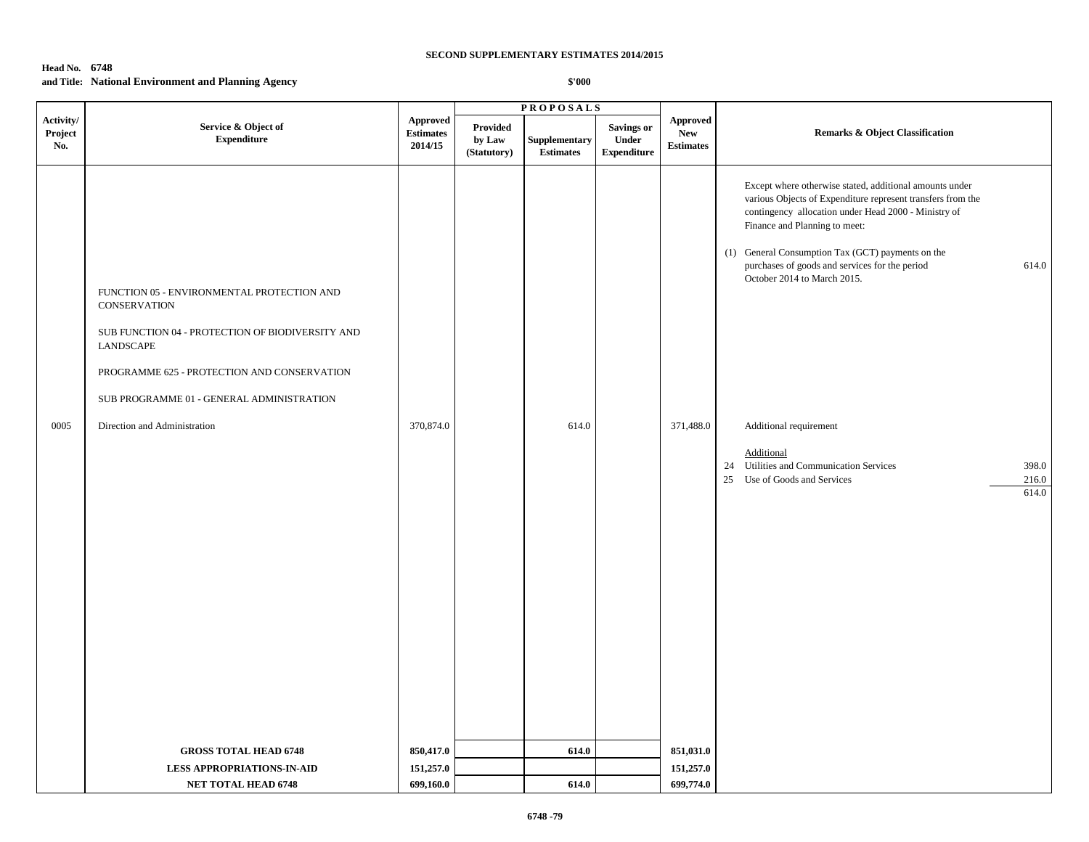# **Head No. 6748 and Title: National Environment and Planning Agency**

|                             |                                                                                                                                                                                                                                                         |                                         |                                          | <b>PROPOSALS</b>                  |                                                  |                                            |                                                                                                                                                                                                                                                                                                                                                                                                                                                                                                              |  |
|-----------------------------|---------------------------------------------------------------------------------------------------------------------------------------------------------------------------------------------------------------------------------------------------------|-----------------------------------------|------------------------------------------|-----------------------------------|--------------------------------------------------|--------------------------------------------|--------------------------------------------------------------------------------------------------------------------------------------------------------------------------------------------------------------------------------------------------------------------------------------------------------------------------------------------------------------------------------------------------------------------------------------------------------------------------------------------------------------|--|
| Activity/<br>Project<br>No. | Service & Object of<br><b>Expenditure</b>                                                                                                                                                                                                               | Approved<br><b>Estimates</b><br>2014/15 | <b>Provided</b><br>by Law<br>(Statutory) | Supplementary<br><b>Estimates</b> | <b>Savings or</b><br>Under<br><b>Expenditure</b> | Approved<br><b>New</b><br><b>Estimates</b> | <b>Remarks &amp; Object Classification</b>                                                                                                                                                                                                                                                                                                                                                                                                                                                                   |  |
| 0005                        | FUNCTION 05 - ENVIRONMENTAL PROTECTION AND<br>CONSERVATION<br>SUB FUNCTION 04 - PROTECTION OF BIODIVERSITY AND<br>LANDSCAPE<br>PROGRAMME 625 - PROTECTION AND CONSERVATION<br>SUB PROGRAMME 01 - GENERAL ADMINISTRATION<br>Direction and Administration | 370,874.0                               |                                          | 614.0                             |                                                  | 371,488.0                                  | Except where otherwise stated, additional amounts under<br>various Objects of Expenditure represent transfers from the<br>contingency allocation under Head 2000 - Ministry of<br>Finance and Planning to meet:<br>(1) General Consumption Tax (GCT) payments on the<br>614.0<br>purchases of goods and services for the period<br>October 2014 to March 2015.<br>Additional requirement<br>Additional<br>24 Utilities and Communication Services<br>398.0<br>25 Use of Goods and Services<br>216.0<br>614.0 |  |
|                             | <b>GROSS TOTAL HEAD 6748</b>                                                                                                                                                                                                                            | 850,417.0                               |                                          | 614.0                             |                                                  | 851,031.0                                  |                                                                                                                                                                                                                                                                                                                                                                                                                                                                                                              |  |
|                             | <b>LESS APPROPRIATIONS-IN-AID</b>                                                                                                                                                                                                                       | 151,257.0                               |                                          |                                   |                                                  | 151,257.0                                  |                                                                                                                                                                                                                                                                                                                                                                                                                                                                                                              |  |
|                             | <b>NET TOTAL HEAD 6748</b>                                                                                                                                                                                                                              | 699,160.0                               |                                          | 614.0                             |                                                  | 699,774.0                                  |                                                                                                                                                                                                                                                                                                                                                                                                                                                                                                              |  |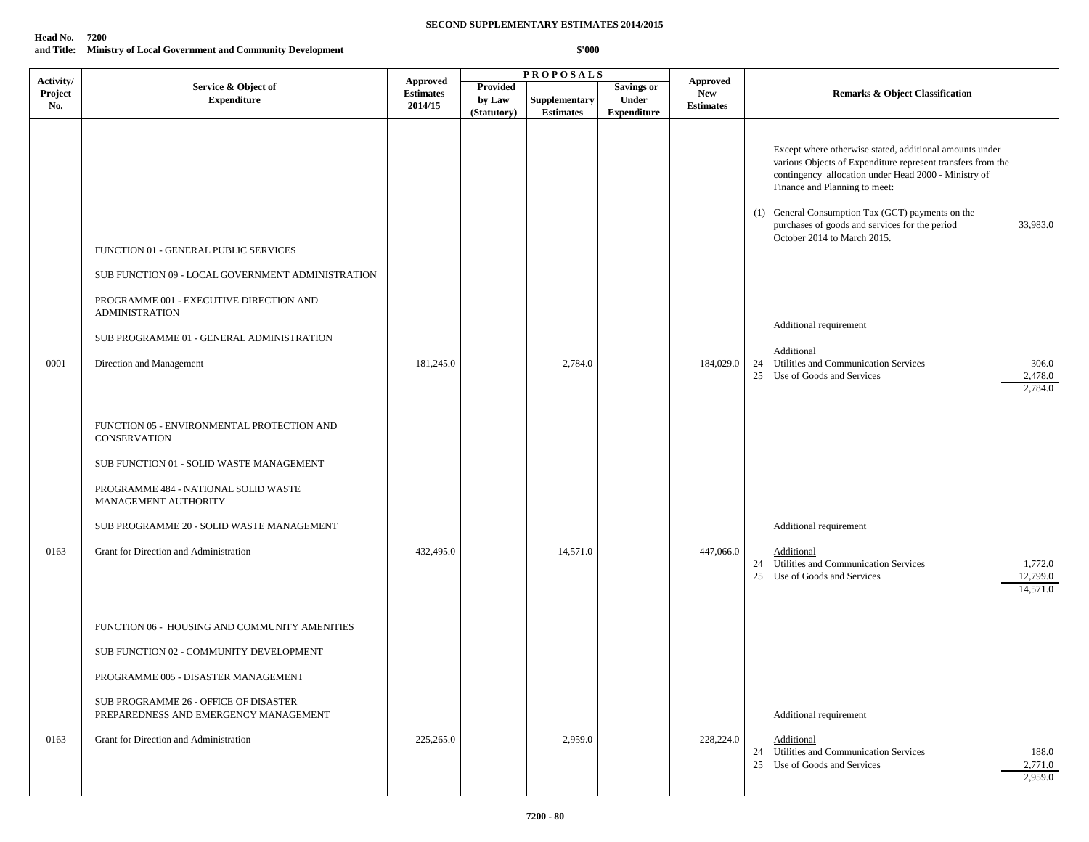### **Head No. 7200 and Title: Ministry of Local Government and Community Development**

|                             |                                                                                                                                                                                                                                                                      |                                                |                                   | <b>PROPOSALS</b>                  |                                                  |                                                   |                                                                                                                                                                                                                                                                                                                                                                   |
|-----------------------------|----------------------------------------------------------------------------------------------------------------------------------------------------------------------------------------------------------------------------------------------------------------------|------------------------------------------------|-----------------------------------|-----------------------------------|--------------------------------------------------|---------------------------------------------------|-------------------------------------------------------------------------------------------------------------------------------------------------------------------------------------------------------------------------------------------------------------------------------------------------------------------------------------------------------------------|
| Activity/<br>Project<br>No. | Service & Object of<br><b>Expenditure</b>                                                                                                                                                                                                                            | <b>Approved</b><br><b>Estimates</b><br>2014/15 | Provided<br>by Law<br>(Statutory) | Supplementary<br><b>Estimates</b> | <b>Savings or</b><br>Under<br><b>Expenditure</b> | <b>Approved</b><br><b>New</b><br><b>Estimates</b> | <b>Remarks &amp; Object Classification</b>                                                                                                                                                                                                                                                                                                                        |
|                             | FUNCTION 01 - GENERAL PUBLIC SERVICES<br>SUB FUNCTION 09 - LOCAL GOVERNMENT ADMINISTRATION<br>PROGRAMME 001 - EXECUTIVE DIRECTION AND<br><b>ADMINISTRATION</b>                                                                                                       |                                                |                                   |                                   |                                                  |                                                   | Except where otherwise stated, additional amounts under<br>various Objects of Expenditure represent transfers from the<br>contingency allocation under Head 2000 - Ministry of<br>Finance and Planning to meet:<br>(1) General Consumption Tax (GCT) payments on the<br>purchases of goods and services for the period<br>33,983.0<br>October 2014 to March 2015. |
| 0001                        | SUB PROGRAMME 01 - GENERAL ADMINISTRATION<br>Direction and Management                                                                                                                                                                                                | 181,245.0                                      |                                   | 2,784.0                           |                                                  | 184,029.0                                         | Additional requirement<br>Additional<br>24 Utilities and Communication Services<br>306.0<br>25 Use of Goods and Services<br>2,478.0<br>2,784.0                                                                                                                                                                                                                    |
| 0163                        | FUNCTION 05 - ENVIRONMENTAL PROTECTION AND<br><b>CONSERVATION</b><br>SUB FUNCTION 01 - SOLID WASTE MANAGEMENT<br>PROGRAMME 484 - NATIONAL SOLID WASTE<br>MANAGEMENT AUTHORITY<br>SUB PROGRAMME 20 - SOLID WASTE MANAGEMENT<br>Grant for Direction and Administration | 432,495.0                                      |                                   | 14,571.0                          |                                                  | 447,066.0                                         | Additional requirement<br>Additional                                                                                                                                                                                                                                                                                                                              |
|                             | FUNCTION 06 - HOUSING AND COMMUNITY AMENITIES<br>SUB FUNCTION 02 - COMMUNITY DEVELOPMENT<br>PROGRAMME 005 - DISASTER MANAGEMENT<br>SUB PROGRAMME 26 - OFFICE OF DISASTER<br>PREPAREDNESS AND EMERGENCY MANAGEMENT                                                    |                                                |                                   |                                   |                                                  |                                                   | 24 Utilities and Communication Services<br>1,772.0<br>12,799.0<br>25 Use of Goods and Services<br>14,571.0<br>Additional requirement                                                                                                                                                                                                                              |
| 0163                        | Grant for Direction and Administration                                                                                                                                                                                                                               | 225,265.0                                      |                                   | 2,959.0                           |                                                  | 228,224.0                                         | Additional<br>24 Utilities and Communication Services<br>188.0<br>25 Use of Goods and Services<br>2,771.0<br>2,959.0                                                                                                                                                                                                                                              |